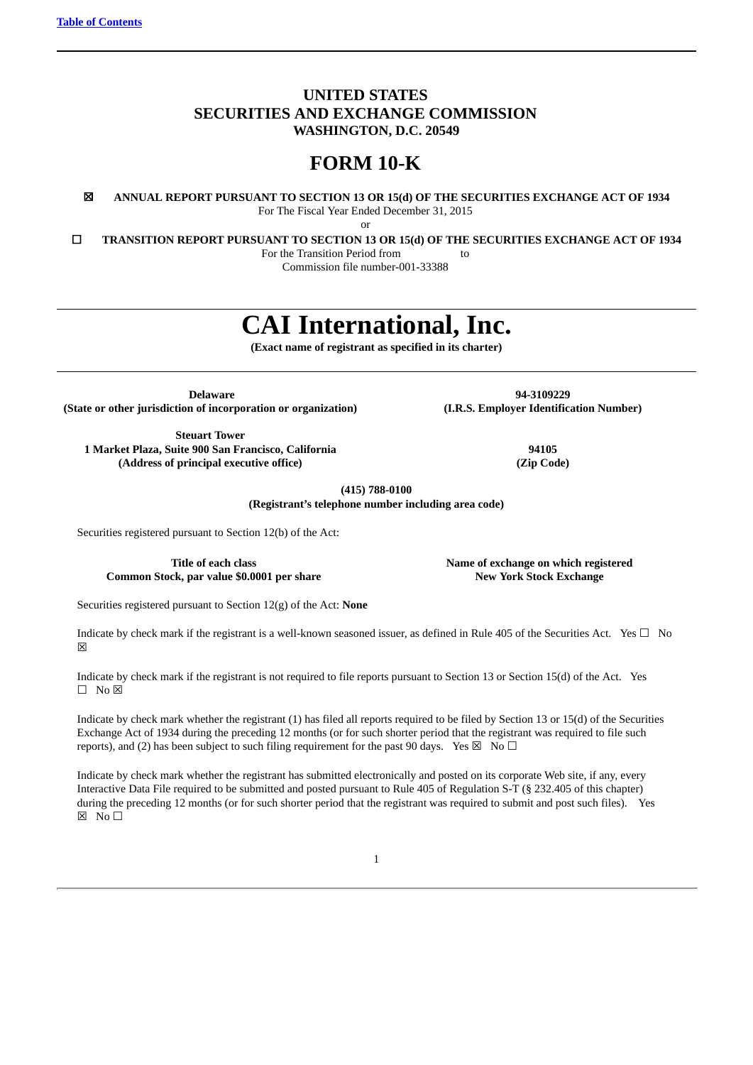### **UNITED STATES SECURITIES AND EXCHANGE COMMISSION WASHINGTON, D.C. 20549**

### **FORM 10-K**

☒ **ANNUAL REPORT PURSUANT TO SECTION 13 OR 15(d) OF THE SECURITIES EXCHANGE ACT OF 1934** For The Fiscal Year Ended December 31, 2015

or

☐ **TRANSITION REPORT PURSUANT TO SECTION 13 OR 15(d) OF THE SECURITIES EXCHANGE ACT OF 1934**

For the Transition Period from to

Commission file number-001-33388

# **CAI International, Inc.**

**(Exact name of registrant as specified in its charter)**

**Delaware 94-3109229 (State or other jurisdiction of incorporation or organization) (I.R.S. Employer Identification Number)**

**Steuart Tower 1 Market Plaza, Suite 900 San Francisco, California 94105 (Address of principal executive office) (Zip Code)**

**(415) 788-0100**

**(Registrant's telephone number including area code)**

Securities registered pursuant to Section 12(b) of the Act:

**Title of each class Name of exchange on which registered Common Stock, par value \$0.0001 per share New York Stock Exchange**

Securities registered pursuant to Section 12(g) of the Act: **None**

Indicate by check mark if the registrant is a well-known seasoned issuer, as defined in Rule 405 of the Securities Act. Yes  $\Box$  No ☒

Indicate by check mark if the registrant is not required to file reports pursuant to Section 13 or Section 15(d) of the Act. Yes  $\square$  No  $\square$ 

Indicate by check mark whether the registrant (1) has filed all reports required to be filed by Section 13 or 15(d) of the Securities Exchange Act of 1934 during the preceding 12 months (or for such shorter period that the registrant was required to file such reports), and (2) has been subject to such filing requirement for the past 90 days. Yes  $\boxtimes$  No  $\Box$ 

Indicate by check mark whether the registrant has submitted electronically and posted on its corporate Web site, if any, every Interactive Data File required to be submitted and posted pursuant to Rule 405 of Regulation S-T (§ 232.405 of this chapter) during the preceding 12 months (or for such shorter period that the registrant was required to submit and post such files). Yes ☒ No ☐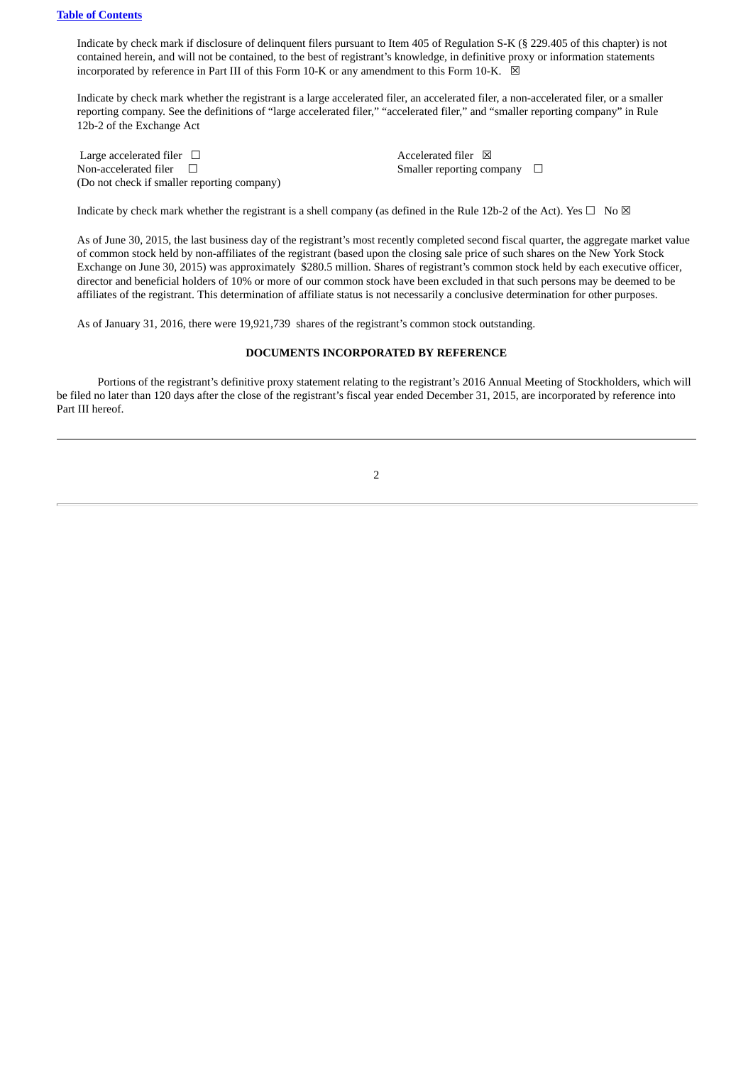Indicate by check mark if disclosure of delinquent filers pursuant to Item 405 of Regulation S-K (§ 229.405 of this chapter) is not contained herein, and will not be contained, to the best of registrant's knowledge, in definitive proxy or information statements incorporated by reference in Part III of this Form 10-K or any amendment to this Form 10-K.  $\boxtimes$ 

Indicate by check mark whether the registrant is a large accelerated filer, an accelerated filer, a non-accelerated filer, or a smaller reporting company. See the definitions of "large accelerated filer," "accelerated filer," and "smaller reporting company" in Rule 12b-2 of the Exchange Act

Large accelerated filer □ and a set of the Accelerated filer  $\boxtimes$ Non-accelerated filer  $\quad \Box$ (Do not check if smaller reporting company)

Smaller reporting company  $\Box$ 

Indicate by check mark whether the registrant is a shell company (as defined in the Rule 12b-2 of the Act). Yes  $\Box$  No  $\boxtimes$ 

As of June 30, 2015, the last business day of the registrant's most recently completed second fiscal quarter, the aggregate market value of common stock held by non-affiliates of the registrant (based upon the closing sale price of such shares on the New York Stock Exchange on June 30, 2015) was approximately \$280.5 million. Shares of registrant's common stock held by each executive officer, director and beneficial holders of 10% or more of our common stock have been excluded in that such persons may be deemed to be affiliates of the registrant. This determination of affiliate status is not necessarily a conclusive determination for other purposes.

As of January 31, 2016, there were 19,921,739 shares of the registrant's common stock outstanding.

#### **DOCUMENTS INCORPORATED BY REFERENCE**

Portions of the registrant's definitive proxy statement relating to the registrant's 2016 Annual Meeting of Stockholders, which will be filed no later than 120 days after the close of the registrant's fiscal year ended December 31, 2015, are incorporated by reference into Part III hereof.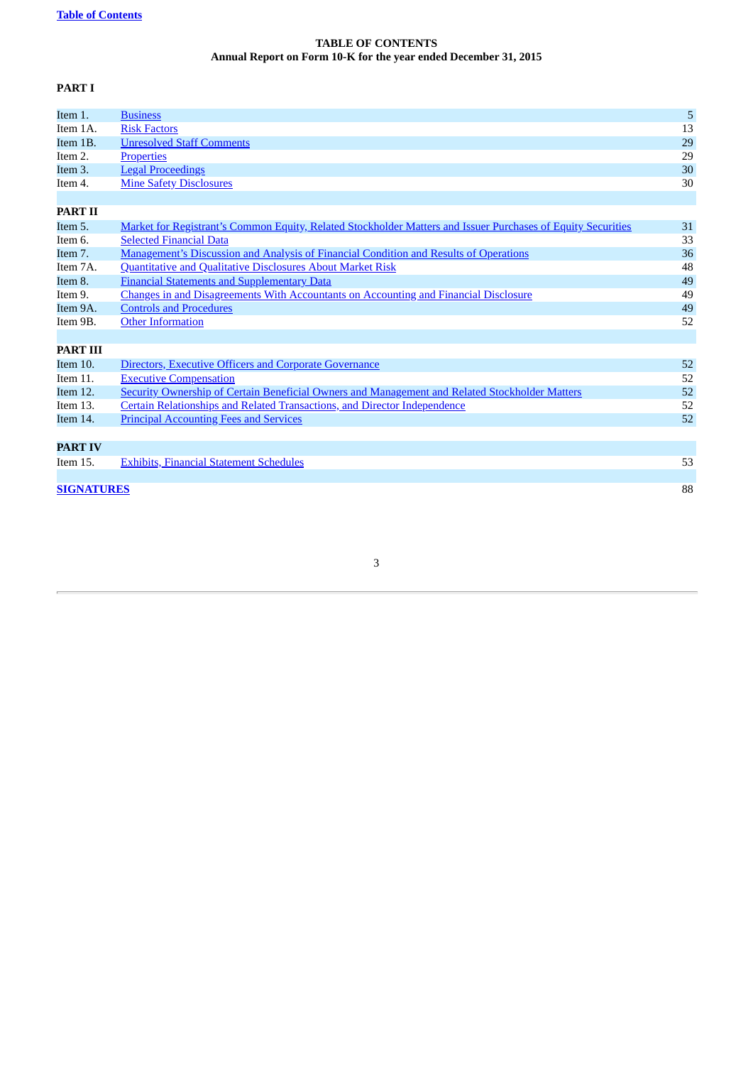#### **TABLE OF CONTENTS Annual Report on Form 10-K for the year ended December 31, 2015**

#### <span id="page-2-0"></span>**PART I**

| Item 1.        | <b>Business</b>                                                                                              |    |
|----------------|--------------------------------------------------------------------------------------------------------------|----|
| Item 1A.       | <b>Risk Factors</b>                                                                                          | 13 |
| Item 1B.       | <b>Unresolved Staff Comments</b>                                                                             | 29 |
| Item 2.        | <b>Properties</b>                                                                                            | 29 |
| Item 3.        | <b>Legal Proceedings</b>                                                                                     | 30 |
| Item 4.        | <b>Mine Safety Disclosures</b>                                                                               | 30 |
|                |                                                                                                              |    |
| <b>PART II</b> |                                                                                                              |    |
| Item 5.        | Market for Registrant's Common Equity, Related Stockholder Matters and Issuer Purchases of Equity Securities | 31 |
| Item 6.        | <b>Selected Financial Data</b>                                                                               | 33 |
| Item 7.        | Management's Discussion and Analysis of Financial Condition and Results of Operations                        | 36 |

| Item 7A.        | <b>Quantitative and Qualitative Disclosures About Market Risk</b>                                     | 48 |
|-----------------|-------------------------------------------------------------------------------------------------------|----|
| Item 8.         | <b>Financial Statements and Supplementary Data</b>                                                    | 49 |
| Item 9.         | <b>Changes in and Disagreements With Accountants on Accounting and Financial Disclosure</b>           | 49 |
| Item 9A.        | <b>Controls and Procedures</b>                                                                        | 49 |
| Item 9B.        | <b>Other Information</b>                                                                              | 52 |
|                 |                                                                                                       |    |
| <b>PART III</b> |                                                                                                       |    |
| Item $10.$      | Directors, Executive Officers and Corporate Governance                                                | 52 |
| Item $11.$      | <b>Executive Compensation</b>                                                                         | 52 |
| Item 12.        | <b>Security Ownership of Certain Beneficial Owners and Management and Related Stockholder Matters</b> | 52 |
| Item $13.$      | <b>Certain Relationships and Related Transactions, and Director Independence</b>                      | 52 |
| Item 14.        | <b>Principal Accounting Fees and Services</b>                                                         | 52 |
|                 |                                                                                                       |    |
| <b>DADDER</b>   |                                                                                                       |    |

## **PART IV**

| Item 15.          | <b>Exhibits. Financial Statement Schedules</b> | rn.<br>رر |
|-------------------|------------------------------------------------|-----------|
|                   |                                                |           |
| <b>SIGNATURES</b> |                                                | 88        |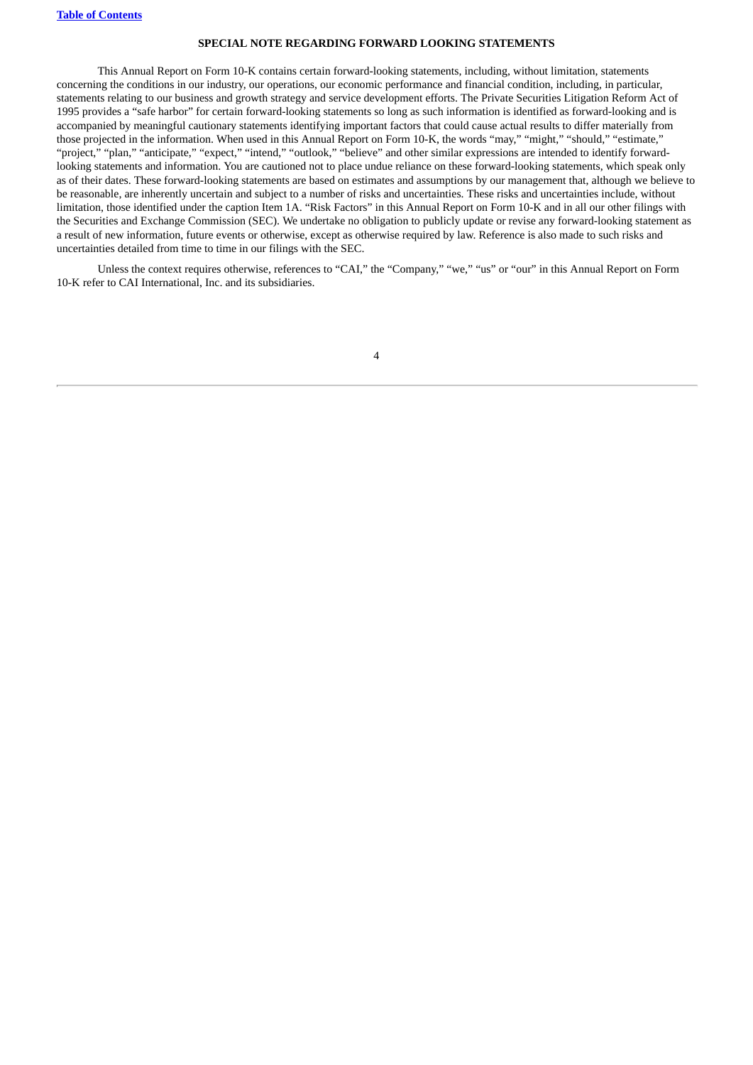#### **SPECIAL NOTE REGARDING FORWARD LOOKING STATEMENTS**

This Annual Report on Form 10-K contains certain forward-looking statements, including, without limitation, statements concerning the conditions in our industry, our operations, our economic performance and financial condition, including, in particular, statements relating to our business and growth strategy and service development efforts. The Private Securities Litigation Reform Act of 1995 provides a "safe harbor" for certain forward-looking statements so long as such information is identified as forward-looking and is accompanied by meaningful cautionary statements identifying important factors that could cause actual results to differ materially from those projected in the information. When used in this Annual Report on Form 10-K, the words "may," "might," "should," "estimate," "project," "plan," "anticipate," "expect," "intend," "outlook," "believe" and other similar expressions are intended to identify forwardlooking statements and information. You are cautioned not to place undue reliance on these forward-looking statements, which speak only as of their dates. These forward-looking statements are based on estimates and assumptions by our management that, although we believe to be reasonable, are inherently uncertain and subject to a number of risks and uncertainties. These risks and uncertainties include, without limitation, those identified under the caption Item 1A. "Risk Factors" in this Annual Report on Form 10-K and in all our other filings with the Securities and Exchange Commission (SEC). We undertake no obligation to publicly update or revise any forward-looking statement as a result of new information, future events or otherwise, except as otherwise required by law. Reference is also made to such risks and uncertainties detailed from time to time in our filings with the SEC.

Unless the context requires otherwise, references to "CAI," the "Company," "we," "us" or "our" in this Annual Report on Form 10-K refer to CAI International, Inc. and its subsidiaries.

| ٦ |  |
|---|--|
|   |  |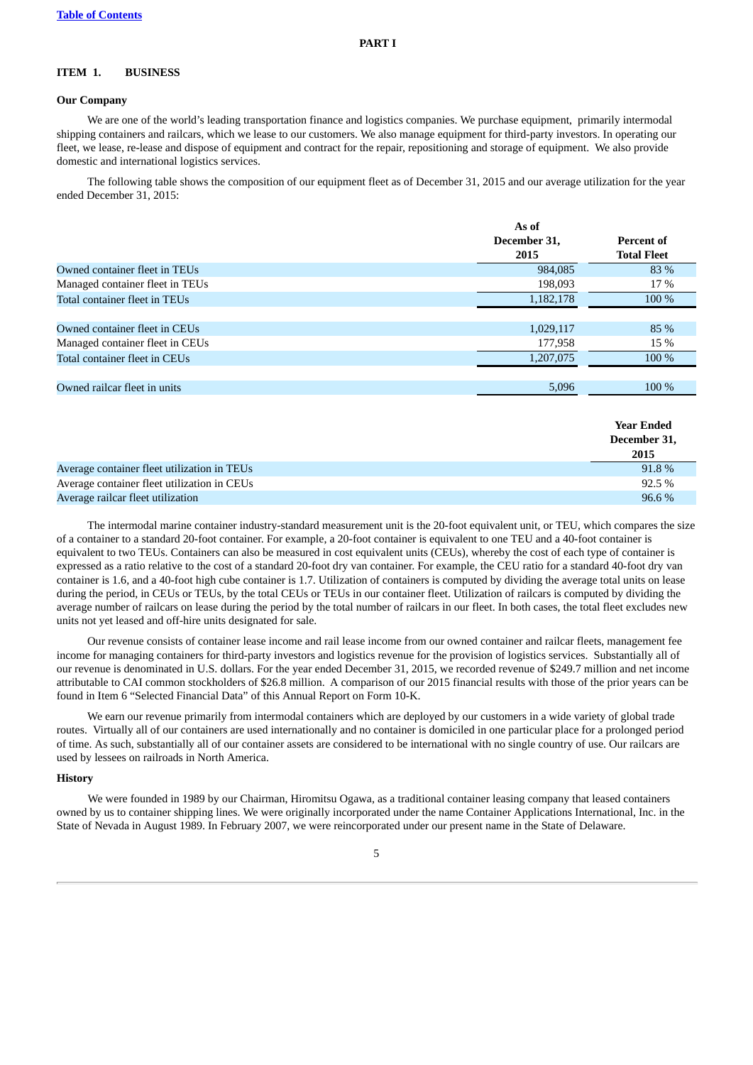#### <span id="page-4-0"></span>**ITEM 1. BUSINESS**

#### **Our Company**

We are one of the world's leading transportation finance and logistics companies. We purchase equipment, primarily intermodal shipping containers and railcars, which we lease to our customers. We also manage equipment for third-party investors. In operating our fleet, we lease, re-lease and dispose of equipment and contract for the repair, repositioning and storage of equipment. We also provide domestic and international logistics services.

The following table shows the composition of our equipment fleet as of December 31, 2015 and our average utilization for the year ended December 31, 2015:

|                                 | As of        |                    |
|---------------------------------|--------------|--------------------|
|                                 | December 31, | Percent of         |
|                                 | 2015         | <b>Total Fleet</b> |
| Owned container fleet in TEUs   | 984,085      | 83 %               |
| Managed container fleet in TEUs | 198,093      | 17 %               |
| Total container fleet in TEUs   | 1,182,178    | 100 %              |
|                                 |              |                    |
| Owned container fleet in CEUs   | 1,029,117    | 85 %               |
| Managed container fleet in CEUs | 177,958      | 15 %               |
| Total container fleet in CEUs   | 1,207,075    | 100 %              |
|                                 |              |                    |
| Owned railcar fleet in units    | 5,096        | $100\%$            |

|                                             | <b>Year Ended</b> |
|---------------------------------------------|-------------------|
|                                             | December 31,      |
|                                             | 2015              |
| Average container fleet utilization in TEUs | 91.8%             |
| Average container fleet utilization in CEUs | $92.5\%$          |
| Average railcar fleet utilization           | 96.6 %            |

The intermodal marine container industry-standard measurement unit is the 20-foot equivalent unit, or TEU, which compares the size of a container to a standard 20-foot container. For example, a 20-foot container is equivalent to one TEU and a 40-foot container is equivalent to two TEUs. Containers can also be measured in cost equivalent units (CEUs), whereby the cost of each type of container is expressed as a ratio relative to the cost of a standard 20-foot dry van container. For example, the CEU ratio for a standard 40-foot dry van container is 1.6, and a 40-foot high cube container is 1.7. Utilization of containers is computed by dividing the average total units on lease during the period, in CEUs or TEUs, by the total CEUs or TEUs in our container fleet. Utilization of railcars is computed by dividing the average number of railcars on lease during the period by the total number of railcars in our fleet. In both cases, the total fleet excludes new units not yet leased and off-hire units designated for sale.

Our revenue consists of container lease income and rail lease income from our owned container and railcar fleets, management fee income for managing containers for third-party investors and logistics revenue for the provision of logistics services. Substantially all of our revenue is denominated in U.S. dollars. For the year ended December 31, 2015, we recorded revenue of \$249.7 million and net income attributable to CAI common stockholders of \$26.8 million. A comparison of our 2015 financial results with those of the prior years can be found in Item 6 "Selected Financial Data" of this Annual Report on Form 10-K.

We earn our revenue primarily from intermodal containers which are deployed by our customers in a wide variety of global trade routes. Virtually all of our containers are used internationally and no container is domiciled in one particular place for a prolonged period of time. As such, substantially all of our container assets are considered to be international with no single country of use. Our railcars are used by lessees on railroads in North America.

#### **History**

We were founded in 1989 by our Chairman, Hiromitsu Ogawa, as a traditional container leasing company that leased containers owned by us to container shipping lines. We were originally incorporated under the name Container Applications International, Inc. in the State of Nevada in August 1989. In February 2007, we were reincorporated under our present name in the State of Delaware.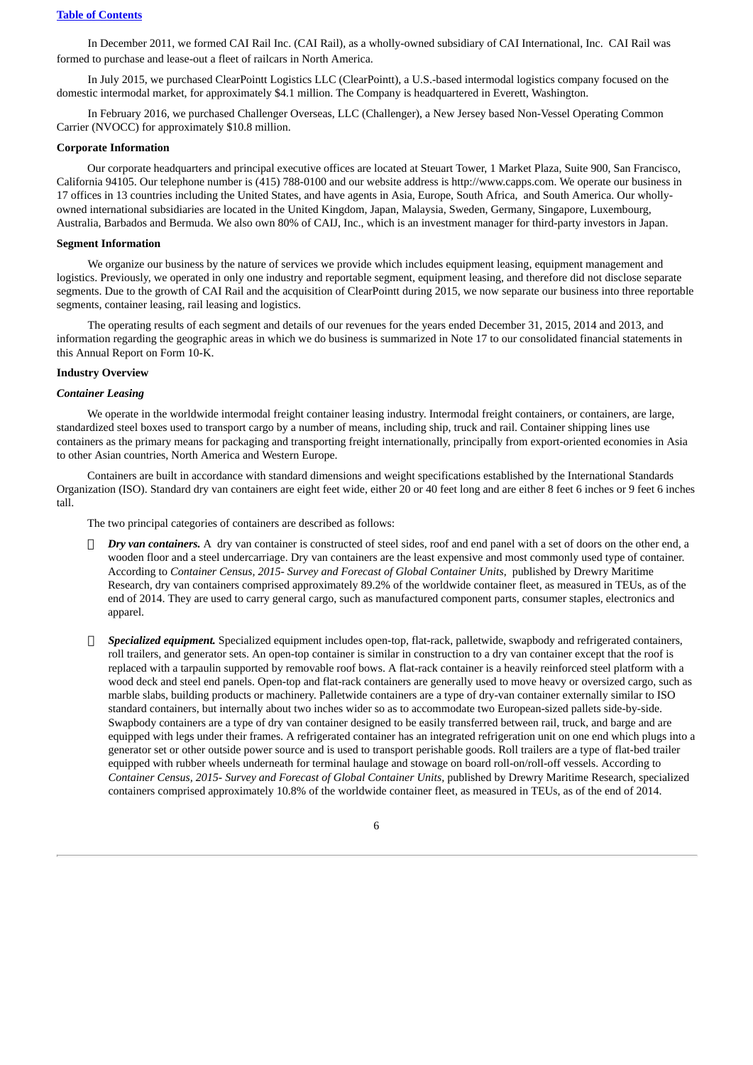In December 2011, we formed CAI Rail Inc. (CAI Rail), as a wholly-owned subsidiary of CAI International, Inc. CAI Rail was formed to purchase and lease-out a fleet of railcars in North America.

In July 2015, we purchased ClearPointt Logistics LLC (ClearPointt), a U.S.-based intermodal logistics company focused on the domestic intermodal market, for approximately \$4.1 million. The Company is headquartered in Everett, Washington.

In February 2016, we purchased Challenger Overseas, LLC (Challenger), a New Jersey based Non-Vessel Operating Common Carrier (NVOCC) for approximately \$10.8 million.

#### **Corporate Information**

Our corporate headquarters and principal executive offices are located at Steuart Tower, 1 Market Plaza, Suite 900, San Francisco, California 94105. Our telephone number is (415) 788-0100 and our website address is http://www.capps.com. We operate our business in 17 offices in 13 countries including the United States, and have agents in Asia, Europe, South Africa, and South America. Our whollyowned international subsidiaries are located in the United Kingdom, Japan, Malaysia, Sweden, Germany, Singapore, Luxembourg, Australia, Barbados and Bermuda. We also own 80% of CAIJ, Inc., which is an investment manager for third-party investors in Japan.

#### **Segment Information**

We organize our business by the nature of services we provide which includes equipment leasing, equipment management and logistics. Previously, we operated in only one industry and reportable segment, equipment leasing, and therefore did not disclose separate segments. Due to the growth of CAI Rail and the acquisition of ClearPointt during 2015, we now separate our business into three reportable segments, container leasing, rail leasing and logistics.

The operating results of each segment and details of our revenues for the years ended December 31, 2015, 2014 and 2013, and information regarding the geographic areas in which we do business is summarized in Note 17 to our consolidated financial statements in this Annual Report on Form 10-K.

#### **Industry Overview**

#### *Container Leasing*

We operate in the worldwide intermodal freight container leasing industry. Intermodal freight containers, or containers, are large, standardized steel boxes used to transport cargo by a number of means, including ship, truck and rail. Container shipping lines use containers as the primary means for packaging and transporting freight internationally, principally from export-oriented economies in Asia to other Asian countries, North America and Western Europe.

Containers are built in accordance with standard dimensions and weight specifications established by the International Standards Organization (ISO). Standard dry van containers are eight feet wide, either 20 or 40 feet long and are either 8 feet 6 inches or 9 feet 6 inches tall.

The two principal categories of containers are described as follows:

- *Dry van containers.* A dry van container is constructed of steel sides, roof and end panel with a set of doors on the other end, a wooden floor and a steel undercarriage. Dry van containers are the least expensive and most commonly used type of container. According to *Container Census, 2015- Survey and Forecast of Global Container Units*, published by Drewry Maritime Research*,* dry van containers comprised approximately 89.2% of the worldwide container fleet, as measured in TEUs, as of the end of 2014. They are used to carry general cargo, such as manufactured component parts, consumer staples, electronics and apparel.
- *Specialized equipment.* Specialized equipment includes open-top, flat-rack, palletwide, swapbody and refrigerated containers, roll trailers, and generator sets. An open-top container is similar in construction to a dry van container except that the roof is replaced with a tarpaulin supported by removable roof bows. A flat-rack container is a heavily reinforced steel platform with a wood deck and steel end panels. Open-top and flat-rack containers are generally used to move heavy or oversized cargo, such as marble slabs, building products or machinery. Palletwide containers are a type of dry-van container externally similar to ISO standard containers, but internally about two inches wider so as to accommodate two European-sized pallets side-by-side. Swapbody containers are a type of dry van container designed to be easily transferred between rail, truck, and barge and are equipped with legs under their frames. A refrigerated container has an integrated refrigeration unit on one end which plugs into a generator set or other outside power source and is used to transport perishable goods. Roll trailers are a type of flat-bed trailer equipped with rubber wheels underneath for terminal haulage and stowage on board roll-on/roll-off vessels. According to *Container Census, 2015- Survey and Forecast of Global Container Units,* published by Drewry Maritime Research, specialized containers comprised approximately 10.8% of the worldwide container fleet, as measured in TEUs, as of the end of 2014.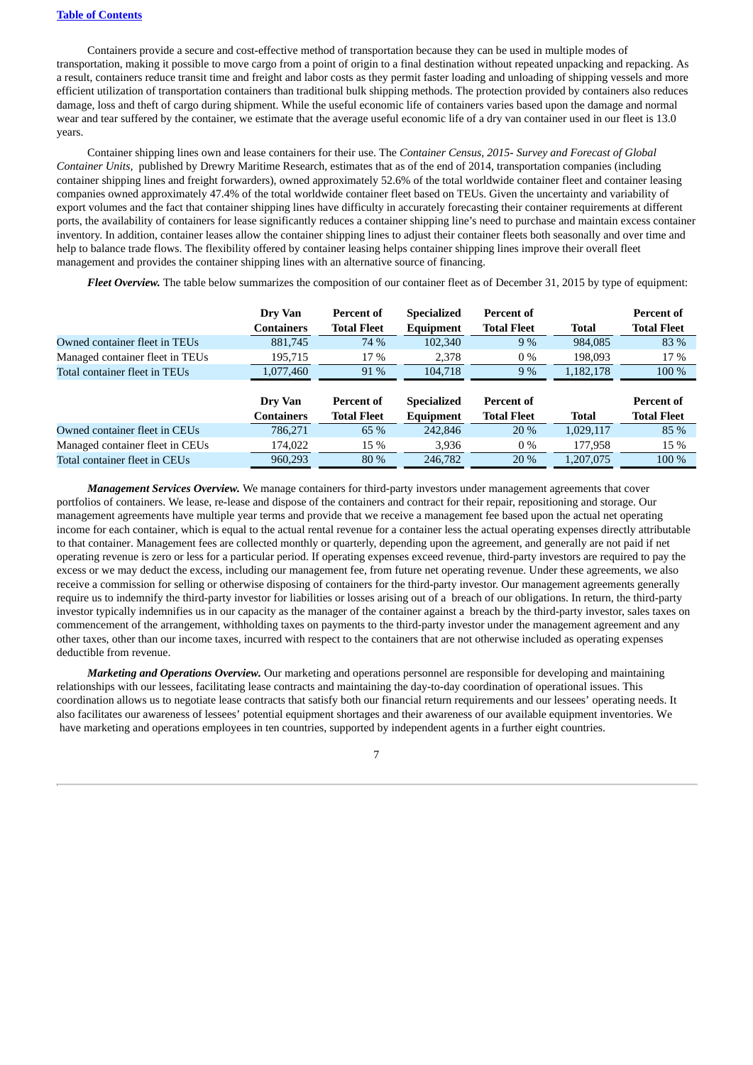Containers provide a secure and cost-effective method of transportation because they can be used in multiple modes of transportation, making it possible to move cargo from a point of origin to a final destination without repeated unpacking and repacking. As a result, containers reduce transit time and freight and labor costs as they permit faster loading and unloading of shipping vessels and more efficient utilization of transportation containers than traditional bulk shipping methods. The protection provided by containers also reduces damage, loss and theft of cargo during shipment. While the useful economic life of containers varies based upon the damage and normal wear and tear suffered by the container, we estimate that the average useful economic life of a dry van container used in our fleet is 13.0 years.

Container shipping lines own and lease containers for their use. The *Container Census, 2015- Survey and Forecast of Global Container Units,* published by Drewry Maritime Research, estimates that as of the end of 2014, transportation companies (including container shipping lines and freight forwarders), owned approximately 52.6% of the total worldwide container fleet and container leasing companies owned approximately 47.4% of the total worldwide container fleet based on TEUs. Given the uncertainty and variability of export volumes and the fact that container shipping lines have difficulty in accurately forecasting their container requirements at different ports, the availability of containers for lease significantly reduces a container shipping line's need to purchase and maintain excess container inventory. In addition, container leases allow the container shipping lines to adjust their container fleets both seasonally and over time and help to balance trade flows. The flexibility offered by container leasing helps container shipping lines improve their overall fleet management and provides the container shipping lines with an alternative source of financing.

*Fleet Overview.* The table below summarizes the composition of our container fleet as of December 31, 2015 by type of equipment:

|                                 | Dry Van           | Percent of         | <b>Specialized</b> | Percent of         |              | Percent of         |
|---------------------------------|-------------------|--------------------|--------------------|--------------------|--------------|--------------------|
|                                 | <b>Containers</b> | <b>Total Fleet</b> | Equipment          | <b>Total Fleet</b> | <b>Total</b> | <b>Total Fleet</b> |
| Owned container fleet in TEUs   | 881,745           | 74 %               | 102,340            | 9%                 | 984,085      | 83 %               |
| Managed container fleet in TEUs | 195,715           | $17\%$             | 2,378              | $0\%$              | 198,093      | 17 %               |
| Total container fleet in TEUs   | 1,077,460         | 91 %               | 104,718            | 9%                 | 1,182,178    | 100 %              |
|                                 |                   |                    |                    |                    |              |                    |
|                                 | Dry Van           | Percent of         | <b>Specialized</b> | Percent of         |              | Percent of         |
|                                 | Containers        | <b>Total Fleet</b> | Equipment          | <b>Total Fleet</b> | Total        | <b>Total Fleet</b> |
| Owned container fleet in CEUs   | 786,271           | 65 %               | 242,846            | 20 %               | 1,029,117    | 85%                |
|                                 |                   |                    |                    |                    |              |                    |
| Managed container fleet in CEUs | 174,022           | 15 %               | 3,936              | $0\%$              | 177,958      | 15 %               |

*Management Services Overview.* We manage containers for third-party investors under management agreements that cover portfolios of containers. We lease, re-lease and dispose of the containers and contract for their repair, repositioning and storage. Our management agreements have multiple year terms and provide that we receive a management fee based upon the actual net operating income for each container, which is equal to the actual rental revenue for a container less the actual operating expenses directly attributable to that container. Management fees are collected monthly or quarterly, depending upon the agreement, and generally are not paid if net operating revenue is zero or less for a particular period. If operating expenses exceed revenue, third-party investors are required to pay the excess or we may deduct the excess, including our management fee, from future net operating revenue. Under these agreements, we also receive a commission for selling or otherwise disposing of containers for the third-party investor. Our management agreements generally require us to indemnify the third-party investor for liabilities or losses arising out of a breach of our obligations. In return, the third-party investor typically indemnifies us in our capacity as the manager of the container against a breach by the third-party investor, sales taxes on commencement of the arrangement, withholding taxes on payments to the third-party investor under the management agreement and any other taxes, other than our income taxes, incurred with respect to the containers that are not otherwise included as operating expenses deductible from revenue.

*Marketing and Operations Overview.* Our marketing and operations personnel are responsible for developing and maintaining relationships with our lessees, facilitating lease contracts and maintaining the day-to-day coordination of operational issues. This coordination allows us to negotiate lease contracts that satisfy both our financial return requirements and our lessees' operating needs. It also facilitates our awareness of lessees' potential equipment shortages and their awareness of our available equipment inventories. We have marketing and operations employees in ten countries, supported by independent agents in a further eight countries.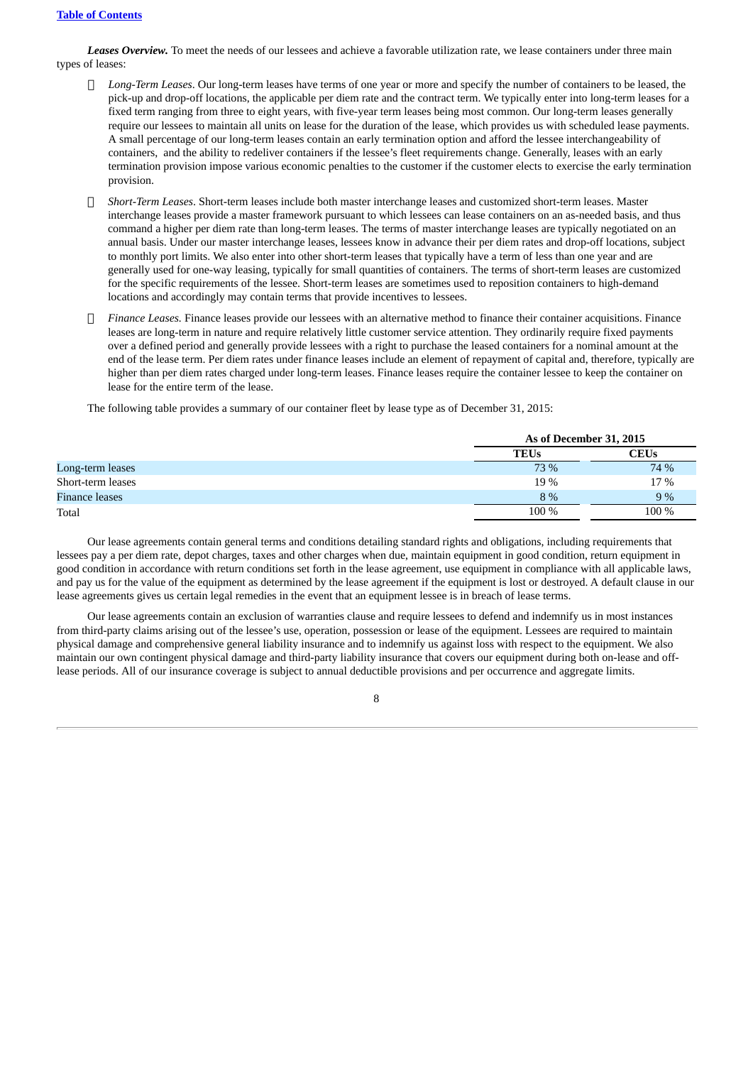*Leases Overview.* To meet the needs of our lessees and achieve a favorable utilization rate, we lease containers under three main types of leases:

- *Long-Term Leases*. Our long-term leases have terms of one year or more and specify the number of containers to be leased, the pick-up and drop-off locations, the applicable per diem rate and the contract term. We typically enter into long-term leases for a fixed term ranging from three to eight years, with five-year term leases being most common. Our long-term leases generally require our lessees to maintain all units on lease for the duration of the lease, which provides us with scheduled lease payments. A small percentage of our long-term leases contain an early termination option and afford the lessee interchangeability of containers, and the ability to redeliver containers if the lessee's fleet requirements change. Generally, leases with an early termination provision impose various economic penalties to the customer if the customer elects to exercise the early termination provision.
- *Short-Term Leases*. Short-term leases include both master interchange leases and customized short-term leases. Master interchange leases provide a master framework pursuant to which lessees can lease containers on an as-needed basis, and thus command a higher per diem rate than long-term leases. The terms of master interchange leases are typically negotiated on an annual basis. Under our master interchange leases, lessees know in advance their per diem rates and drop-off locations, subject to monthly port limits. We also enter into other short-term leases that typically have a term of less than one year and are generally used for one-way leasing, typically for small quantities of containers. The terms of short-term leases are customized for the specific requirements of the lessee. Short-term leases are sometimes used to reposition containers to high-demand locations and accordingly may contain terms that provide incentives to lessees.
- *Finance Leases.* Finance leases provide our lessees with an alternative method to finance their container acquisitions. Finance leases are long-term in nature and require relatively little customer service attention. They ordinarily require fixed payments over a defined period and generally provide lessees with a right to purchase the leased containers for a nominal amount at the end of the lease term. Per diem rates under finance leases include an element of repayment of capital and, therefore, typically are higher than per diem rates charged under long-term leases. Finance leases require the container lessee to keep the container on lease for the entire term of the lease.

The following table provides a summary of our container fleet by lease type as of December 31, 2015:

|                   | As of December 31, 2015 |             |
|-------------------|-------------------------|-------------|
|                   | <b>TEUs</b>             | <b>CEUs</b> |
| Long-term leases  | 73 %                    | 74 %        |
| Short-term leases | 19 %                    | 17 %        |
| Finance leases    | 8 %                     | 9%          |
| Total             | 100 %                   | 100 %       |

Our lease agreements contain general terms and conditions detailing standard rights and obligations, including requirements that lessees pay a per diem rate, depot charges, taxes and other charges when due, maintain equipment in good condition, return equipment in good condition in accordance with return conditions set forth in the lease agreement, use equipment in compliance with all applicable laws, and pay us for the value of the equipment as determined by the lease agreement if the equipment is lost or destroyed. A default clause in our lease agreements gives us certain legal remedies in the event that an equipment lessee is in breach of lease terms.

Our lease agreements contain an exclusion of warranties clause and require lessees to defend and indemnify us in most instances from third-party claims arising out of the lessee's use, operation, possession or lease of the equipment. Lessees are required to maintain physical damage and comprehensive general liability insurance and to indemnify us against loss with respect to the equipment. We also maintain our own contingent physical damage and third-party liability insurance that covers our equipment during both on-lease and offlease periods. All of our insurance coverage is subject to annual deductible provisions and per occurrence and aggregate limits.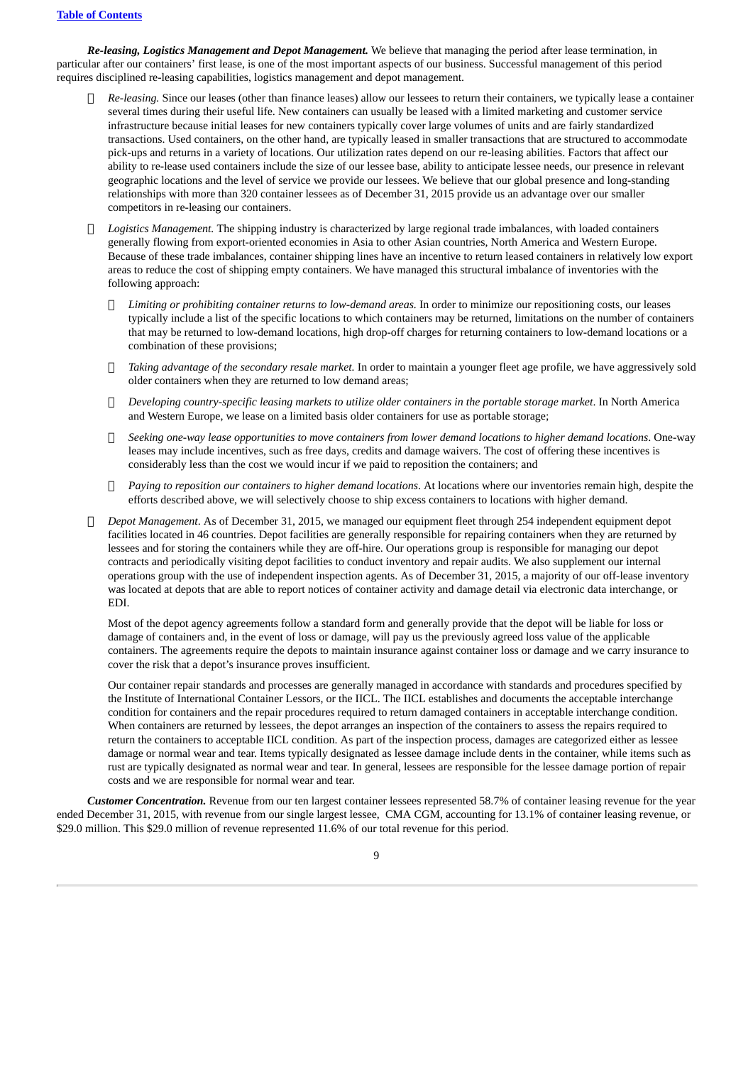*Re-leasing, Logistics Management and Depot Management.* We believe that managing the period after lease termination, in particular after our containers' first lease, is one of the most important aspects of our business. Successful management of this period requires disciplined re-leasing capabilities, logistics management and depot management.

- *Re-leasing.* Since our leases (other than finance leases) allow our lessees to return their containers, we typically lease a container several times during their useful life. New containers can usually be leased with a limited marketing and customer service infrastructure because initial leases for new containers typically cover large volumes of units and are fairly standardized transactions. Used containers, on the other hand, are typically leased in smaller transactions that are structured to accommodate pick-ups and returns in a variety of locations. Our utilization rates depend on our re-leasing abilities. Factors that affect our ability to re-lease used containers include the size of our lessee base, ability to anticipate lessee needs, our presence in relevant geographic locations and the level of service we provide our lessees. We believe that our global presence and long-standing relationships with more than 320 container lessees as of December 31, 2015 provide us an advantage over our smaller competitors in re-leasing our containers.
- *Logistics Management.* The shipping industry is characterized by large regional trade imbalances, with loaded containers generally flowing from export-oriented economies in Asia to other Asian countries, North America and Western Europe. Because of these trade imbalances, container shipping lines have an incentive to return leased containers in relatively low export areas to reduce the cost of shipping empty containers. We have managed this structural imbalance of inventories with the following approach:
	- *Limiting or prohibiting container returns to low-demand areas.* In order to minimize our repositioning costs, our leases typically include a list of the specific locations to which containers may be returned, limitations on the number of containers that may be returned to low-demand locations, high drop-off charges for returning containers to low-demand locations or a combination of these provisions;
	- *Taking advantage of the secondary resale market.* In order to maintain a younger fleet age profile, we have aggressively sold older containers when they are returned to low demand areas;
	- *Developing country-specific leasing markets to utilize older containers in the portable storage market*. In North America and Western Europe, we lease on a limited basis older containers for use as portable storage;
	- *Seeking one-way lease opportunities to move containers from lower demand locations to higher demand locations*. One-way leases may include incentives, such as free days, credits and damage waivers. The cost of offering these incentives is considerably less than the cost we would incur if we paid to reposition the containers; and
	- *Paying to reposition our containers to higher demand locations*. At locations where our inventories remain high, despite the efforts described above, we will selectively choose to ship excess containers to locations with higher demand.
- *Depot Management*. As of December 31, 2015, we managed our equipment fleet through 254 independent equipment depot facilities located in 46 countries. Depot facilities are generally responsible for repairing containers when they are returned by lessees and for storing the containers while they are off-hire. Our operations group is responsible for managing our depot contracts and periodically visiting depot facilities to conduct inventory and repair audits. We also supplement our internal operations group with the use of independent inspection agents. As of December 31, 2015, a majority of our off-lease inventory was located at depots that are able to report notices of container activity and damage detail via electronic data interchange, or EDI.

Most of the depot agency agreements follow a standard form and generally provide that the depot will be liable for loss or damage of containers and, in the event of loss or damage, will pay us the previously agreed loss value of the applicable containers. The agreements require the depots to maintain insurance against container loss or damage and we carry insurance to cover the risk that a depot's insurance proves insufficient.

Our container repair standards and processes are generally managed in accordance with standards and procedures specified by the Institute of International Container Lessors, or the IICL. The IICL establishes and documents the acceptable interchange condition for containers and the repair procedures required to return damaged containers in acceptable interchange condition. When containers are returned by lessees, the depot arranges an inspection of the containers to assess the repairs required to return the containers to acceptable IICL condition. As part of the inspection process, damages are categorized either as lessee damage or normal wear and tear. Items typically designated as lessee damage include dents in the container, while items such as rust are typically designated as normal wear and tear. In general, lessees are responsible for the lessee damage portion of repair costs and we are responsible for normal wear and tear.

*Customer Concentration.* Revenue from our ten largest container lessees represented 58.7% of container leasing revenue for the year ended December 31, 2015, with revenue from our single largest lessee, CMA CGM, accounting for 13.1% of container leasing revenue, or \$29.0 million. This \$29.0 million of revenue represented 11.6% of our total revenue for this period.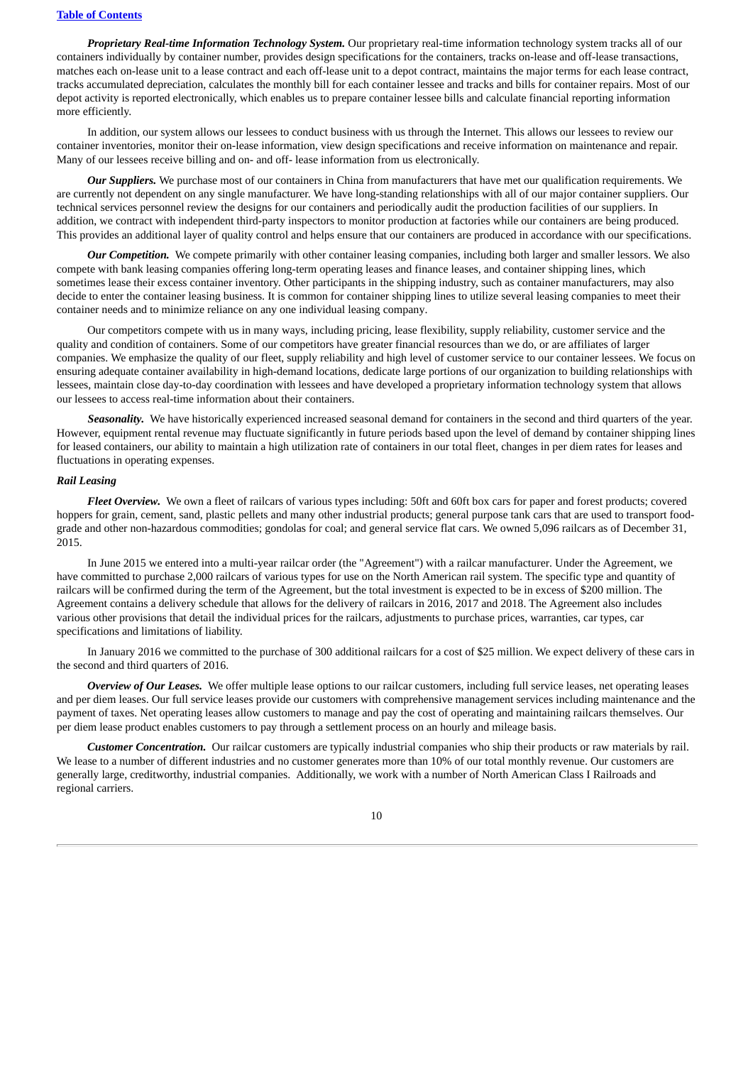*Proprietary Real-time Information Technology System.* Our proprietary real-time information technology system tracks all of our containers individually by container number, provides design specifications for the containers, tracks on-lease and off-lease transactions, matches each on-lease unit to a lease contract and each off-lease unit to a depot contract, maintains the major terms for each lease contract, tracks accumulated depreciation, calculates the monthly bill for each container lessee and tracks and bills for container repairs. Most of our depot activity is reported electronically, which enables us to prepare container lessee bills and calculate financial reporting information more efficiently.

In addition, our system allows our lessees to conduct business with us through the Internet. This allows our lessees to review our container inventories, monitor their on-lease information, view design specifications and receive information on maintenance and repair. Many of our lessees receive billing and on- and off- lease information from us electronically.

*Our Suppliers.* We purchase most of our containers in China from manufacturers that have met our qualification requirements. We are currently not dependent on any single manufacturer. We have long-standing relationships with all of our major container suppliers. Our technical services personnel review the designs for our containers and periodically audit the production facilities of our suppliers. In addition, we contract with independent third-party inspectors to monitor production at factories while our containers are being produced. This provides an additional layer of quality control and helps ensure that our containers are produced in accordance with our specifications.

*Our Competition.* We compete primarily with other container leasing companies, including both larger and smaller lessors. We also compete with bank leasing companies offering long-term operating leases and finance leases, and container shipping lines, which sometimes lease their excess container inventory. Other participants in the shipping industry, such as container manufacturers, may also decide to enter the container leasing business. It is common for container shipping lines to utilize several leasing companies to meet their container needs and to minimize reliance on any one individual leasing company.

Our competitors compete with us in many ways, including pricing, lease flexibility, supply reliability, customer service and the quality and condition of containers. Some of our competitors have greater financial resources than we do, or are affiliates of larger companies. We emphasize the quality of our fleet, supply reliability and high level of customer service to our container lessees. We focus on ensuring adequate container availability in high-demand locations, dedicate large portions of our organization to building relationships with lessees, maintain close day-to-day coordination with lessees and have developed a proprietary information technology system that allows our lessees to access real-time information about their containers.

*Seasonality.* We have historically experienced increased seasonal demand for containers in the second and third quarters of the year. However, equipment rental revenue may fluctuate significantly in future periods based upon the level of demand by container shipping lines for leased containers, our ability to maintain a high utilization rate of containers in our total fleet, changes in per diem rates for leases and fluctuations in operating expenses.

#### *Rail Leasing*

*Fleet Overview.* We own a fleet of railcars of various types including: 50ft and 60ft box cars for paper and forest products; covered hoppers for grain, cement, sand, plastic pellets and many other industrial products; general purpose tank cars that are used to transport foodgrade and other non-hazardous commodities; gondolas for coal; and general service flat cars. We owned 5,096 railcars as of December 31, 2015.

In June 2015 we entered into a multi-year railcar order (the "Agreement") with a railcar manufacturer. Under the Agreement, we have committed to purchase 2,000 railcars of various types for use on the North American rail system. The specific type and quantity of railcars will be confirmed during the term of the Agreement, but the total investment is expected to be in excess of \$200 million. The Agreement contains a delivery schedule that allows for the delivery of railcars in 2016, 2017 and 2018. The Agreement also includes various other provisions that detail the individual prices for the railcars, adjustments to purchase prices, warranties, car types, car specifications and limitations of liability.

In January 2016 we committed to the purchase of 300 additional railcars for a cost of \$25 million. We expect delivery of these cars in the second and third quarters of 2016.

*Overview of Our Leases.* We offer multiple lease options to our railcar customers, including full service leases, net operating leases and per diem leases. Our full service leases provide our customers with comprehensive management services including maintenance and the payment of taxes. Net operating leases allow customers to manage and pay the cost of operating and maintaining railcars themselves. Our per diem lease product enables customers to pay through a settlement process on an hourly and mileage basis.

*Customer Concentration.* Our railcar customers are typically industrial companies who ship their products or raw materials by rail. We lease to a number of different industries and no customer generates more than 10% of our total monthly revenue. Our customers are generally large, creditworthy, industrial companies. Additionally, we work with a number of North American Class I Railroads and regional carriers.

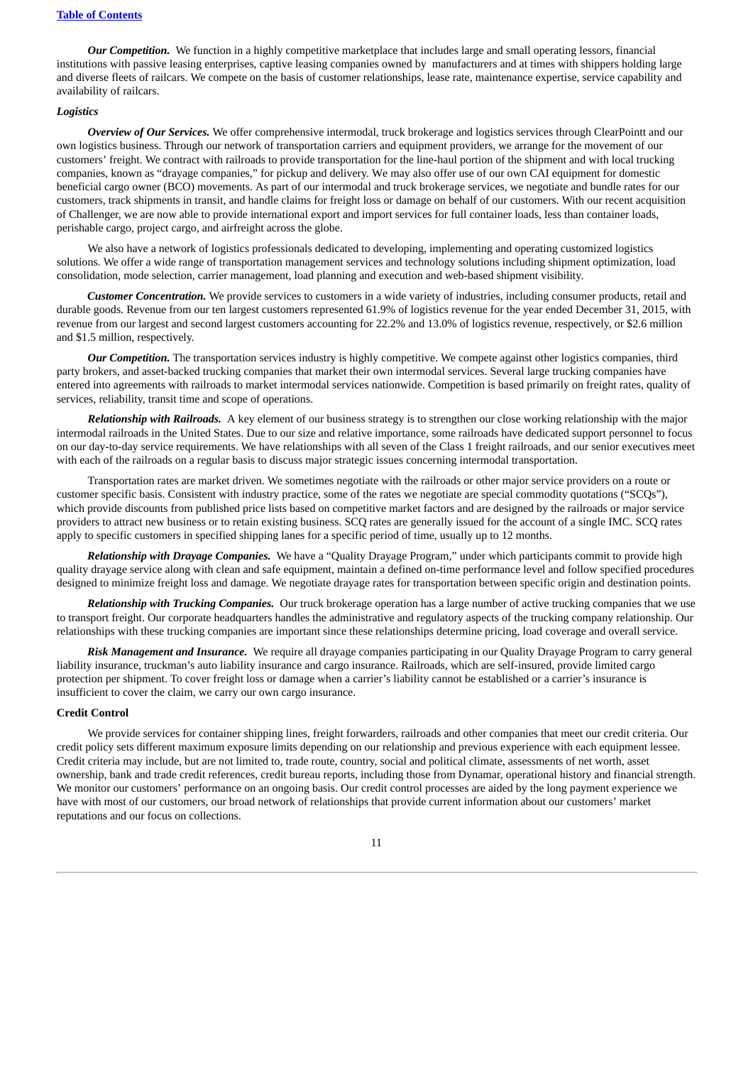*Our Competition.* We function in a highly competitive marketplace that includes large and small operating lessors, financial institutions with passive leasing enterprises, captive leasing companies owned by manufacturers and at times with shippers holding large and diverse fleets of railcars. We compete on the basis of customer relationships, lease rate, maintenance expertise, service capability and availability of railcars.

#### *Logistics*

*Overview of Our Services.* We offer comprehensive intermodal, truck brokerage and logistics services through ClearPointt and our own logistics business. Through our network of transportation carriers and equipment providers, we arrange for the movement of our customers' freight. We contract with railroads to provide transportation for the line-haul portion of the shipment and with local trucking companies, known as "drayage companies," for pickup and delivery. We may also offer use of our own CAI equipment for domestic beneficial cargo owner (BCO) movements. As part of our intermodal and truck brokerage services, we negotiate and bundle rates for our customers, track shipments in transit, and handle claims for freight loss or damage on behalf of our customers. With our recent acquisition of Challenger, we are now able to provide international export and import services for full container loads, less than container loads, perishable cargo, project cargo, and airfreight across the globe.

We also have a network of logistics professionals dedicated to developing, implementing and operating customized logistics solutions. We offer a wide range of transportation management services and technology solutions including shipment optimization, load consolidation, mode selection, carrier management, load planning and execution and web-based shipment visibility.

*Customer Concentration.* We provide services to customers in a wide variety of industries, including consumer products, retail and durable goods. Revenue from our ten largest customers represented 61.9% of logistics revenue for the year ended December 31, 2015, with revenue from our largest and second largest customers accounting for 22.2% and 13.0% of logistics revenue, respectively, or \$2.6 million and \$1.5 million, respectively.

*Our Competition.* The transportation services industry is highly competitive. We compete against other logistics companies, third party brokers, and asset-backed trucking companies that market their own intermodal services. Several large trucking companies have entered into agreements with railroads to market intermodal services nationwide. Competition is based primarily on freight rates, quality of services, reliability, transit time and scope of operations.

*Relationship with Railroads.* A key element of our business strategy is to strengthen our close working relationship with the major intermodal railroads in the United States. Due to our size and relative importance, some railroads have dedicated support personnel to focus on our day-to-day service requirements. We have relationships with all seven of the Class 1 freight railroads, and our senior executives meet with each of the railroads on a regular basis to discuss major strategic issues concerning intermodal transportation.

Transportation rates are market driven. We sometimes negotiate with the railroads or other major service providers on a route or customer specific basis. Consistent with industry practice, some of the rates we negotiate are special commodity quotations ("SCQs"), which provide discounts from published price lists based on competitive market factors and are designed by the railroads or major service providers to attract new business or to retain existing business. SCQ rates are generally issued for the account of a single IMC. SCQ rates apply to specific customers in specified shipping lanes for a specific period of time, usually up to 12 months.

*Relationship with Drayage Companies.* We have a "Quality Drayage Program," under which participants commit to provide high quality drayage service along with clean and safe equipment, maintain a defined on-time performance level and follow specified procedures designed to minimize freight loss and damage. We negotiate drayage rates for transportation between specific origin and destination points.

*Relationship with Trucking Companies.* Our truck brokerage operation has a large number of active trucking companies that we use to transport freight. Our corporate headquarters handles the administrative and regulatory aspects of the trucking company relationship. Our relationships with these trucking companies are important since these relationships determine pricing, load coverage and overall service.

*Risk Management and Insurance.* We require all drayage companies participating in our Quality Drayage Program to carry general liability insurance, truckman's auto liability insurance and cargo insurance. Railroads, which are self-insured, provide limited cargo protection per shipment. To cover freight loss or damage when a carrier's liability cannot be established or a carrier's insurance is insufficient to cover the claim, we carry our own cargo insurance.

#### **Credit Control**

We provide services for container shipping lines, freight forwarders, railroads and other companies that meet our credit criteria. Our credit policy sets different maximum exposure limits depending on our relationship and previous experience with each equipment lessee. Credit criteria may include, but are not limited to, trade route, country, social and political climate, assessments of net worth, asset ownership, bank and trade credit references, credit bureau reports, including those from Dynamar, operational history and financial strength. We monitor our customers' performance on an ongoing basis. Our credit control processes are aided by the long payment experience we have with most of our customers, our broad network of relationships that provide current information about our customers' market reputations and our focus on collections.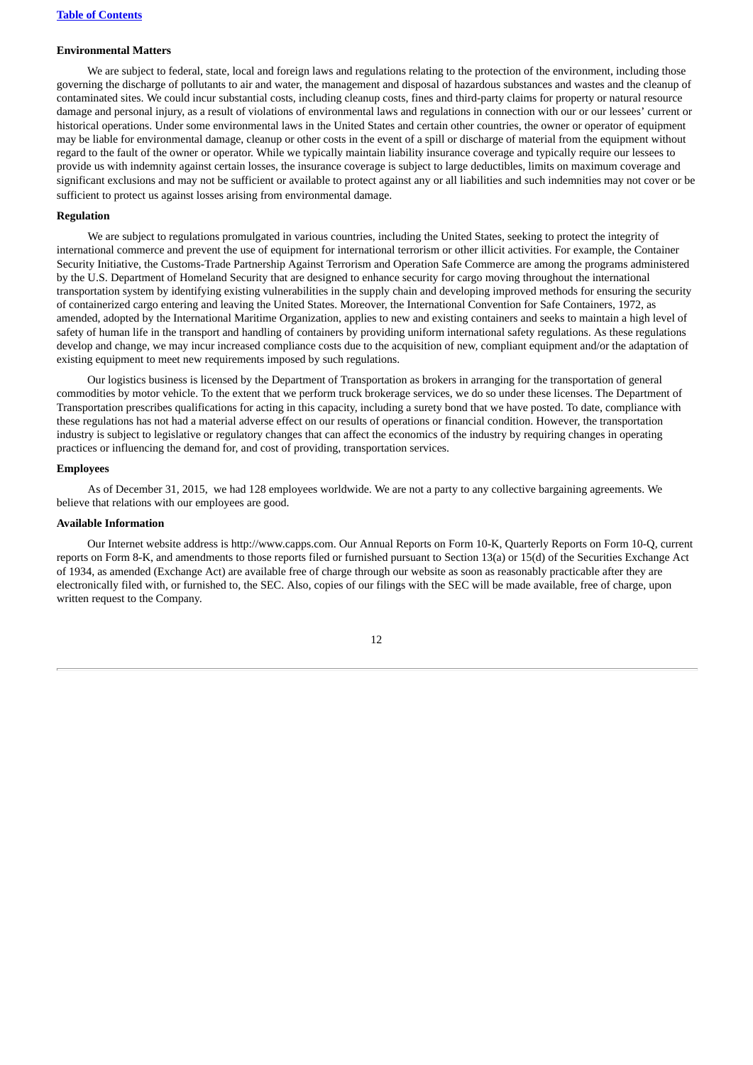#### **Environmental Matters**

We are subject to federal, state, local and foreign laws and regulations relating to the protection of the environment, including those governing the discharge of pollutants to air and water, the management and disposal of hazardous substances and wastes and the cleanup of contaminated sites. We could incur substantial costs, including cleanup costs, fines and third-party claims for property or natural resource damage and personal injury, as a result of violations of environmental laws and regulations in connection with our or our lessees' current or historical operations. Under some environmental laws in the United States and certain other countries, the owner or operator of equipment may be liable for environmental damage, cleanup or other costs in the event of a spill or discharge of material from the equipment without regard to the fault of the owner or operator. While we typically maintain liability insurance coverage and typically require our lessees to provide us with indemnity against certain losses, the insurance coverage is subject to large deductibles, limits on maximum coverage and significant exclusions and may not be sufficient or available to protect against any or all liabilities and such indemnities may not cover or be sufficient to protect us against losses arising from environmental damage.

#### **Regulation**

We are subject to regulations promulgated in various countries, including the United States, seeking to protect the integrity of international commerce and prevent the use of equipment for international terrorism or other illicit activities. For example, the Container Security Initiative, the Customs-Trade Partnership Against Terrorism and Operation Safe Commerce are among the programs administered by the U.S. Department of Homeland Security that are designed to enhance security for cargo moving throughout the international transportation system by identifying existing vulnerabilities in the supply chain and developing improved methods for ensuring the security of containerized cargo entering and leaving the United States. Moreover, the International Convention for Safe Containers, 1972, as amended, adopted by the International Maritime Organization, applies to new and existing containers and seeks to maintain a high level of safety of human life in the transport and handling of containers by providing uniform international safety regulations. As these regulations develop and change, we may incur increased compliance costs due to the acquisition of new, compliant equipment and/or the adaptation of existing equipment to meet new requirements imposed by such regulations.

Our logistics business is licensed by the Department of Transportation as brokers in arranging for the transportation of general commodities by motor vehicle. To the extent that we perform truck brokerage services, we do so under these licenses. The Department of Transportation prescribes qualifications for acting in this capacity, including a surety bond that we have posted. To date, compliance with these regulations has not had a material adverse effect on our results of operations or financial condition. However, the transportation industry is subject to legislative or regulatory changes that can affect the economics of the industry by requiring changes in operating practices or influencing the demand for, and cost of providing, transportation services.

#### **Employees**

As of December 31, 2015, we had 128 employees worldwide. We are not a party to any collective bargaining agreements. We believe that relations with our employees are good.

#### **Available Information**

Our Internet website address is http://www.capps.com. Our Annual Reports on Form 10-K, Quarterly Reports on Form 10-Q, current reports on Form 8-K, and amendments to those reports filed or furnished pursuant to Section 13(a) or 15(d) of the Securities Exchange Act of 1934, as amended (Exchange Act) are available free of charge through our website as soon as reasonably practicable after they are electronically filed with, or furnished to, the SEC. Also, copies of our filings with the SEC will be made available, free of charge, upon written request to the Company.

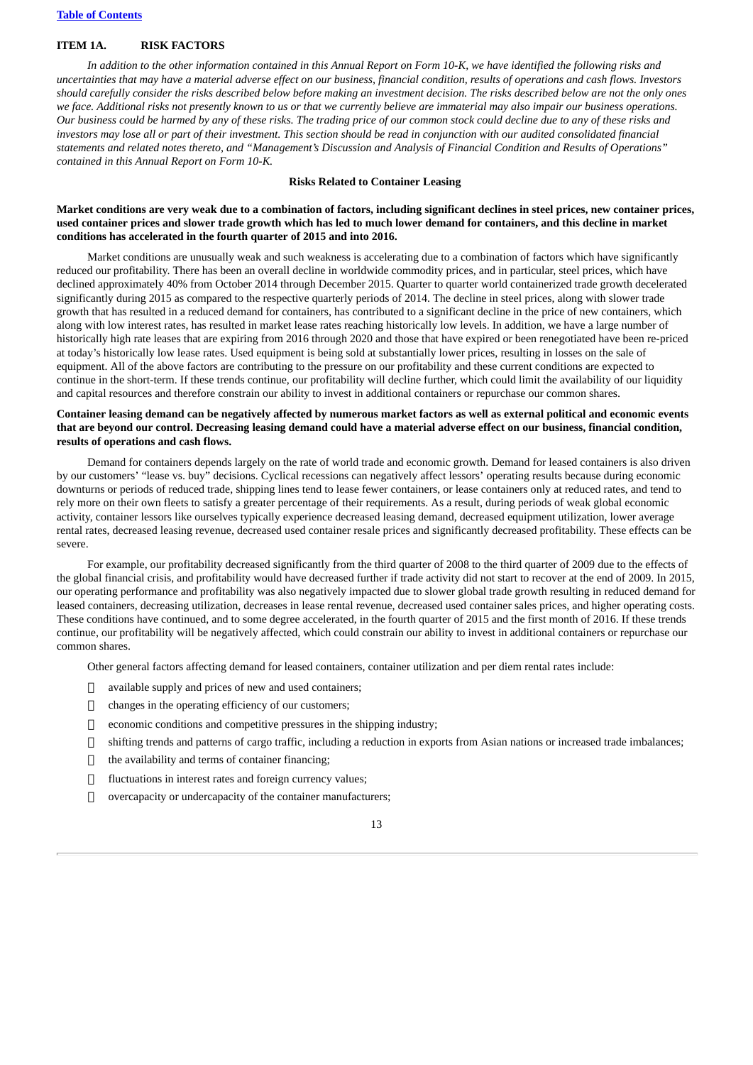#### <span id="page-12-0"></span>**ITEM 1A. RISK FACTORS**

In addition to the other information contained in this Annual Report on Form 10-K, we have identified the following risks and uncertainties that may have a material adverse effect on our business, financial condition, results of operations and cash flows. Investors should carefully consider the risks described below before making an investment decision. The risks described below are not the only ones we face. Additional risks not presently known to us or that we currently believe are immaterial may also impair our business operations. Our business could be harmed by any of these risks. The trading price of our common stock could decline due to any of these risks and investors may lose all or part of their investment. This section should be read in conjunction with our audited consolidated financial statements and related notes thereto, and "Management's Discussion and Analysis of Financial Condition and Results of Operations" *contained in this Annual Report on Form 10-K.*

#### **Risks Related to Container Leasing**

#### Market conditions are very weak due to a combination of factors, including significant declines in steel prices, new container prices, used container prices and slower trade growth which has led to much lower demand for containers, and this decline in market **conditions has accelerated in the fourth quarter of 2015 and into 2016.**

Market conditions are unusually weak and such weakness is accelerating due to a combination of factors which have significantly reduced our profitability. There has been an overall decline in worldwide commodity prices, and in particular, steel prices, which have declined approximately 40% from October 2014 through December 2015. Quarter to quarter world containerized trade growth decelerated significantly during 2015 as compared to the respective quarterly periods of 2014. The decline in steel prices, along with slower trade growth that has resulted in a reduced demand for containers, has contributed to a significant decline in the price of new containers, which along with low interest rates, has resulted in market lease rates reaching historically low levels. In addition, we have a large number of historically high rate leases that are expiring from 2016 through 2020 and those that have expired or been renegotiated have been re-priced at today's historically low lease rates. Used equipment is being sold at substantially lower prices, resulting in losses on the sale of equipment. All of the above factors are contributing to the pressure on our profitability and these current conditions are expected to continue in the short-term. If these trends continue, our profitability will decline further, which could limit the availability of our liquidity and capital resources and therefore constrain our ability to invest in additional containers or repurchase our common shares.

#### Container leasing demand can be negatively affected by numerous market factors as well as external political and economic events that are beyond our control. Decreasing leasing demand could have a material adverse effect on our business, financial condition, **results of operations and cash flows.**

Demand for containers depends largely on the rate of world trade and economic growth. Demand for leased containers is also driven by our customers' "lease vs. buy" decisions. Cyclical recessions can negatively affect lessors' operating results because during economic downturns or periods of reduced trade, shipping lines tend to lease fewer containers, or lease containers only at reduced rates, and tend to rely more on their own fleets to satisfy a greater percentage of their requirements. As a result, during periods of weak global economic activity, container lessors like ourselves typically experience decreased leasing demand, decreased equipment utilization, lower average rental rates, decreased leasing revenue, decreased used container resale prices and significantly decreased profitability. These effects can be severe.

For example, our profitability decreased significantly from the third quarter of 2008 to the third quarter of 2009 due to the effects of the global financial crisis, and profitability would have decreased further if trade activity did not start to recover at the end of 2009. In 2015, our operating performance and profitability was also negatively impacted due to slower global trade growth resulting in reduced demand for leased containers, decreasing utilization, decreases in lease rental revenue, decreased used container sales prices, and higher operating costs. These conditions have continued, and to some degree accelerated, in the fourth quarter of 2015 and the first month of 2016. If these trends continue, our profitability will be negatively affected, which could constrain our ability to invest in additional containers or repurchase our common shares.

Other general factors affecting demand for leased containers, container utilization and per diem rental rates include:

- $\Box$  available supply and prices of new and used containers;
- $\Box$  changes in the operating efficiency of our customers;
- economic conditions and competitive pressures in the shipping industry;
- $\Box$  shifting trends and patterns of cargo traffic, including a reduction in exports from Asian nations or increased trade imbalances;
- $\Box$  the availability and terms of container financing;
- $\Box$  fluctuations in interest rates and foreign currency values;
- $\Box$  overcapacity or undercapacity of the container manufacturers: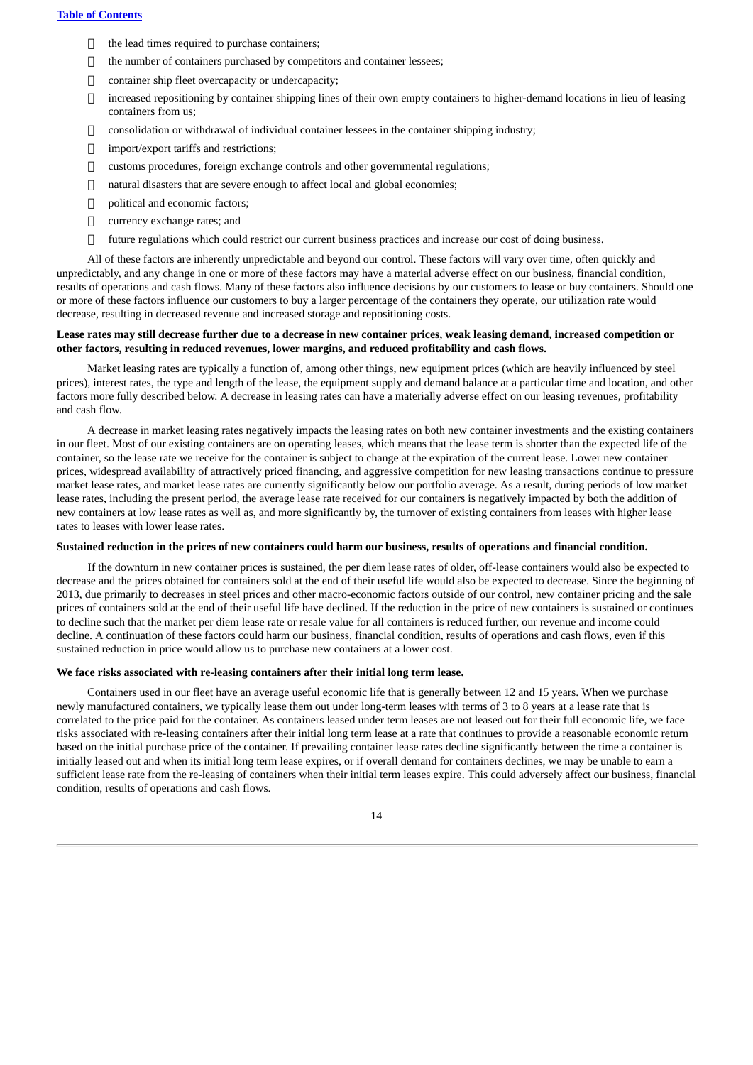- $\Box$  the lead times required to purchase containers;
- the number of containers purchased by competitors and container lessees;
- $\Box$  container ship fleet overcapacity or undercapacity;
- increased repositioning by container shipping lines of their own empty containers to higher-demand locations in lieu of leasing containers from us;
- consolidation or withdrawal of individual container lessees in the container shipping industry;
- import/export tariffs and restrictions;
- $\Box$  customs procedures, foreign exchange controls and other governmental regulations;
- $\Box$  natural disasters that are severe enough to affect local and global economies;
- political and economic factors;
- **currency exchange rates; and**
- future regulations which could restrict our current business practices and increase our cost of doing business.

All of these factors are inherently unpredictable and beyond our control. These factors will vary over time, often quickly and unpredictably, and any change in one or more of these factors may have a material adverse effect on our business, financial condition, results of operations and cash flows. Many of these factors also influence decisions by our customers to lease or buy containers. Should one or more of these factors influence our customers to buy a larger percentage of the containers they operate, our utilization rate would decrease, resulting in decreased revenue and increased storage and repositioning costs.

#### Lease rates may still decrease further due to a decrease in new container prices, weak leasing demand, increased competition or **other factors, resulting in reduced revenues, lower margins, and reduced profitability and cash flows.**

Market leasing rates are typically a function of, among other things, new equipment prices (which are heavily influenced by steel prices), interest rates, the type and length of the lease, the equipment supply and demand balance at a particular time and location, and other factors more fully described below. A decrease in leasing rates can have a materially adverse effect on our leasing revenues, profitability and cash flow.

A decrease in market leasing rates negatively impacts the leasing rates on both new container investments and the existing containers in our fleet. Most of our existing containers are on operating leases, which means that the lease term is shorter than the expected life of the container, so the lease rate we receive for the container is subject to change at the expiration of the current lease. Lower new container prices, widespread availability of attractively priced financing, and aggressive competition for new leasing transactions continue to pressure market lease rates, and market lease rates are currently significantly below our portfolio average. As a result, during periods of low market lease rates, including the present period, the average lease rate received for our containers is negatively impacted by both the addition of new containers at low lease rates as well as, and more significantly by, the turnover of existing containers from leases with higher lease rates to leases with lower lease rates.

#### Sustained reduction in the prices of new containers could harm our business, results of operations and financial condition.

If the downturn in new container prices is sustained, the per diem lease rates of older, off-lease containers would also be expected to decrease and the prices obtained for containers sold at the end of their useful life would also be expected to decrease. Since the beginning of 2013, due primarily to decreases in steel prices and other macro-economic factors outside of our control, new container pricing and the sale prices of containers sold at the end of their useful life have declined. If the reduction in the price of new containers is sustained or continues to decline such that the market per diem lease rate or resale value for all containers is reduced further, our revenue and income could decline. A continuation of these factors could harm our business, financial condition, results of operations and cash flows, even if this sustained reduction in price would allow us to purchase new containers at a lower cost.

#### **We face risks associated with re-leasing containers after their initial long term lease.**

Containers used in our fleet have an average useful economic life that is generally between 12 and 15 years. When we purchase newly manufactured containers, we typically lease them out under long-term leases with terms of 3 to 8 years at a lease rate that is correlated to the price paid for the container. As containers leased under term leases are not leased out for their full economic life, we face risks associated with re-leasing containers after their initial long term lease at a rate that continues to provide a reasonable economic return based on the initial purchase price of the container. If prevailing container lease rates decline significantly between the time a container is initially leased out and when its initial long term lease expires, or if overall demand for containers declines, we may be unable to earn a sufficient lease rate from the re-leasing of containers when their initial term leases expire. This could adversely affect our business, financial condition, results of operations and cash flows.

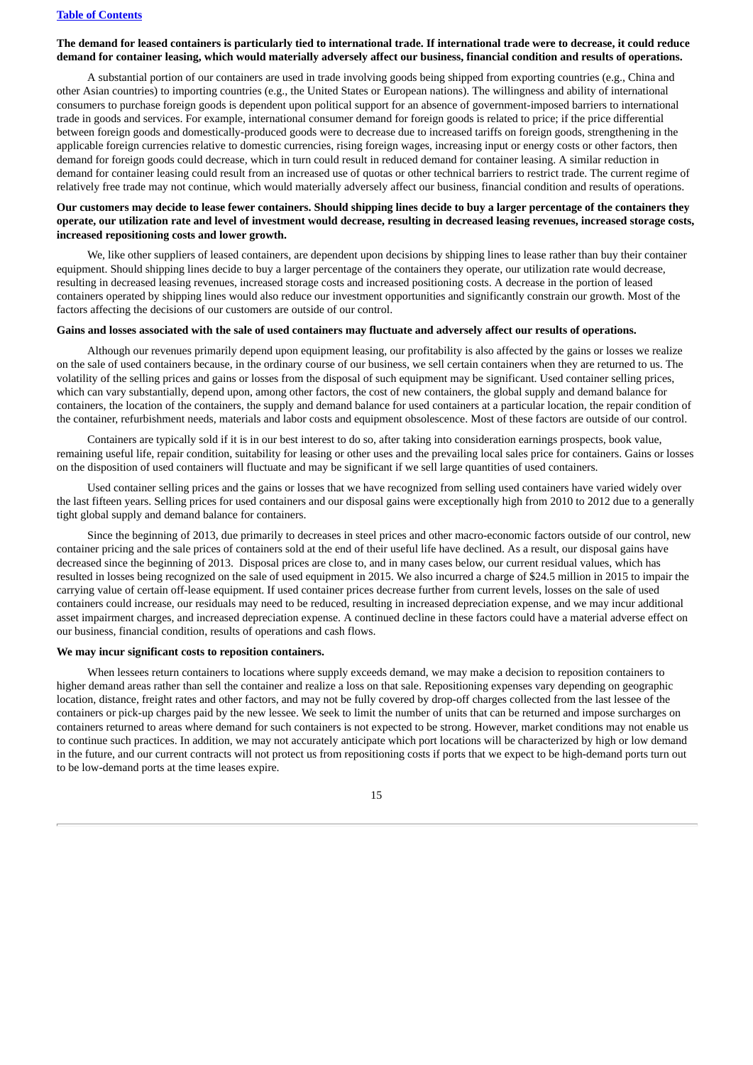#### The demand for leased containers is particularly tied to international trade. If international trade were to decrease, it could reduce demand for container leasing, which would materially adversely affect our business, financial condition and results of operations.

A substantial portion of our containers are used in trade involving goods being shipped from exporting countries (e.g., China and other Asian countries) to importing countries (e.g., the United States or European nations). The willingness and ability of international consumers to purchase foreign goods is dependent upon political support for an absence of government-imposed barriers to international trade in goods and services. For example, international consumer demand for foreign goods is related to price; if the price differential between foreign goods and domestically-produced goods were to decrease due to increased tariffs on foreign goods, strengthening in the applicable foreign currencies relative to domestic currencies, rising foreign wages, increasing input or energy costs or other factors, then demand for foreign goods could decrease, which in turn could result in reduced demand for container leasing. A similar reduction in demand for container leasing could result from an increased use of quotas or other technical barriers to restrict trade. The current regime of relatively free trade may not continue, which would materially adversely affect our business, financial condition and results of operations.

#### Our customers may decide to lease fewer containers. Should shipping lines decide to buy a larger percentage of the containers they operate, our utilization rate and level of investment would decrease, resulting in decreased leasing revenues, increased storage costs, **increased repositioning costs and lower growth.**

We, like other suppliers of leased containers, are dependent upon decisions by shipping lines to lease rather than buy their container equipment. Should shipping lines decide to buy a larger percentage of the containers they operate, our utilization rate would decrease, resulting in decreased leasing revenues, increased storage costs and increased positioning costs. A decrease in the portion of leased containers operated by shipping lines would also reduce our investment opportunities and significantly constrain our growth. Most of the factors affecting the decisions of our customers are outside of our control.

#### Gains and losses associated with the sale of used containers may fluctuate and adversely affect our results of operations.

Although our revenues primarily depend upon equipment leasing, our profitability is also affected by the gains or losses we realize on the sale of used containers because, in the ordinary course of our business, we sell certain containers when they are returned to us. The volatility of the selling prices and gains or losses from the disposal of such equipment may be significant. Used container selling prices, which can vary substantially, depend upon, among other factors, the cost of new containers, the global supply and demand balance for containers, the location of the containers, the supply and demand balance for used containers at a particular location, the repair condition of the container, refurbishment needs, materials and labor costs and equipment obsolescence. Most of these factors are outside of our control.

Containers are typically sold if it is in our best interest to do so, after taking into consideration earnings prospects, book value, remaining useful life, repair condition, suitability for leasing or other uses and the prevailing local sales price for containers. Gains or losses on the disposition of used containers will fluctuate and may be significant if we sell large quantities of used containers.

Used container selling prices and the gains or losses that we have recognized from selling used containers have varied widely over the last fifteen years. Selling prices for used containers and our disposal gains were exceptionally high from 2010 to 2012 due to a generally tight global supply and demand balance for containers.

Since the beginning of 2013, due primarily to decreases in steel prices and other macro-economic factors outside of our control, new container pricing and the sale prices of containers sold at the end of their useful life have declined. As a result, our disposal gains have decreased since the beginning of 2013. Disposal prices are close to, and in many cases below, our current residual values, which has resulted in losses being recognized on the sale of used equipment in 2015. We also incurred a charge of \$24.5 million in 2015 to impair the carrying value of certain off-lease equipment. If used container prices decrease further from current levels, losses on the sale of used containers could increase, our residuals may need to be reduced, resulting in increased depreciation expense, and we may incur additional asset impairment charges, and increased depreciation expense. A continued decline in these factors could have a material adverse effect on our business, financial condition, results of operations and cash flows.

#### **We may incur significant costs to reposition containers.**

When lessees return containers to locations where supply exceeds demand, we may make a decision to reposition containers to higher demand areas rather than sell the container and realize a loss on that sale. Repositioning expenses vary depending on geographic location, distance, freight rates and other factors, and may not be fully covered by drop-off charges collected from the last lessee of the containers or pick-up charges paid by the new lessee. We seek to limit the number of units that can be returned and impose surcharges on containers returned to areas where demand for such containers is not expected to be strong. However, market conditions may not enable us to continue such practices. In addition, we may not accurately anticipate which port locations will be characterized by high or low demand in the future, and our current contracts will not protect us from repositioning costs if ports that we expect to be high-demand ports turn out to be low-demand ports at the time leases expire.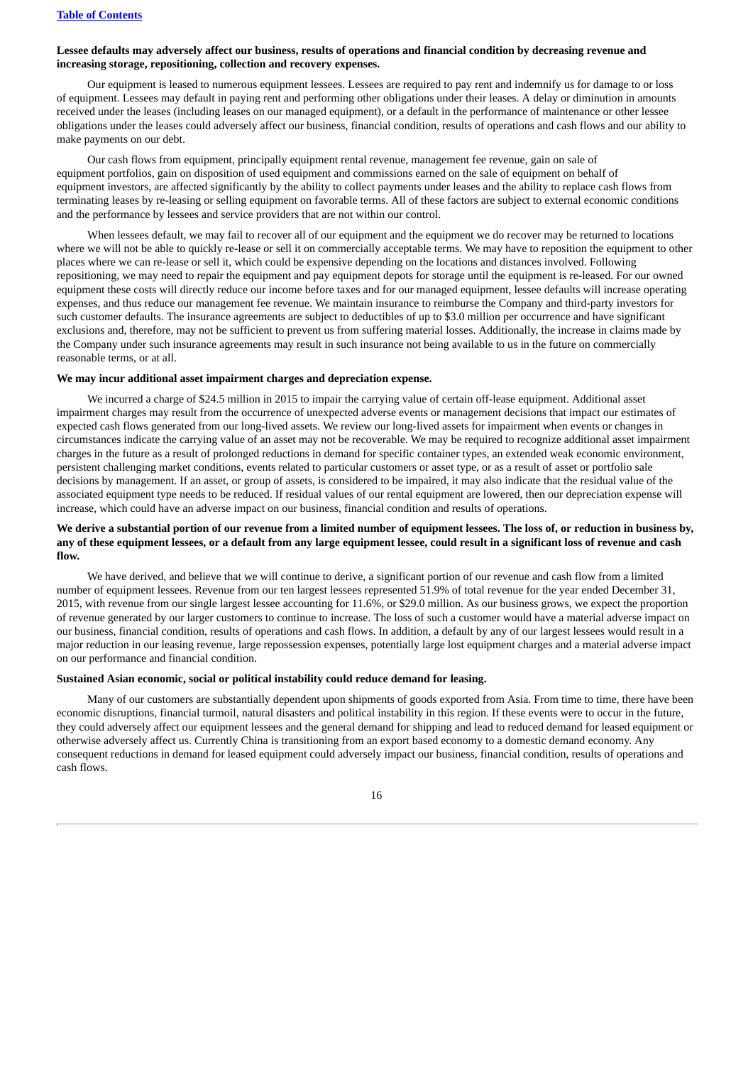#### Lessee defaults may adversely affect our business, results of operations and financial condition by decreasing revenue and **increasing storage, repositioning, collection and recovery expenses.**

Our equipment is leased to numerous equipment lessees. Lessees are required to pay rent and indemnify us for damage to or loss of equipment. Lessees may default in paying rent and performing other obligations under their leases. A delay or diminution in amounts received under the leases (including leases on our managed equipment), or a default in the performance of maintenance or other lessee obligations under the leases could adversely affect our business, financial condition, results of operations and cash flows and our ability to make payments on our debt.

Our cash flows from equipment, principally equipment rental revenue, management fee revenue, gain on sale of equipment portfolios, gain on disposition of used equipment and commissions earned on the sale of equipment on behalf of equipment investors, are affected significantly by the ability to collect payments under leases and the ability to replace cash flows from terminating leases by re-leasing or selling equipment on favorable terms. All of these factors are subject to external economic conditions and the performance by lessees and service providers that are not within our control.

When lessees default, we may fail to recover all of our equipment and the equipment we do recover may be returned to locations where we will not be able to quickly re-lease or sell it on commercially acceptable terms. We may have to reposition the equipment to other places where we can re-lease or sell it, which could be expensive depending on the locations and distances involved. Following repositioning, we may need to repair the equipment and pay equipment depots for storage until the equipment is re-leased. For our owned equipment these costs will directly reduce our income before taxes and for our managed equipment, lessee defaults will increase operating expenses, and thus reduce our management fee revenue. We maintain insurance to reimburse the Company and third-party investors for such customer defaults. The insurance agreements are subject to deductibles of up to \$3.0 million per occurrence and have significant exclusions and, therefore, may not be sufficient to prevent us from suffering material losses. Additionally, the increase in claims made by the Company under such insurance agreements may result in such insurance not being available to us in the future on commercially reasonable terms, or at all.

#### **We may incur additional asset impairment charges and depreciation expense.**

We incurred a charge of \$24.5 million in 2015 to impair the carrying value of certain off-lease equipment. Additional asset impairment charges may result from the occurrence of unexpected adverse events or management decisions that impact our estimates of expected cash flows generated from our long-lived assets. We review our long-lived assets for impairment when events or changes in circumstances indicate the carrying value of an asset may not be recoverable. We may be required to recognize additional asset impairment charges in the future as a result of prolonged reductions in demand for specific container types, an extended weak economic environment, persistent challenging market conditions, events related to particular customers or asset type, or as a result of asset or portfolio sale decisions by management. If an asset, or group of assets, is considered to be impaired, it may also indicate that the residual value of the associated equipment type needs to be reduced. If residual values of our rental equipment are lowered, then our depreciation expense will increase, which could have an adverse impact on our business, financial condition and results of operations.

#### We derive a substantial portion of our revenue from a limited number of equipment lessees. The loss of, or reduction in business by, any of these equipment lessees, or a default from any large equipment lessee, could result in a significant loss of revenue and cash **flow.**

We have derived, and believe that we will continue to derive, a significant portion of our revenue and cash flow from a limited number of equipment lessees. Revenue from our ten largest lessees represented 51.9% of total revenue for the year ended December 31, 2015, with revenue from our single largest lessee accounting for 11.6%, or \$29.0 million. As our business grows, we expect the proportion of revenue generated by our larger customers to continue to increase. The loss of such a customer would have a material adverse impact on our business, financial condition, results of operations and cash flows. In addition, a default by any of our largest lessees would result in a major reduction in our leasing revenue, large repossession expenses, potentially large lost equipment charges and a material adverse impact on our performance and financial condition.

#### **Sustained Asian economic, social or political instability could reduce demand for leasing.**

Many of our customers are substantially dependent upon shipments of goods exported from Asia. From time to time, there have been economic disruptions, financial turmoil, natural disasters and political instability in this region. If these events were to occur in the future, they could adversely affect our equipment lessees and the general demand for shipping and lead to reduced demand for leased equipment or otherwise adversely affect us. Currently China is transitioning from an export based economy to a domestic demand economy. Any consequent reductions in demand for leased equipment could adversely impact our business, financial condition, results of operations and cash flows.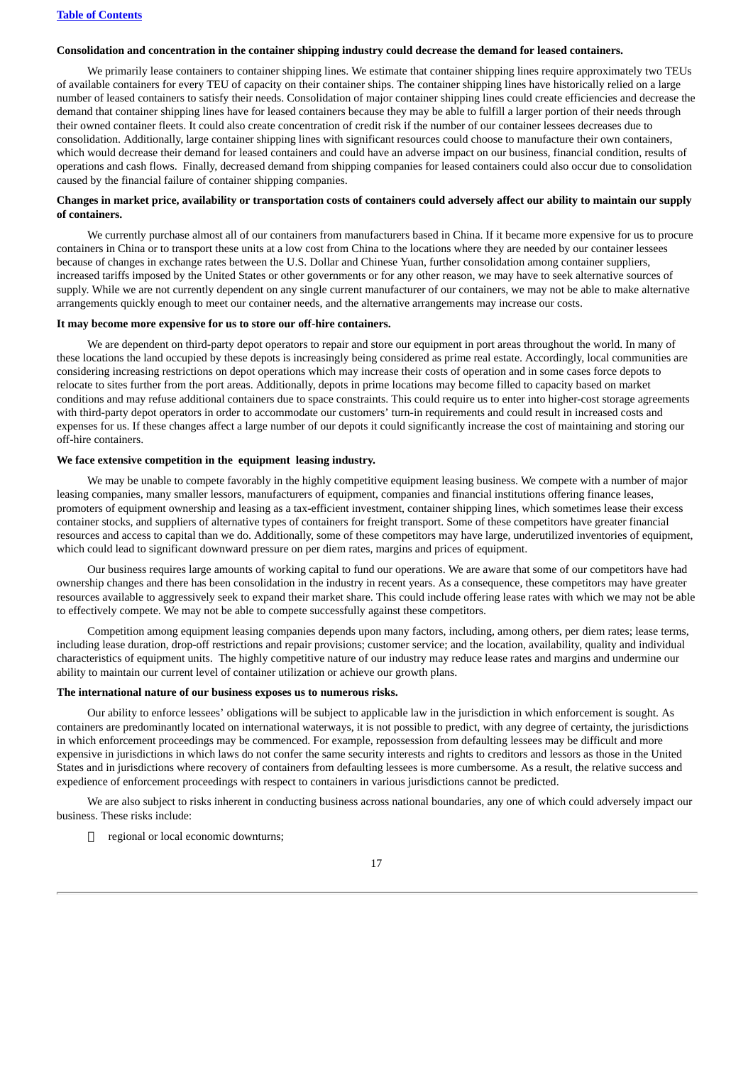#### **Consolidation and concentration in the container shipping industry could decrease the demand for leased containers.**

We primarily lease containers to container shipping lines. We estimate that container shipping lines require approximately two TEUs of available containers for every TEU of capacity on their container ships. The container shipping lines have historically relied on a large number of leased containers to satisfy their needs. Consolidation of major container shipping lines could create efficiencies and decrease the demand that container shipping lines have for leased containers because they may be able to fulfill a larger portion of their needs through their owned container fleets. It could also create concentration of credit risk if the number of our container lessees decreases due to consolidation. Additionally, large container shipping lines with significant resources could choose to manufacture their own containers, which would decrease their demand for leased containers and could have an adverse impact on our business, financial condition, results of operations and cash flows. Finally, decreased demand from shipping companies for leased containers could also occur due to consolidation caused by the financial failure of container shipping companies.

#### Changes in market price, availability or transportation costs of containers could adversely affect our ability to maintain our supply **of containers.**

We currently purchase almost all of our containers from manufacturers based in China. If it became more expensive for us to procure containers in China or to transport these units at a low cost from China to the locations where they are needed by our container lessees because of changes in exchange rates between the U.S. Dollar and Chinese Yuan, further consolidation among container suppliers, increased tariffs imposed by the United States or other governments or for any other reason, we may have to seek alternative sources of supply. While we are not currently dependent on any single current manufacturer of our containers, we may not be able to make alternative arrangements quickly enough to meet our container needs, and the alternative arrangements may increase our costs.

#### **It may become more expensive for us to store our off-hire containers.**

We are dependent on third-party depot operators to repair and store our equipment in port areas throughout the world. In many of these locations the land occupied by these depots is increasingly being considered as prime real estate. Accordingly, local communities are considering increasing restrictions on depot operations which may increase their costs of operation and in some cases force depots to relocate to sites further from the port areas. Additionally, depots in prime locations may become filled to capacity based on market conditions and may refuse additional containers due to space constraints. This could require us to enter into higher-cost storage agreements with third-party depot operators in order to accommodate our customers' turn-in requirements and could result in increased costs and expenses for us. If these changes affect a large number of our depots it could significantly increase the cost of maintaining and storing our off-hire containers.

#### **We face extensive competition in the equipment leasing industry.**

We may be unable to compete favorably in the highly competitive equipment leasing business. We compete with a number of major leasing companies, many smaller lessors, manufacturers of equipment, companies and financial institutions offering finance leases, promoters of equipment ownership and leasing as a tax-efficient investment, container shipping lines, which sometimes lease their excess container stocks, and suppliers of alternative types of containers for freight transport. Some of these competitors have greater financial resources and access to capital than we do. Additionally, some of these competitors may have large, underutilized inventories of equipment, which could lead to significant downward pressure on per diem rates, margins and prices of equipment.

Our business requires large amounts of working capital to fund our operations. We are aware that some of our competitors have had ownership changes and there has been consolidation in the industry in recent years. As a consequence, these competitors may have greater resources available to aggressively seek to expand their market share. This could include offering lease rates with which we may not be able to effectively compete. We may not be able to compete successfully against these competitors.

Competition among equipment leasing companies depends upon many factors, including, among others, per diem rates; lease terms, including lease duration, drop-off restrictions and repair provisions; customer service; and the location, availability, quality and individual characteristics of equipment units. The highly competitive nature of our industry may reduce lease rates and margins and undermine our ability to maintain our current level of container utilization or achieve our growth plans.

#### **The international nature of our business exposes us to numerous risks.**

Our ability to enforce lessees' obligations will be subject to applicable law in the jurisdiction in which enforcement is sought. As containers are predominantly located on international waterways, it is not possible to predict, with any degree of certainty, the jurisdictions in which enforcement proceedings may be commenced. For example, repossession from defaulting lessees may be difficult and more expensive in jurisdictions in which laws do not confer the same security interests and rights to creditors and lessors as those in the United States and in jurisdictions where recovery of containers from defaulting lessees is more cumbersome. As a result, the relative success and expedience of enforcement proceedings with respect to containers in various jurisdictions cannot be predicted.

We are also subject to risks inherent in conducting business across national boundaries, any one of which could adversely impact our business. These risks include:

□ regional or local economic downturns;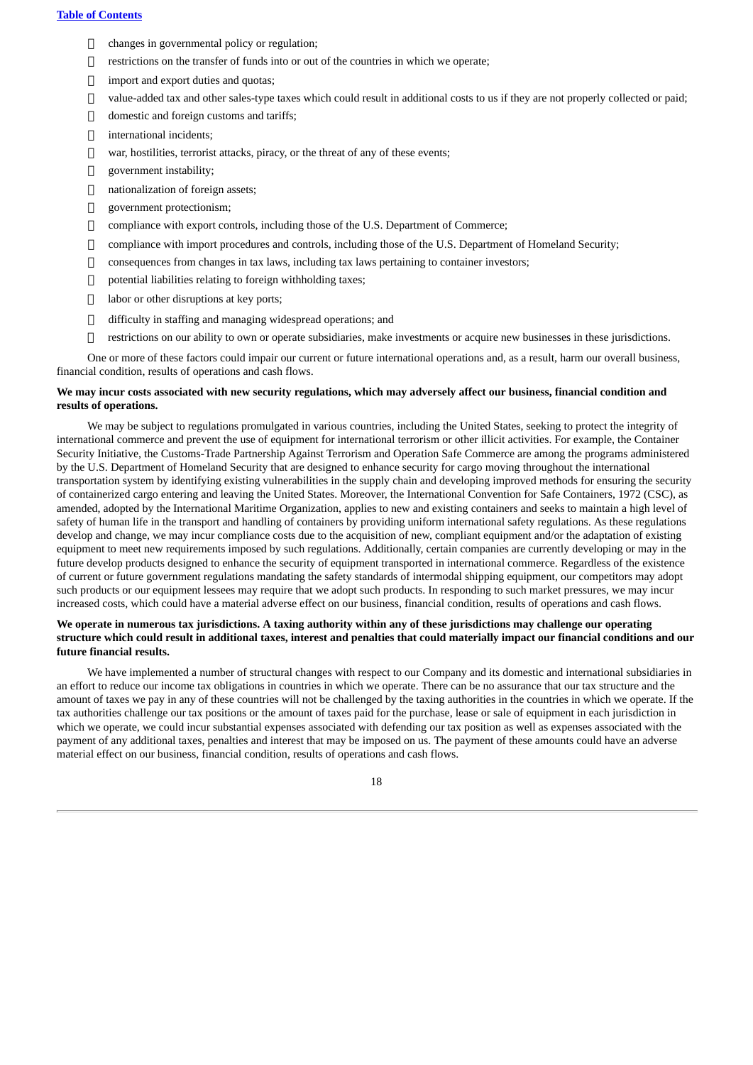- $\Box$  changes in governmental policy or regulation;
- restrictions on the transfer of funds into or out of the countries in which we operate;
- $\Box$  import and export duties and quotas;
- value-added tax and other sales-type taxes which could result in additional costs to us if they are not properly collected or paid;
- $\Box$  domestic and foreign customs and tariffs;
- $\Box$  international incidents;
- $\Box$  war, hostilities, terrorist attacks, piracy, or the threat of any of these events;
- government instability;
- $\Box$  nationalization of foreign assets;
- government protectionism;
- compliance with export controls, including those of the U.S. Department of Commerce;
- compliance with import procedures and controls, including those of the U.S. Department of Homeland Security;
- $\Box$  consequences from changes in tax laws, including tax laws pertaining to container investors;
- $\Box$  potential liabilities relating to foreign withholding taxes;
- $\Box$  labor or other disruptions at key ports;
- $\Box$  difficulty in staffing and managing widespread operations; and
- restrictions on our ability to own or operate subsidiaries, make investments or acquire new businesses in these jurisdictions.

One or more of these factors could impair our current or future international operations and, as a result, harm our overall business, financial condition, results of operations and cash flows.

#### We may incur costs associated with new security regulations, which may adversely affect our business, financial condition and **results of operations.**

We may be subject to regulations promulgated in various countries, including the United States, seeking to protect the integrity of international commerce and prevent the use of equipment for international terrorism or other illicit activities. For example, the Container Security Initiative, the Customs-Trade Partnership Against Terrorism and Operation Safe Commerce are among the programs administered by the U.S. Department of Homeland Security that are designed to enhance security for cargo moving throughout the international transportation system by identifying existing vulnerabilities in the supply chain and developing improved methods for ensuring the security of containerized cargo entering and leaving the United States. Moreover, the International Convention for Safe Containers, 1972 (CSC), as amended, adopted by the International Maritime Organization, applies to new and existing containers and seeks to maintain a high level of safety of human life in the transport and handling of containers by providing uniform international safety regulations. As these regulations develop and change, we may incur compliance costs due to the acquisition of new, compliant equipment and/or the adaptation of existing equipment to meet new requirements imposed by such regulations. Additionally, certain companies are currently developing or may in the future develop products designed to enhance the security of equipment transported in international commerce. Regardless of the existence of current or future government regulations mandating the safety standards of intermodal shipping equipment, our competitors may adopt such products or our equipment lessees may require that we adopt such products. In responding to such market pressures, we may incur increased costs, which could have a material adverse effect on our business, financial condition, results of operations and cash flows.

#### We operate in numerous tax jurisdictions. A taxing authority within any of these jurisdictions may challenge our operating structure which could result in additional taxes, interest and penalties that could materially impact our financial conditions and our **future financial results.**

We have implemented a number of structural changes with respect to our Company and its domestic and international subsidiaries in an effort to reduce our income tax obligations in countries in which we operate. There can be no assurance that our tax structure and the amount of taxes we pay in any of these countries will not be challenged by the taxing authorities in the countries in which we operate. If the tax authorities challenge our tax positions or the amount of taxes paid for the purchase, lease or sale of equipment in each jurisdiction in which we operate, we could incur substantial expenses associated with defending our tax position as well as expenses associated with the payment of any additional taxes, penalties and interest that may be imposed on us. The payment of these amounts could have an adverse material effect on our business, financial condition, results of operations and cash flows.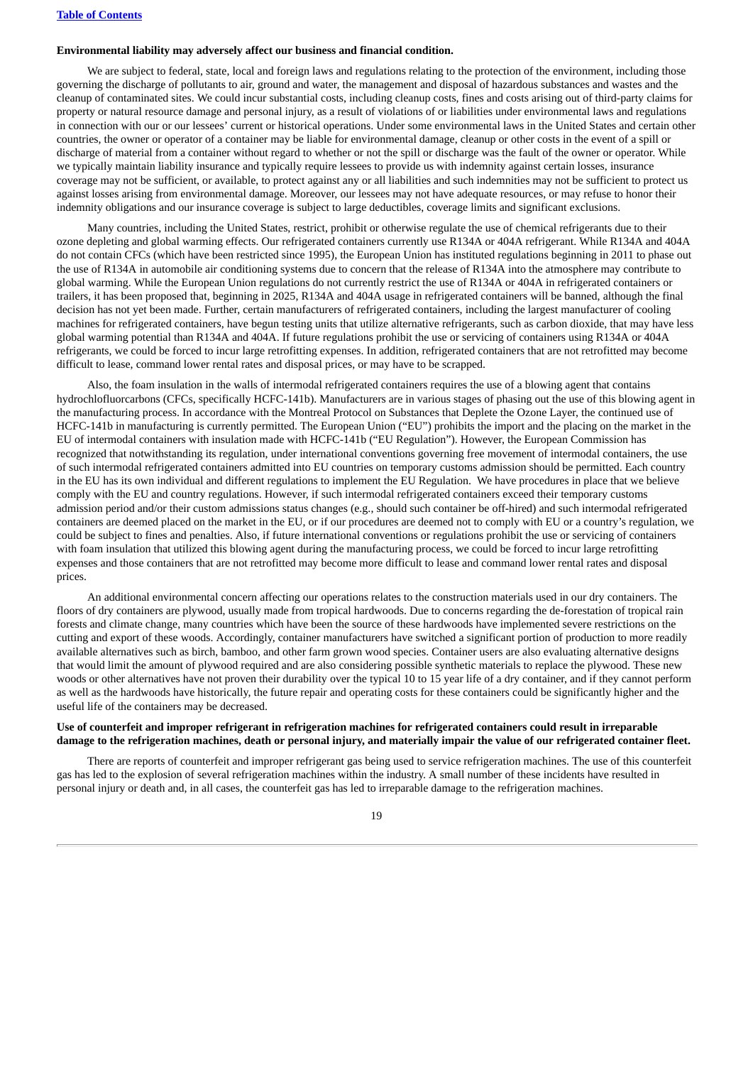#### **Environmental liability may adversely affect our business and financial condition.**

We are subject to federal, state, local and foreign laws and regulations relating to the protection of the environment, including those governing the discharge of pollutants to air, ground and water, the management and disposal of hazardous substances and wastes and the cleanup of contaminated sites. We could incur substantial costs, including cleanup costs, fines and costs arising out of third-party claims for property or natural resource damage and personal injury, as a result of violations of or liabilities under environmental laws and regulations in connection with our or our lessees' current or historical operations. Under some environmental laws in the United States and certain other countries, the owner or operator of a container may be liable for environmental damage, cleanup or other costs in the event of a spill or discharge of material from a container without regard to whether or not the spill or discharge was the fault of the owner or operator. While we typically maintain liability insurance and typically require lessees to provide us with indemnity against certain losses, insurance coverage may not be sufficient, or available, to protect against any or all liabilities and such indemnities may not be sufficient to protect us against losses arising from environmental damage. Moreover, our lessees may not have adequate resources, or may refuse to honor their indemnity obligations and our insurance coverage is subject to large deductibles, coverage limits and significant exclusions.

Many countries, including the United States, restrict, prohibit or otherwise regulate the use of chemical refrigerants due to their ozone depleting and global warming effects. Our refrigerated containers currently use R134A or 404A refrigerant. While R134A and 404A do not contain CFCs (which have been restricted since 1995), the European Union has instituted regulations beginning in 2011 to phase out the use of R134A in automobile air conditioning systems due to concern that the release of R134A into the atmosphere may contribute to global warming. While the European Union regulations do not currently restrict the use of R134A or 404A in refrigerated containers or trailers, it has been proposed that, beginning in 2025, R134A and 404A usage in refrigerated containers will be banned, although the final decision has not yet been made. Further, certain manufacturers of refrigerated containers, including the largest manufacturer of cooling machines for refrigerated containers, have begun testing units that utilize alternative refrigerants, such as carbon dioxide, that may have less global warming potential than R134A and 404A. If future regulations prohibit the use or servicing of containers using R134A or 404A refrigerants, we could be forced to incur large retrofitting expenses. In addition, refrigerated containers that are not retrofitted may become difficult to lease, command lower rental rates and disposal prices, or may have to be scrapped.

Also, the foam insulation in the walls of intermodal refrigerated containers requires the use of a blowing agent that contains hydrochlofluorcarbons (CFCs, specifically HCFC-141b). Manufacturers are in various stages of phasing out the use of this blowing agent in the manufacturing process. In accordance with the Montreal Protocol on Substances that Deplete the Ozone Layer, the continued use of HCFC-141b in manufacturing is currently permitted. The European Union ("EU") prohibits the import and the placing on the market in the EU of intermodal containers with insulation made with HCFC-141b ("EU Regulation"). However, the European Commission has recognized that notwithstanding its regulation, under international conventions governing free movement of intermodal containers, the use of such intermodal refrigerated containers admitted into EU countries on temporary customs admission should be permitted. Each country in the EU has its own individual and different regulations to implement the EU Regulation. We have procedures in place that we believe comply with the EU and country regulations. However, if such intermodal refrigerated containers exceed their temporary customs admission period and/or their custom admissions status changes (e.g., should such container be off-hired) and such intermodal refrigerated containers are deemed placed on the market in the EU, or if our procedures are deemed not to comply with EU or a country's regulation, we could be subject to fines and penalties. Also, if future international conventions or regulations prohibit the use or servicing of containers with foam insulation that utilized this blowing agent during the manufacturing process, we could be forced to incur large retrofitting expenses and those containers that are not retrofitted may become more difficult to lease and command lower rental rates and disposal prices.

An additional environmental concern affecting our operations relates to the construction materials used in our dry containers. The floors of dry containers are plywood, usually made from tropical hardwoods. Due to concerns regarding the de-forestation of tropical rain forests and climate change, many countries which have been the source of these hardwoods have implemented severe restrictions on the cutting and export of these woods. Accordingly, container manufacturers have switched a significant portion of production to more readily available alternatives such as birch, bamboo, and other farm grown wood species. Container users are also evaluating alternative designs that would limit the amount of plywood required and are also considering possible synthetic materials to replace the plywood. These new woods or other alternatives have not proven their durability over the typical 10 to 15 year life of a dry container, and if they cannot perform as well as the hardwoods have historically, the future repair and operating costs for these containers could be significantly higher and the useful life of the containers may be decreased.

#### Use of counterfeit and improper refrigerant in refrigeration machines for refrigerated containers could result in irreparable damage to the refrigeration machines, death or personal injury, and materially impair the value of our refrigerated container fleet.

There are reports of counterfeit and improper refrigerant gas being used to service refrigeration machines. The use of this counterfeit gas has led to the explosion of several refrigeration machines within the industry. A small number of these incidents have resulted in personal injury or death and, in all cases, the counterfeit gas has led to irreparable damage to the refrigeration machines.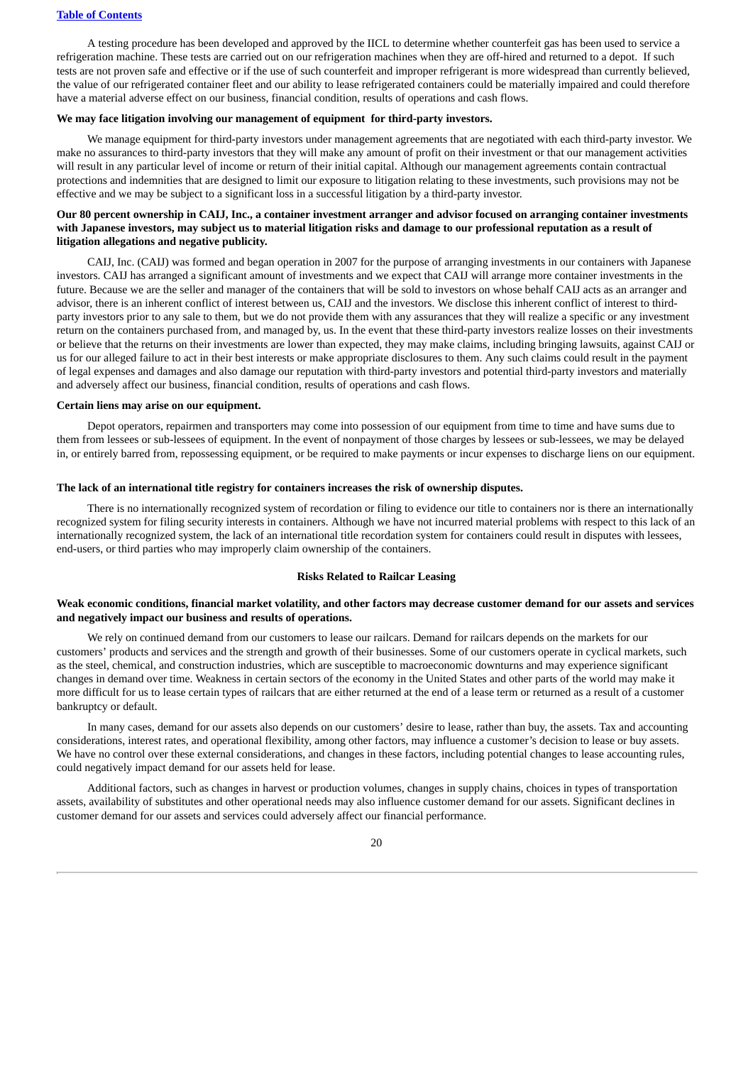A testing procedure has been developed and approved by the IICL to determine whether counterfeit gas has been used to service a refrigeration machine. These tests are carried out on our refrigeration machines when they are off-hired and returned to a depot. If such tests are not proven safe and effective or if the use of such counterfeit and improper refrigerant is more widespread than currently believed, the value of our refrigerated container fleet and our ability to lease refrigerated containers could be materially impaired and could therefore have a material adverse effect on our business, financial condition, results of operations and cash flows.

#### **We may face litigation involving our management of equipment for third-party investors.**

We manage equipment for third-party investors under management agreements that are negotiated with each third-party investor. We make no assurances to third-party investors that they will make any amount of profit on their investment or that our management activities will result in any particular level of income or return of their initial capital. Although our management agreements contain contractual protections and indemnities that are designed to limit our exposure to litigation relating to these investments, such provisions may not be effective and we may be subject to a significant loss in a successful litigation by a third-party investor.

#### Our 80 percent ownership in CAIJ, Inc., a container investment arranger and advisor focused on arranging container investments with Japanese investors, may subject us to material litigation risks and damage to our professional reputation as a result of **litigation allegations and negative publicity.**

CAIJ, Inc. (CAIJ) was formed and began operation in 2007 for the purpose of arranging investments in our containers with Japanese investors. CAIJ has arranged a significant amount of investments and we expect that CAIJ will arrange more container investments in the future. Because we are the seller and manager of the containers that will be sold to investors on whose behalf CAIJ acts as an arranger and advisor, there is an inherent conflict of interest between us, CAIJ and the investors. We disclose this inherent conflict of interest to thirdparty investors prior to any sale to them, but we do not provide them with any assurances that they will realize a specific or any investment return on the containers purchased from, and managed by, us. In the event that these third-party investors realize losses on their investments or believe that the returns on their investments are lower than expected, they may make claims, including bringing lawsuits, against CAIJ or us for our alleged failure to act in their best interests or make appropriate disclosures to them. Any such claims could result in the payment of legal expenses and damages and also damage our reputation with third-party investors and potential third-party investors and materially and adversely affect our business, financial condition, results of operations and cash flows.

#### **Certain liens may arise on our equipment.**

Depot operators, repairmen and transporters may come into possession of our equipment from time to time and have sums due to them from lessees or sub-lessees of equipment. In the event of nonpayment of those charges by lessees or sub-lessees, we may be delayed in, or entirely barred from, repossessing equipment, or be required to make payments or incur expenses to discharge liens on our equipment.

#### **The lack of an international title registry for containers increases the risk of ownership disputes.**

There is no internationally recognized system of recordation or filing to evidence our title to containers nor is there an internationally recognized system for filing security interests in containers. Although we have not incurred material problems with respect to this lack of an internationally recognized system, the lack of an international title recordation system for containers could result in disputes with lessees, end-users, or third parties who may improperly claim ownership of the containers.

#### **Risks Related to Railcar Leasing**

#### Weak economic conditions, financial market volatility, and other factors may decrease customer demand for our assets and services **and negatively impact our business and results of operations.**

We rely on continued demand from our customers to lease our railcars. Demand for railcars depends on the markets for our customers' products and services and the strength and growth of their businesses. Some of our customers operate in cyclical markets, such as the steel, chemical, and construction industries, which are susceptible to macroeconomic downturns and may experience significant changes in demand over time. Weakness in certain sectors of the economy in the United States and other parts of the world may make it more difficult for us to lease certain types of railcars that are either returned at the end of a lease term or returned as a result of a customer bankruptcy or default.

In many cases, demand for our assets also depends on our customers' desire to lease, rather than buy, the assets. Tax and accounting considerations, interest rates, and operational flexibility, among other factors, may influence a customer's decision to lease or buy assets. We have no control over these external considerations, and changes in these factors, including potential changes to lease accounting rules, could negatively impact demand for our assets held for lease.

Additional factors, such as changes in harvest or production volumes, changes in supply chains, choices in types of transportation assets, availability of substitutes and other operational needs may also influence customer demand for our assets. Significant declines in customer demand for our assets and services could adversely affect our financial performance.

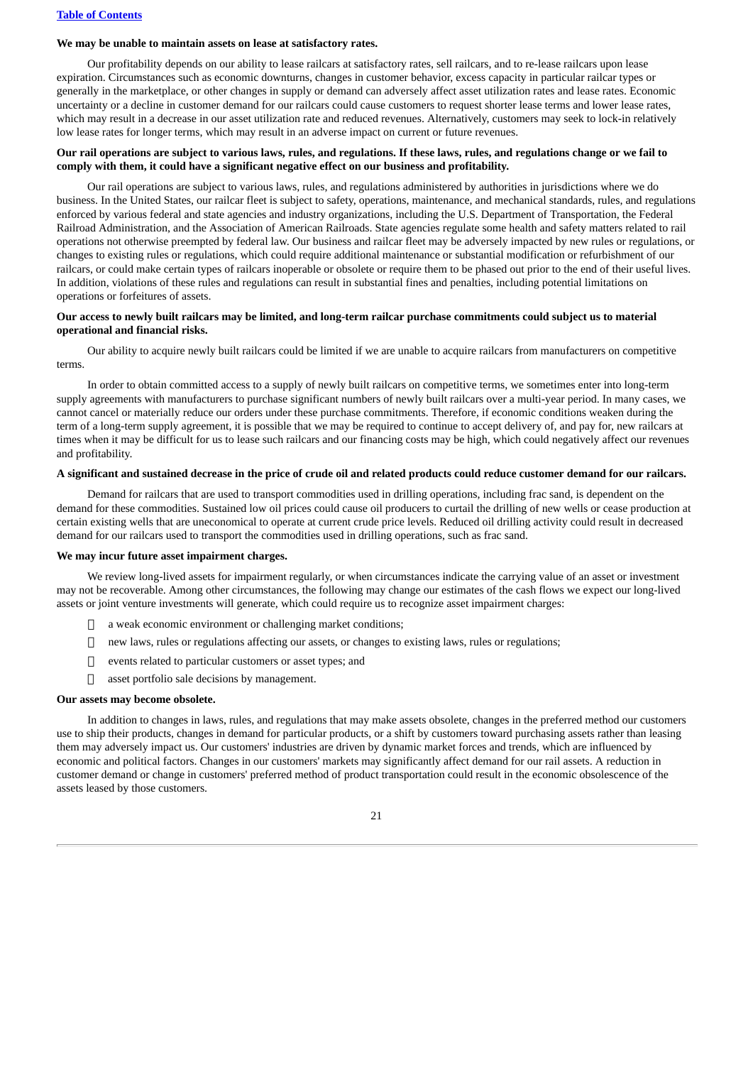#### **We may be unable to maintain assets on lease at satisfactory rates.**

Our profitability depends on our ability to lease railcars at satisfactory rates, sell railcars, and to re-lease railcars upon lease expiration. Circumstances such as economic downturns, changes in customer behavior, excess capacity in particular railcar types or generally in the marketplace, or other changes in supply or demand can adversely affect asset utilization rates and lease rates. Economic uncertainty or a decline in customer demand for our railcars could cause customers to request shorter lease terms and lower lease rates, which may result in a decrease in our asset utilization rate and reduced revenues. Alternatively, customers may seek to lock-in relatively low lease rates for longer terms, which may result in an adverse impact on current or future revenues.

#### Our rail operations are subject to various laws, rules, and regulations. If these laws, rules, and regulations change or we fail to **comply with them, it could have a significant negative effect on our business and profitability.**

Our rail operations are subject to various laws, rules, and regulations administered by authorities in jurisdictions where we do business. In the United States, our railcar fleet is subject to safety, operations, maintenance, and mechanical standards, rules, and regulations enforced by various federal and state agencies and industry organizations, including the U.S. Department of Transportation, the Federal Railroad Administration, and the Association of American Railroads. State agencies regulate some health and safety matters related to rail operations not otherwise preempted by federal law. Our business and railcar fleet may be adversely impacted by new rules or regulations, or changes to existing rules or regulations, which could require additional maintenance or substantial modification or refurbishment of our railcars, or could make certain types of railcars inoperable or obsolete or require them to be phased out prior to the end of their useful lives. In addition, violations of these rules and regulations can result in substantial fines and penalties, including potential limitations on operations or forfeitures of assets.

#### Our access to newly built railcars may be limited, and long-term railcar purchase commitments could subject us to material **operational and financial risks.**

Our ability to acquire newly built railcars could be limited if we are unable to acquire railcars from manufacturers on competitive terms.

In order to obtain committed access to a supply of newly built railcars on competitive terms, we sometimes enter into long-term supply agreements with manufacturers to purchase significant numbers of newly built railcars over a multi-year period. In many cases, we cannot cancel or materially reduce our orders under these purchase commitments. Therefore, if economic conditions weaken during the term of a long-term supply agreement, it is possible that we may be required to continue to accept delivery of, and pay for, new railcars at times when it may be difficult for us to lease such railcars and our financing costs may be high, which could negatively affect our revenues and profitability.

#### A significant and sustained decrease in the price of crude oil and related products could reduce customer demand for our railcars.

Demand for railcars that are used to transport commodities used in drilling operations, including frac sand, is dependent on the demand for these commodities. Sustained low oil prices could cause oil producers to curtail the drilling of new wells or cease production at certain existing wells that are uneconomical to operate at current crude price levels. Reduced oil drilling activity could result in decreased demand for our railcars used to transport the commodities used in drilling operations, such as frac sand.

#### **We may incur future asset impairment charges.**

We review long-lived assets for impairment regularly, or when circumstances indicate the carrying value of an asset or investment may not be recoverable. Among other circumstances, the following may change our estimates of the cash flows we expect our long-lived assets or joint venture investments will generate, which could require us to recognize asset impairment charges:

- $\Box$  a weak economic environment or challenging market conditions;
- $\Box$  new laws, rules or regulations affecting our assets, or changes to existing laws, rules or regulations;
- $\Box$  events related to particular customers or asset types; and
- asset portfolio sale decisions by management.

#### **Our assets may become obsolete.**

In addition to changes in laws, rules, and regulations that may make assets obsolete, changes in the preferred method our customers use to ship their products, changes in demand for particular products, or a shift by customers toward purchasing assets rather than leasing them may adversely impact us. Our customers' industries are driven by dynamic market forces and trends, which are influenced by economic and political factors. Changes in our customers' markets may significantly affect demand for our rail assets. A reduction in customer demand or change in customers' preferred method of product transportation could result in the economic obsolescence of the assets leased by those customers.

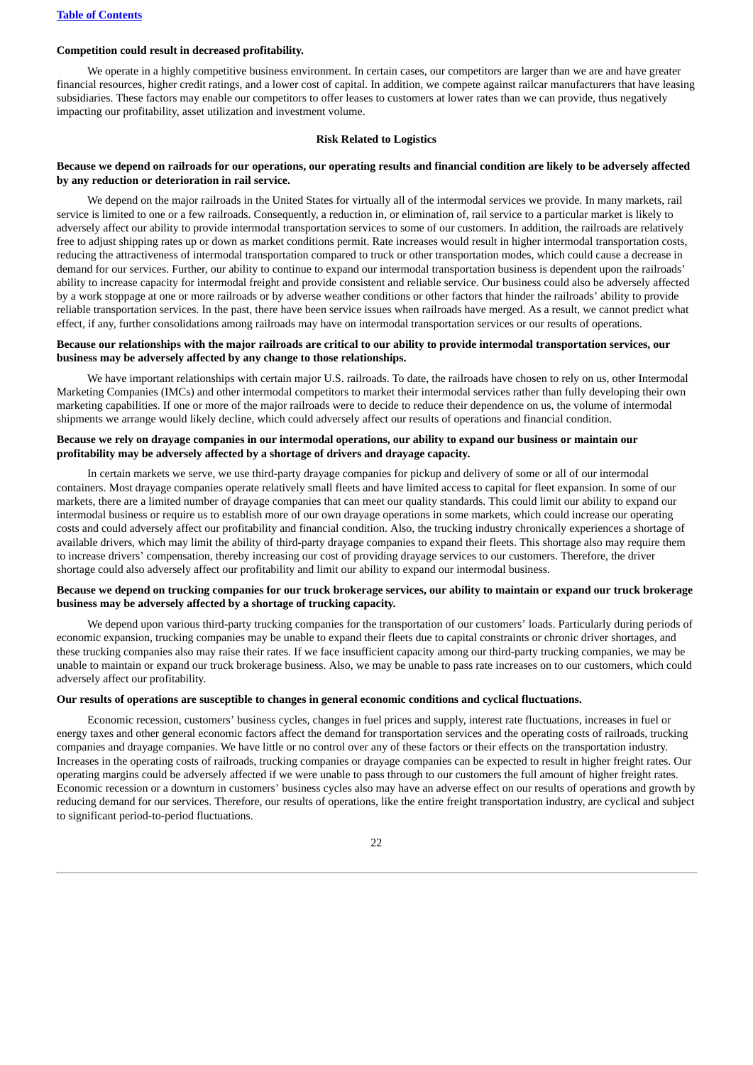#### **Competition could result in decreased profitability.**

We operate in a highly competitive business environment. In certain cases, our competitors are larger than we are and have greater financial resources, higher credit ratings, and a lower cost of capital. In addition, we compete against railcar manufacturers that have leasing subsidiaries. These factors may enable our competitors to offer leases to customers at lower rates than we can provide, thus negatively impacting our profitability, asset utilization and investment volume.

#### **Risk Related to Logistics**

#### Because we depend on railroads for our operations, our operating results and financial condition are likely to be adversely affected **by any reduction or deterioration in rail service.**

We depend on the major railroads in the United States for virtually all of the intermodal services we provide. In many markets, rail service is limited to one or a few railroads. Consequently, a reduction in, or elimination of, rail service to a particular market is likely to adversely affect our ability to provide intermodal transportation services to some of our customers. In addition, the railroads are relatively free to adjust shipping rates up or down as market conditions permit. Rate increases would result in higher intermodal transportation costs, reducing the attractiveness of intermodal transportation compared to truck or other transportation modes, which could cause a decrease in demand for our services. Further, our ability to continue to expand our intermodal transportation business is dependent upon the railroads' ability to increase capacity for intermodal freight and provide consistent and reliable service. Our business could also be adversely affected by a work stoppage at one or more railroads or by adverse weather conditions or other factors that hinder the railroads' ability to provide reliable transportation services. In the past, there have been service issues when railroads have merged. As a result, we cannot predict what effect, if any, further consolidations among railroads may have on intermodal transportation services or our results of operations.

#### Because our relationships with the major railroads are critical to our ability to provide intermodal transportation services, our **business may be adversely affected by any change to those relationships.**

We have important relationships with certain major U.S. railroads. To date, the railroads have chosen to rely on us, other Intermodal Marketing Companies (IMCs) and other intermodal competitors to market their intermodal services rather than fully developing their own marketing capabilities. If one or more of the major railroads were to decide to reduce their dependence on us, the volume of intermodal shipments we arrange would likely decline, which could adversely affect our results of operations and financial condition.

#### Because we rely on drayage companies in our intermodal operations, our ability to expand our business or maintain our **profitability may be adversely affected by a shortage of drivers and drayage capacity.**

In certain markets we serve, we use third-party drayage companies for pickup and delivery of some or all of our intermodal containers. Most drayage companies operate relatively small fleets and have limited access to capital for fleet expansion. In some of our markets, there are a limited number of drayage companies that can meet our quality standards. This could limit our ability to expand our intermodal business or require us to establish more of our own drayage operations in some markets, which could increase our operating costs and could adversely affect our profitability and financial condition. Also, the trucking industry chronically experiences a shortage of available drivers, which may limit the ability of third-party drayage companies to expand their fleets. This shortage also may require them to increase drivers' compensation, thereby increasing our cost of providing drayage services to our customers. Therefore, the driver shortage could also adversely affect our profitability and limit our ability to expand our intermodal business.

#### Because we depend on trucking companies for our truck brokerage services, our ability to maintain or expand our truck brokerage **business may be adversely affected by a shortage of trucking capacity.**

We depend upon various third-party trucking companies for the transportation of our customers' loads. Particularly during periods of economic expansion, trucking companies may be unable to expand their fleets due to capital constraints or chronic driver shortages, and these trucking companies also may raise their rates. If we face insufficient capacity among our third-party trucking companies, we may be unable to maintain or expand our truck brokerage business. Also, we may be unable to pass rate increases on to our customers, which could adversely affect our profitability.

#### **Our results of operations are susceptible to changes in general economic conditions and cyclical fluctuations.**

Economic recession, customers' business cycles, changes in fuel prices and supply, interest rate fluctuations, increases in fuel or energy taxes and other general economic factors affect the demand for transportation services and the operating costs of railroads, trucking companies and drayage companies. We have little or no control over any of these factors or their effects on the transportation industry. Increases in the operating costs of railroads, trucking companies or drayage companies can be expected to result in higher freight rates. Our operating margins could be adversely affected if we were unable to pass through to our customers the full amount of higher freight rates. Economic recession or a downturn in customers' business cycles also may have an adverse effect on our results of operations and growth by reducing demand for our services. Therefore, our results of operations, like the entire freight transportation industry, are cyclical and subject to significant period-to-period fluctuations.

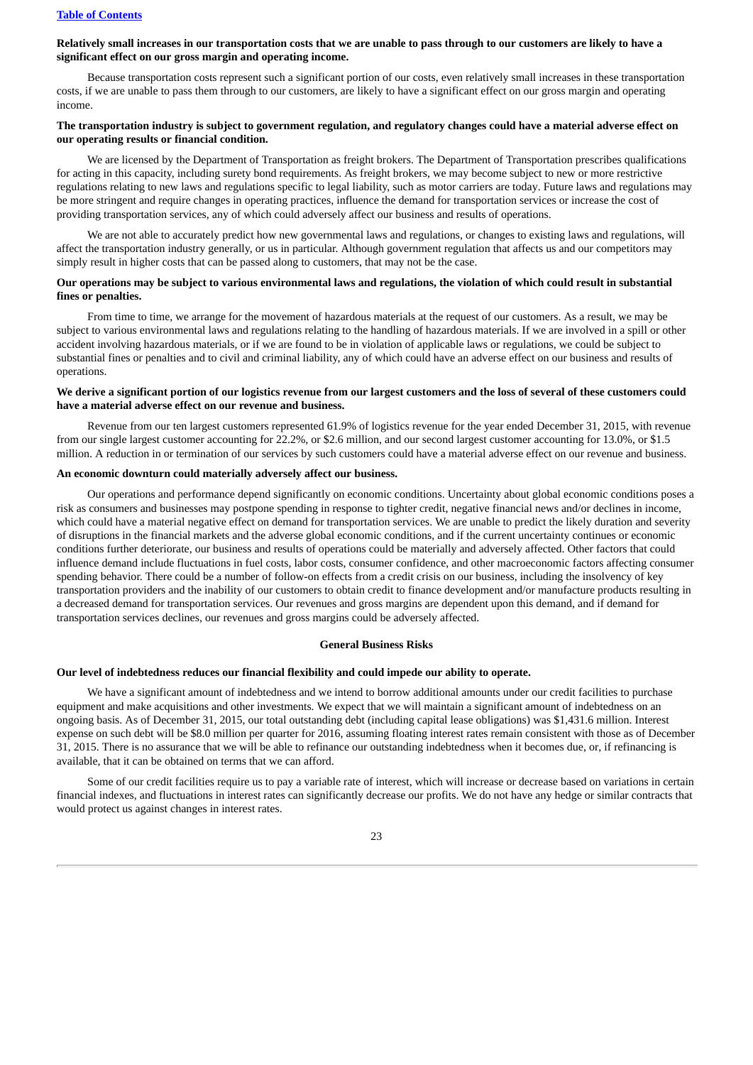#### Relatively small increases in our transportation costs that we are unable to pass through to our customers are likely to have a **significant effect on our gross margin and operating income.**

Because transportation costs represent such a significant portion of our costs, even relatively small increases in these transportation costs, if we are unable to pass them through to our customers, are likely to have a significant effect on our gross margin and operating income.

#### The transportation industry is subject to government regulation, and regulatory changes could have a material adverse effect on **our operating results or financial condition.**

We are licensed by the Department of Transportation as freight brokers. The Department of Transportation prescribes qualifications for acting in this capacity, including surety bond requirements. As freight brokers, we may become subject to new or more restrictive regulations relating to new laws and regulations specific to legal liability, such as motor carriers are today. Future laws and regulations may be more stringent and require changes in operating practices, influence the demand for transportation services or increase the cost of providing transportation services, any of which could adversely affect our business and results of operations.

We are not able to accurately predict how new governmental laws and regulations, or changes to existing laws and regulations, will affect the transportation industry generally, or us in particular. Although government regulation that affects us and our competitors may simply result in higher costs that can be passed along to customers, that may not be the case.

#### Our operations may be subject to various environmental laws and regulations, the violation of which could result in substantial **fines or penalties.**

From time to time, we arrange for the movement of hazardous materials at the request of our customers. As a result, we may be subject to various environmental laws and regulations relating to the handling of hazardous materials. If we are involved in a spill or other accident involving hazardous materials, or if we are found to be in violation of applicable laws or regulations, we could be subject to substantial fines or penalties and to civil and criminal liability, any of which could have an adverse effect on our business and results of operations.

#### We derive a significant portion of our logistics revenue from our largest customers and the loss of several of these customers could **have a material adverse effect on our revenue and business.**

Revenue from our ten largest customers represented 61.9% of logistics revenue for the year ended December 31, 2015, with revenue from our single largest customer accounting for 22.2%, or \$2.6 million, and our second largest customer accounting for 13.0%, or \$1.5 million. A reduction in or termination of our services by such customers could have a material adverse effect on our revenue and business.

#### **An economic downturn could materially adversely affect our business.**

Our operations and performance depend significantly on economic conditions. Uncertainty about global economic conditions poses a risk as consumers and businesses may postpone spending in response to tighter credit, negative financial news and/or declines in income, which could have a material negative effect on demand for transportation services. We are unable to predict the likely duration and severity of disruptions in the financial markets and the adverse global economic conditions, and if the current uncertainty continues or economic conditions further deteriorate, our business and results of operations could be materially and adversely affected. Other factors that could influence demand include fluctuations in fuel costs, labor costs, consumer confidence, and other macroeconomic factors affecting consumer spending behavior. There could be a number of follow-on effects from a credit crisis on our business, including the insolvency of key transportation providers and the inability of our customers to obtain credit to finance development and/or manufacture products resulting in a decreased demand for transportation services. Our revenues and gross margins are dependent upon this demand, and if demand for transportation services declines, our revenues and gross margins could be adversely affected.

#### **General Business Risks**

#### **Our level of indebtedness reduces our financial flexibility and could impede our ability to operate.**

We have a significant amount of indebtedness and we intend to borrow additional amounts under our credit facilities to purchase equipment and make acquisitions and other investments. We expect that we will maintain a significant amount of indebtedness on an ongoing basis. As of December 31, 2015, our total outstanding debt (including capital lease obligations) was \$1,431.6 million. Interest expense on such debt will be \$8.0 million per quarter for 2016, assuming floating interest rates remain consistent with those as of December 31, 2015. There is no assurance that we will be able to refinance our outstanding indebtedness when it becomes due, or, if refinancing is available, that it can be obtained on terms that we can afford.

Some of our credit facilities require us to pay a variable rate of interest, which will increase or decrease based on variations in certain financial indexes, and fluctuations in interest rates can significantly decrease our profits. We do not have any hedge or similar contracts that would protect us against changes in interest rates.

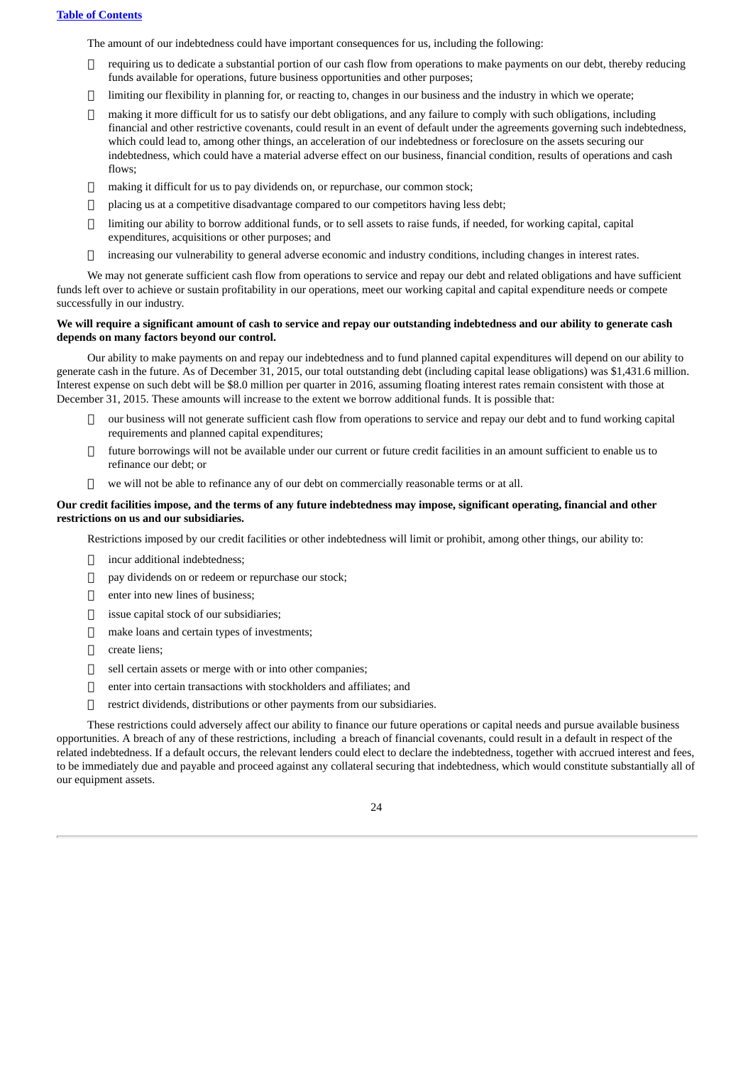The amount of our indebtedness could have important consequences for us, including the following:

- $\Box$  requiring us to dedicate a substantial portion of our cash flow from operations to make payments on our debt, thereby reducing funds available for operations, future business opportunities and other purposes;
- $\Box$  limiting our flexibility in planning for, or reacting to, changes in our business and the industry in which we operate;
- $\Box$  making it more difficult for us to satisfy our debt obligations, and any failure to comply with such obligations, including financial and other restrictive covenants, could result in an event of default under the agreements governing such indebtedness, which could lead to, among other things, an acceleration of our indebtedness or foreclosure on the assets securing our indebtedness, which could have a material adverse effect on our business, financial condition, results of operations and cash flows;
- □ making it difficult for us to pay dividends on, or repurchase, our common stock;
- placing us at a competitive disadvantage compared to our competitors having less debt;
- $\Box$  limiting our ability to borrow additional funds, or to sell assets to raise funds, if needed, for working capital, capital expenditures, acquisitions or other purposes; and
- increasing our vulnerability to general adverse economic and industry conditions, including changes in interest rates.

We may not generate sufficient cash flow from operations to service and repay our debt and related obligations and have sufficient funds left over to achieve or sustain profitability in our operations, meet our working capital and capital expenditure needs or compete successfully in our industry.

#### We will require a significant amount of cash to service and repay our outstanding indebtedness and our ability to generate cash **depends on many factors beyond our control.**

Our ability to make payments on and repay our indebtedness and to fund planned capital expenditures will depend on our ability to generate cash in the future. As of December 31, 2015, our total outstanding debt (including capital lease obligations) was \$1,431.6 million. Interest expense on such debt will be \$8.0 million per quarter in 2016, assuming floating interest rates remain consistent with those at December 31, 2015. These amounts will increase to the extent we borrow additional funds. It is possible that:

- our business will not generate sufficient cash flow from operations to service and repay our debt and to fund working capital requirements and planned capital expenditures;
- $\Box$  future borrowings will not be available under our current or future credit facilities in an amount sufficient to enable us to refinance our debt; or
- $\Box$  we will not be able to refinance any of our debt on commercially reasonable terms or at all.

#### Our credit facilities impose, and the terms of any future indebtedness may impose, significant operating, financial and other **restrictions on us and our subsidiaries.**

Restrictions imposed by our credit facilities or other indebtedness will limit or prohibit, among other things, our ability to:

- incur additional indebtedness;
- □ pay dividends on or redeem or repurchase our stock;
- enter into new lines of business;
- issue capital stock of our subsidiaries;
- $\Box$  make loans and certain types of investments:
- create liens;
- $\Box$  sell certain assets or merge with or into other companies;
- $\Box$  enter into certain transactions with stockholders and affiliates; and
- □ restrict dividends, distributions or other payments from our subsidiaries.

These restrictions could adversely affect our ability to finance our future operations or capital needs and pursue available business opportunities. A breach of any of these restrictions, including a breach of financial covenants, could result in a default in respect of the related indebtedness. If a default occurs, the relevant lenders could elect to declare the indebtedness, together with accrued interest and fees, to be immediately due and payable and proceed against any collateral securing that indebtedness, which would constitute substantially all of our equipment assets.

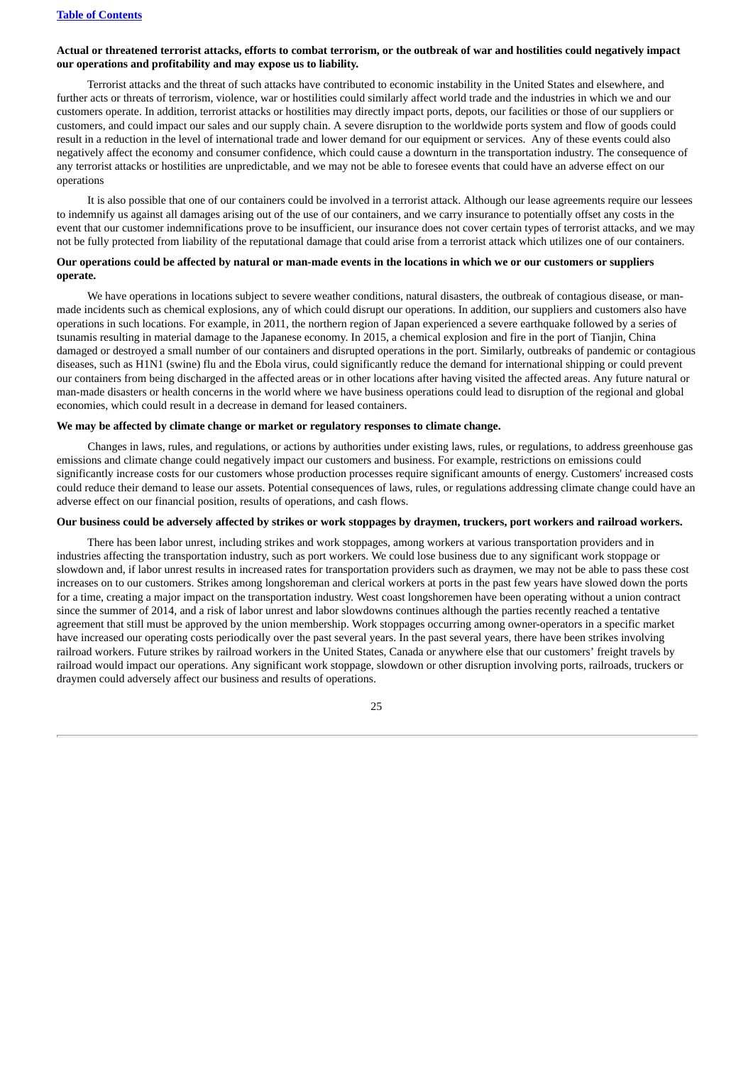#### Actual or threatened terrorist attacks, efforts to combat terrorism, or the outbreak of war and hostilities could negatively impact **our operations and profitability and may expose us to liability.**

Terrorist attacks and the threat of such attacks have contributed to economic instability in the United States and elsewhere, and further acts or threats of terrorism, violence, war or hostilities could similarly affect world trade and the industries in which we and our customers operate. In addition, terrorist attacks or hostilities may directly impact ports, depots, our facilities or those of our suppliers or customers, and could impact our sales and our supply chain. A severe disruption to the worldwide ports system and flow of goods could result in a reduction in the level of international trade and lower demand for our equipment or services. Any of these events could also negatively affect the economy and consumer confidence, which could cause a downturn in the transportation industry. The consequence of any terrorist attacks or hostilities are unpredictable, and we may not be able to foresee events that could have an adverse effect on our operations

It is also possible that one of our containers could be involved in a terrorist attack. Although our lease agreements require our lessees to indemnify us against all damages arising out of the use of our containers, and we carry insurance to potentially offset any costs in the event that our customer indemnifications prove to be insufficient, our insurance does not cover certain types of terrorist attacks, and we may not be fully protected from liability of the reputational damage that could arise from a terrorist attack which utilizes one of our containers.

#### Our operations could be affected by natural or man-made events in the locations in which we or our customers or suppliers **operate.**

We have operations in locations subject to severe weather conditions, natural disasters, the outbreak of contagious disease, or manmade incidents such as chemical explosions, any of which could disrupt our operations. In addition, our suppliers and customers also have operations in such locations. For example, in 2011, the northern region of Japan experienced a severe earthquake followed by a series of tsunamis resulting in material damage to the Japanese economy. In 2015, a chemical explosion and fire in the port of Tianjin, China damaged or destroyed a small number of our containers and disrupted operations in the port. Similarly, outbreaks of pandemic or contagious diseases, such as H1N1 (swine) flu and the Ebola virus, could significantly reduce the demand for international shipping or could prevent our containers from being discharged in the affected areas or in other locations after having visited the affected areas. Any future natural or man-made disasters or health concerns in the world where we have business operations could lead to disruption of the regional and global economies, which could result in a decrease in demand for leased containers.

#### **We may be affected by climate change or market or regulatory responses to climate change.**

Changes in laws, rules, and regulations, or actions by authorities under existing laws, rules, or regulations, to address greenhouse gas emissions and climate change could negatively impact our customers and business. For example, restrictions on emissions could significantly increase costs for our customers whose production processes require significant amounts of energy. Customers' increased costs could reduce their demand to lease our assets. Potential consequences of laws, rules, or regulations addressing climate change could have an adverse effect on our financial position, results of operations, and cash flows.

#### Our business could be adversely affected by strikes or work stoppages by draymen, truckers, port workers and railroad workers.

There has been labor unrest, including strikes and work stoppages, among workers at various transportation providers and in industries affecting the transportation industry, such as port workers. We could lose business due to any significant work stoppage or slowdown and, if labor unrest results in increased rates for transportation providers such as draymen, we may not be able to pass these cost increases on to our customers. Strikes among longshoreman and clerical workers at ports in the past few years have slowed down the ports for a time, creating a major impact on the transportation industry. West coast longshoremen have been operating without a union contract since the summer of 2014, and a risk of labor unrest and labor slowdowns continues although the parties recently reached a tentative agreement that still must be approved by the union membership. Work stoppages occurring among owner-operators in a specific market have increased our operating costs periodically over the past several years. In the past several years, there have been strikes involving railroad workers. Future strikes by railroad workers in the United States, Canada or anywhere else that our customers' freight travels by railroad would impact our operations. Any significant work stoppage, slowdown or other disruption involving ports, railroads, truckers or draymen could adversely affect our business and results of operations.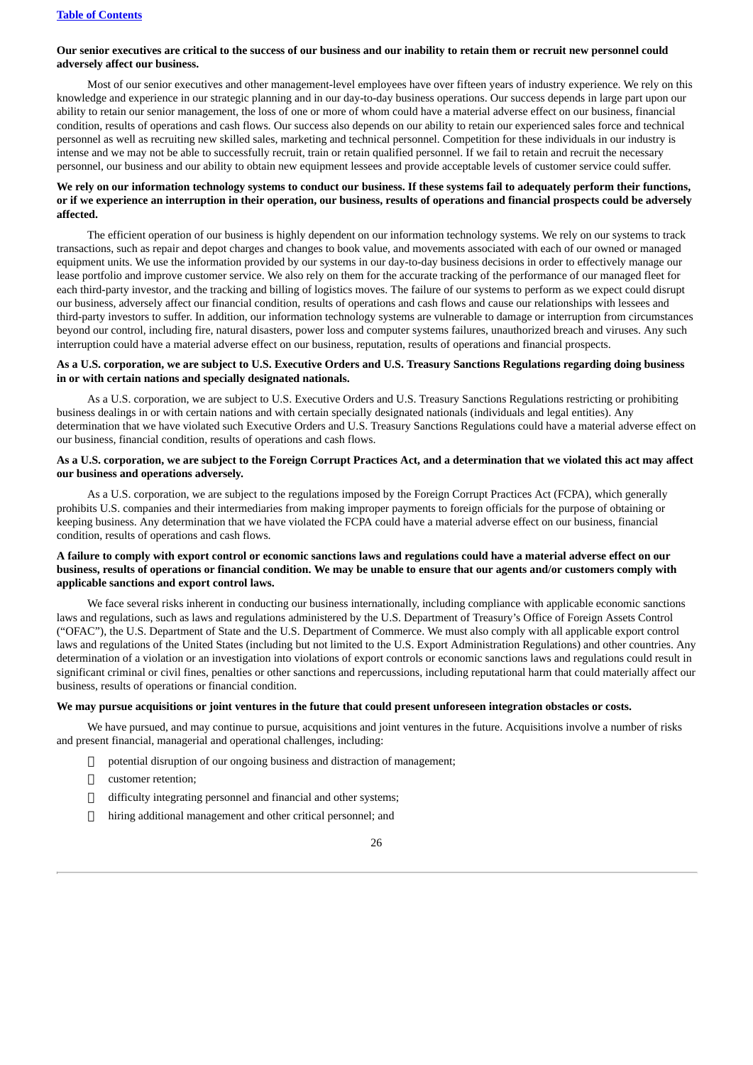#### Our senior executives are critical to the success of our business and our inability to retain them or recruit new personnel could **adversely affect our business.**

Most of our senior executives and other management-level employees have over fifteen years of industry experience. We rely on this knowledge and experience in our strategic planning and in our day-to-day business operations. Our success depends in large part upon our ability to retain our senior management, the loss of one or more of whom could have a material adverse effect on our business, financial condition, results of operations and cash flows. Our success also depends on our ability to retain our experienced sales force and technical personnel as well as recruiting new skilled sales, marketing and technical personnel. Competition for these individuals in our industry is intense and we may not be able to successfully recruit, train or retain qualified personnel. If we fail to retain and recruit the necessary personnel, our business and our ability to obtain new equipment lessees and provide acceptable levels of customer service could suffer.

#### We rely on our information technology systems to conduct our business. If these systems fail to adequately perform their functions, or if we experience an interruption in their operation, our business, results of operations and financial prospects could be adversely **affected.**

The efficient operation of our business is highly dependent on our information technology systems. We rely on our systems to track transactions, such as repair and depot charges and changes to book value, and movements associated with each of our owned or managed equipment units. We use the information provided by our systems in our day-to-day business decisions in order to effectively manage our lease portfolio and improve customer service. We also rely on them for the accurate tracking of the performance of our managed fleet for each third-party investor, and the tracking and billing of logistics moves. The failure of our systems to perform as we expect could disrupt our business, adversely affect our financial condition, results of operations and cash flows and cause our relationships with lessees and third-party investors to suffer. In addition, our information technology systems are vulnerable to damage or interruption from circumstances beyond our control, including fire, natural disasters, power loss and computer systems failures, unauthorized breach and viruses. Any such interruption could have a material adverse effect on our business, reputation, results of operations and financial prospects.

#### As a U.S. corporation, we are subject to U.S. Executive Orders and U.S. Treasury Sanctions Regulations regarding doing business **in or with certain nations and specially designated nationals.**

As a U.S. corporation, we are subject to U.S. Executive Orders and U.S. Treasury Sanctions Regulations restricting or prohibiting business dealings in or with certain nations and with certain specially designated nationals (individuals and legal entities). Any determination that we have violated such Executive Orders and U.S. Treasury Sanctions Regulations could have a material adverse effect on our business, financial condition, results of operations and cash flows.

#### As a U.S. corporation, we are subject to the Foreign Corrupt Practices Act, and a determination that we violated this act may affect **our business and operations adversely.**

As a U.S. corporation, we are subject to the regulations imposed by the Foreign Corrupt Practices Act (FCPA), which generally prohibits U.S. companies and their intermediaries from making improper payments to foreign officials for the purpose of obtaining or keeping business. Any determination that we have violated the FCPA could have a material adverse effect on our business, financial condition, results of operations and cash flows.

#### A failure to comply with export control or economic sanctions laws and regulations could have a material adverse effect on our business, results of operations or financial condition. We may be unable to ensure that our agents and/or customers comply with **applicable sanctions and export control laws.**

We face several risks inherent in conducting our business internationally, including compliance with applicable economic sanctions laws and regulations, such as laws and regulations administered by the U.S. Department of Treasury's Office of Foreign Assets Control ("OFAC"), the U.S. Department of State and the U.S. Department of Commerce. We must also comply with all applicable export control laws and regulations of the United States (including but not limited to the U.S. Export Administration Regulations) and other countries. Any determination of a violation or an investigation into violations of export controls or economic sanctions laws and regulations could result in significant criminal or civil fines, penalties or other sanctions and repercussions, including reputational harm that could materially affect our business, results of operations or financial condition.

#### We may pursue acquisitions or joint ventures in the future that could present unforeseen integration obstacles or costs.

We have pursued, and may continue to pursue, acquisitions and joint ventures in the future. Acquisitions involve a number of risks and present financial, managerial and operational challenges, including:

- $\Box$  potential disruption of our ongoing business and distraction of management;
- customer retention;
- $\Box$  difficulty integrating personnel and financial and other systems;
- hiring additional management and other critical personnel; and
	- 26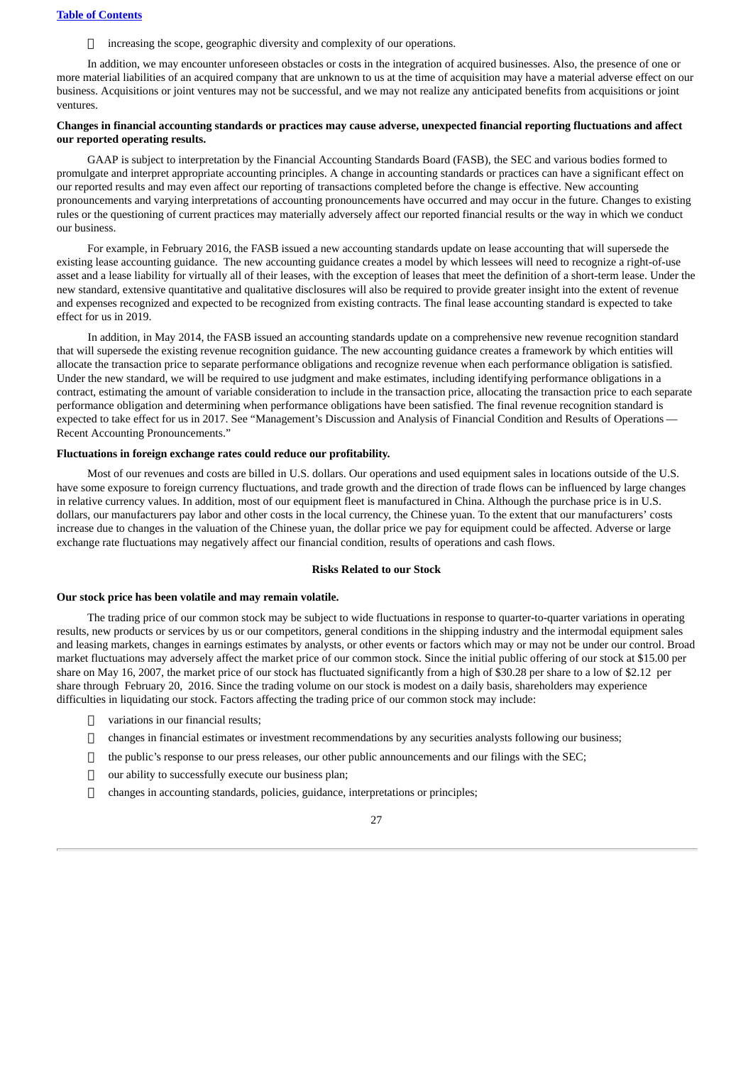$\Box$  increasing the scope, geographic diversity and complexity of our operations.

In addition, we may encounter unforeseen obstacles or costs in the integration of acquired businesses. Also, the presence of one or more material liabilities of an acquired company that are unknown to us at the time of acquisition may have a material adverse effect on our business. Acquisitions or joint ventures may not be successful, and we may not realize any anticipated benefits from acquisitions or joint ventures.

#### Changes in financial accounting standards or practices may cause adverse, unexpected financial reporting fluctuations and affect **our reported operating results.**

GAAP is subject to interpretation by the Financial Accounting Standards Board (FASB), the SEC and various bodies formed to promulgate and interpret appropriate accounting principles. A change in accounting standards or practices can have a significant effect on our reported results and may even affect our reporting of transactions completed before the change is effective. New accounting pronouncements and varying interpretations of accounting pronouncements have occurred and may occur in the future. Changes to existing rules or the questioning of current practices may materially adversely affect our reported financial results or the way in which we conduct our business.

For example, in February 2016, the FASB issued a new accounting standards update on lease accounting that will supersede the existing lease accounting guidance. The new accounting guidance creates a model by which lessees will need to recognize a right-of-use asset and a lease liability for virtually all of their leases, with the exception of leases that meet the definition of a short-term lease. Under the new standard, extensive quantitative and qualitative disclosures will also be required to provide greater insight into the extent of revenue and expenses recognized and expected to be recognized from existing contracts. The final lease accounting standard is expected to take effect for us in 2019.

In addition, in May 2014, the FASB issued an accounting standards update on a comprehensive new revenue recognition standard that will supersede the existing revenue recognition guidance. The new accounting guidance creates a framework by which entities will allocate the transaction price to separate performance obligations and recognize revenue when each performance obligation is satisfied. Under the new standard, we will be required to use judgment and make estimates, including identifying performance obligations in a contract, estimating the amount of variable consideration to include in the transaction price, allocating the transaction price to each separate performance obligation and determining when performance obligations have been satisfied. The final revenue recognition standard is expected to take effect for us in 2017. See "Management's Discussion and Analysis of Financial Condition and Results of Operations — Recent Accounting Pronouncements."

#### **Fluctuations in foreign exchange rates could reduce our profitability.**

Most of our revenues and costs are billed in U.S. dollars. Our operations and used equipment sales in locations outside of the U.S. have some exposure to foreign currency fluctuations, and trade growth and the direction of trade flows can be influenced by large changes in relative currency values. In addition, most of our equipment fleet is manufactured in China. Although the purchase price is in U.S. dollars, our manufacturers pay labor and other costs in the local currency, the Chinese yuan. To the extent that our manufacturers' costs increase due to changes in the valuation of the Chinese yuan, the dollar price we pay for equipment could be affected. Adverse or large exchange rate fluctuations may negatively affect our financial condition, results of operations and cash flows.

#### **Risks Related to our Stock**

#### **Our stock price has been volatile and may remain volatile.**

The trading price of our common stock may be subject to wide fluctuations in response to quarter-to-quarter variations in operating results, new products or services by us or our competitors, general conditions in the shipping industry and the intermodal equipment sales and leasing markets, changes in earnings estimates by analysts, or other events or factors which may or may not be under our control. Broad market fluctuations may adversely affect the market price of our common stock. Since the initial public offering of our stock at \$15.00 per share on May 16, 2007, the market price of our stock has fluctuated significantly from a high of \$30.28 per share to a low of \$2.12 per share through February 20, 2016. Since the trading volume on our stock is modest on a daily basis, shareholders may experience difficulties in liquidating our stock. Factors affecting the trading price of our common stock may include:

- variations in our financial results;
- changes in financial estimates or investment recommendations by any securities analysts following our business;
- $\Box$  the public's response to our press releases, our other public announcements and our filings with the SEC;
- □ our ability to successfully execute our business plan;
- $\Box$  changes in accounting standards, policies, guidance, interpretations or principles;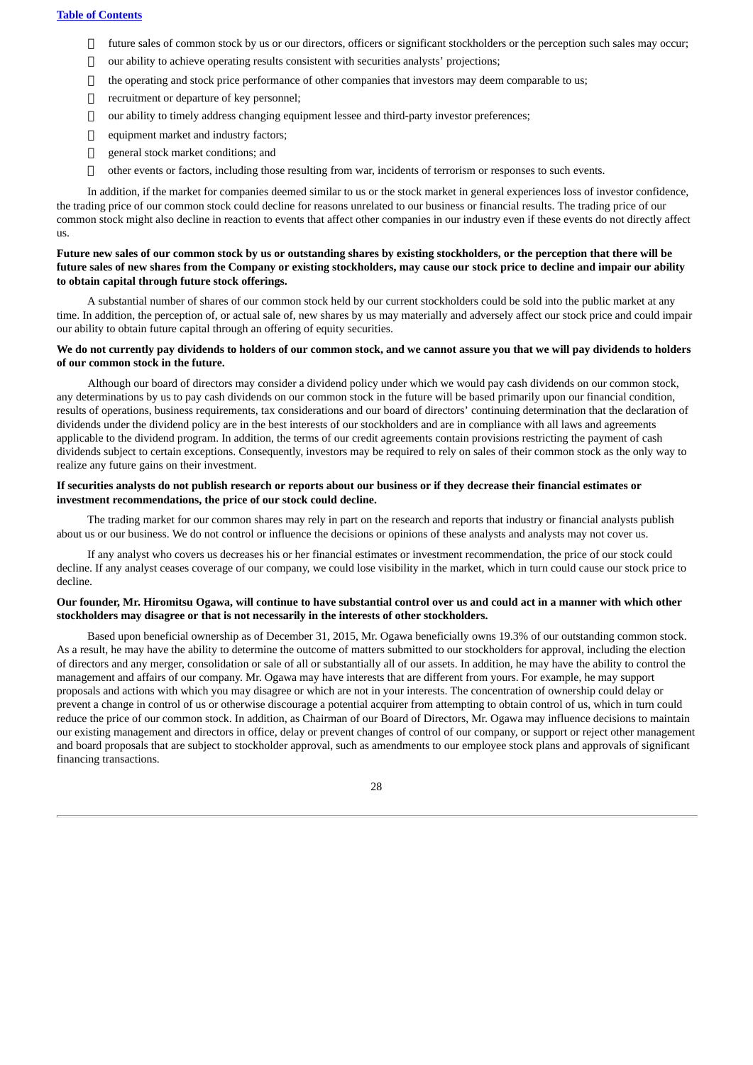- $\Box$  future sales of common stock by us or our directors, officers or significant stockholders or the perception such sales may occur;
- our ability to achieve operating results consistent with securities analysts' projections;
- $\Box$  the operating and stock price performance of other companies that investors may deem comparable to us;
- □ recruitment or departure of key personnel;
- $\Box$  our ability to timely address changing equipment lessee and third-party investor preferences;
- equipment market and industry factors;
- **general stock market conditions; and**
- $\Box$  other events or factors, including those resulting from war, incidents of terrorism or responses to such events.

In addition, if the market for companies deemed similar to us or the stock market in general experiences loss of investor confidence, the trading price of our common stock could decline for reasons unrelated to our business or financial results. The trading price of our common stock might also decline in reaction to events that affect other companies in our industry even if these events do not directly affect us.

#### Future new sales of our common stock by us or outstanding shares by existing stockholders, or the perception that there will be future sales of new shares from the Company or existing stockholders, may cause our stock price to decline and impair our ability **to obtain capital through future stock offerings.**

A substantial number of shares of our common stock held by our current stockholders could be sold into the public market at any time. In addition, the perception of, or actual sale of, new shares by us may materially and adversely affect our stock price and could impair our ability to obtain future capital through an offering of equity securities.

#### We do not currently pay dividends to holders of our common stock, and we cannot assure you that we will pay dividends to holders **of our common stock in the future.**

Although our board of directors may consider a dividend policy under which we would pay cash dividends on our common stock, any determinations by us to pay cash dividends on our common stock in the future will be based primarily upon our financial condition, results of operations, business requirements, tax considerations and our board of directors' continuing determination that the declaration of dividends under the dividend policy are in the best interests of our stockholders and are in compliance with all laws and agreements applicable to the dividend program. In addition, the terms of our credit agreements contain provisions restricting the payment of cash dividends subject to certain exceptions. Consequently, investors may be required to rely on sales of their common stock as the only way to realize any future gains on their investment.

#### If securities analysts do not publish research or reports about our business or if they decrease their financial estimates or **investment recommendations, the price of our stock could decline.**

The trading market for our common shares may rely in part on the research and reports that industry or financial analysts publish about us or our business. We do not control or influence the decisions or opinions of these analysts and analysts may not cover us.

If any analyst who covers us decreases his or her financial estimates or investment recommendation, the price of our stock could decline. If any analyst ceases coverage of our company, we could lose visibility in the market, which in turn could cause our stock price to decline.

#### Our founder, Mr. Hiromitsu Ogawa, will continue to have substantial control over us and could act in a manner with which other **stockholders may disagree or that is not necessarily in the interests of other stockholders.**

Based upon beneficial ownership as of December 31, 2015, Mr. Ogawa beneficially owns 19.3% of our outstanding common stock. As a result, he may have the ability to determine the outcome of matters submitted to our stockholders for approval, including the election of directors and any merger, consolidation or sale of all or substantially all of our assets. In addition, he may have the ability to control the management and affairs of our company. Mr. Ogawa may have interests that are different from yours. For example, he may support proposals and actions with which you may disagree or which are not in your interests. The concentration of ownership could delay or prevent a change in control of us or otherwise discourage a potential acquirer from attempting to obtain control of us, which in turn could reduce the price of our common stock. In addition, as Chairman of our Board of Directors, Mr. Ogawa may influence decisions to maintain our existing management and directors in office, delay or prevent changes of control of our company, or support or reject other management and board proposals that are subject to stockholder approval, such as amendments to our employee stock plans and approvals of significant financing transactions.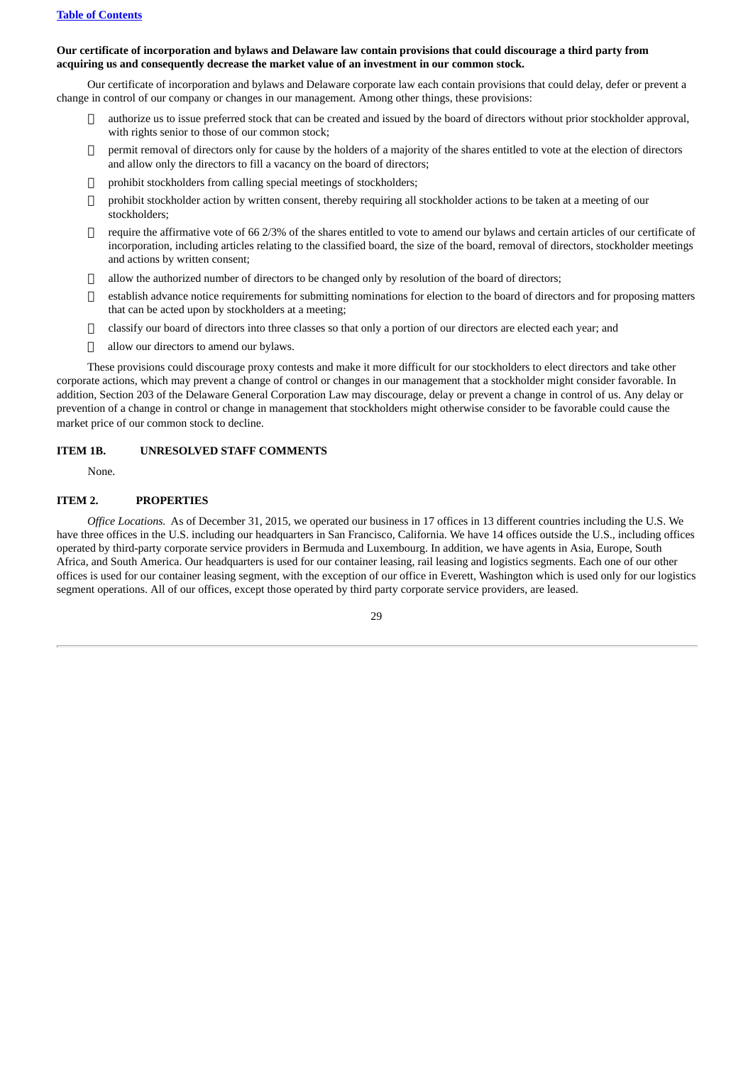#### Our certificate of incorporation and bylaws and Delaware law contain provisions that could discourage a third party from **acquiring us and consequently decrease the market value of an investment in our common stock.**

Our certificate of incorporation and bylaws and Delaware corporate law each contain provisions that could delay, defer or prevent a change in control of our company or changes in our management. Among other things, these provisions:

- authorize us to issue preferred stock that can be created and issued by the board of directors without prior stockholder approval, with rights senior to those of our common stock;
- $\Box$  permit removal of directors only for cause by the holders of a majority of the shares entitled to vote at the election of directors and allow only the directors to fill a vacancy on the board of directors;
- prohibit stockholders from calling special meetings of stockholders;
- prohibit stockholder action by written consent, thereby requiring all stockholder actions to be taken at a meeting of our stockholders;
- $\Box$  require the affirmative vote of 66 2/3% of the shares entitled to vote to amend our bylaws and certain articles of our certificate of incorporation, including articles relating to the classified board, the size of the board, removal of directors, stockholder meetings and actions by written consent;
- allow the authorized number of directors to be changed only by resolution of the board of directors;
- $\Box$  establish advance notice requirements for submitting nominations for election to the board of directors and for proposing matters that can be acted upon by stockholders at a meeting;
- classify our board of directors into three classes so that only a portion of our directors are elected each year; and
- □ allow our directors to amend our bylaws.

These provisions could discourage proxy contests and make it more difficult for our stockholders to elect directors and take other corporate actions, which may prevent a change of control or changes in our management that a stockholder might consider favorable. In addition, Section 203 of the Delaware General Corporation Law may discourage, delay or prevent a change in control of us. Any delay or prevention of a change in control or change in management that stockholders might otherwise consider to be favorable could cause the market price of our common stock to decline.

#### **ITEM 1B. UNRESOLVED STAFF COMMENTS**

<span id="page-28-1"></span><span id="page-28-0"></span>None.

#### **ITEM 2. PROPERTIES**

*Office Locations.* As of December 31, 2015, we operated our business in 17 offices in 13 different countries including the U.S. We have three offices in the U.S. including our headquarters in San Francisco, California. We have 14 offices outside the U.S., including offices operated by third-party corporate service providers in Bermuda and Luxembourg. In addition, we have agents in Asia, Europe, South Africa, and South America. Our headquarters is used for our container leasing, rail leasing and logistics segments. Each one of our other offices is used for our container leasing segment, with the exception of our office in Everett, Washington which is used only for our logistics segment operations. All of our offices, except those operated by third party corporate service providers, are leased.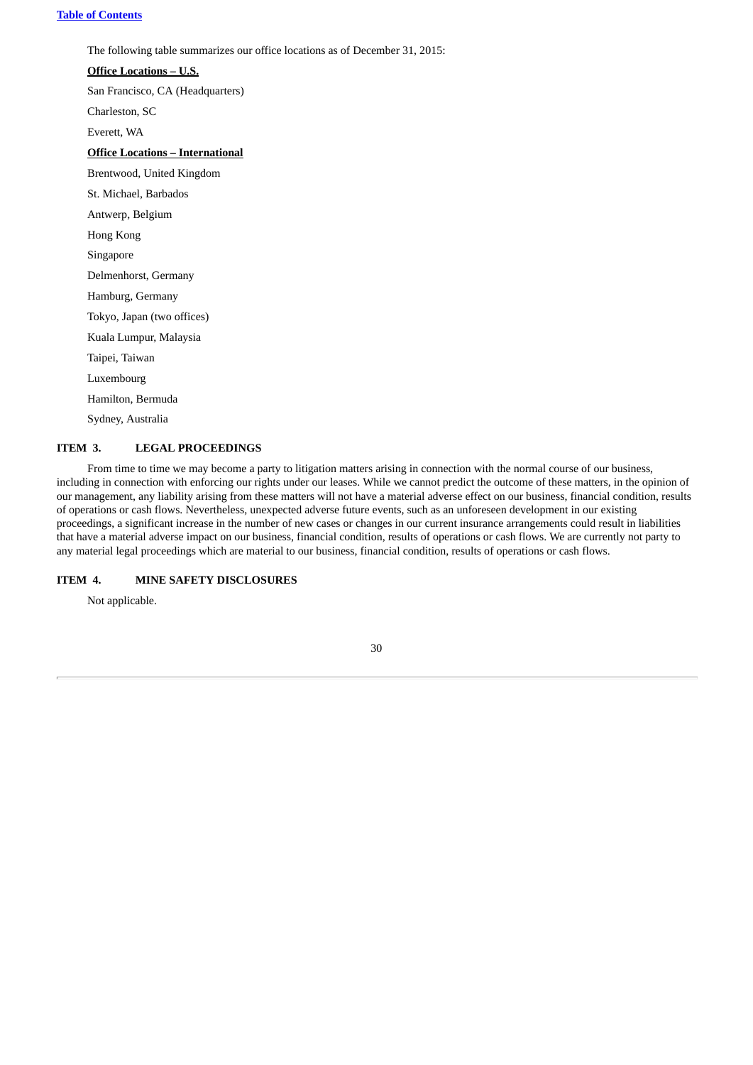The following table summarizes our office locations as of December 31, 2015:

**Office Locations – U.S.**

San Francisco, CA (Headquarters)

Charleston, SC

Everett, WA

#### **Office Locations – International**

Brentwood, United Kingdom St. Michael, Barbados Antwerp, Belgium Hong Kong Singapore Delmenhorst, Germany Hamburg, Germany Tokyo, Japan (two offices) Kuala Lumpur, Malaysia Taipei, Taiwan Luxembourg Hamilton, Bermuda Sydney, Australia

#### <span id="page-29-0"></span>**ITEM 3. LEGAL PROCEEDINGS**

From time to time we may become a party to litigation matters arising in connection with the normal course of our business, including in connection with enforcing our rights under our leases. While we cannot predict the outcome of these matters, in the opinion of our management, any liability arising from these matters will not have a material adverse effect on our business, financial condition, results of operations or cash flows. Nevertheless, unexpected adverse future events, such as an unforeseen development in our existing proceedings, a significant increase in the number of new cases or changes in our current insurance arrangements could result in liabilities that have a material adverse impact on our business, financial condition, results of operations or cash flows. We are currently not party to any material legal proceedings which are material to our business, financial condition, results of operations or cash flows.

#### **ITEM 4. MINE SAFETY DISCLOSURES**

<span id="page-29-1"></span>Not applicable.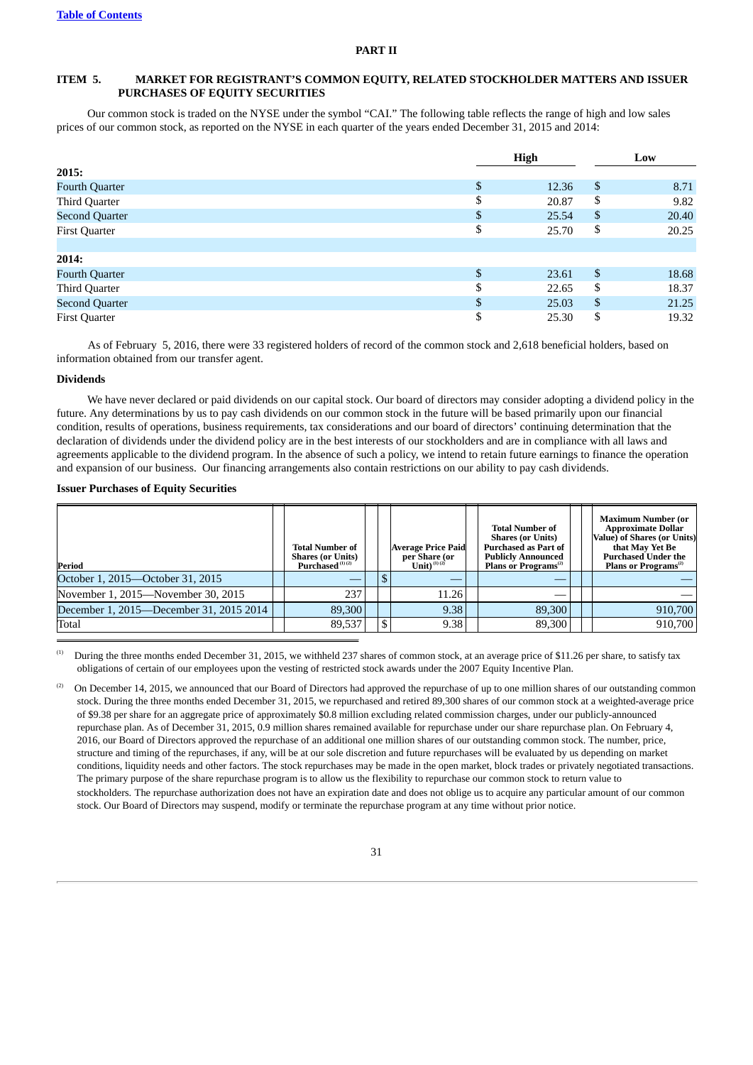#### **PART II**

#### <span id="page-30-0"></span>**ITEM 5. MARKET FOR REGISTRANT'S COMMON EQUITY, RELATED STOCKHOLDER MATTERS AND ISSUER PURCHASES OF EQUITY SECURITIES**

Our common stock is traded on the NYSE under the symbol "CAI." The following table reflects the range of high and low sales prices of our common stock, as reported on the NYSE in each quarter of the years ended December 31, 2015 and 2014:

|                       |    | High  | Low |       |  |  |
|-----------------------|----|-------|-----|-------|--|--|
| 2015:                 |    |       |     |       |  |  |
| <b>Fourth Quarter</b> | \$ | 12.36 | \$  | 8.71  |  |  |
| <b>Third Quarter</b>  | S  | 20.87 | S   | 9.82  |  |  |
| <b>Second Quarter</b> | \$ | 25.54 | S   | 20.40 |  |  |
| <b>First Quarter</b>  | \$ | 25.70 | S   | 20.25 |  |  |
|                       |    |       |     |       |  |  |
| 2014:                 |    |       |     |       |  |  |
| <b>Fourth Quarter</b> | \$ | 23.61 | \$  | 18.68 |  |  |
| <b>Third Quarter</b>  | \$ | 22.65 | \$  | 18.37 |  |  |
| <b>Second Quarter</b> | \$ | 25.03 | \$  | 21.25 |  |  |
| <b>First Quarter</b>  | S  | 25.30 | \$  | 19.32 |  |  |

As of February 5, 2016, there were 33 registered holders of record of the common stock and 2,618 beneficial holders, based on information obtained from our transfer agent.

#### **Dividends**

We have never declared or paid dividends on our capital stock. Our board of directors may consider adopting a dividend policy in the future. Any determinations by us to pay cash dividends on our common stock in the future will be based primarily upon our financial condition, results of operations, business requirements, tax considerations and our board of directors' continuing determination that the declaration of dividends under the dividend policy are in the best interests of our stockholders and are in compliance with all laws and agreements applicable to the dividend program. In the absence of such a policy, we intend to retain future earnings to finance the operation and expansion of our business. Our financing arrangements also contain restrictions on our ability to pay cash dividends.

#### **Issuer Purchases of Equity Securities**

| Period                                  | <b>Total Number of</b><br><b>Shares (or Units)</b><br>Purchased <sup>(1)(2)</sup> |    | <b>Average Price Paid</b><br>per Share (or<br>Unit) $^{(1)}$ $^{(2)}$ | <b>Total Number of</b><br><b>Shares (or Units)</b><br><b>Purchased as Part of</b><br><b>Publicly Announced</b><br>Plans or Programs <sup>(2)</sup> |  | <b>Maximum Number (or</b><br><b>Approximate Dollar</b><br>Value) of Shares (or Units)<br>that May Yet Be<br><b>Purchased Under the</b><br>Plans or Programs <sup>(2)</sup> |
|-----------------------------------------|-----------------------------------------------------------------------------------|----|-----------------------------------------------------------------------|----------------------------------------------------------------------------------------------------------------------------------------------------|--|----------------------------------------------------------------------------------------------------------------------------------------------------------------------------|
| October 1, 2015—October 31, 2015        |                                                                                   |    |                                                                       |                                                                                                                                                    |  |                                                                                                                                                                            |
| November 1, 2015—November 30, 2015      | 237                                                                               |    | 11.26                                                                 |                                                                                                                                                    |  |                                                                                                                                                                            |
| December 1, 2015—December 31, 2015 2014 | 89,300                                                                            |    | 9.38                                                                  | 89,300                                                                                                                                             |  | 910,700                                                                                                                                                                    |
| Total                                   | 89.537                                                                            | \$ | 9.38                                                                  | 89,300                                                                                                                                             |  | 910,700                                                                                                                                                                    |

During the three months ended December 31, 2015, we withheld 237 shares of common stock, at an average price of \$11.26 per share, to satisfy tax obligations of certain of our employees upon the vesting of restricted stock awards under the 2007 Equity Incentive Plan. (1)

On December 14, 2015, we announced that our Board of Directors had approved the repurchase of up to one million shares of our outstanding common stock. During the three months ended December 31, 2015, we repurchased and retired 89,300 shares of our common stock at a weighted-average price of \$9.38 per share for an aggregate price of approximately \$0.8 million excluding related commission charges, under our publicly-announced repurchase plan. As of December 31, 2015, 0.9 million shares remained available for repurchase under our share repurchase plan. On February 4, 2016, our Board of Directors approved the repurchase of an additional one million shares of our outstanding common stock. The number, price, structure and timing of the repurchases, if any, will be at our sole discretion and future repurchases will be evaluated by us depending on market conditions, liquidity needs and other factors. The stock repurchases may be made in the open market, block trades or privately negotiated transactions. The primary purpose of the share repurchase program is to allow us the flexibility to repurchase our common stock to return value to stockholders. The repurchase authorization does not have an expiration date and does not oblige us to acquire any particular amount of our common stock. Our Board of Directors may suspend, modify or terminate the repurchase program at any time without prior notice. (2)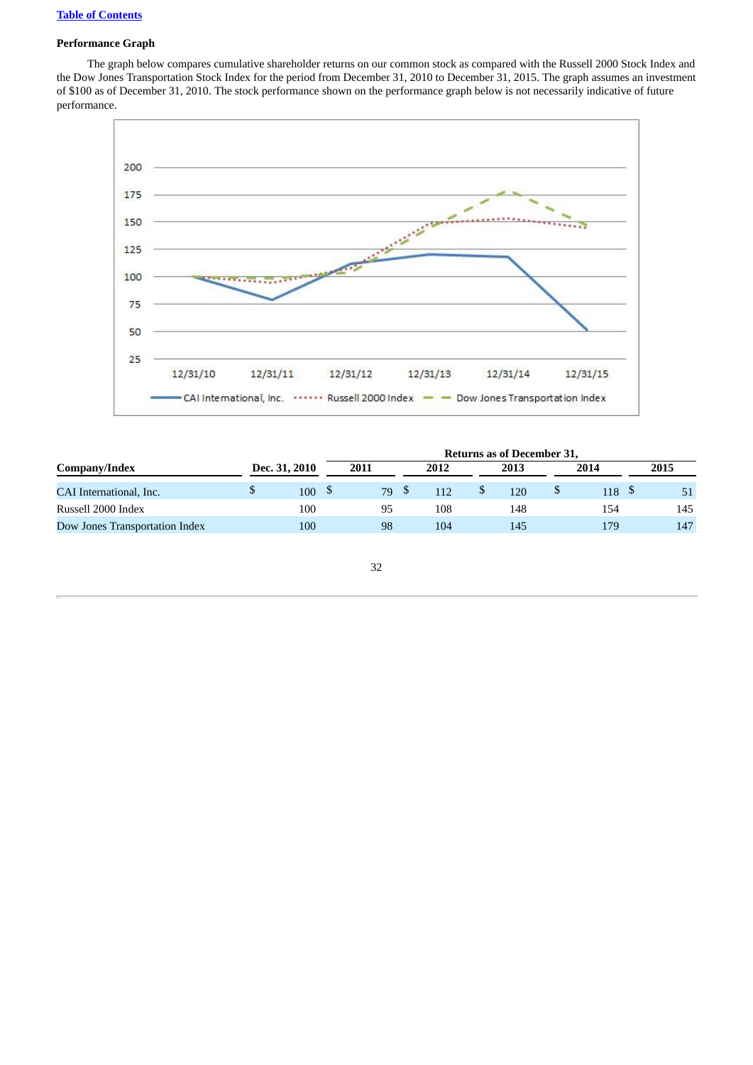#### **Performance Graph**

The graph below compares cumulative shareholder returns on our common stock as compared with the Russell 2000 Stock Index and the Dow Jones Transportation Stock Index for the period from December 31, 2010 to December 31, 2015. The graph assumes an investment of \$100 as of December 31, 2010. The stock performance shown on the performance graph below is not necessarily indicative of future performance.



|                                | <b>Returns as of December 31,</b> |               |  |       |  |      |   |      |  |      |      |     |  |
|--------------------------------|-----------------------------------|---------------|--|-------|--|------|---|------|--|------|------|-----|--|
| Company/Index                  |                                   | Dec. 31, 2010 |  | 2011  |  | 2012 |   | 2013 |  | 2014 | 2015 |     |  |
| CAI International, Inc.        |                                   | 100S          |  | 79 \$ |  | 112  | S | 120  |  | 118S |      | 51  |  |
| Russell 2000 Index             |                                   | 100           |  | 95    |  | 108  |   | 148  |  | 154  |      | 145 |  |
| Dow Jones Transportation Index |                                   | 100           |  | 98    |  | 104  |   | 145  |  | 179  |      | 147 |  |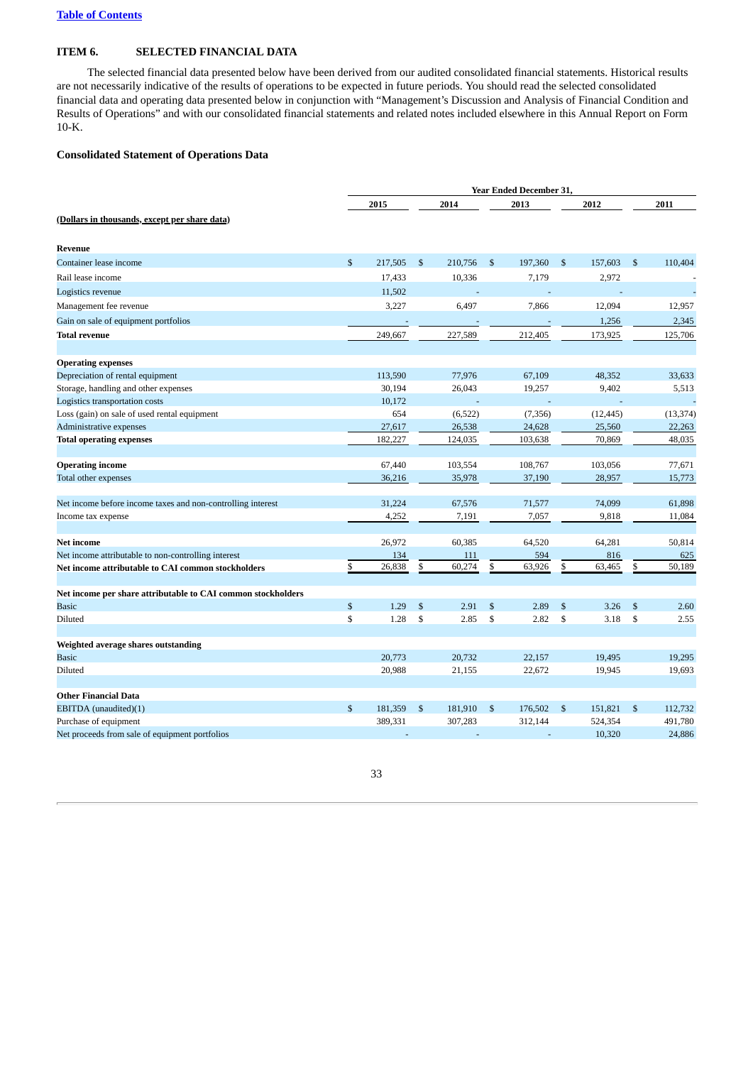#### <span id="page-32-0"></span>**ITEM 6. SELECTED FINANCIAL DATA**

The selected financial data presented below have been derived from our audited consolidated financial statements. Historical results are not necessarily indicative of the results of operations to be expected in future periods. You should read the selected consolidated financial data and operating data presented below in conjunction with "Management's Discussion and Analysis of Financial Condition and Results of Operations" and with our consolidated financial statements and related notes included elsewhere in this Annual Report on Form 10-K.

#### **Consolidated Statement of Operations Data**

|                                                              |              | Year Ended December 31, |                |         |                |         |              |           |                |           |  |  |  |  |
|--------------------------------------------------------------|--------------|-------------------------|----------------|---------|----------------|---------|--------------|-----------|----------------|-----------|--|--|--|--|
|                                                              |              | 2015                    |                | 2014    |                | 2013    |              | 2012      |                | 2011      |  |  |  |  |
| (Dollars in thousands, except per share data)                |              |                         |                |         |                |         |              |           |                |           |  |  |  |  |
| <b>Revenue</b>                                               |              |                         |                |         |                |         |              |           |                |           |  |  |  |  |
| Container lease income                                       | $\mathbb{S}$ | 217,505                 | $\mathfrak{s}$ | 210,756 | $\mathfrak{s}$ | 197,360 | \$           | 157,603   | $\mathfrak{s}$ | 110,404   |  |  |  |  |
| Rail lease income                                            |              | 17,433                  |                | 10,336  |                | 7,179   |              | 2,972     |                |           |  |  |  |  |
| Logistics revenue                                            |              | 11,502                  |                |         |                |         |              |           |                |           |  |  |  |  |
| Management fee revenue                                       |              | 3,227                   |                | 6,497   |                | 7,866   |              | 12,094    |                | 12,957    |  |  |  |  |
| Gain on sale of equipment portfolios                         |              |                         |                |         |                |         |              | 1,256     |                | 2,345     |  |  |  |  |
| <b>Total revenue</b>                                         |              | 249,667                 |                | 227,589 |                | 212,405 |              | 173,925   |                | 125,706   |  |  |  |  |
|                                                              |              |                         |                |         |                |         |              |           |                |           |  |  |  |  |
| <b>Operating expenses</b>                                    |              |                         |                |         |                |         |              |           |                |           |  |  |  |  |
| Depreciation of rental equipment                             |              | 113,590                 |                | 77,976  |                | 67,109  |              | 48,352    |                | 33,633    |  |  |  |  |
| Storage, handling and other expenses                         |              | 30,194                  |                | 26,043  |                | 19,257  |              | 9,402     |                | 5,513     |  |  |  |  |
| Logistics transportation costs                               |              | 10,172                  |                |         |                |         |              |           |                |           |  |  |  |  |
| Loss (gain) on sale of used rental equipment                 |              | 654                     |                | (6,522) |                | (7,356) |              | (12, 445) |                | (13, 374) |  |  |  |  |
| Administrative expenses                                      |              | 27,617                  |                | 26,538  |                | 24,628  |              | 25,560    |                | 22,263    |  |  |  |  |
| <b>Total operating expenses</b>                              |              | 182,227                 |                | 124,035 |                | 103,638 |              | 70,869    |                | 48,035    |  |  |  |  |
|                                                              |              |                         |                |         |                |         |              |           |                |           |  |  |  |  |
| <b>Operating income</b>                                      |              | 67,440                  |                | 103,554 |                | 108,767 |              | 103,056   |                | 77,671    |  |  |  |  |
| Total other expenses                                         |              | 36,216                  |                | 35,978  |                | 37,190  |              | 28,957    |                | 15,773    |  |  |  |  |
| Net income before income taxes and non-controlling interest  |              | 31,224                  |                | 67,576  |                | 71,577  |              | 74,099    |                | 61,898    |  |  |  |  |
| Income tax expense                                           |              | 4,252                   |                | 7,191   |                | 7,057   |              | 9,818     |                | 11,084    |  |  |  |  |
|                                                              |              |                         |                |         |                |         |              |           |                |           |  |  |  |  |
| <b>Net income</b>                                            |              | 26,972                  |                | 60,385  |                | 64,520  |              | 64,281    |                | 50,814    |  |  |  |  |
| Net income attributable to non-controlling interest          |              | 134                     |                | 111     |                | 594     |              | 816       |                | 625       |  |  |  |  |
| Net income attributable to CAI common stockholders           | \$           | 26,838                  | \$             | 60,274  | \$             | 63,926  | \$           | 63,465    | \$             | 50,189    |  |  |  |  |
| Net income per share attributable to CAI common stockholders |              |                         |                |         |                |         |              |           |                |           |  |  |  |  |
| <b>Basic</b>                                                 | \$           | 1.29                    | $\mathbb{S}$   | 2.91    | $\mathfrak{s}$ | 2.89    | \$           | 3.26      | \$             | 2.60      |  |  |  |  |
| Diluted                                                      | \$           | 1.28                    | \$             | 2.85    | \$             | 2.82    | \$           | 3.18      | \$             | 2.55      |  |  |  |  |
| Weighted average shares outstanding                          |              |                         |                |         |                |         |              |           |                |           |  |  |  |  |
| <b>Basic</b>                                                 |              | 20,773                  |                | 20,732  |                | 22,157  |              | 19,495    |                | 19,295    |  |  |  |  |
| Diluted                                                      |              | 20,988                  |                | 21,155  |                | 22,672  |              | 19,945    |                | 19,693    |  |  |  |  |
| <b>Other Financial Data</b>                                  |              |                         |                |         |                |         |              |           |                |           |  |  |  |  |
| EBITDA (unaudited)(1)                                        | $\mathbb{S}$ | 181,359                 | \$             | 181,910 | $\mathfrak{S}$ | 176,502 | $\mathbb{S}$ | 151,821   | $\mathbb{S}$   | 112,732   |  |  |  |  |
| Purchase of equipment                                        |              | 389,331                 |                | 307,283 |                | 312,144 |              | 524,354   |                | 491,780   |  |  |  |  |
| Net proceeds from sale of equipment portfolios               |              |                         |                |         |                |         |              | 10,320    |                | 24,886    |  |  |  |  |
|                                                              |              |                         |                |         |                |         |              |           |                |           |  |  |  |  |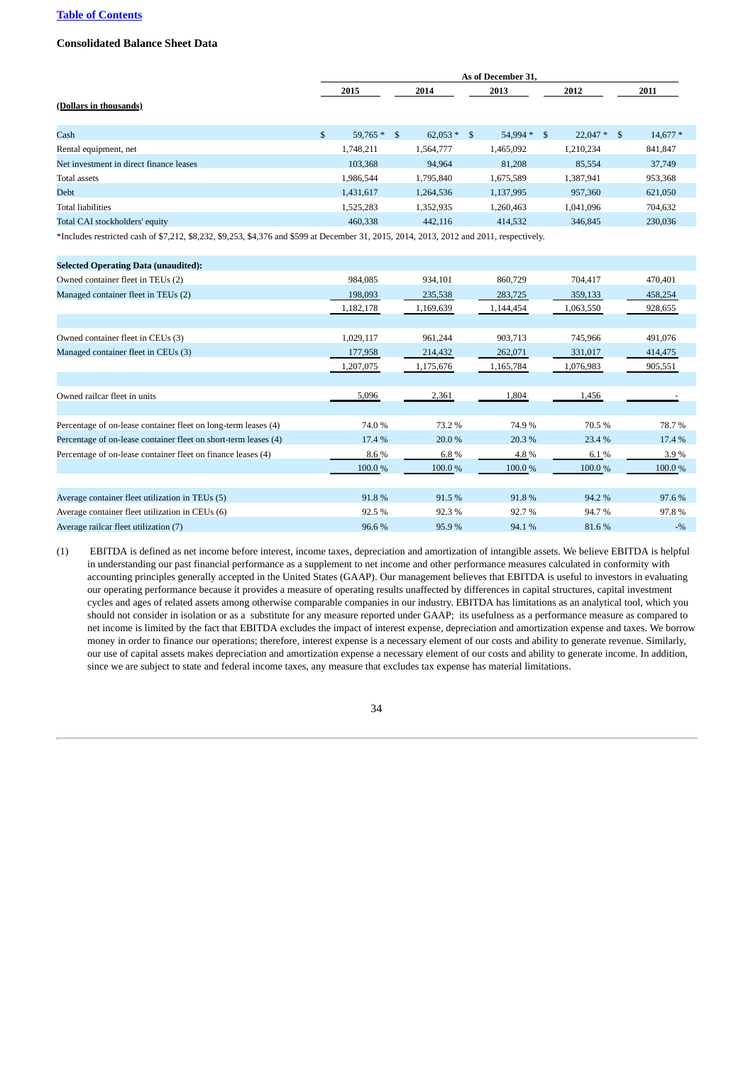#### **Consolidated Balance Sheet Data**

|                                                                                                                                          |              | As of December 31,   |    |                      |                    |                      |    |                      |     |                    |  |  |
|------------------------------------------------------------------------------------------------------------------------------------------|--------------|----------------------|----|----------------------|--------------------|----------------------|----|----------------------|-----|--------------------|--|--|
|                                                                                                                                          |              | 2015                 |    | 2014                 | 2013               |                      |    | 2012                 |     | 2011               |  |  |
| (Dollars in thousands)                                                                                                                   |              |                      |    |                      |                    |                      |    |                      |     |                    |  |  |
| Cash                                                                                                                                     | $\mathbb{S}$ | 59.765 *             | \$ | $62,053*$            | $\mathbf{\hat{S}}$ | 54.994 *             | \$ | $22.047*$            | -\$ | $14,677*$          |  |  |
| Rental equipment, net                                                                                                                    |              | 1,748,211            |    | 1,564,777            |                    | 1,465,092            |    | 1,210,234            |     | 841,847            |  |  |
| Net investment in direct finance leases                                                                                                  |              | 103,368              |    | 94,964               |                    | 81,208               |    | 85,554               |     | 37,749             |  |  |
| Total assets                                                                                                                             |              | 1,986,544            |    | 1,795,840            |                    | 1,675,589            |    | 1,387,941            |     | 953,368            |  |  |
| Debt                                                                                                                                     |              | 1,431,617            |    | 1,264,536            |                    | 1,137,995            |    | 957,360              |     | 621,050            |  |  |
| <b>Total liabilities</b>                                                                                                                 |              | 1,525,283            |    | 1,352,935            |                    | 1,260,463            |    | 1,041,096            |     | 704,632            |  |  |
| Total CAI stockholders' equity                                                                                                           |              | 460,338              |    | 442,116              |                    | 414,532              |    | 346,845              |     | 230,036            |  |  |
| *Includes restricted cash of \$7,212, \$8,232, \$9,253, \$4,376 and \$599 at December 31, 2015, 2014, 2013, 2012 and 2011, respectively. |              |                      |    |                      |                    |                      |    |                      |     |                    |  |  |
| <b>Selected Operating Data (unaudited):</b>                                                                                              |              |                      |    |                      |                    |                      |    |                      |     |                    |  |  |
| Owned container fleet in TEUs (2)                                                                                                        |              | 984,085              |    | 934,101              |                    | 860,729              |    | 704,417              |     | 470,401            |  |  |
| Managed container fleet in TEUs (2)                                                                                                      |              |                      |    |                      |                    |                      |    |                      |     |                    |  |  |
|                                                                                                                                          |              | 198,093<br>1,182,178 |    | 235,538<br>1,169,639 |                    | 283,725<br>1,144,454 |    | 359,133<br>1,063,550 |     | 458,254<br>928,655 |  |  |
|                                                                                                                                          |              |                      |    |                      |                    |                      |    |                      |     |                    |  |  |
| Owned container fleet in CEUs (3)                                                                                                        |              | 1,029,117            |    | 961,244              |                    | 903,713              |    | 745,966              |     | 491,076            |  |  |
| Managed container fleet in CEUs (3)                                                                                                      |              | 177,958              |    | 214,432              |                    | 262,071              |    | 331,017              |     | 414,475            |  |  |
|                                                                                                                                          |              | 1,207,075            |    | 1,175,676            |                    | 1,165,784            |    | 1,076,983            |     | 905,551            |  |  |
| Owned railcar fleet in units                                                                                                             |              | 5,096                |    | 2,361                |                    | 1,804                |    | 1,456                |     |                    |  |  |
|                                                                                                                                          |              |                      |    |                      |                    |                      |    |                      |     |                    |  |  |
| Percentage of on-lease container fleet on long-term leases (4)                                                                           |              | 74.0%                |    | 73.2%                |                    | 74.9%                |    | 70.5%                |     | 78.7%              |  |  |
| Percentage of on-lease container fleet on short-term leases (4)                                                                          |              | 17.4%                |    | 20.0%                |                    | 20.3%                |    | 23.4 %               |     | 17.4%              |  |  |
| Percentage of on-lease container fleet on finance leases (4)                                                                             |              | 8.6 %                |    | $6.8\ \%$            |                    | 4.8%                 |    | 6.1%                 |     | 3.9%               |  |  |
|                                                                                                                                          |              | 100.0%               |    | 100.0%               |                    | 100.0%               |    | 100.0%               |     | 100.0%             |  |  |
|                                                                                                                                          |              |                      |    |                      |                    |                      |    |                      |     |                    |  |  |
| Average container fleet utilization in TEUs (5)                                                                                          |              | 91.8%                |    | 91.5%                |                    | 91.8%                |    | 94.2%                |     | 97.6%              |  |  |
| Average container fleet utilization in CEUs (6)                                                                                          |              | 92.5%                |    | 92.3%                |                    | 92.7%                |    | 94.7%                |     | 97.8%              |  |  |
| Average railcar fleet utilization (7)                                                                                                    |              | 96.6%                |    | 95.9%                |                    | 94.1%                |    | 81.6%                |     | $-$ %              |  |  |

(1) EBITDA is defined as net income before interest, income taxes, depreciation and amortization of intangible assets. We believe EBITDA is helpful in understanding our past financial performance as a supplement to net income and other performance measures calculated in conformity with accounting principles generally accepted in the United States (GAAP). Our management believes that EBITDA is useful to investors in evaluating our operating performance because it provides a measure of operating results unaffected by differences in capital structures, capital investment cycles and ages of related assets among otherwise comparable companies in our industry. EBITDA has limitations as an analytical tool, which you should not consider in isolation or as a substitute for any measure reported under GAAP; its usefulness as a performance measure as compared to net income is limited by the fact that EBITDA excludes the impact of interest expense, depreciation and amortization expense and taxes. We borrow money in order to finance our operations; therefore, interest expense is a necessary element of our costs and ability to generate revenue. Similarly, our use of capital assets makes depreciation and amortization expense a necessary element of our costs and ability to generate income. In addition, since we are subject to state and federal income taxes, any measure that excludes tax expense has material limitations.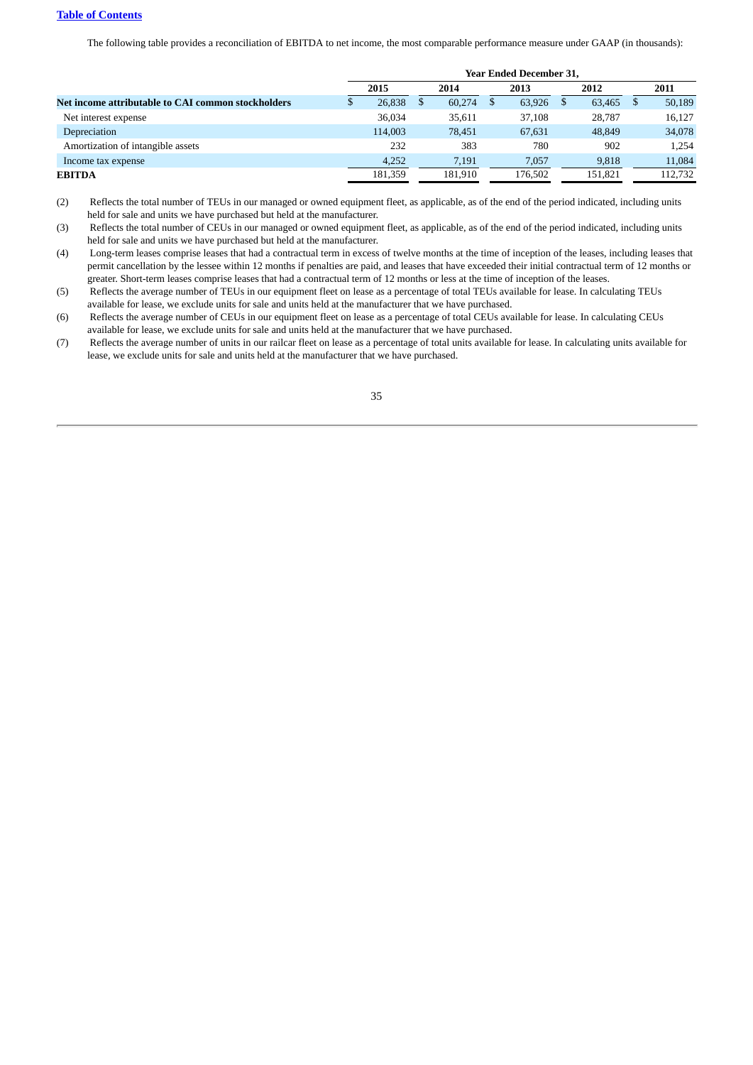The following table provides a reconciliation of EBITDA to net income, the most comparable performance measure under GAAP (in thousands):

|                                                    | <b>Year Ended December 31.</b> |        |      |         |      |         |          |         |   |         |  |
|----------------------------------------------------|--------------------------------|--------|------|---------|------|---------|----------|---------|---|---------|--|
|                                                    | 2015                           |        | 2014 |         | 2013 |         | 2012     |         |   | 2011    |  |
| Net income attributable to CAI common stockholders | P.                             | 26.838 | D    | 60.274  |      | 63,926  | <b>D</b> | 63.465  | Φ | 50,189  |  |
| Net interest expense                               | 36.034                         |        |      | 35,611  |      | 37,108  |          | 28,787  |   | 16,127  |  |
| Depreciation                                       | 114,003                        |        |      | 78.451  |      | 67,631  |          | 48,849  |   | 34,078  |  |
| Amortization of intangible assets                  |                                | 232    |      | 383     |      | 780     |          | 902     |   | 1.254   |  |
| Income tax expense                                 |                                | 4,252  |      | 7,191   |      | 7,057   |          | 9,818   |   | 11,084  |  |
| <b>EBITDA</b>                                      | 181.359                        |        |      | 181.910 |      | 176.502 |          | 151.821 |   | 112.732 |  |

(2) Reflects the total number of TEUs in our managed or owned equipment fleet, as applicable, as of the end of the period indicated, including units held for sale and units we have purchased but held at the manufacturer.

(3) Reflects the total number of CEUs in our managed or owned equipment fleet, as applicable, as of the end of the period indicated, including units held for sale and units we have purchased but held at the manufacturer.

(5) Reflects the average number of TEUs in our equipment fleet on lease as a percentage of total TEUs available for lease. In calculating TEUs available for lease, we exclude units for sale and units held at the manufacturer that we have purchased.

(6) Reflects the average number of CEUs in our equipment fleet on lease as a percentage of total CEUs available for lease. In calculating CEUs available for lease, we exclude units for sale and units held at the manufacturer that we have purchased.

(7) Reflects the average number of units in our railcar fleet on lease as a percentage of total units available for lease. In calculating units available for lease, we exclude units for sale and units held at the manufacturer that we have purchased.

<sup>(4)</sup> Long-term leases comprise leases that had a contractual term in excess of twelve months at the time of inception of the leases, including leases that permit cancellation by the lessee within 12 months if penalties are paid, and leases that have exceeded their initial contractual term of 12 months or greater. Short-term leases comprise leases that had a contractual term of 12 months or less at the time of inception of the leases.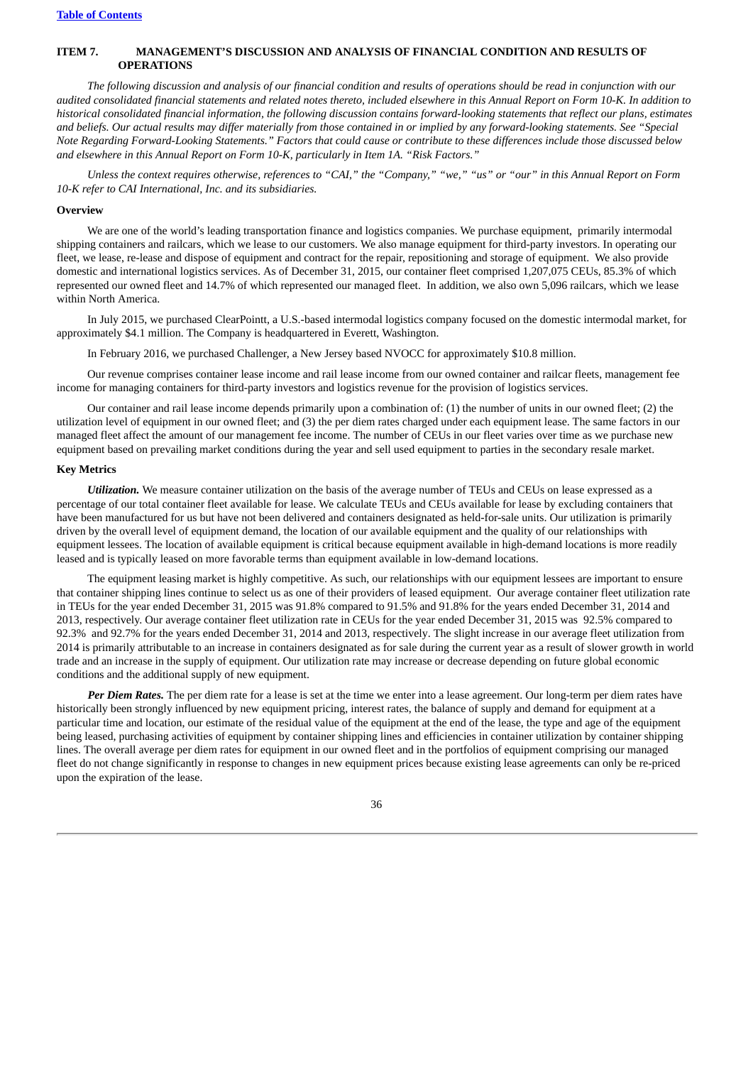#### <span id="page-35-0"></span>**ITEM 7. MANAGEMENT'S DISCUSSION AND ANALYSIS OF FINANCIAL CONDITION AND RESULTS OF OPERATIONS**

The following discussion and analysis of our financial condition and results of operations should be read in conjunction with our audited consolidated financial statements and related notes thereto, included elsewhere in this Annual Report on Form 10-K. In addition to historical consolidated financial information, the following discussion contains forward-looking statements that reflect our plans, estimates and beliefs. Our actual results may differ materially from those contained in or implied by any forward-looking statements. See "Special Note Regarding Forward-Looking Statements." Factors that could cause or contribute to these differences include those discussed below *and elsewhere in this Annual Report on Form 10-K, particularly in Item 1A. "Risk Factors."*

Unless the context requires otherwise, references to "CAI," the "Company," "we," "us" or "our" in this Annual Report on Form *10-K refer to CAI International, Inc. and its subsidiaries.*

#### **Overview**

We are one of the world's leading transportation finance and logistics companies. We purchase equipment, primarily intermodal shipping containers and railcars, which we lease to our customers. We also manage equipment for third-party investors. In operating our fleet, we lease, re-lease and dispose of equipment and contract for the repair, repositioning and storage of equipment. We also provide domestic and international logistics services. As of December 31, 2015, our container fleet comprised 1,207,075 CEUs, 85.3% of which represented our owned fleet and 14.7% of which represented our managed fleet. In addition, we also own 5,096 railcars, which we lease within North America.

In July 2015, we purchased ClearPointt, a U.S.-based intermodal logistics company focused on the domestic intermodal market, for approximately \$4.1 million. The Company is headquartered in Everett, Washington.

In February 2016, we purchased Challenger, a New Jersey based NVOCC for approximately \$10.8 million.

Our revenue comprises container lease income and rail lease income from our owned container and railcar fleets, management fee income for managing containers for third-party investors and logistics revenue for the provision of logistics services.

Our container and rail lease income depends primarily upon a combination of: (1) the number of units in our owned fleet; (2) the utilization level of equipment in our owned fleet; and (3) the per diem rates charged under each equipment lease. The same factors in our managed fleet affect the amount of our management fee income. The number of CEUs in our fleet varies over time as we purchase new equipment based on prevailing market conditions during the year and sell used equipment to parties in the secondary resale market.

#### **Key Metrics**

*Utilization.* We measure container utilization on the basis of the average number of TEUs and CEUs on lease expressed as a percentage of our total container fleet available for lease. We calculate TEUs and CEUs available for lease by excluding containers that have been manufactured for us but have not been delivered and containers designated as held-for-sale units. Our utilization is primarily driven by the overall level of equipment demand, the location of our available equipment and the quality of our relationships with equipment lessees. The location of available equipment is critical because equipment available in high-demand locations is more readily leased and is typically leased on more favorable terms than equipment available in low-demand locations.

The equipment leasing market is highly competitive. As such, our relationships with our equipment lessees are important to ensure that container shipping lines continue to select us as one of their providers of leased equipment. Our average container fleet utilization rate in TEUs for the year ended December 31, 2015 was 91.8% compared to 91.5% and 91.8% for the years ended December 31, 2014 and 2013, respectively. Our average container fleet utilization rate in CEUs for the year ended December 31, 2015 was 92.5% compared to 92.3% and 92.7% for the years ended December 31, 2014 and 2013, respectively. The slight increase in our average fleet utilization from 2014 is primarily attributable to an increase in containers designated as for sale during the current year as a result of slower growth in world trade and an increase in the supply of equipment. Our utilization rate may increase or decrease depending on future global economic conditions and the additional supply of new equipment.

*Per Diem Rates.* The per diem rate for a lease is set at the time we enter into a lease agreement. Our long-term per diem rates have historically been strongly influenced by new equipment pricing, interest rates, the balance of supply and demand for equipment at a particular time and location, our estimate of the residual value of the equipment at the end of the lease, the type and age of the equipment being leased, purchasing activities of equipment by container shipping lines and efficiencies in container utilization by container shipping lines. The overall average per diem rates for equipment in our owned fleet and in the portfolios of equipment comprising our managed fleet do not change significantly in response to changes in new equipment prices because existing lease agreements can only be re-priced upon the expiration of the lease.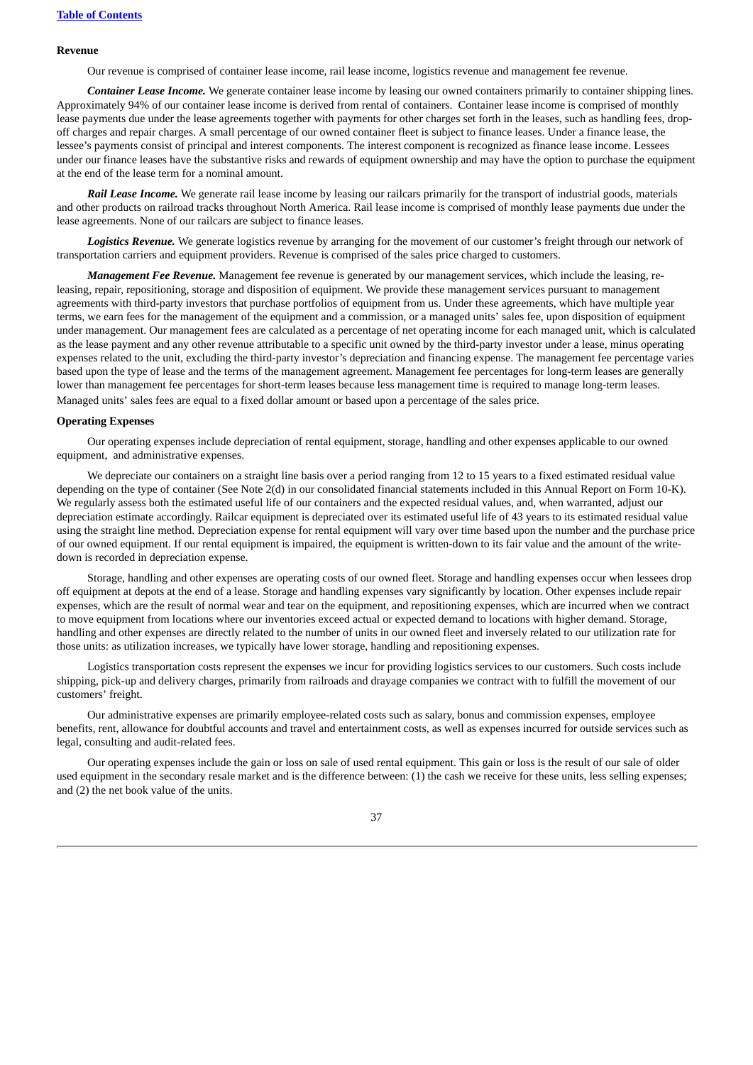## **Revenue**

Our revenue is comprised of container lease income, rail lease income, logistics revenue and management fee revenue.

*Container Lease Income.* We generate container lease income by leasing our owned containers primarily to container shipping lines. Approximately 94% of our container lease income is derived from rental of containers. Container lease income is comprised of monthly lease payments due under the lease agreements together with payments for other charges set forth in the leases, such as handling fees, dropoff charges and repair charges. A small percentage of our owned container fleet is subject to finance leases. Under a finance lease, the lessee's payments consist of principal and interest components. The interest component is recognized as finance lease income. Lessees under our finance leases have the substantive risks and rewards of equipment ownership and may have the option to purchase the equipment at the end of the lease term for a nominal amount.

*Rail Lease Income.* We generate rail lease income by leasing our railcars primarily for the transport of industrial goods, materials and other products on railroad tracks throughout North America. Rail lease income is comprised of monthly lease payments due under the lease agreements. None of our railcars are subject to finance leases.

*Logistics Revenue.* We generate logistics revenue by arranging for the movement of our customer's freight through our network of transportation carriers and equipment providers. Revenue is comprised of the sales price charged to customers.

*Management Fee Revenue.* Management fee revenue is generated by our management services, which include the leasing, releasing, repair, repositioning, storage and disposition of equipment. We provide these management services pursuant to management agreements with third-party investors that purchase portfolios of equipment from us. Under these agreements, which have multiple year terms, we earn fees for the management of the equipment and a commission, or a managed units' sales fee, upon disposition of equipment under management. Our management fees are calculated as a percentage of net operating income for each managed unit, which is calculated as the lease payment and any other revenue attributable to a specific unit owned by the third-party investor under a lease, minus operating expenses related to the unit, excluding the third-party investor's depreciation and financing expense. The management fee percentage varies based upon the type of lease and the terms of the management agreement. Management fee percentages for long-term leases are generally lower than management fee percentages for short-term leases because less management time is required to manage long-term leases. Managed units' sales fees are equal to a fixed dollar amount or based upon a percentage of the sales price.

### **Operating Expenses**

Our operating expenses include depreciation of rental equipment, storage, handling and other expenses applicable to our owned equipment, and administrative expenses.

We depreciate our containers on a straight line basis over a period ranging from 12 to 15 years to a fixed estimated residual value depending on the type of container (See Note 2(d) in our consolidated financial statements included in this Annual Report on Form 10-K). We regularly assess both the estimated useful life of our containers and the expected residual values, and, when warranted, adjust our depreciation estimate accordingly. Railcar equipment is depreciated over its estimated useful life of 43 years to its estimated residual value using the straight line method. Depreciation expense for rental equipment will vary over time based upon the number and the purchase price of our owned equipment. If our rental equipment is impaired, the equipment is written-down to its fair value and the amount of the writedown is recorded in depreciation expense.

Storage, handling and other expenses are operating costs of our owned fleet. Storage and handling expenses occur when lessees drop off equipment at depots at the end of a lease. Storage and handling expenses vary significantly by location. Other expenses include repair expenses, which are the result of normal wear and tear on the equipment, and repositioning expenses, which are incurred when we contract to move equipment from locations where our inventories exceed actual or expected demand to locations with higher demand. Storage, handling and other expenses are directly related to the number of units in our owned fleet and inversely related to our utilization rate for those units: as utilization increases, we typically have lower storage, handling and repositioning expenses.

Logistics transportation costs represent the expenses we incur for providing logistics services to our customers. Such costs include shipping, pick-up and delivery charges, primarily from railroads and drayage companies we contract with to fulfill the movement of our customers' freight.

Our administrative expenses are primarily employee-related costs such as salary, bonus and commission expenses, employee benefits, rent, allowance for doubtful accounts and travel and entertainment costs, as well as expenses incurred for outside services such as legal, consulting and audit-related fees.

Our operating expenses include the gain or loss on sale of used rental equipment. This gain or loss is the result of our sale of older used equipment in the secondary resale market and is the difference between: (1) the cash we receive for these units, less selling expenses; and (2) the net book value of the units.

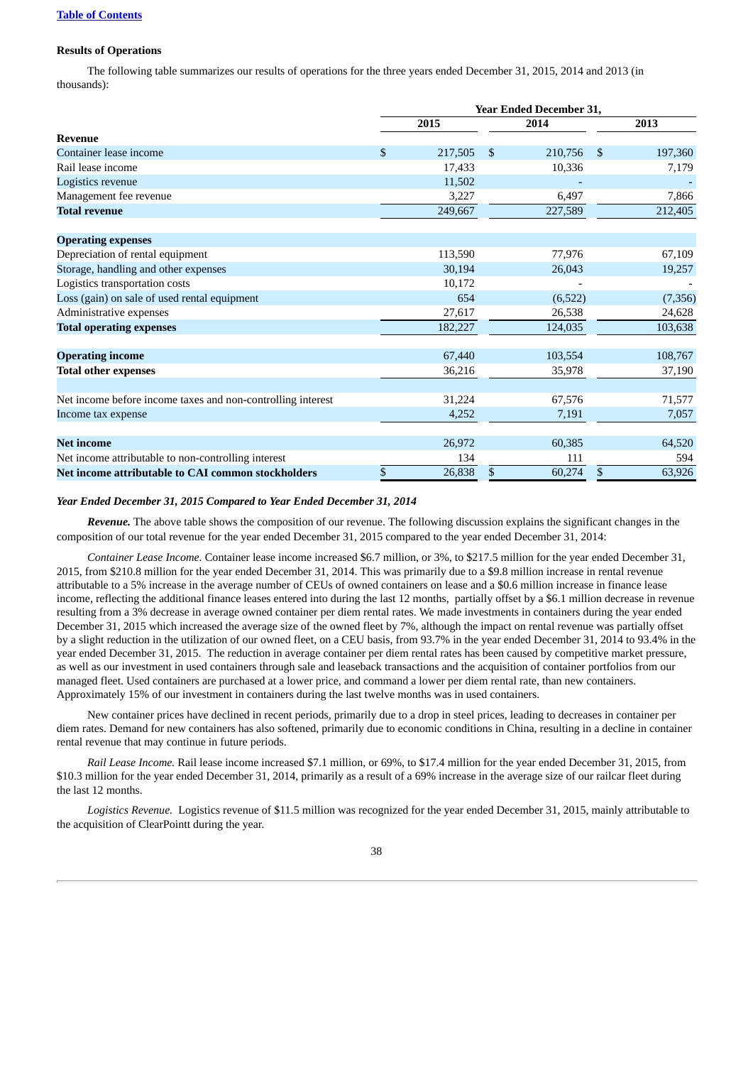### **Results of Operations**

The following table summarizes our results of operations for the three years ended December 31, 2015, 2014 and 2013 (in thousands):

|                                                             | <b>Year Ended December 31,</b> |         |                    |         |    |          |  |
|-------------------------------------------------------------|--------------------------------|---------|--------------------|---------|----|----------|--|
|                                                             |                                | 2015    |                    | 2014    |    | 2013     |  |
| <b>Revenue</b>                                              |                                |         |                    |         |    |          |  |
| Container lease income                                      | \$                             | 217,505 | $\mathbf{\hat{S}}$ | 210,756 | \$ | 197,360  |  |
| Rail lease income                                           |                                | 17,433  |                    | 10,336  |    | 7,179    |  |
| Logistics revenue                                           |                                | 11,502  |                    |         |    |          |  |
| Management fee revenue                                      |                                | 3,227   |                    | 6,497   |    | 7,866    |  |
| <b>Total revenue</b>                                        |                                | 249,667 |                    | 227,589 |    | 212,405  |  |
| <b>Operating expenses</b>                                   |                                |         |                    |         |    |          |  |
| Depreciation of rental equipment                            |                                | 113,590 |                    | 77,976  |    | 67,109   |  |
| Storage, handling and other expenses                        |                                | 30,194  |                    | 26,043  |    | 19,257   |  |
| Logistics transportation costs                              |                                | 10,172  |                    |         |    |          |  |
| Loss (gain) on sale of used rental equipment                |                                | 654     |                    | (6,522) |    | (7, 356) |  |
| Administrative expenses                                     |                                | 27,617  |                    | 26,538  |    | 24,628   |  |
| <b>Total operating expenses</b>                             |                                | 182,227 |                    | 124,035 |    | 103,638  |  |
| <b>Operating income</b>                                     |                                | 67,440  |                    | 103,554 |    | 108,767  |  |
| <b>Total other expenses</b>                                 |                                | 36,216  |                    | 35,978  |    | 37,190   |  |
|                                                             |                                |         |                    |         |    |          |  |
| Net income before income taxes and non-controlling interest |                                | 31,224  |                    | 67,576  |    | 71,577   |  |
| Income tax expense                                          |                                | 4,252   |                    | 7,191   |    | 7,057    |  |
|                                                             |                                |         |                    |         |    |          |  |
| <b>Net income</b>                                           |                                | 26,972  |                    | 60,385  |    | 64,520   |  |
| Net income attributable to non-controlling interest         |                                | 134     |                    | 111     |    | 594      |  |
| Net income attributable to CAI common stockholders          | \$                             | 26,838  | \$                 | 60,274  | \$ | 63,926   |  |

### *Year Ended December 31, 2015 Compared to Year Ended December 31, 2014*

*Revenue.* The above table shows the composition of our revenue. The following discussion explains the significant changes in the composition of our total revenue for the year ended December 31, 2015 compared to the year ended December 31, 2014:

*Container Lease Income.* Container lease income increased \$6.7 million, or 3%, to \$217.5 million for the year ended December 31, 2015, from \$210.8 million for the year ended December 31, 2014. This was primarily due to a \$9.8 million increase in rental revenue attributable to a 5% increase in the average number of CEUs of owned containers on lease and a \$0.6 million increase in finance lease income, reflecting the additional finance leases entered into during the last 12 months, partially offset by a \$6.1 million decrease in revenue resulting from a 3% decrease in average owned container per diem rental rates. We made investments in containers during the year ended December 31, 2015 which increased the average size of the owned fleet by 7%, although the impact on rental revenue was partially offset by a slight reduction in the utilization of our owned fleet, on a CEU basis, from 93.7% in the year ended December 31, 2014 to 93.4% in the year ended December 31, 2015. The reduction in average container per diem rental rates has been caused by competitive market pressure, as well as our investment in used containers through sale and leaseback transactions and the acquisition of container portfolios from our managed fleet. Used containers are purchased at a lower price, and command a lower per diem rental rate, than new containers. Approximately 15% of our investment in containers during the last twelve months was in used containers.

New container prices have declined in recent periods, primarily due to a drop in steel prices, leading to decreases in container per diem rates. Demand for new containers has also softened, primarily due to economic conditions in China, resulting in a decline in container rental revenue that may continue in future periods.

*Rail Lease Income.* Rail lease income increased \$7.1 million, or 69%, to \$17.4 million for the year ended December 31, 2015, from \$10.3 million for the year ended December 31, 2014, primarily as a result of a 69% increase in the average size of our railcar fleet during the last 12 months.

*Logistics Revenue.* Logistics revenue of \$11.5 million was recognized for the year ended December 31, 2015, mainly attributable to the acquisition of ClearPointt during the year.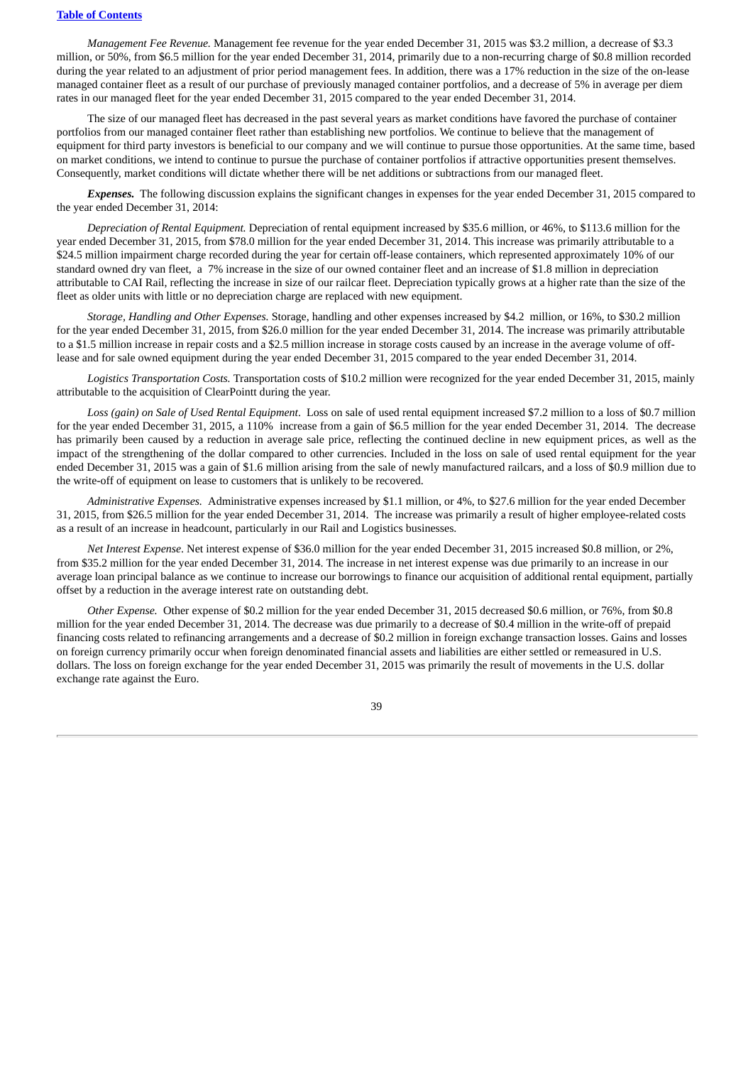*Management Fee Revenue.* Management fee revenue for the year ended December 31, 2015 was \$3.2 million, a decrease of \$3.3 million, or 50%, from \$6.5 million for the year ended December 31, 2014, primarily due to a non-recurring charge of \$0.8 million recorded during the year related to an adjustment of prior period management fees. In addition, there was a 17% reduction in the size of the on-lease managed container fleet as a result of our purchase of previously managed container portfolios, and a decrease of 5% in average per diem rates in our managed fleet for the year ended December 31, 2015 compared to the year ended December 31, 2014.

The size of our managed fleet has decreased in the past several years as market conditions have favored the purchase of container portfolios from our managed container fleet rather than establishing new portfolios. We continue to believe that the management of equipment for third party investors is beneficial to our company and we will continue to pursue those opportunities. At the same time, based on market conditions, we intend to continue to pursue the purchase of container portfolios if attractive opportunities present themselves. Consequently, market conditions will dictate whether there will be net additions or subtractions from our managed fleet.

*Expenses.* The following discussion explains the significant changes in expenses for the year ended December 31, 2015 compared to the year ended December 31, 2014:

*Depreciation of Rental Equipment.* Depreciation of rental equipment increased by \$35.6 million, or 46%, to \$113.6 million for the year ended December 31, 2015, from \$78.0 million for the year ended December 31, 2014. This increase was primarily attributable to a \$24.5 million impairment charge recorded during the year for certain off-lease containers, which represented approximately 10% of our standard owned dry van fleet, a 7% increase in the size of our owned container fleet and an increase of \$1.8 million in depreciation attributable to CAI Rail, reflecting the increase in size of our railcar fleet. Depreciation typically grows at a higher rate than the size of the fleet as older units with little or no depreciation charge are replaced with new equipment.

*Storage, Handling and Other Expenses.* Storage, handling and other expenses increased by \$4.2 million, or 16%, to \$30.2 million for the year ended December 31, 2015, from \$26.0 million for the year ended December 31, 2014. The increase was primarily attributable to a \$1.5 million increase in repair costs and a \$2.5 million increase in storage costs caused by an increase in the average volume of offlease and for sale owned equipment during the year ended December 31, 2015 compared to the year ended December 31, 2014.

*Logistics Transportation Costs.* Transportation costs of \$10.2 million were recognized for the year ended December 31, 2015, mainly attributable to the acquisition of ClearPointt during the year.

*Loss (gain) on Sale of Used Rental Equipment*. Loss on sale of used rental equipment increased \$7.2 million to a loss of \$0.7 million for the year ended December 31, 2015, a 110% increase from a gain of \$6.5 million for the year ended December 31, 2014. The decrease has primarily been caused by a reduction in average sale price, reflecting the continued decline in new equipment prices, as well as the impact of the strengthening of the dollar compared to other currencies. Included in the loss on sale of used rental equipment for the year ended December 31, 2015 was a gain of \$1.6 million arising from the sale of newly manufactured railcars, and a loss of \$0.9 million due to the write-off of equipment on lease to customers that is unlikely to be recovered.

*Administrative Expenses.* Administrative expenses increased by \$1.1 million, or 4%, to \$27.6 million for the year ended December 31, 2015, from \$26.5 million for the year ended December 31, 2014. The increase was primarily a result of higher employee-related costs as a result of an increase in headcount, particularly in our Rail and Logistics businesses.

*Net Interest Expense*. Net interest expense of \$36.0 million for the year ended December 31, 2015 increased \$0.8 million, or 2%, from \$35.2 million for the year ended December 31, 2014. The increase in net interest expense was due primarily to an increase in our average loan principal balance as we continue to increase our borrowings to finance our acquisition of additional rental equipment, partially offset by a reduction in the average interest rate on outstanding debt.

*Other Expense.* Other expense of \$0.2 million for the year ended December 31, 2015 decreased \$0.6 million, or 76%, from \$0.8 million for the year ended December 31, 2014. The decrease was due primarily to a decrease of \$0.4 million in the write-off of prepaid financing costs related to refinancing arrangements and a decrease of \$0.2 million in foreign exchange transaction losses. Gains and losses on foreign currency primarily occur when foreign denominated financial assets and liabilities are either settled or remeasured in U.S. dollars. The loss on foreign exchange for the year ended December 31, 2015 was primarily the result of movements in the U.S. dollar exchange rate against the Euro.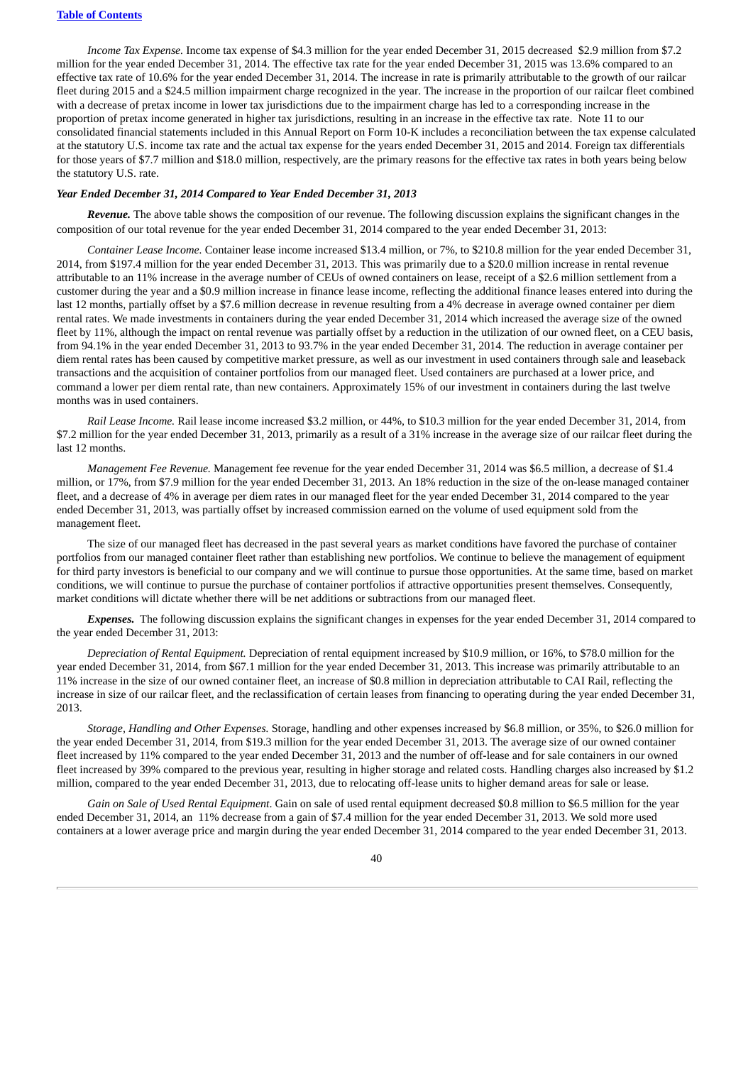*Income Tax Expense.* Income tax expense of \$4.3 million for the year ended December 31, 2015 decreased \$2.9 million from \$7.2 million for the year ended December 31, 2014. The effective tax rate for the year ended December 31, 2015 was 13.6% compared to an effective tax rate of 10.6% for the year ended December 31, 2014. The increase in rate is primarily attributable to the growth of our railcar fleet during 2015 and a \$24.5 million impairment charge recognized in the year. The increase in the proportion of our railcar fleet combined with a decrease of pretax income in lower tax jurisdictions due to the impairment charge has led to a corresponding increase in the proportion of pretax income generated in higher tax jurisdictions, resulting in an increase in the effective tax rate. Note 11 to our consolidated financial statements included in this Annual Report on Form 10-K includes a reconciliation between the tax expense calculated at the statutory U.S. income tax rate and the actual tax expense for the years ended December 31, 2015 and 2014. Foreign tax differentials for those years of \$7.7 million and \$18.0 million, respectively, are the primary reasons for the effective tax rates in both years being below the statutory U.S. rate.

#### *Year Ended December 31, 2014 Compared to Year Ended December 31, 2013*

*Revenue.* The above table shows the composition of our revenue. The following discussion explains the significant changes in the composition of our total revenue for the year ended December 31, 2014 compared to the year ended December 31, 2013:

*Container Lease Income.* Container lease income increased \$13.4 million, or 7%, to \$210.8 million for the year ended December 31, 2014, from \$197.4 million for the year ended December 31, 2013. This was primarily due to a \$20.0 million increase in rental revenue attributable to an 11% increase in the average number of CEUs of owned containers on lease, receipt of a \$2.6 million settlement from a customer during the year and a \$0.9 million increase in finance lease income, reflecting the additional finance leases entered into during the last 12 months, partially offset by a \$7.6 million decrease in revenue resulting from a 4% decrease in average owned container per diem rental rates. We made investments in containers during the year ended December 31, 2014 which increased the average size of the owned fleet by 11%, although the impact on rental revenue was partially offset by a reduction in the utilization of our owned fleet, on a CEU basis, from 94.1% in the year ended December 31, 2013 to 93.7% in the year ended December 31, 2014. The reduction in average container per diem rental rates has been caused by competitive market pressure, as well as our investment in used containers through sale and leaseback transactions and the acquisition of container portfolios from our managed fleet. Used containers are purchased at a lower price, and command a lower per diem rental rate, than new containers. Approximately 15% of our investment in containers during the last twelve months was in used containers.

*Rail Lease Income.* Rail lease income increased \$3.2 million, or 44%, to \$10.3 million for the year ended December 31, 2014, from \$7.2 million for the year ended December 31, 2013, primarily as a result of a 31% increase in the average size of our railcar fleet during the last 12 months.

*Management Fee Revenue.* Management fee revenue for the year ended December 31, 2014 was \$6.5 million, a decrease of \$1.4 million, or 17%, from \$7.9 million for the year ended December 31, 2013. An 18% reduction in the size of the on-lease managed container fleet, and a decrease of 4% in average per diem rates in our managed fleet for the year ended December 31, 2014 compared to the year ended December 31, 2013, was partially offset by increased commission earned on the volume of used equipment sold from the management fleet.

The size of our managed fleet has decreased in the past several years as market conditions have favored the purchase of container portfolios from our managed container fleet rather than establishing new portfolios. We continue to believe the management of equipment for third party investors is beneficial to our company and we will continue to pursue those opportunities. At the same time, based on market conditions, we will continue to pursue the purchase of container portfolios if attractive opportunities present themselves. Consequently, market conditions will dictate whether there will be net additions or subtractions from our managed fleet.

*Expenses.* The following discussion explains the significant changes in expenses for the year ended December 31, 2014 compared to the year ended December 31, 2013:

*Depreciation of Rental Equipment.* Depreciation of rental equipment increased by \$10.9 million, or 16%, to \$78.0 million for the year ended December 31, 2014, from \$67.1 million for the year ended December 31, 2013. This increase was primarily attributable to an 11% increase in the size of our owned container fleet, an increase of \$0.8 million in depreciation attributable to CAI Rail, reflecting the increase in size of our railcar fleet, and the reclassification of certain leases from financing to operating during the year ended December 31, 2013.

*Storage, Handling and Other Expenses.* Storage, handling and other expenses increased by \$6.8 million, or 35%, to \$26.0 million for the year ended December 31, 2014, from \$19.3 million for the year ended December 31, 2013. The average size of our owned container fleet increased by 11% compared to the year ended December 31, 2013 and the number of off-lease and for sale containers in our owned fleet increased by 39% compared to the previous year, resulting in higher storage and related costs. Handling charges also increased by \$1.2 million, compared to the year ended December 31, 2013, due to relocating off-lease units to higher demand areas for sale or lease.

*Gain on Sale of Used Rental Equipment*. Gain on sale of used rental equipment decreased \$0.8 million to \$6.5 million for the year ended December 31, 2014, an 11% decrease from a gain of \$7.4 million for the year ended December 31, 2013. We sold more used containers at a lower average price and margin during the year ended December 31, 2014 compared to the year ended December 31, 2013.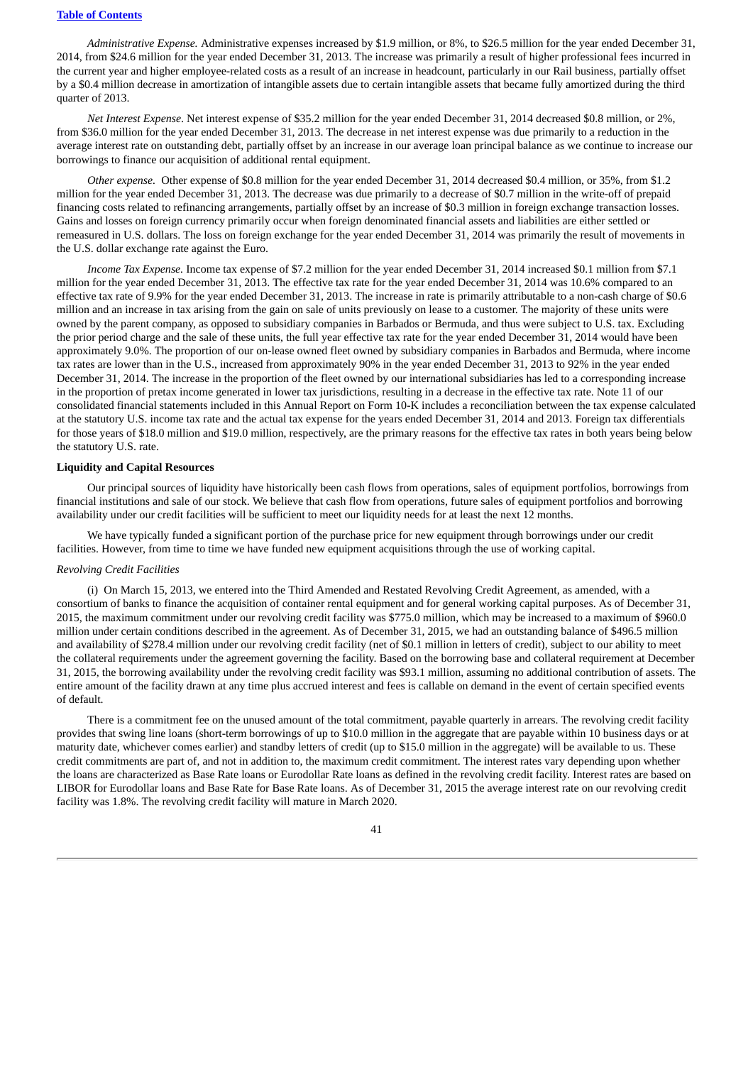*Administrative Expense.* Administrative expenses increased by \$1.9 million, or 8%, to \$26.5 million for the year ended December 31, 2014, from \$24.6 million for the year ended December 31, 2013. The increase was primarily a result of higher professional fees incurred in the current year and higher employee-related costs as a result of an increase in headcount, particularly in our Rail business, partially offset by a \$0.4 million decrease in amortization of intangible assets due to certain intangible assets that became fully amortized during the third quarter of 2013.

*Net Interest Expense*. Net interest expense of \$35.2 million for the year ended December 31, 2014 decreased \$0.8 million, or 2%, from \$36.0 million for the year ended December 31, 2013. The decrease in net interest expense was due primarily to a reduction in the average interest rate on outstanding debt, partially offset by an increase in our average loan principal balance as we continue to increase our borrowings to finance our acquisition of additional rental equipment.

*Other expense.* Other expense of \$0.8 million for the year ended December 31, 2014 decreased \$0.4 million, or 35%, from \$1.2 million for the year ended December 31, 2013. The decrease was due primarily to a decrease of \$0.7 million in the write-off of prepaid financing costs related to refinancing arrangements, partially offset by an increase of \$0.3 million in foreign exchange transaction losses. Gains and losses on foreign currency primarily occur when foreign denominated financial assets and liabilities are either settled or remeasured in U.S. dollars. The loss on foreign exchange for the year ended December 31, 2014 was primarily the result of movements in the U.S. dollar exchange rate against the Euro.

*Income Tax Expense.* Income tax expense of \$7.2 million for the year ended December 31, 2014 increased \$0.1 million from \$7.1 million for the year ended December 31, 2013. The effective tax rate for the year ended December 31, 2014 was 10.6% compared to an effective tax rate of 9.9% for the year ended December 31, 2013. The increase in rate is primarily attributable to a non-cash charge of \$0.6 million and an increase in tax arising from the gain on sale of units previously on lease to a customer. The majority of these units were owned by the parent company, as opposed to subsidiary companies in Barbados or Bermuda, and thus were subject to U.S. tax. Excluding the prior period charge and the sale of these units, the full year effective tax rate for the year ended December 31, 2014 would have been approximately 9.0%. The proportion of our on-lease owned fleet owned by subsidiary companies in Barbados and Bermuda, where income tax rates are lower than in the U.S., increased from approximately 90% in the year ended December 31, 2013 to 92% in the year ended December 31, 2014. The increase in the proportion of the fleet owned by our international subsidiaries has led to a corresponding increase in the proportion of pretax income generated in lower tax jurisdictions, resulting in a decrease in the effective tax rate. Note 11 of our consolidated financial statements included in this Annual Report on Form 10-K includes a reconciliation between the tax expense calculated at the statutory U.S. income tax rate and the actual tax expense for the years ended December 31, 2014 and 2013. Foreign tax differentials for those years of \$18.0 million and \$19.0 million, respectively, are the primary reasons for the effective tax rates in both years being below the statutory U.S. rate.

### **Liquidity and Capital Resources**

Our principal sources of liquidity have historically been cash flows from operations, sales of equipment portfolios, borrowings from financial institutions and sale of our stock. We believe that cash flow from operations, future sales of equipment portfolios and borrowing availability under our credit facilities will be sufficient to meet our liquidity needs for at least the next 12 months.

We have typically funded a significant portion of the purchase price for new equipment through borrowings under our credit facilities. However, from time to time we have funded new equipment acquisitions through the use of working capital.

#### *Revolving Credit Facilities*

(i) On March 15, 2013, we entered into the Third Amended and Restated Revolving Credit Agreement, as amended, with a consortium of banks to finance the acquisition of container rental equipment and for general working capital purposes. As of December 31, 2015, the maximum commitment under our revolving credit facility was \$775.0 million, which may be increased to a maximum of \$960.0 million under certain conditions described in the agreement. As of December 31, 2015, we had an outstanding balance of \$496.5 million and availability of \$278.4 million under our revolving credit facility (net of \$0.1 million in letters of credit), subject to our ability to meet the collateral requirements under the agreement governing the facility. Based on the borrowing base and collateral requirement at December 31, 2015, the borrowing availability under the revolving credit facility was \$93.1 million, assuming no additional contribution of assets. The entire amount of the facility drawn at any time plus accrued interest and fees is callable on demand in the event of certain specified events of default.

There is a commitment fee on the unused amount of the total commitment, payable quarterly in arrears. The revolving credit facility provides that swing line loans (short-term borrowings of up to \$10.0 million in the aggregate that are payable within 10 business days or at maturity date, whichever comes earlier) and standby letters of credit (up to \$15.0 million in the aggregate) will be available to us. These credit commitments are part of, and not in addition to, the maximum credit commitment. The interest rates vary depending upon whether the loans are characterized as Base Rate loans or Eurodollar Rate loans as defined in the revolving credit facility. Interest rates are based on LIBOR for Eurodollar loans and Base Rate for Base Rate loans. As of December 31, 2015 the average interest rate on our revolving credit facility was 1.8%. The revolving credit facility will mature in March 2020.

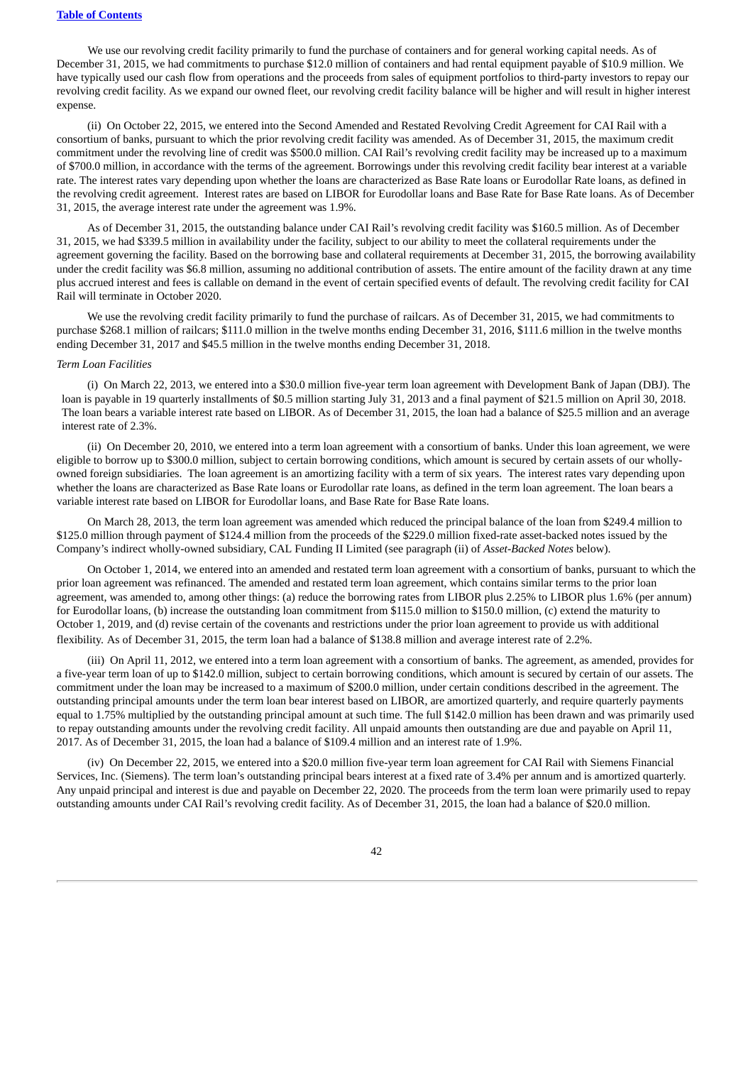We use our revolving credit facility primarily to fund the purchase of containers and for general working capital needs. As of December 31, 2015, we had commitments to purchase \$12.0 million of containers and had rental equipment payable of \$10.9 million. We have typically used our cash flow from operations and the proceeds from sales of equipment portfolios to third-party investors to repay our revolving credit facility. As we expand our owned fleet, our revolving credit facility balance will be higher and will result in higher interest expense.

(ii) On October 22, 2015, we entered into the Second Amended and Restated Revolving Credit Agreement for CAI Rail with a consortium of banks, pursuant to which the prior revolving credit facility was amended. As of December 31, 2015, the maximum credit commitment under the revolving line of credit was \$500.0 million. CAI Rail's revolving credit facility may be increased up to a maximum of \$700.0 million, in accordance with the terms of the agreement. Borrowings under this revolving credit facility bear interest at a variable rate. The interest rates vary depending upon whether the loans are characterized as Base Rate loans or Eurodollar Rate loans, as defined in the revolving credit agreement. Interest rates are based on LIBOR for Eurodollar loans and Base Rate for Base Rate loans. As of December 31, 2015, the average interest rate under the agreement was 1.9%.

As of December 31, 2015, the outstanding balance under CAI Rail's revolving credit facility was \$160.5 million. As of December 31, 2015, we had \$339.5 million in availability under the facility, subject to our ability to meet the collateral requirements under the agreement governing the facility. Based on the borrowing base and collateral requirements at December 31, 2015, the borrowing availability under the credit facility was \$6.8 million, assuming no additional contribution of assets. The entire amount of the facility drawn at any time plus accrued interest and fees is callable on demand in the event of certain specified events of default. The revolving credit facility for CAI Rail will terminate in October 2020.

We use the revolving credit facility primarily to fund the purchase of railcars. As of December 31, 2015, we had commitments to purchase \$268.1 million of railcars; \$111.0 million in the twelve months ending December 31, 2016, \$111.6 million in the twelve months ending December 31, 2017 and \$45.5 million in the twelve months ending December 31, 2018.

### *Term Loan Facilities*

(i) On March 22, 2013, we entered into a \$30.0 million five-year term loan agreement with Development Bank of Japan (DBJ). The loan is payable in 19 quarterly installments of \$0.5 million starting July 31, 2013 and a final payment of \$21.5 million on April 30, 2018. The loan bears a variable interest rate based on LIBOR. As of December 31, 2015, the loan had a balance of \$25.5 million and an average interest rate of 2.3%.

(ii) On December 20, 2010, we entered into a term loan agreement with a consortium of banks. Under this loan agreement, we were eligible to borrow up to \$300.0 million, subject to certain borrowing conditions, which amount is secured by certain assets of our whollyowned foreign subsidiaries. The loan agreement is an amortizing facility with a term of six years. The interest rates vary depending upon whether the loans are characterized as Base Rate loans or Eurodollar rate loans, as defined in the term loan agreement. The loan bears a variable interest rate based on LIBOR for Eurodollar loans, and Base Rate for Base Rate loans.

On March 28, 2013, the term loan agreement was amended which reduced the principal balance of the loan from \$249.4 million to \$125.0 million through payment of \$124.4 million from the proceeds of the \$229.0 million fixed-rate asset-backed notes issued by the Company's indirect wholly-owned subsidiary, CAL Funding II Limited (see paragraph (ii) of *Asset-Backed Notes* below).

On October 1, 2014, we entered into an amended and restated term loan agreement with a consortium of banks, pursuant to which the prior loan agreement was refinanced. The amended and restated term loan agreement, which contains similar terms to the prior loan agreement, was amended to, among other things: (a) reduce the borrowing rates from LIBOR plus 2.25% to LIBOR plus 1.6% (per annum) for Eurodollar loans, (b) increase the outstanding loan commitment from \$115.0 million to \$150.0 million, (c) extend the maturity to October 1, 2019, and (d) revise certain of the covenants and restrictions under the prior loan agreement to provide us with additional flexibility. As of December 31, 2015, the term loan had a balance of \$138.8 million and average interest rate of 2.2%.

(iii) On April 11, 2012, we entered into a term loan agreement with a consortium of banks. The agreement, as amended, provides for a five-year term loan of up to \$142.0 million, subject to certain borrowing conditions, which amount is secured by certain of our assets. The commitment under the loan may be increased to a maximum of \$200.0 million, under certain conditions described in the agreement. The outstanding principal amounts under the term loan bear interest based on LIBOR, are amortized quarterly, and require quarterly payments equal to 1.75% multiplied by the outstanding principal amount at such time. The full \$142.0 million has been drawn and was primarily used to repay outstanding amounts under the revolving credit facility. All unpaid amounts then outstanding are due and payable on April 11, 2017. As of December 31, 2015, the loan had a balance of \$109.4 million and an interest rate of 1.9%.

(iv) On December 22, 2015, we entered into a \$20.0 million five-year term loan agreement for CAI Rail with Siemens Financial Services, Inc. (Siemens). The term loan's outstanding principal bears interest at a fixed rate of 3.4% per annum and is amortized quarterly. Any unpaid principal and interest is due and payable on December 22, 2020. The proceeds from the term loan were primarily used to repay outstanding amounts under CAI Rail's revolving credit facility. As of December 31, 2015, the loan had a balance of \$20.0 million.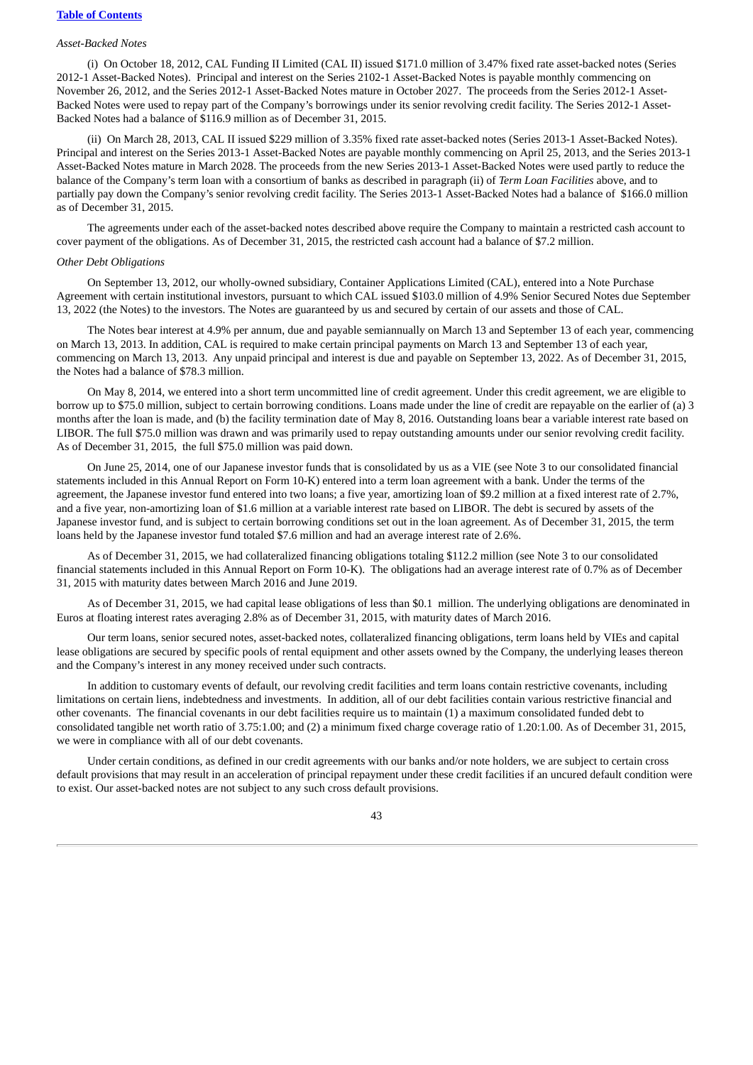### *Asset-Backed Notes*

(i) On October 18, 2012, CAL Funding II Limited (CAL II) issued \$171.0 million of 3.47% fixed rate asset-backed notes (Series 2012-1 Asset-Backed Notes). Principal and interest on the Series 2102-1 Asset-Backed Notes is payable monthly commencing on November 26, 2012, and the Series 2012-1 Asset-Backed Notes mature in October 2027. The proceeds from the Series 2012-1 Asset-Backed Notes were used to repay part of the Company's borrowings under its senior revolving credit facility. The Series 2012-1 Asset-Backed Notes had a balance of \$116.9 million as of December 31, 2015.

(ii) On March 28, 2013, CAL II issued \$229 million of 3.35% fixed rate asset-backed notes (Series 2013-1 Asset-Backed Notes). Principal and interest on the Series 2013-1 Asset-Backed Notes are payable monthly commencing on April 25, 2013, and the Series 2013-1 Asset-Backed Notes mature in March 2028. The proceeds from the new Series 2013-1 Asset-Backed Notes were used partly to reduce the balance of the Company's term loan with a consortium of banks as described in paragraph (ii) of *Term Loan Facilities* above, and to partially pay down the Company's senior revolving credit facility. The Series 2013-1 Asset-Backed Notes had a balance of \$166.0 million as of December 31, 2015.

The agreements under each of the asset-backed notes described above require the Company to maintain a restricted cash account to cover payment of the obligations. As of December 31, 2015, the restricted cash account had a balance of \$7.2 million.

#### *Other Debt Obligations*

On September 13, 2012, our wholly-owned subsidiary, Container Applications Limited (CAL), entered into a Note Purchase Agreement with certain institutional investors, pursuant to which CAL issued \$103.0 million of 4.9% Senior Secured Notes due September 13, 2022 (the Notes) to the investors. The Notes are guaranteed by us and secured by certain of our assets and those of CAL.

The Notes bear interest at 4.9% per annum, due and payable semiannually on March 13 and September 13 of each year, commencing on March 13, 2013. In addition, CAL is required to make certain principal payments on March 13 and September 13 of each year, commencing on March 13, 2013. Any unpaid principal and interest is due and payable on September 13, 2022. As of December 31, 2015, the Notes had a balance of \$78.3 million.

On May 8, 2014, we entered into a short term uncommitted line of credit agreement. Under this credit agreement, we are eligible to borrow up to \$75.0 million, subject to certain borrowing conditions. Loans made under the line of credit are repayable on the earlier of (a) 3 months after the loan is made, and (b) the facility termination date of May 8, 2016. Outstanding loans bear a variable interest rate based on LIBOR. The full \$75.0 million was drawn and was primarily used to repay outstanding amounts under our senior revolving credit facility. As of December 31, 2015, the full \$75.0 million was paid down.

On June 25, 2014, one of our Japanese investor funds that is consolidated by us as a VIE (see Note 3 to our consolidated financial statements included in this Annual Report on Form 10-K) entered into a term loan agreement with a bank. Under the terms of the agreement, the Japanese investor fund entered into two loans; a five year, amortizing loan of \$9.2 million at a fixed interest rate of 2.7%, and a five year, non-amortizing loan of \$1.6 million at a variable interest rate based on LIBOR. The debt is secured by assets of the Japanese investor fund, and is subject to certain borrowing conditions set out in the loan agreement. As of December 31, 2015, the term loans held by the Japanese investor fund totaled \$7.6 million and had an average interest rate of 2.6%.

As of December 31, 2015, we had collateralized financing obligations totaling \$112.2 million (see Note 3 to our consolidated financial statements included in this Annual Report on Form 10-K). The obligations had an average interest rate of 0.7% as of December 31, 2015 with maturity dates between March 2016 and June 2019.

As of December 31, 2015, we had capital lease obligations of less than \$0.1 million. The underlying obligations are denominated in Euros at floating interest rates averaging 2.8% as of December 31, 2015, with maturity dates of March 2016.

Our term loans, senior secured notes, asset-backed notes, collateralized financing obligations, term loans held by VIEs and capital lease obligations are secured by specific pools of rental equipment and other assets owned by the Company, the underlying leases thereon and the Company's interest in any money received under such contracts.

In addition to customary events of default, our revolving credit facilities and term loans contain restrictive covenants, including limitations on certain liens, indebtedness and investments. In addition, all of our debt facilities contain various restrictive financial and other covenants. The financial covenants in our debt facilities require us to maintain (1) a maximum consolidated funded debt to consolidated tangible net worth ratio of 3.75:1.00; and (2) a minimum fixed charge coverage ratio of 1.20:1.00. As of December 31, 2015, we were in compliance with all of our debt covenants.

Under certain conditions, as defined in our credit agreements with our banks and/or note holders, we are subject to certain cross default provisions that may result in an acceleration of principal repayment under these credit facilities if an uncured default condition were to exist. Our asset-backed notes are not subject to any such cross default provisions.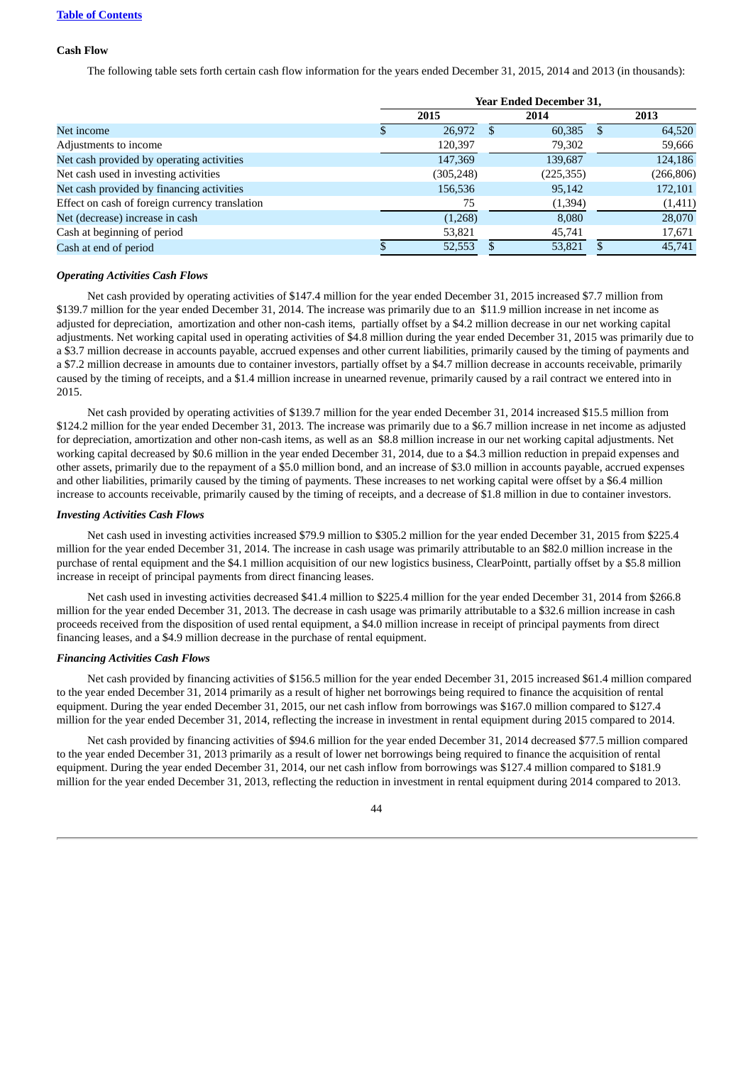## **Cash Flow**

The following table sets forth certain cash flow information for the years ended December 31, 2015, 2014 and 2013 (in thousands):

|                                                | <b>Year Ended December 31,</b> |            |  |            |    |            |  |
|------------------------------------------------|--------------------------------|------------|--|------------|----|------------|--|
|                                                |                                | 2015       |  | 2014       |    | 2013       |  |
| Net income                                     |                                | 26,972     |  | 60,385     | -S | 64,520     |  |
| Adjustments to income                          |                                | 120,397    |  | 79,302     |    | 59,666     |  |
| Net cash provided by operating activities      |                                | 147,369    |  | 139,687    |    | 124,186    |  |
| Net cash used in investing activities          |                                | (305, 248) |  | (225, 355) |    | (266, 806) |  |
| Net cash provided by financing activities      |                                | 156,536    |  | 95,142     |    | 172,101    |  |
| Effect on cash of foreign currency translation |                                | 75         |  | (1,394)    |    | (1, 411)   |  |
| Net (decrease) increase in cash                |                                | (1,268)    |  | 8,080      |    | 28,070     |  |
| Cash at beginning of period                    |                                | 53,821     |  | 45,741     |    | 17,671     |  |
| Cash at end of period                          |                                | 52,553     |  | 53,821     |    | 45,741     |  |

### *Operating Activities Cash Flows*

Net cash provided by operating activities of \$147.4 million for the year ended December 31, 2015 increased \$7.7 million from \$139.7 million for the year ended December 31, 2014. The increase was primarily due to an \$11.9 million increase in net income as adjusted for depreciation, amortization and other non-cash items, partially offset by a \$4.2 million decrease in our net working capital adjustments. Net working capital used in operating activities of \$4.8 million during the year ended December 31, 2015 was primarily due to a \$3.7 million decrease in accounts payable, accrued expenses and other current liabilities, primarily caused by the timing of payments and a \$7.2 million decrease in amounts due to container investors, partially offset by a \$4.7 million decrease in accounts receivable, primarily caused by the timing of receipts, and a \$1.4 million increase in unearned revenue, primarily caused by a rail contract we entered into in 2015.

Net cash provided by operating activities of \$139.7 million for the year ended December 31, 2014 increased \$15.5 million from \$124.2 million for the year ended December 31, 2013. The increase was primarily due to a \$6.7 million increase in net income as adjusted for depreciation, amortization and other non-cash items, as well as an \$8.8 million increase in our net working capital adjustments. Net working capital decreased by \$0.6 million in the year ended December 31, 2014, due to a \$4.3 million reduction in prepaid expenses and other assets, primarily due to the repayment of a \$5.0 million bond, and an increase of \$3.0 million in accounts payable, accrued expenses and other liabilities, primarily caused by the timing of payments. These increases to net working capital were offset by a \$6.4 million increase to accounts receivable, primarily caused by the timing of receipts, and a decrease of \$1.8 million in due to container investors.

### *Investing Activities Cash Flows*

Net cash used in investing activities increased \$79.9 million to \$305.2 million for the year ended December 31, 2015 from \$225.4 million for the year ended December 31, 2014. The increase in cash usage was primarily attributable to an \$82.0 million increase in the purchase of rental equipment and the \$4.1 million acquisition of our new logistics business, ClearPointt, partially offset by a \$5.8 million increase in receipt of principal payments from direct financing leases.

Net cash used in investing activities decreased \$41.4 million to \$225.4 million for the year ended December 31, 2014 from \$266.8 million for the year ended December 31, 2013. The decrease in cash usage was primarily attributable to a \$32.6 million increase in cash proceeds received from the disposition of used rental equipment, a \$4.0 million increase in receipt of principal payments from direct financing leases, and a \$4.9 million decrease in the purchase of rental equipment.

### *Financing Activities Cash Flows*

Net cash provided by financing activities of \$156.5 million for the year ended December 31, 2015 increased \$61.4 million compared to the year ended December 31, 2014 primarily as a result of higher net borrowings being required to finance the acquisition of rental equipment. During the year ended December 31, 2015, our net cash inflow from borrowings was \$167.0 million compared to \$127.4 million for the year ended December 31, 2014, reflecting the increase in investment in rental equipment during 2015 compared to 2014.

Net cash provided by financing activities of \$94.6 million for the year ended December 31, 2014 decreased \$77.5 million compared to the year ended December 31, 2013 primarily as a result of lower net borrowings being required to finance the acquisition of rental equipment. During the year ended December 31, 2014, our net cash inflow from borrowings was \$127.4 million compared to \$181.9 million for the year ended December 31, 2013, reflecting the reduction in investment in rental equipment during 2014 compared to 2013.

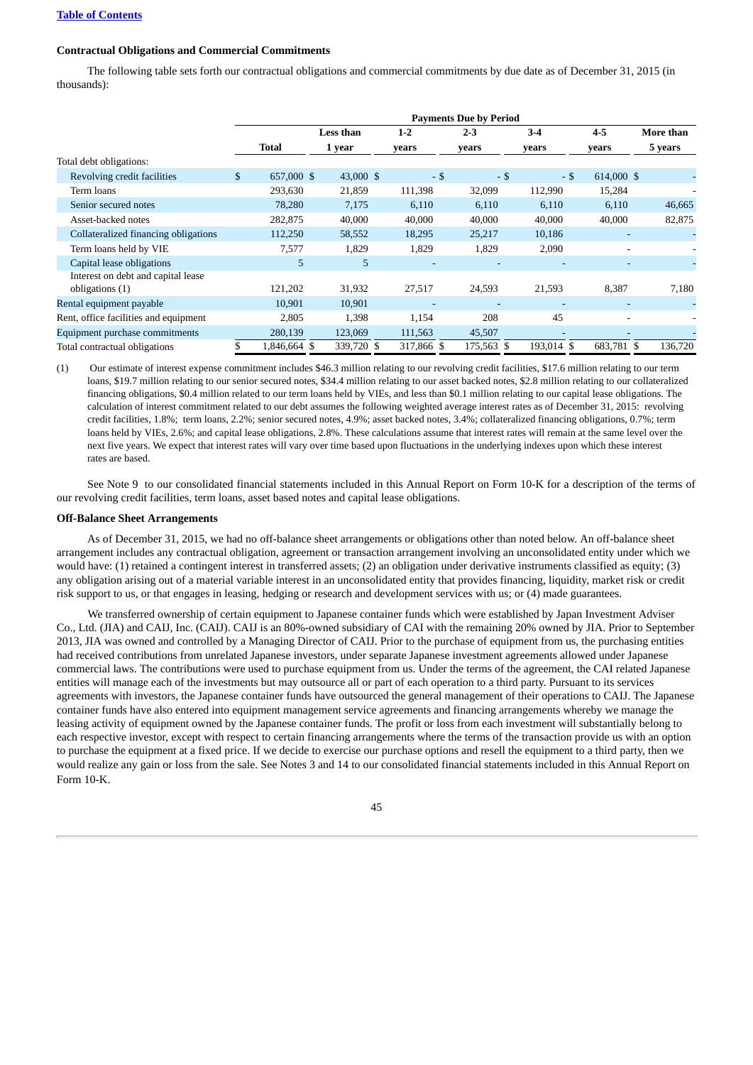## **Contractual Obligations and Commercial Commitments**

The following table sets forth our contractual obligations and commercial commitments by due date as of December 31, 2015 (in thousands):

|                                       |                  |                  |            | <b>Payments Due by Period</b> |            |            |           |
|---------------------------------------|------------------|------------------|------------|-------------------------------|------------|------------|-----------|
|                                       |                  | <b>Less than</b> | $1-2$      | $2 - 3$                       | $3-4$      | $4 - 5$    | More than |
|                                       | Total            | 1 year           | years      | years                         | years      | years      | 5 years   |
| Total debt obligations:               |                  |                  |            |                               |            |            |           |
| Revolving credit facilities           | \$<br>657,000 \$ | 43,000 \$        | $-$ \$     | $-$ \$                        | $-$ \$     | 614,000 \$ |           |
| Term loans                            | 293,630          | 21,859           | 111,398    | 32,099                        | 112,990    | 15,284     |           |
| Senior secured notes                  | 78,280           | 7,175            | 6,110      | 6,110                         | 6,110      | 6,110      | 46,665    |
| Asset-backed notes                    | 282,875          | 40,000           | 40,000     | 40,000                        | 40,000     | 40,000     | 82,875    |
| Collateralized financing obligations  | 112,250          | 58,552           | 18,295     | 25,217                        | 10,186     |            |           |
| Term loans held by VIE                | 7,577            | 1,829            | 1,829      | 1,829                         | 2,090      |            |           |
| Capital lease obligations             | 5                | 5                |            |                               |            |            |           |
| Interest on debt and capital lease    |                  |                  |            |                               |            |            |           |
| obligations (1)                       | 121,202          | 31,932           | 27,517     | 24,593                        | 21,593     | 8,387      | 7,180     |
| Rental equipment payable              | 10,901           | 10,901           |            |                               |            |            |           |
| Rent, office facilities and equipment | 2,805            | 1,398            | 1,154      | 208                           | 45         |            |           |
| Equipment purchase commitments        | 280,139          | 123,069          | 111,563    | 45,507                        |            |            |           |
| Total contractual obligations         | 1,846,664 \$     | 339,720 \$       | 317,866 \$ | 175,563 \$                    | 193,014 \$ | 683,781 \$ | 136,720   |

(1) Our estimate of interest expense commitment includes \$46.3 million relating to our revolving credit facilities, \$17.6 million relating to our term loans, \$19.7 million relating to our senior secured notes, \$34.4 million relating to our asset backed notes, \$2.8 million relating to our collateralized financing obligations, \$0.4 million related to our term loans held by VIEs, and less than \$0.1 million relating to our capital lease obligations. The calculation of interest commitment related to our debt assumes the following weighted average interest rates as of December 31, 2015: revolving credit facilities, 1.8%; term loans, 2.2%; senior secured notes, 4.9%; asset backed notes, 3.4%; collateralized financing obligations, 0.7%; term loans held by VIEs, 2.6%; and capital lease obligations, 2.8%. These calculations assume that interest rates will remain at the same level over the next five years. We expect that interest rates will vary over time based upon fluctuations in the underlying indexes upon which these interest rates are based.

See Note 9 to our consolidated financial statements included in this Annual Report on Form 10-K for a description of the terms of our revolving credit facilities, term loans, asset based notes and capital lease obligations.

### **Off-Balance Sheet Arrangements**

As of December 31, 2015, we had no off-balance sheet arrangements or obligations other than noted below. An off-balance sheet arrangement includes any contractual obligation, agreement or transaction arrangement involving an unconsolidated entity under which we would have: (1) retained a contingent interest in transferred assets; (2) an obligation under derivative instruments classified as equity; (3) any obligation arising out of a material variable interest in an unconsolidated entity that provides financing, liquidity, market risk or credit risk support to us, or that engages in leasing, hedging or research and development services with us; or (4) made guarantees.

We transferred ownership of certain equipment to Japanese container funds which were established by Japan Investment Adviser Co., Ltd. (JIA) and CAIJ, Inc. (CAIJ). CAIJ is an 80%-owned subsidiary of CAI with the remaining 20% owned by JIA. Prior to September 2013, JIA was owned and controlled by a Managing Director of CAIJ. Prior to the purchase of equipment from us, the purchasing entities had received contributions from unrelated Japanese investors, under separate Japanese investment agreements allowed under Japanese commercial laws. The contributions were used to purchase equipment from us. Under the terms of the agreement, the CAI related Japanese entities will manage each of the investments but may outsource all or part of each operation to a third party. Pursuant to its services agreements with investors, the Japanese container funds have outsourced the general management of their operations to CAIJ. The Japanese container funds have also entered into equipment management service agreements and financing arrangements whereby we manage the leasing activity of equipment owned by the Japanese container funds. The profit or loss from each investment will substantially belong to each respective investor, except with respect to certain financing arrangements where the terms of the transaction provide us with an option to purchase the equipment at a fixed price. If we decide to exercise our purchase options and resell the equipment to a third party, then we would realize any gain or loss from the sale. See Notes 3 and 14 to our consolidated financial statements included in this Annual Report on Form 10-K.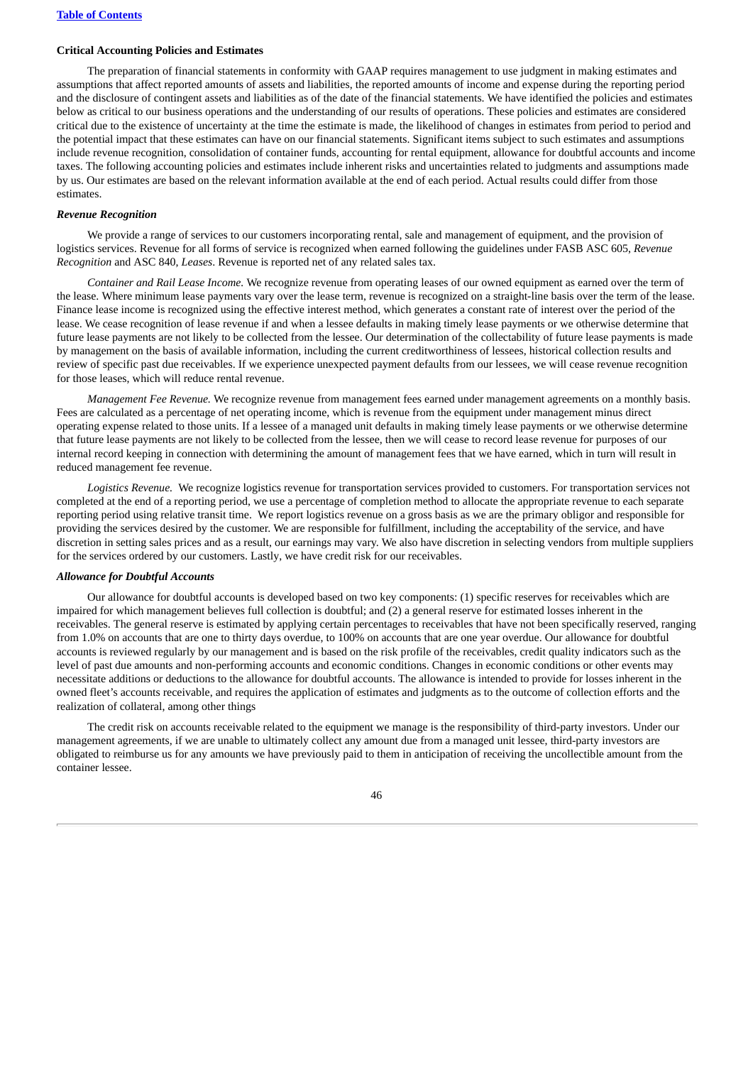## **Critical Accounting Policies and Estimates**

The preparation of financial statements in conformity with GAAP requires management to use judgment in making estimates and assumptions that affect reported amounts of assets and liabilities, the reported amounts of income and expense during the reporting period and the disclosure of contingent assets and liabilities as of the date of the financial statements. We have identified the policies and estimates below as critical to our business operations and the understanding of our results of operations. These policies and estimates are considered critical due to the existence of uncertainty at the time the estimate is made, the likelihood of changes in estimates from period to period and the potential impact that these estimates can have on our financial statements. Significant items subject to such estimates and assumptions include revenue recognition, consolidation of container funds, accounting for rental equipment, allowance for doubtful accounts and income taxes. The following accounting policies and estimates include inherent risks and uncertainties related to judgments and assumptions made by us. Our estimates are based on the relevant information available at the end of each period. Actual results could differ from those estimates.

## *Revenue Recognition*

We provide a range of services to our customers incorporating rental, sale and management of equipment, and the provision of logistics services. Revenue for all forms of service is recognized when earned following the guidelines under FASB ASC 605, *Revenue Recognition* and ASC 840, *Leases*. Revenue is reported net of any related sales tax.

*Container and Rail Lease Income.* We recognize revenue from operating leases of our owned equipment as earned over the term of the lease. Where minimum lease payments vary over the lease term, revenue is recognized on a straight-line basis over the term of the lease. Finance lease income is recognized using the effective interest method, which generates a constant rate of interest over the period of the lease. We cease recognition of lease revenue if and when a lessee defaults in making timely lease payments or we otherwise determine that future lease payments are not likely to be collected from the lessee. Our determination of the collectability of future lease payments is made by management on the basis of available information, including the current creditworthiness of lessees, historical collection results and review of specific past due receivables. If we experience unexpected payment defaults from our lessees, we will cease revenue recognition for those leases, which will reduce rental revenue.

*Management Fee Revenue.* We recognize revenue from management fees earned under management agreements on a monthly basis. Fees are calculated as a percentage of net operating income, which is revenue from the equipment under management minus direct operating expense related to those units. If a lessee of a managed unit defaults in making timely lease payments or we otherwise determine that future lease payments are not likely to be collected from the lessee, then we will cease to record lease revenue for purposes of our internal record keeping in connection with determining the amount of management fees that we have earned, which in turn will result in reduced management fee revenue.

*Logistics Revenue.* We recognize logistics revenue for transportation services provided to customers. For transportation services not completed at the end of a reporting period, we use a percentage of completion method to allocate the appropriate revenue to each separate reporting period using relative transit time. We report logistics revenue on a gross basis as we are the primary obligor and responsible for providing the services desired by the customer. We are responsible for fulfillment, including the acceptability of the service, and have discretion in setting sales prices and as a result, our earnings may vary. We also have discretion in selecting vendors from multiple suppliers for the services ordered by our customers. Lastly, we have credit risk for our receivables.

## *Allowance for Doubtful Accounts*

Our allowance for doubtful accounts is developed based on two key components: (1) specific reserves for receivables which are impaired for which management believes full collection is doubtful; and (2) a general reserve for estimated losses inherent in the receivables. The general reserve is estimated by applying certain percentages to receivables that have not been specifically reserved, ranging from 1.0% on accounts that are one to thirty days overdue, to 100% on accounts that are one year overdue. Our allowance for doubtful accounts is reviewed regularly by our management and is based on the risk profile of the receivables, credit quality indicators such as the level of past due amounts and non-performing accounts and economic conditions. Changes in economic conditions or other events may necessitate additions or deductions to the allowance for doubtful accounts. The allowance is intended to provide for losses inherent in the owned fleet's accounts receivable, and requires the application of estimates and judgments as to the outcome of collection efforts and the realization of collateral, among other things

The credit risk on accounts receivable related to the equipment we manage is the responsibility of third-party investors. Under our management agreements, if we are unable to ultimately collect any amount due from a managed unit lessee, third-party investors are obligated to reimburse us for any amounts we have previously paid to them in anticipation of receiving the uncollectible amount from the container lessee.

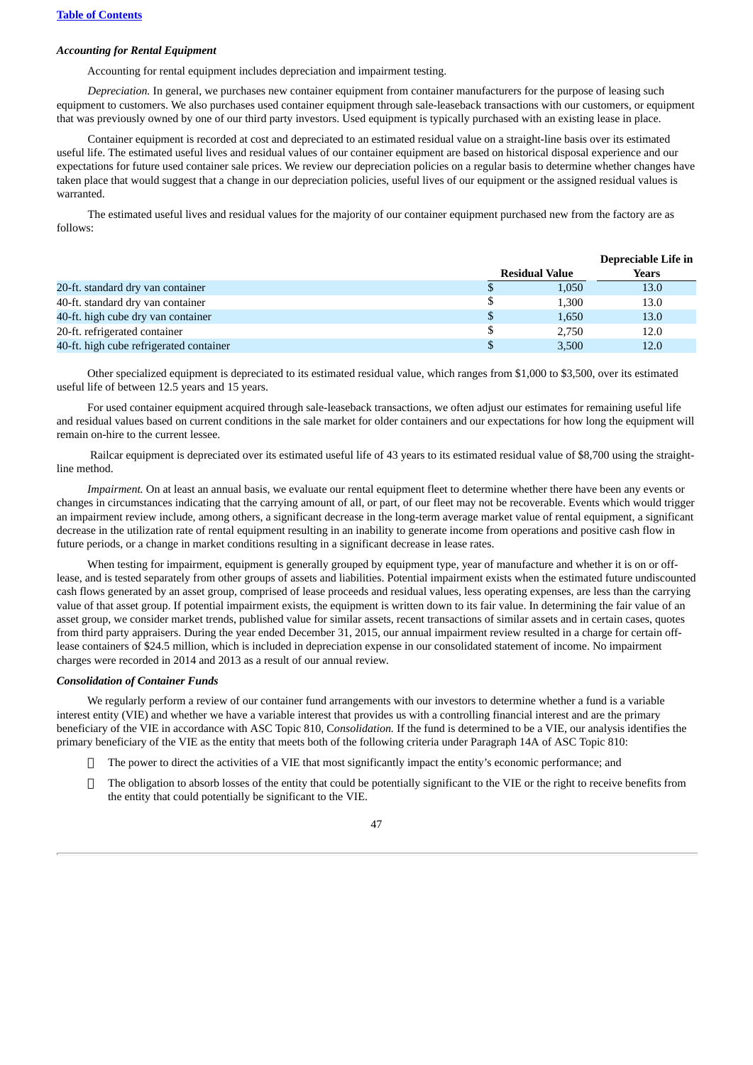## *Accounting for Rental Equipment*

Accounting for rental equipment includes depreciation and impairment testing.

*Depreciation.* In general, we purchases new container equipment from container manufacturers for the purpose of leasing such equipment to customers. We also purchases used container equipment through sale-leaseback transactions with our customers, or equipment that was previously owned by one of our third party investors. Used equipment is typically purchased with an existing lease in place.

Container equipment is recorded at cost and depreciated to an estimated residual value on a straight-line basis over its estimated useful life. The estimated useful lives and residual values of our container equipment are based on historical disposal experience and our expectations for future used container sale prices. We review our depreciation policies on a regular basis to determine whether changes have taken place that would suggest that a change in our depreciation policies, useful lives of our equipment or the assigned residual values is warranted.

The estimated useful lives and residual values for the majority of our container equipment purchased new from the factory are as follows:

|                                              |                       | Depreciable Life in |
|----------------------------------------------|-----------------------|---------------------|
|                                              | <b>Residual Value</b> | Years               |
| 20-ft. standard dry van container            |                       | 13.0<br>1,050       |
| 40-ft. standard dry van container            |                       | 13.0<br>1.300       |
| 40-ft. high cube dry van container           |                       | 13.0<br>1,650       |
| 20-ft. refrigerated container                |                       | 12.0<br>2,750       |
| 40-ft. high cube refrigerated container<br>S |                       | 12.0<br>3,500       |

Other specialized equipment is depreciated to its estimated residual value, which ranges from \$1,000 to \$3,500, over its estimated useful life of between 12.5 years and 15 years.

For used container equipment acquired through sale-leaseback transactions, we often adjust our estimates for remaining useful life and residual values based on current conditions in the sale market for older containers and our expectations for how long the equipment will remain on-hire to the current lessee.

Railcar equipment is depreciated over its estimated useful life of 43 years to its estimated residual value of \$8,700 using the straightline method.

*Impairment.* On at least an annual basis, we evaluate our rental equipment fleet to determine whether there have been any events or changes in circumstances indicating that the carrying amount of all, or part, of our fleet may not be recoverable. Events which would trigger an impairment review include, among others, a significant decrease in the long-term average market value of rental equipment, a significant decrease in the utilization rate of rental equipment resulting in an inability to generate income from operations and positive cash flow in future periods, or a change in market conditions resulting in a significant decrease in lease rates.

When testing for impairment, equipment is generally grouped by equipment type, year of manufacture and whether it is on or offlease, and is tested separately from other groups of assets and liabilities. Potential impairment exists when the estimated future undiscounted cash flows generated by an asset group, comprised of lease proceeds and residual values, less operating expenses, are less than the carrying value of that asset group. If potential impairment exists, the equipment is written down to its fair value. In determining the fair value of an asset group, we consider market trends, published value for similar assets, recent transactions of similar assets and in certain cases, quotes from third party appraisers. During the year ended December 31, 2015, our annual impairment review resulted in a charge for certain offlease containers of \$24.5 million, which is included in depreciation expense in our consolidated statement of income. No impairment charges were recorded in 2014 and 2013 as a result of our annual review.

### *Consolidation of Container Funds*

We regularly perform a review of our container fund arrangements with our investors to determine whether a fund is a variable interest entity (VIE) and whether we have a variable interest that provides us with a controlling financial interest and are the primary beneficiary of the VIE in accordance with ASC Topic 810, C*onsolidation.* If the fund is determined to be a VIE, our analysis identifies the primary beneficiary of the VIE as the entity that meets both of the following criteria under Paragraph 14A of ASC Topic 810:

- $\Box$  The power to direct the activities of a VIE that most significantly impact the entity's economic performance; and
- $\Box$  The obligation to absorb losses of the entity that could be potentially significant to the VIE or the right to receive benefits from the entity that could potentially be significant to the VIE.

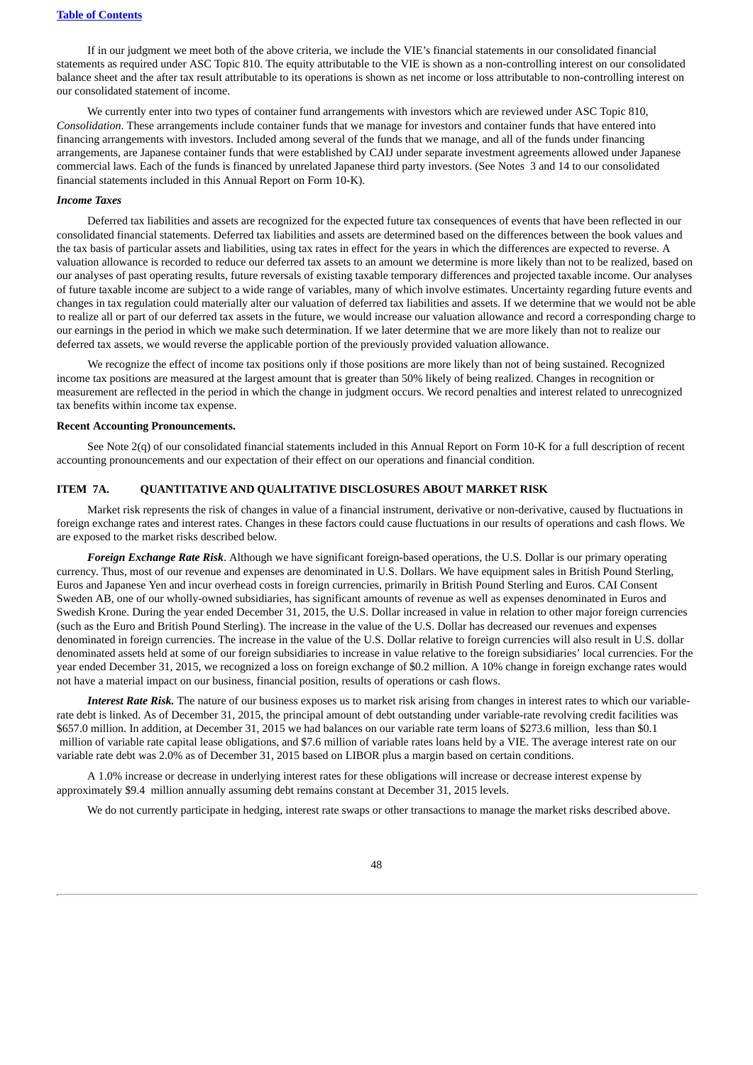If in our judgment we meet both of the above criteria, we include the VIE's financial statements in our consolidated financial statements as required under ASC Topic 810. The equity attributable to the VIE is shown as a non-controlling interest on our consolidated balance sheet and the after tax result attributable to its operations is shown as net income or loss attributable to non-controlling interest on our consolidated statement of income.

We currently enter into two types of container fund arrangements with investors which are reviewed under ASC Topic 810, *Consolidation*. These arrangements include container funds that we manage for investors and container funds that have entered into financing arrangements with investors. Included among several of the funds that we manage, and all of the funds under financing arrangements, are Japanese container funds that were established by CAIJ under separate investment agreements allowed under Japanese commercial laws. Each of the funds is financed by unrelated Japanese third party investors. (See Notes 3 and 14 to our consolidated financial statements included in this Annual Report on Form 10-K).

### *Income Taxes*

Deferred tax liabilities and assets are recognized for the expected future tax consequences of events that have been reflected in our consolidated financial statements. Deferred tax liabilities and assets are determined based on the differences between the book values and the tax basis of particular assets and liabilities, using tax rates in effect for the years in which the differences are expected to reverse. A valuation allowance is recorded to reduce our deferred tax assets to an amount we determine is more likely than not to be realized, based on our analyses of past operating results, future reversals of existing taxable temporary differences and projected taxable income. Our analyses of future taxable income are subject to a wide range of variables, many of which involve estimates. Uncertainty regarding future events and changes in tax regulation could materially alter our valuation of deferred tax liabilities and assets. If we determine that we would not be able to realize all or part of our deferred tax assets in the future, we would increase our valuation allowance and record a corresponding charge to our earnings in the period in which we make such determination. If we later determine that we are more likely than not to realize our deferred tax assets, we would reverse the applicable portion of the previously provided valuation allowance.

We recognize the effect of income tax positions only if those positions are more likely than not of being sustained. Recognized income tax positions are measured at the largest amount that is greater than 50% likely of being realized. Changes in recognition or measurement are reflected in the period in which the change in judgment occurs. We record penalties and interest related to unrecognized tax benefits within income tax expense.

### **Recent Accounting Pronouncements.**

See Note 2(q) of our consolidated financial statements included in this Annual Report on Form 10-K for a full description of recent accounting pronouncements and our expectation of their effect on our operations and financial condition.

## **ITEM 7A. QUANTITATIVE AND QUALITATIVE DISCLOSURES ABOUT MARKET RISK**

Market risk represents the risk of changes in value of a financial instrument, derivative or non-derivative, caused by fluctuations in foreign exchange rates and interest rates. Changes in these factors could cause fluctuations in our results of operations and cash flows. We are exposed to the market risks described below.

*Foreign Exchange Rate Risk*. Although we have significant foreign-based operations, the U.S. Dollar is our primary operating currency. Thus, most of our revenue and expenses are denominated in U.S. Dollars. We have equipment sales in British Pound Sterling, Euros and Japanese Yen and incur overhead costs in foreign currencies, primarily in British Pound Sterling and Euros. CAI Consent Sweden AB, one of our wholly-owned subsidiaries, has significant amounts of revenue as well as expenses denominated in Euros and Swedish Krone. During the year ended December 31, 2015, the U.S. Dollar increased in value in relation to other major foreign currencies (such as the Euro and British Pound Sterling). The increase in the value of the U.S. Dollar has decreased our revenues and expenses denominated in foreign currencies. The increase in the value of the U.S. Dollar relative to foreign currencies will also result in U.S. dollar denominated assets held at some of our foreign subsidiaries to increase in value relative to the foreign subsidiaries' local currencies. For the year ended December 31, 2015, we recognized a loss on foreign exchange of \$0.2 million. A 10% change in foreign exchange rates would not have a material impact on our business, financial position, results of operations or cash flows.

*Interest Rate Risk.* The nature of our business exposes us to market risk arising from changes in interest rates to which our variablerate debt is linked. As of December 31, 2015, the principal amount of debt outstanding under variable-rate revolving credit facilities was \$657.0 million. In addition, at December 31, 2015 we had balances on our variable rate term loans of \$273.6 million, less than \$0.1 million of variable rate capital lease obligations, and \$7.6 million of variable rates loans held by a VIE. The average interest rate on our variable rate debt was 2.0% as of December 31, 2015 based on LIBOR plus a margin based on certain conditions.

A 1.0% increase or decrease in underlying interest rates for these obligations will increase or decrease interest expense by approximately \$9.4 million annually assuming debt remains constant at December 31, 2015 levels.

We do not currently participate in hedging, interest rate swaps or other transactions to manage the market risks described above.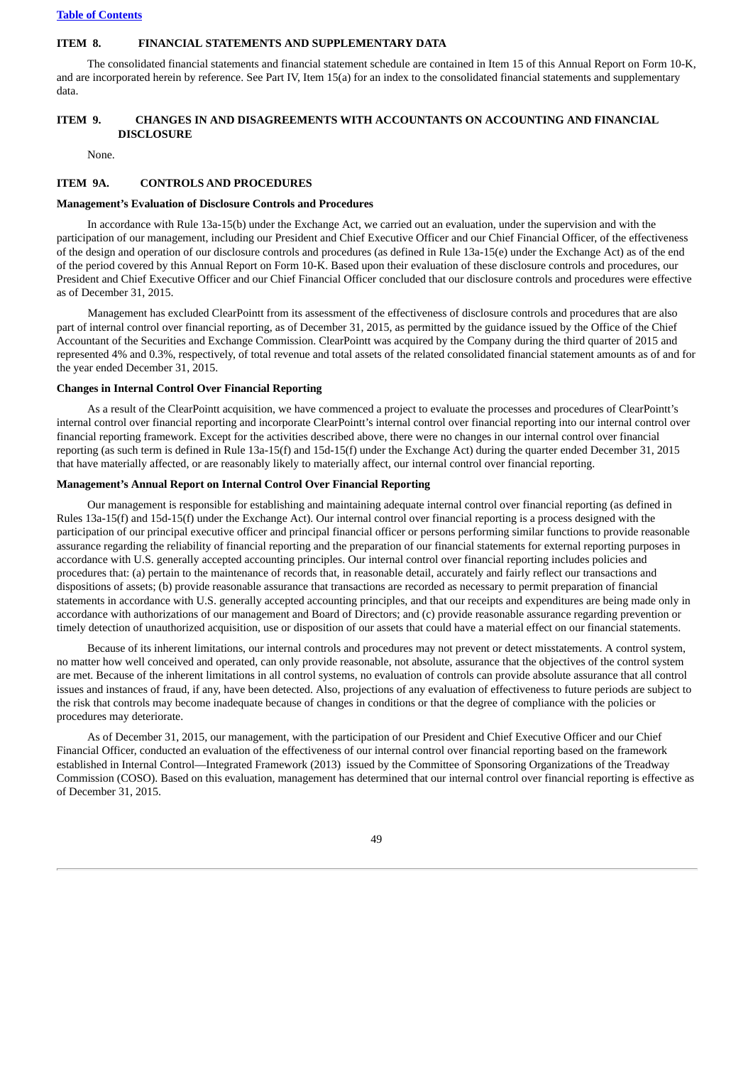### **ITEM 8. FINANCIAL STATEMENTS AND SUPPLEMENTARY DATA**

The consolidated financial statements and financial statement schedule are contained in Item 15 of this Annual Report on Form 10-K, and are incorporated herein by reference. See Part IV, Item 15(a) for an index to the consolidated financial statements and supplementary data.

## **ITEM 9. CHANGES IN AND DISAGREEMENTS WITH ACCOUNTANTS ON ACCOUNTING AND FINANCIAL DISCLOSURE**

None.

### **ITEM 9A. CONTROLS AND PROCEDURES**

### **Management's Evaluation of Disclosure Controls and Procedures**

In accordance with Rule 13a-15(b) under the Exchange Act, we carried out an evaluation, under the supervision and with the participation of our management, including our President and Chief Executive Officer and our Chief Financial Officer, of the effectiveness of the design and operation of our disclosure controls and procedures (as defined in Rule 13a-15(e) under the Exchange Act) as of the end of the period covered by this Annual Report on Form 10-K. Based upon their evaluation of these disclosure controls and procedures, our President and Chief Executive Officer and our Chief Financial Officer concluded that our disclosure controls and procedures were effective as of December 31, 2015.

Management has excluded ClearPointt from its assessment of the effectiveness of disclosure controls and procedures that are also part of internal control over financial reporting, as of December 31, 2015, as permitted by the guidance issued by the Office of the Chief Accountant of the Securities and Exchange Commission. ClearPointt was acquired by the Company during the third quarter of 2015 and represented 4% and 0.3%, respectively, of total revenue and total assets of the related consolidated financial statement amounts as of and for the year ended December 31, 2015.

### **Changes in Internal Control Over Financial Reporting**

As a result of the ClearPointt acquisition, we have commenced a project to evaluate the processes and procedures of ClearPointt's internal control over financial reporting and incorporate ClearPointt's internal control over financial reporting into our internal control over financial reporting framework. Except for the activities described above, there were no changes in our internal control over financial reporting (as such term is defined in Rule 13a-15(f) and 15d-15(f) under the Exchange Act) during the quarter ended December 31, 2015 that have materially affected, or are reasonably likely to materially affect, our internal control over financial reporting.

### **Management's Annual Report on Internal Control Over Financial Reporting**

Our management is responsible for establishing and maintaining adequate internal control over financial reporting (as defined in Rules 13a-15(f) and 15d-15(f) under the Exchange Act). Our internal control over financial reporting is a process designed with the participation of our principal executive officer and principal financial officer or persons performing similar functions to provide reasonable assurance regarding the reliability of financial reporting and the preparation of our financial statements for external reporting purposes in accordance with U.S. generally accepted accounting principles. Our internal control over financial reporting includes policies and procedures that: (a) pertain to the maintenance of records that, in reasonable detail, accurately and fairly reflect our transactions and dispositions of assets; (b) provide reasonable assurance that transactions are recorded as necessary to permit preparation of financial statements in accordance with U.S. generally accepted accounting principles, and that our receipts and expenditures are being made only in accordance with authorizations of our management and Board of Directors; and (c) provide reasonable assurance regarding prevention or timely detection of unauthorized acquisition, use or disposition of our assets that could have a material effect on our financial statements.

Because of its inherent limitations, our internal controls and procedures may not prevent or detect misstatements. A control system, no matter how well conceived and operated, can only provide reasonable, not absolute, assurance that the objectives of the control system are met. Because of the inherent limitations in all control systems, no evaluation of controls can provide absolute assurance that all control issues and instances of fraud, if any, have been detected. Also, projections of any evaluation of effectiveness to future periods are subject to the risk that controls may become inadequate because of changes in conditions or that the degree of compliance with the policies or procedures may deteriorate.

As of December 31, 2015, our management, with the participation of our President and Chief Executive Officer and our Chief Financial Officer, conducted an evaluation of the effectiveness of our internal control over financial reporting based on the framework established in Internal Control—Integrated Framework (2013) issued by the Committee of Sponsoring Organizations of the Treadway Commission (COSO). Based on this evaluation, management has determined that our internal control over financial reporting is effective as of December 31, 2015.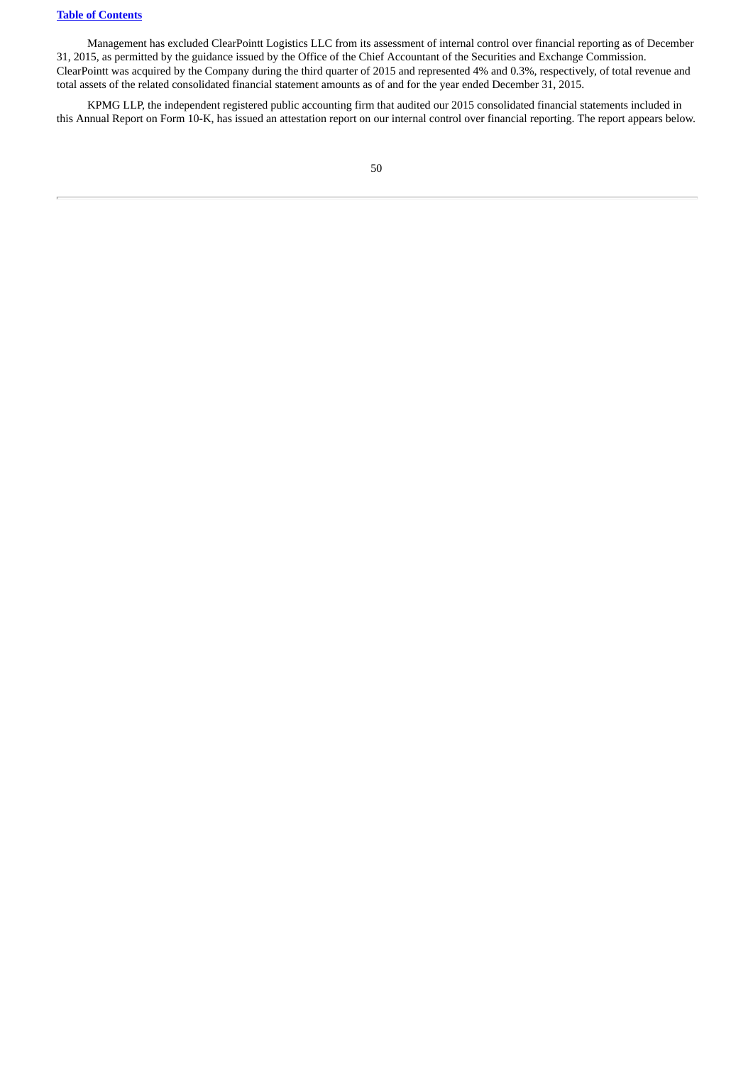Management has excluded ClearPointt Logistics LLC from its assessment of internal control over financial reporting as of December 31, 2015, as permitted by the guidance issued by the Office of the Chief Accountant of the Securities and Exchange Commission. ClearPointt was acquired by the Company during the third quarter of 2015 and represented 4% and 0.3%, respectively, of total revenue and total assets of the related consolidated financial statement amounts as of and for the year ended December 31, 2015.

KPMG LLP, the independent registered public accounting firm that audited our 2015 consolidated financial statements included in this Annual Report on Form 10-K, has issued an attestation report on our internal control over financial reporting. The report appears below.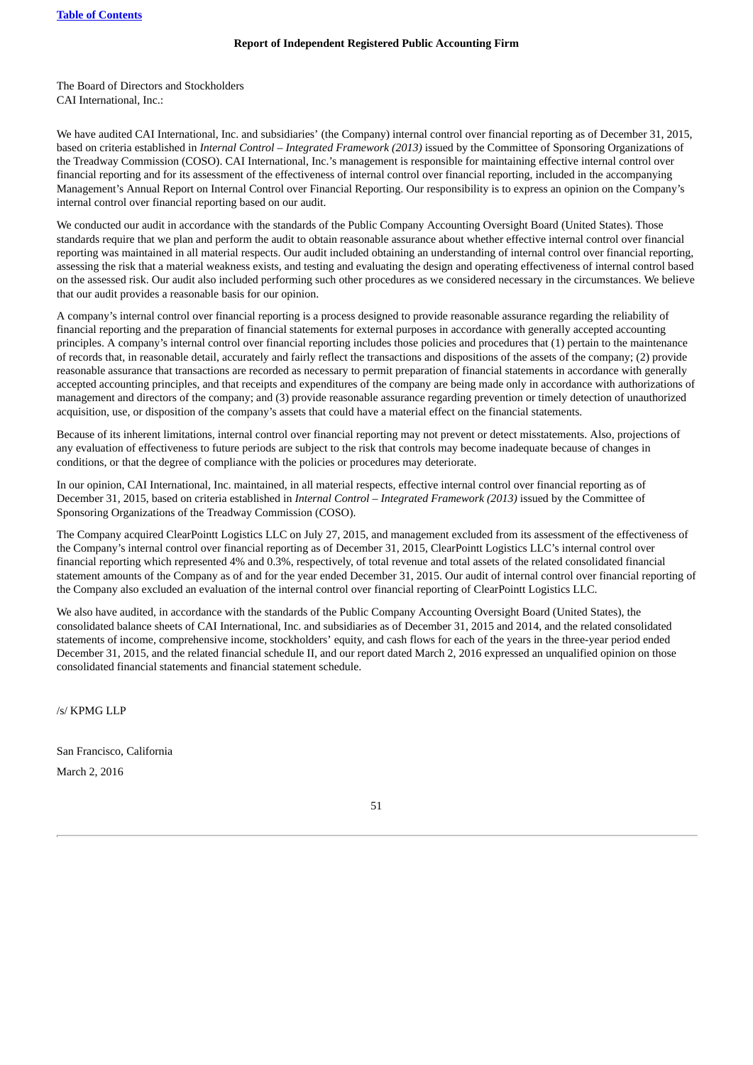The Board of Directors and Stockholders CAI International, Inc.:

We have audited CAI International, Inc. and subsidiaries' (the Company) internal control over financial reporting as of December 31, 2015, based on criteria established in *Internal Control – Integrated Framework (2013)* issued by the Committee of Sponsoring Organizations of the Treadway Commission (COSO). CAI International, Inc.'s management is responsible for maintaining effective internal control over financial reporting and for its assessment of the effectiveness of internal control over financial reporting, included in the accompanying Management's Annual Report on Internal Control over Financial Reporting. Our responsibility is to express an opinion on the Company's internal control over financial reporting based on our audit.

We conducted our audit in accordance with the standards of the Public Company Accounting Oversight Board (United States). Those standards require that we plan and perform the audit to obtain reasonable assurance about whether effective internal control over financial reporting was maintained in all material respects. Our audit included obtaining an understanding of internal control over financial reporting, assessing the risk that a material weakness exists, and testing and evaluating the design and operating effectiveness of internal control based on the assessed risk. Our audit also included performing such other procedures as we considered necessary in the circumstances. We believe that our audit provides a reasonable basis for our opinion.

A company's internal control over financial reporting is a process designed to provide reasonable assurance regarding the reliability of financial reporting and the preparation of financial statements for external purposes in accordance with generally accepted accounting principles. A company's internal control over financial reporting includes those policies and procedures that (1) pertain to the maintenance of records that, in reasonable detail, accurately and fairly reflect the transactions and dispositions of the assets of the company; (2) provide reasonable assurance that transactions are recorded as necessary to permit preparation of financial statements in accordance with generally accepted accounting principles, and that receipts and expenditures of the company are being made only in accordance with authorizations of management and directors of the company; and (3) provide reasonable assurance regarding prevention or timely detection of unauthorized acquisition, use, or disposition of the company's assets that could have a material effect on the financial statements.

Because of its inherent limitations, internal control over financial reporting may not prevent or detect misstatements. Also, projections of any evaluation of effectiveness to future periods are subject to the risk that controls may become inadequate because of changes in conditions, or that the degree of compliance with the policies or procedures may deteriorate.

In our opinion, CAI International, Inc. maintained, in all material respects, effective internal control over financial reporting as of December 31, 2015, based on criteria established in *Internal Control – Integrated Framework (2013)* issued by the Committee of Sponsoring Organizations of the Treadway Commission (COSO).

The Company acquired ClearPointt Logistics LLC on July 27, 2015, and management excluded from its assessment of the effectiveness of the Company's internal control over financial reporting as of December 31, 2015, ClearPointt Logistics LLC's internal control over financial reporting which represented 4% and 0.3%, respectively, of total revenue and total assets of the related consolidated financial statement amounts of the Company as of and for the year ended December 31, 2015. Our audit of internal control over financial reporting of the Company also excluded an evaluation of the internal control over financial reporting of ClearPointt Logistics LLC.

We also have audited, in accordance with the standards of the Public Company Accounting Oversight Board (United States), the consolidated balance sheets of CAI International, Inc. and subsidiaries as of December 31, 2015 and 2014, and the related consolidated statements of income, comprehensive income, stockholders' equity, and cash flows for each of the years in the three-year period ended December 31, 2015, and the related financial schedule II, and our report dated March 2, 2016 expressed an unqualified opinion on those consolidated financial statements and financial statement schedule.

/s/ KPMG LLP

San Francisco, California March 2, 2016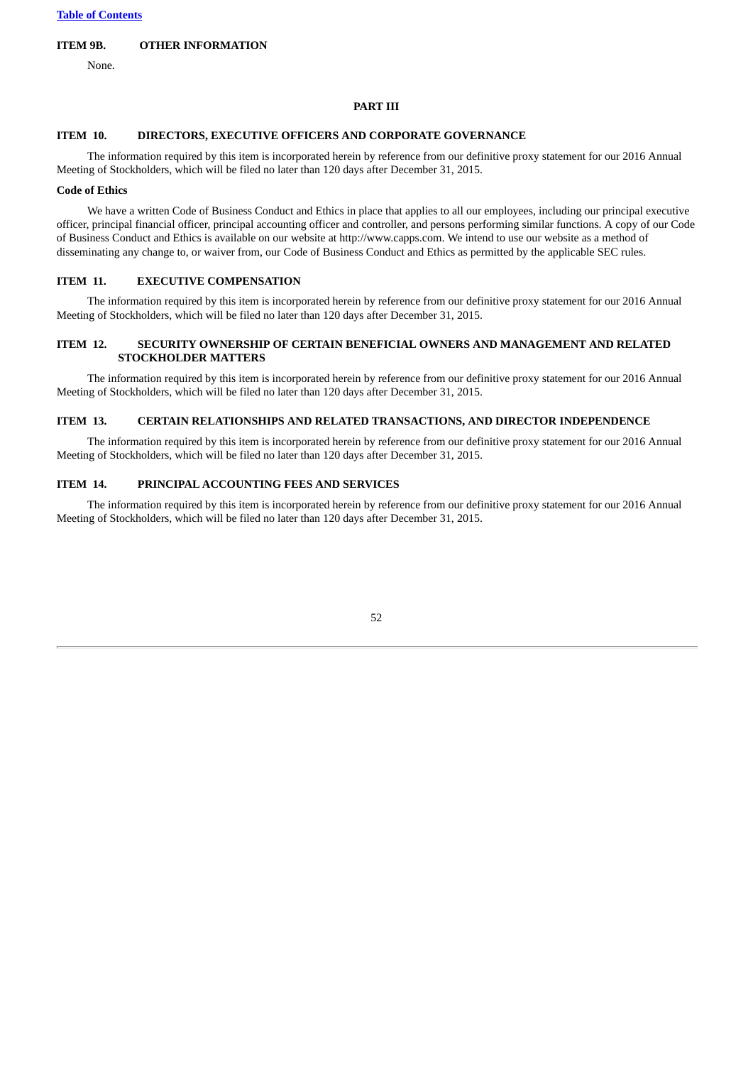### **ITEM 9B. OTHER INFORMATION**

None.

### **PART III**

## **ITEM 10. DIRECTORS, EXECUTIVE OFFICERS AND CORPORATE GOVERNANCE**

The information required by this item is incorporated herein by reference from our definitive proxy statement for our 2016 Annual Meeting of Stockholders, which will be filed no later than 120 days after December 31, 2015.

# **Code of Ethics**

We have a written Code of Business Conduct and Ethics in place that applies to all our employees, including our principal executive officer, principal financial officer, principal accounting officer and controller, and persons performing similar functions. A copy of our Code of Business Conduct and Ethics is available on our website at http://www.capps.com. We intend to use our website as a method of disseminating any change to, or waiver from, our Code of Business Conduct and Ethics as permitted by the applicable SEC rules.

## **ITEM 11. EXECUTIVE COMPENSATION**

The information required by this item is incorporated herein by reference from our definitive proxy statement for our 2016 Annual Meeting of Stockholders, which will be filed no later than 120 days after December 31, 2015.

## **ITEM 12. SECURITY OWNERSHIP OF CERTAIN BENEFICIAL OWNERS AND MANAGEMENT AND RELATED STOCKHOLDER MATTERS**

The information required by this item is incorporated herein by reference from our definitive proxy statement for our 2016 Annual Meeting of Stockholders, which will be filed no later than 120 days after December 31, 2015.

# **ITEM 13. CERTAIN RELATIONSHIPS AND RELATED TRANSACTIONS, AND DIRECTOR INDEPENDENCE**

The information required by this item is incorporated herein by reference from our definitive proxy statement for our 2016 Annual Meeting of Stockholders, which will be filed no later than 120 days after December 31, 2015.

## **ITEM 14. PRINCIPAL ACCOUNTING FEES AND SERVICES**

The information required by this item is incorporated herein by reference from our definitive proxy statement for our 2016 Annual Meeting of Stockholders, which will be filed no later than 120 days after December 31, 2015.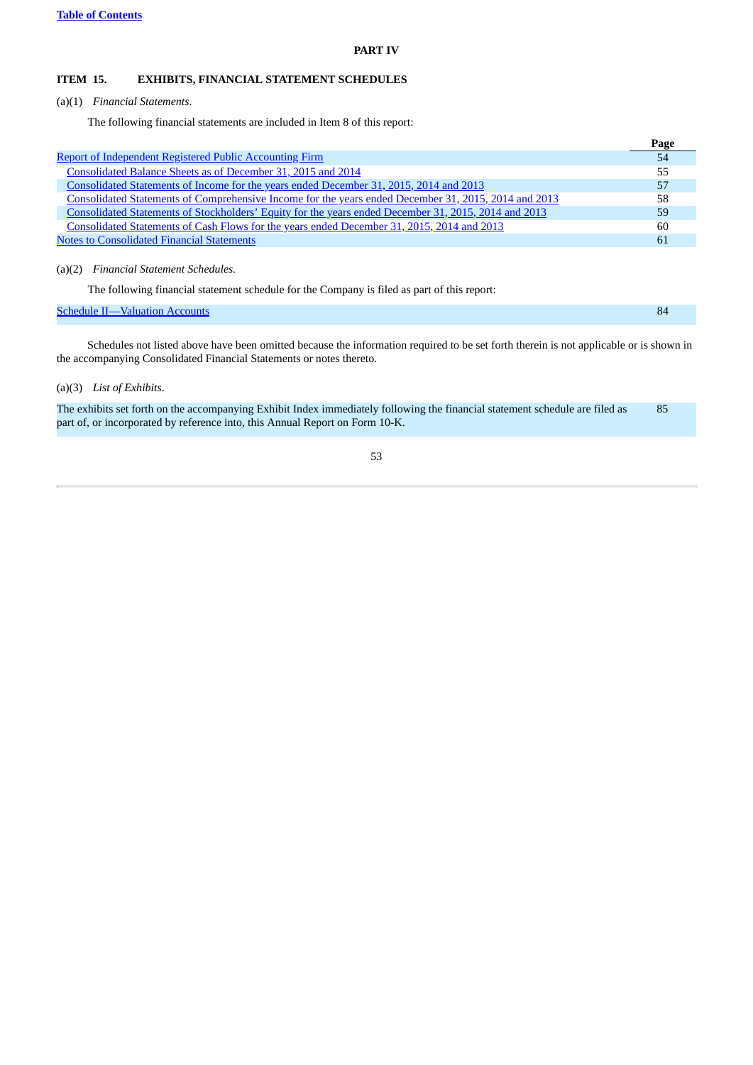## **PART IV**

# **ITEM 15. EXHIBITS, FINANCIAL STATEMENT SCHEDULES**

(a)(1) *Financial Statements*.

The following financial statements are included in Item 8 of this report:

|                                                                                                      | Page |
|------------------------------------------------------------------------------------------------------|------|
| <b>Report of Independent Registered Public Accounting Firm</b>                                       | 54   |
| Consolidated Balance Sheets as of December 31, 2015 and 2014                                         | 55   |
| Consolidated Statements of Income for the years ended December 31, 2015, 2014 and 2013               | 57   |
| Consolidated Statements of Comprehensive Income for the years ended December 31, 2015, 2014 and 2013 | 58   |
| Consolidated Statements of Stockholders' Equity for the years ended December 31, 2015, 2014 and 2013 | 59   |
| Consolidated Statements of Cash Flows for the years ended December 31, 2015, 2014 and 2013           | 60   |
| <b>Notes to Consolidated Financial Statements</b>                                                    | 61   |

# (a)(2) *Financial Statement Schedules.*

The following financial statement schedule for the Company is filed as part of this report:

| <b>Schedule II—Valuation Accounts</b> | 84 |
|---------------------------------------|----|
|---------------------------------------|----|

Schedules not listed above have been omitted because the information required to be set forth therein is not applicable or is shown in the accompanying Consolidated Financial Statements or notes thereto.

## (a)(3) *List of Exhibits*.

The exhibits set forth on the accompanying Exhibit Index immediately following the financial statement schedule are filed as part of, or incorporated by reference into, this Annual Report on Form 10-K. 85

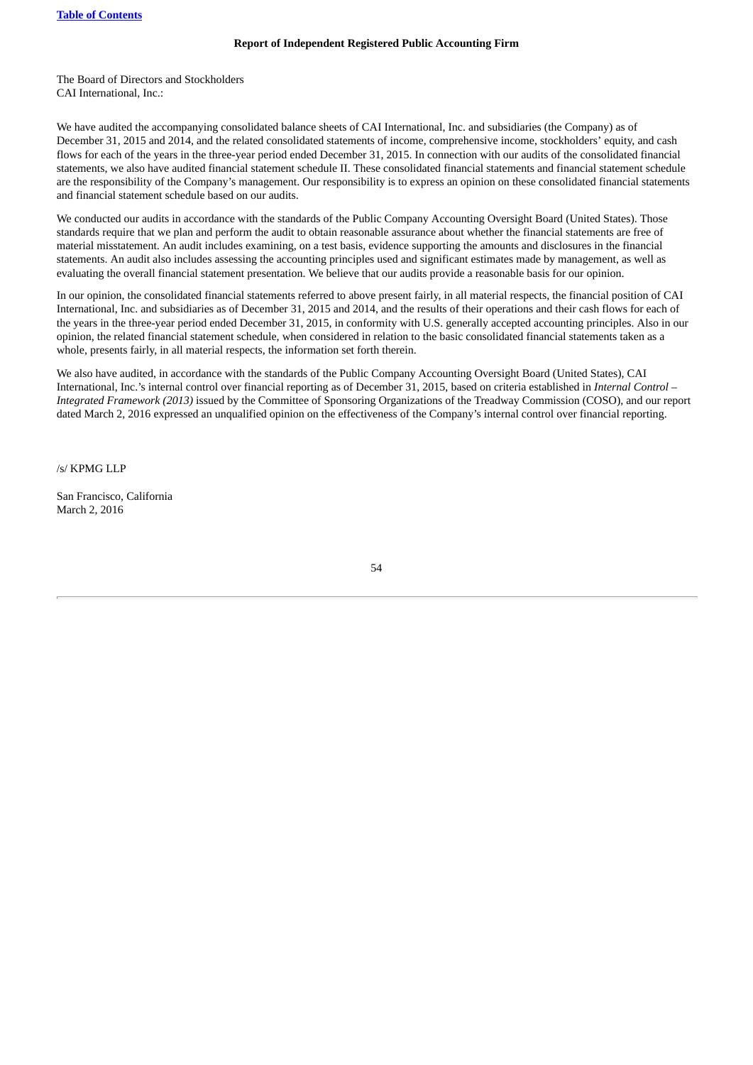<span id="page-53-0"></span>The Board of Directors and Stockholders CAI International, Inc.:

We have audited the accompanying consolidated balance sheets of CAI International, Inc. and subsidiaries (the Company) as of December 31, 2015 and 2014, and the related consolidated statements of income, comprehensive income, stockholders' equity, and cash flows for each of the years in the three-year period ended December 31, 2015. In connection with our audits of the consolidated financial statements, we also have audited financial statement schedule II. These consolidated financial statements and financial statement schedule are the responsibility of the Company's management. Our responsibility is to express an opinion on these consolidated financial statements and financial statement schedule based on our audits.

We conducted our audits in accordance with the standards of the Public Company Accounting Oversight Board (United States). Those standards require that we plan and perform the audit to obtain reasonable assurance about whether the financial statements are free of material misstatement. An audit includes examining, on a test basis, evidence supporting the amounts and disclosures in the financial statements. An audit also includes assessing the accounting principles used and significant estimates made by management, as well as evaluating the overall financial statement presentation. We believe that our audits provide a reasonable basis for our opinion.

In our opinion, the consolidated financial statements referred to above present fairly, in all material respects, the financial position of CAI International, Inc. and subsidiaries as of December 31, 2015 and 2014, and the results of their operations and their cash flows for each of the years in the three-year period ended December 31, 2015, in conformity with U.S. generally accepted accounting principles. Also in our opinion, the related financial statement schedule, when considered in relation to the basic consolidated financial statements taken as a whole, presents fairly, in all material respects, the information set forth therein.

We also have audited, in accordance with the standards of the Public Company Accounting Oversight Board (United States), CAI International, Inc.'s internal control over financial reporting as of December 31, 2015, based on criteria established in *Internal Control – Integrated Framework (2013)* issued by the Committee of Sponsoring Organizations of the Treadway Commission (COSO), and our report dated March 2, 2016 expressed an unqualified opinion on the effectiveness of the Company's internal control over financial reporting.

7 /s/ KPMG LLP

San Francisco, California March 2, 2016

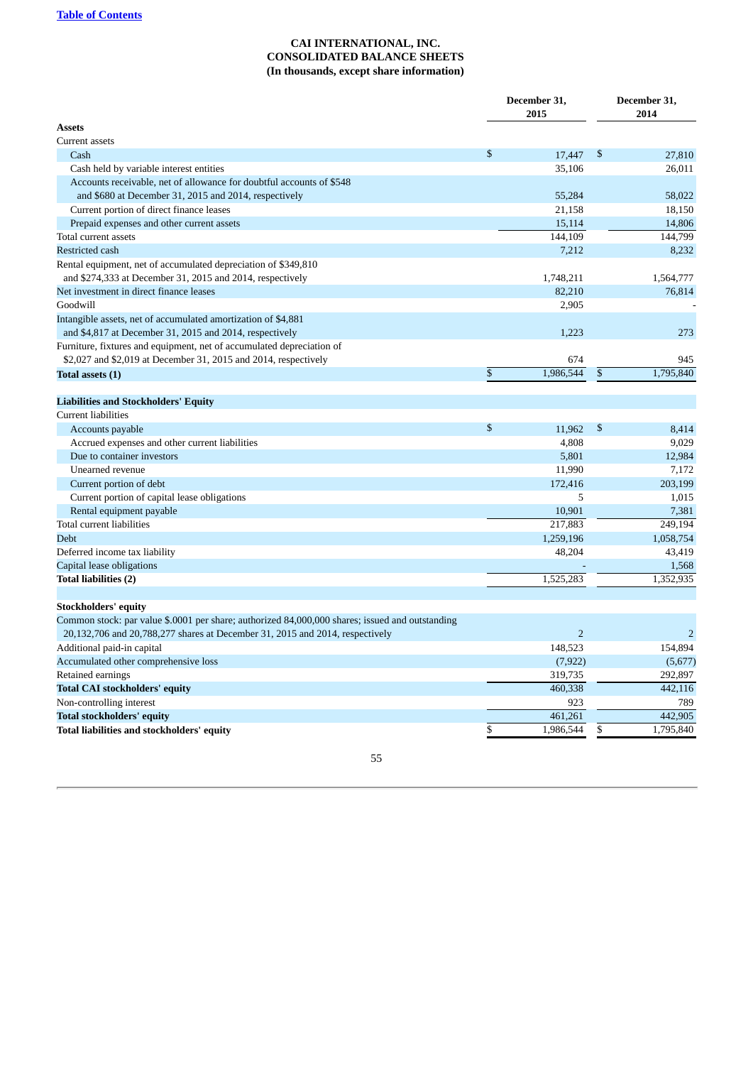# **CAI INTERNATIONAL, INC. CONSOLIDATED BALANCE SHEETS (In thousands, except share information)**

<span id="page-54-0"></span>

|                                                                                                 | December 31,<br>2015 |                |              | December 31,<br>2014 |
|-------------------------------------------------------------------------------------------------|----------------------|----------------|--------------|----------------------|
| <b>Assets</b>                                                                                   |                      |                |              |                      |
| Current assets                                                                                  |                      |                |              |                      |
| Cash                                                                                            | $\mathfrak{S}$       | 17,447         | \$           | 27,810               |
| Cash held by variable interest entities                                                         |                      | 35,106         |              | 26,011               |
| Accounts receivable, net of allowance for doubtful accounts of \$548                            |                      |                |              |                      |
| and \$680 at December 31, 2015 and 2014, respectively                                           |                      | 55,284         |              | 58,022               |
| Current portion of direct finance leases                                                        |                      | 21,158         |              | 18,150               |
| Prepaid expenses and other current assets                                                       |                      | 15,114         |              | 14,806               |
| Total current assets                                                                            |                      | 144,109        |              | 144,799              |
| <b>Restricted cash</b>                                                                          |                      | 7,212          |              | 8,232                |
| Rental equipment, net of accumulated depreciation of \$349,810                                  |                      |                |              |                      |
| and \$274,333 at December 31, 2015 and 2014, respectively                                       |                      | 1,748,211      |              | 1,564,777            |
| Net investment in direct finance leases                                                         |                      | 82,210         |              | 76.814               |
| Goodwill                                                                                        |                      | 2,905          |              |                      |
| Intangible assets, net of accumulated amortization of \$4,881                                   |                      |                |              |                      |
| and \$4,817 at December 31, 2015 and 2014, respectively                                         |                      | 1,223          |              | 273                  |
| Furniture, fixtures and equipment, net of accumulated depreciation of                           |                      |                |              |                      |
| \$2,027 and \$2,019 at December 31, 2015 and 2014, respectively                                 |                      | 674            |              | 945                  |
| <b>Total assets (1)</b>                                                                         | \$                   | 1,986,544      | $\mathbb{S}$ | 1.795.840            |
|                                                                                                 |                      |                |              |                      |
| <b>Liabilities and Stockholders' Equity</b>                                                     |                      |                |              |                      |
| <b>Current liabilities</b>                                                                      |                      |                |              |                      |
| Accounts payable                                                                                | \$                   | 11,962         | \$           | 8,414                |
| Accrued expenses and other current liabilities                                                  |                      | 4,808          |              | 9,029                |
| Due to container investors                                                                      |                      | 5,801          |              | 12,984               |
| Unearned revenue                                                                                |                      | 11,990         |              | 7,172                |
| Current portion of debt                                                                         |                      | 172,416        |              | 203,199              |
| Current portion of capital lease obligations                                                    |                      | 5              |              | 1,015                |
| Rental equipment payable                                                                        |                      | 10,901         |              | 7,381                |
| Total current liabilities                                                                       |                      | 217,883        |              | 249,194              |
|                                                                                                 |                      |                |              |                      |
| Debt                                                                                            |                      | 1,259,196      |              | 1,058,754            |
| Deferred income tax liability                                                                   |                      | 48,204         |              | 43,419               |
| Capital lease obligations                                                                       |                      |                |              | 1,568                |
| <b>Total liabilities (2)</b>                                                                    |                      | 1,525,283      |              | 1,352,935            |
|                                                                                                 |                      |                |              |                      |
| <b>Stockholders' equity</b>                                                                     |                      |                |              |                      |
| Common stock: par value \$.0001 per share; authorized 84,000,000 shares; issued and outstanding |                      |                |              |                      |
| 20,132,706 and 20,788,277 shares at December 31, 2015 and 2014, respectively                    |                      | $\overline{2}$ |              | 2                    |
| Additional paid-in capital                                                                      |                      | 148,523        |              | 154,894              |
| Accumulated other comprehensive loss                                                            |                      | (7, 922)       |              | (5,677)              |
| Retained earnings                                                                               |                      | 319,735        |              | 292,897              |
| <b>Total CAI stockholders' equity</b>                                                           |                      | 460,338        |              | 442,116              |
| Non-controlling interest                                                                        |                      | 923            |              | 789                  |
| <b>Total stockholders' equity</b>                                                               |                      | 461,261        |              | 442.905              |
| Total liabilities and stockholders' equity                                                      | \$                   | 1,986,544      | \$           | 1,795,840            |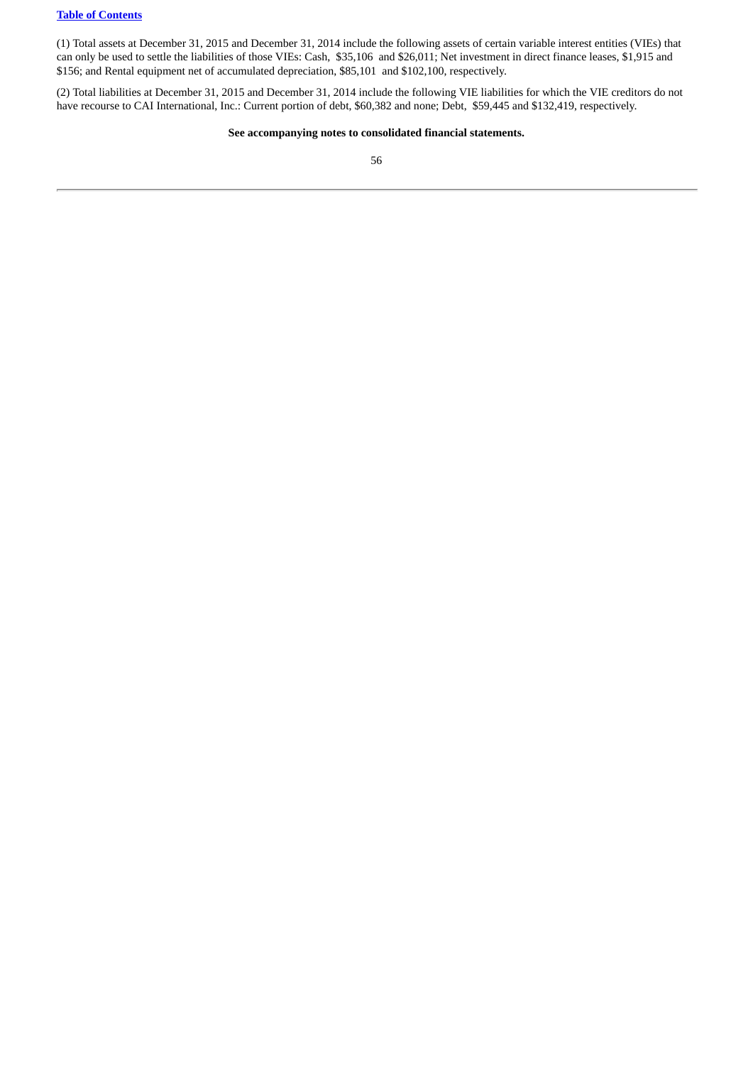(1) Total assets at December 31, 2015 and December 31, 2014 include the following assets of certain variable interest entities (VIEs) that can only be used to settle the liabilities of those VIEs: Cash, \$35,106 and \$26,011; Net investment in direct finance leases, \$1,915 and \$156; and Rental equipment net of accumulated depreciation, \$85,101 and \$102,100, respectively.

(2) Total liabilities at December 31, 2015 and December 31, 2014 include the following VIE liabilities for which the VIE creditors do not have recourse to CAI International, Inc.: Current portion of debt, \$60,382 and none; Debt, \$59,445 and \$132,419, respectively.

# **See accompanying notes to consolidated financial statements.**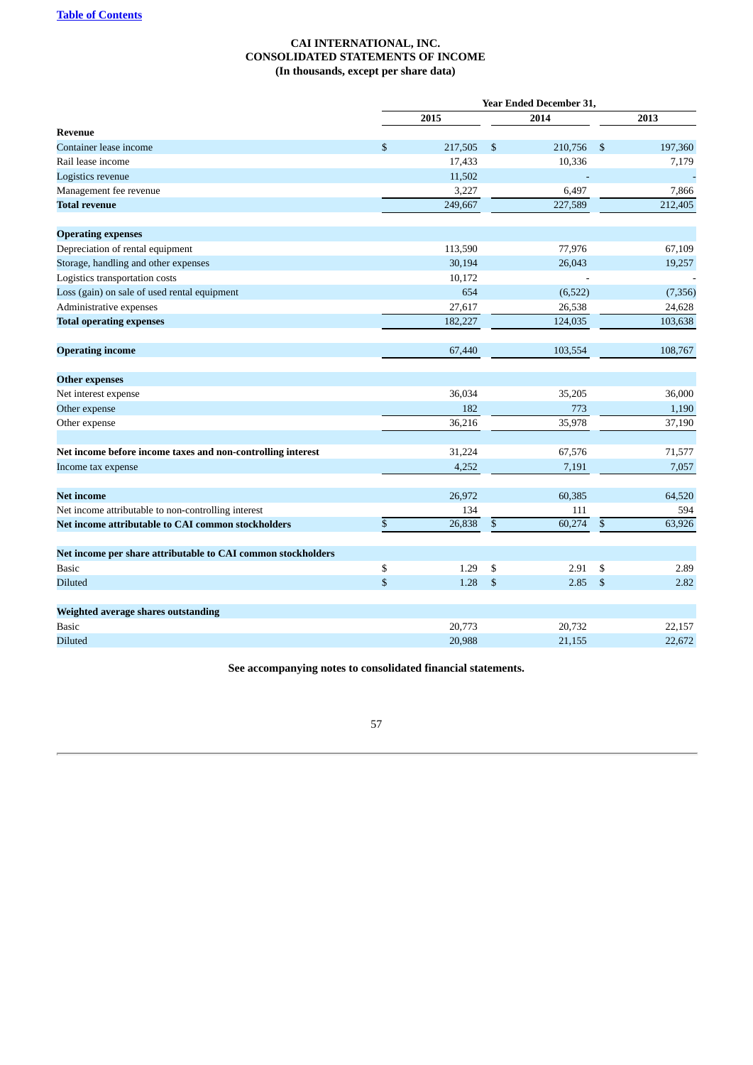## **CAI INTERNATIONAL, INC. CONSOLIDATED STATEMENTS OF INCOME (In thousands, except per share data)**

<span id="page-56-0"></span>

|                                                              | <b>Year Ended December 31,</b> |         |              |         |    |          |
|--------------------------------------------------------------|--------------------------------|---------|--------------|---------|----|----------|
|                                                              |                                | 2015    |              | 2014    |    | 2013     |
| <b>Revenue</b>                                               |                                |         |              |         |    |          |
| Container lease income                                       | \$                             | 217,505 | \$           | 210,756 | \$ | 197,360  |
| Rail lease income                                            |                                | 17,433  |              | 10,336  |    | 7,179    |
| Logistics revenue                                            |                                | 11,502  |              |         |    |          |
| Management fee revenue                                       |                                | 3,227   |              | 6,497   |    | 7,866    |
| <b>Total revenue</b>                                         |                                | 249,667 |              | 227,589 |    | 212,405  |
| <b>Operating expenses</b>                                    |                                |         |              |         |    |          |
| Depreciation of rental equipment                             |                                | 113,590 |              | 77,976  |    | 67,109   |
| Storage, handling and other expenses                         |                                | 30,194  |              | 26,043  |    | 19,257   |
| Logistics transportation costs                               |                                | 10,172  |              |         |    |          |
| Loss (gain) on sale of used rental equipment                 |                                | 654     |              | (6,522) |    | (7, 356) |
| Administrative expenses                                      |                                | 27,617  |              | 26,538  |    | 24,628   |
| <b>Total operating expenses</b>                              |                                | 182,227 |              | 124,035 |    | 103,638  |
| <b>Operating income</b>                                      |                                | 67,440  |              | 103,554 |    | 108,767  |
| <b>Other expenses</b>                                        |                                |         |              |         |    |          |
| Net interest expense                                         |                                | 36,034  |              | 35,205  |    | 36,000   |
| Other expense                                                |                                | 182     |              | 773     |    | 1,190    |
| Other expense                                                |                                | 36,216  |              | 35,978  |    | 37,190   |
| Net income before income taxes and non-controlling interest  |                                | 31,224  |              | 67,576  |    | 71,577   |
| Income tax expense                                           |                                | 4,252   |              | 7,191   |    | 7,057    |
| <b>Net income</b>                                            |                                | 26,972  |              | 60,385  |    | 64,520   |
| Net income attributable to non-controlling interest          |                                | 134     |              | 111     |    | 594      |
| Net income attributable to CAI common stockholders           | \$                             | 26,838  | $\mathbb{S}$ | 60,274  | \$ | 63,926   |
| Net income per share attributable to CAI common stockholders |                                |         |              |         |    |          |
| <b>Basic</b>                                                 | \$                             | 1.29    | \$           | 2.91    | \$ | 2.89     |
| <b>Diluted</b>                                               | \$                             | 1.28    | $\mathbb{S}$ | 2.85    | \$ | 2.82     |
| Weighted average shares outstanding                          |                                |         |              |         |    |          |
| <b>Basic</b>                                                 |                                | 20,773  |              | 20,732  |    | 22,157   |
| Diluted                                                      |                                | 20,988  |              | 21,155  |    | 22,672   |

**See accompanying notes to consolidated financial statements.**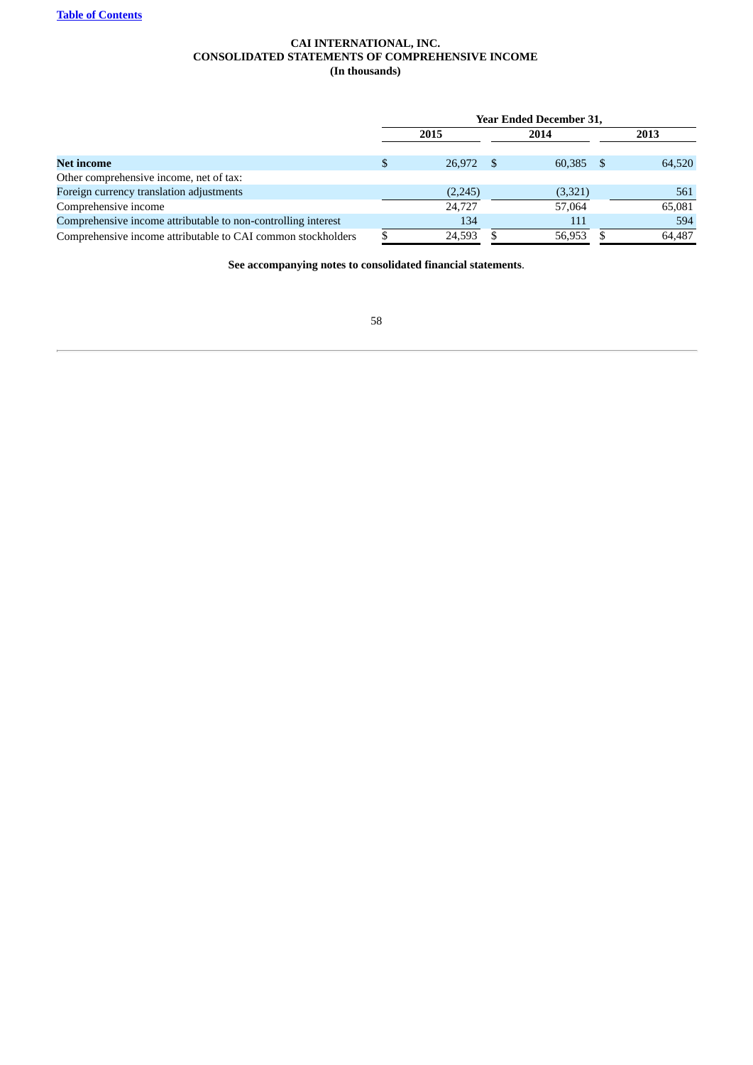## **CAI INTERNATIONAL, INC. CONSOLIDATED STATEMENTS OF COMPREHENSIVE INCOME (In thousands)**

<span id="page-57-0"></span>

|                                                               | <b>Year Ended December 31,</b> |         |      |           |  |        |  |  |
|---------------------------------------------------------------|--------------------------------|---------|------|-----------|--|--------|--|--|
|                                                               |                                | 2015    | 2014 |           |  | 2013   |  |  |
| <b>Net income</b>                                             | \$                             | 26,972  |      | 60,385 \$ |  | 64,520 |  |  |
| Other comprehensive income, net of tax:                       |                                |         |      |           |  |        |  |  |
| Foreign currency translation adjustments                      |                                | (2,245) |      | (3,321)   |  | 561    |  |  |
| Comprehensive income                                          |                                | 24,727  |      | 57,064    |  | 65,081 |  |  |
| Comprehensive income attributable to non-controlling interest |                                | 134     |      | 111       |  | 594    |  |  |
| Comprehensive income attributable to CAI common stockholders  |                                | 24,593  |      | 56,953    |  | 64.487 |  |  |

**See accompanying notes to consolidated financial statements**.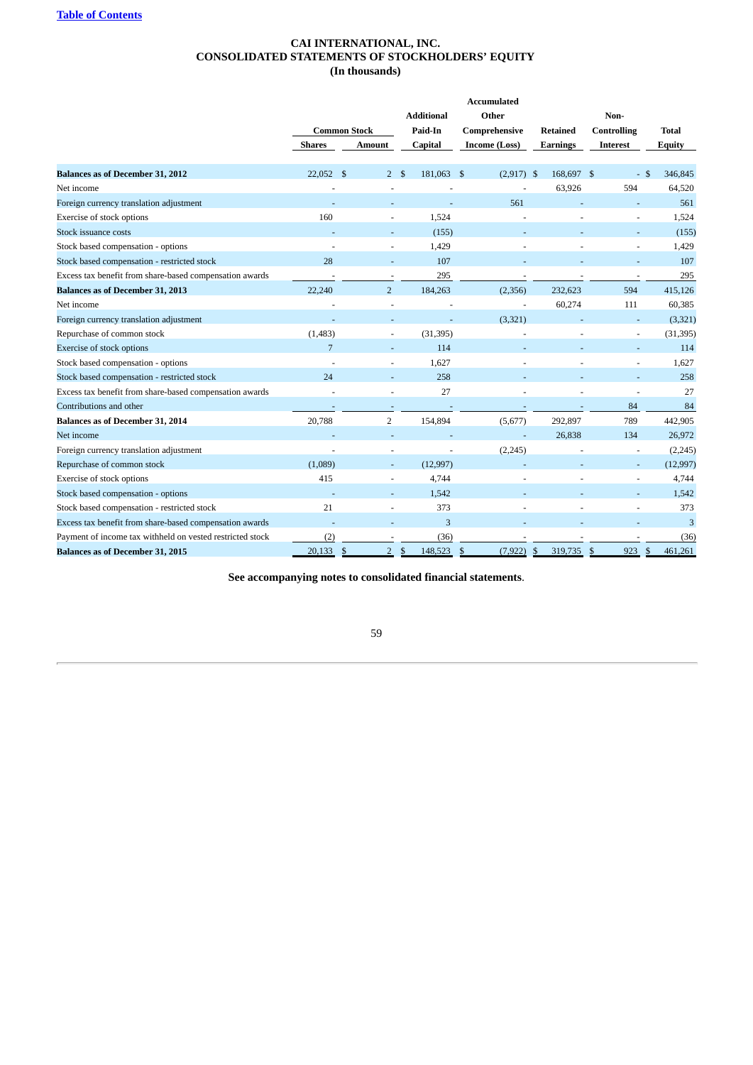## **CAI INTERNATIONAL, INC. CONSOLIDATED STATEMENTS OF STOCKHOLDERS' EQUITY (In thousands)**

<span id="page-58-0"></span>

|                                                           |               |                          |                |                   |                | <b>Accumulated</b>   |              |                 |                          |               |  |
|-----------------------------------------------------------|---------------|--------------------------|----------------|-------------------|----------------|----------------------|--------------|-----------------|--------------------------|---------------|--|
|                                                           |               |                          |                | <b>Additional</b> |                | Other                |              |                 | Non-                     |               |  |
|                                                           |               | <b>Common Stock</b>      |                | Paid-In           |                | Comprehensive        |              | <b>Retained</b> | Controlling              | <b>Total</b>  |  |
|                                                           | <b>Shares</b> | Amount                   |                | Capital           |                | <b>Income (Loss)</b> |              | <b>Earnings</b> | <b>Interest</b>          | <b>Equity</b> |  |
|                                                           |               |                          |                |                   |                |                      |              |                 |                          |               |  |
| <b>Balances as of December 31, 2012</b>                   | $22,052$ \$   |                          | 2 <sub>5</sub> | 181,063 \$        |                | $(2,917)$ \$         |              | 168,697 \$      | - \$                     | 346,845       |  |
| Net income                                                |               |                          |                |                   |                |                      |              | 63,926          | 594                      | 64,520        |  |
| Foreign currency translation adjustment                   |               |                          |                |                   |                | 561                  |              |                 |                          | 561           |  |
| Exercise of stock options                                 | 160           |                          |                | 1,524             |                |                      |              |                 |                          | 1,524         |  |
| Stock issuance costs                                      |               |                          |                | (155)             |                |                      |              |                 |                          | (155)         |  |
| Stock based compensation - options                        |               |                          |                | 1,429             |                |                      |              |                 |                          | 1,429         |  |
| Stock based compensation - restricted stock               | 28            |                          |                | 107               |                |                      |              |                 |                          | 107           |  |
| Excess tax benefit from share-based compensation awards   |               |                          |                | 295               |                |                      |              |                 |                          | 295           |  |
| <b>Balances as of December 31, 2013</b>                   | 22,240        | $\overline{2}$           |                | 184,263           |                | (2,356)              |              | 232,623         | 594                      | 415,126       |  |
| Net income                                                |               | $\overline{\phantom{a}}$ |                |                   |                |                      |              | 60,274          | 111                      | 60,385        |  |
| Foreign currency translation adjustment                   |               |                          |                |                   |                | (3, 321)             |              |                 |                          | (3, 321)      |  |
| Repurchase of common stock                                | (1,483)       |                          |                | (31, 395)         |                |                      |              |                 |                          | (31, 395)     |  |
| <b>Exercise of stock options</b>                          | 7             |                          |                | 114               |                |                      |              |                 |                          | 114           |  |
| Stock based compensation - options                        |               |                          |                | 1,627             |                |                      |              |                 |                          | 1,627         |  |
| Stock based compensation - restricted stock               | 24            |                          |                | 258               |                |                      |              |                 |                          | 258           |  |
| Excess tax benefit from share-based compensation awards   |               |                          |                | 27                |                |                      |              |                 |                          | 27            |  |
| Contributions and other                                   |               |                          |                |                   |                |                      |              |                 | 84                       | 84            |  |
| Balances as of December 31, 2014                          | 20,788        | $\overline{a}$           |                | 154,894           |                | (5,677)              |              | 292,897         | 789                      | 442,905       |  |
| Net income                                                |               |                          |                |                   |                |                      |              | 26,838          | 134                      | 26,972        |  |
| Foreign currency translation adjustment                   |               |                          |                |                   |                | (2, 245)             |              |                 |                          | (2, 245)      |  |
| Repurchase of common stock                                | (1,089)       |                          |                | (12, 997)         |                |                      |              |                 |                          | (12, 997)     |  |
| Exercise of stock options                                 | 415           | $\overline{\phantom{a}}$ |                | 4,744             |                |                      |              |                 | $\overline{\phantom{a}}$ | 4,744         |  |
| Stock based compensation - options                        |               |                          |                | 1,542             |                |                      |              |                 |                          | 1,542         |  |
| Stock based compensation - restricted stock               | 21            |                          |                | 373               |                |                      |              |                 |                          | 373           |  |
| Excess tax benefit from share-based compensation awards   |               |                          |                | 3                 |                |                      |              |                 |                          | 3             |  |
| Payment of income tax withheld on vested restricted stock | (2)           |                          |                | (36)              |                |                      |              |                 |                          | (36)          |  |
| <b>Balances as of December 31, 2015</b>                   | $20,133$ \$   | $\overline{2}$           | $\mathbb{S}$   | 148,523           | $\mathfrak{s}$ | (7, 922)             | $\mathbb{S}$ | 319,735 \$      | $\mathcal{S}$<br>923     | 461,261       |  |

**See accompanying notes to consolidated financial statements**.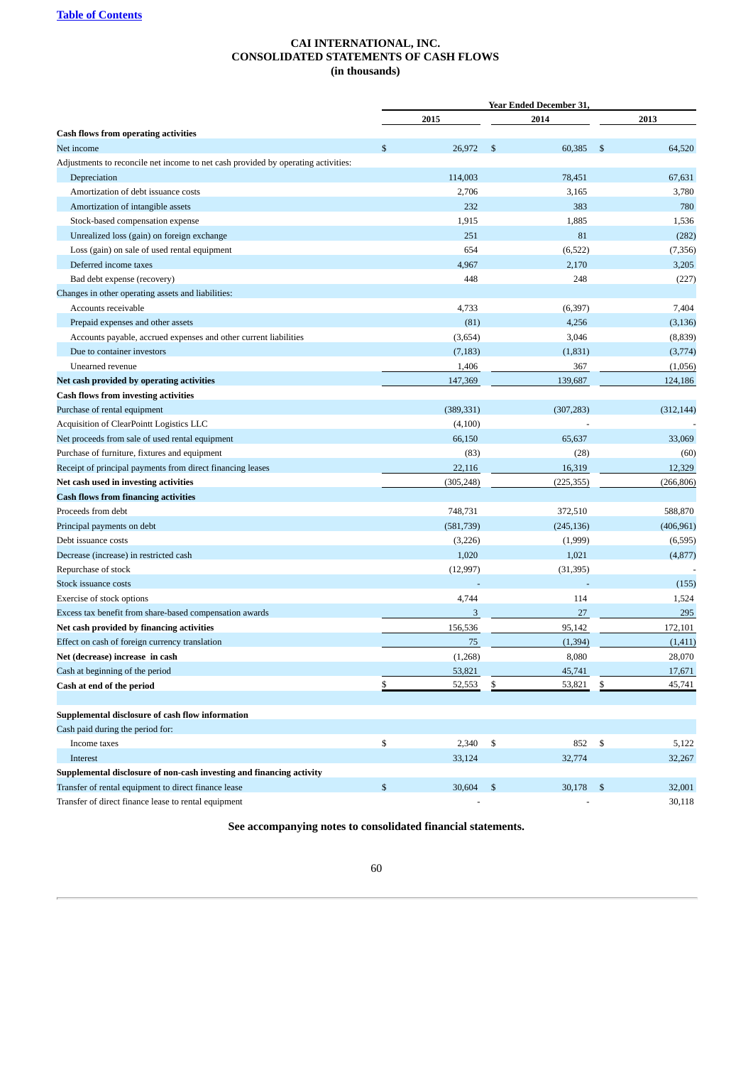# **CAI INTERNATIONAL, INC. CONSOLIDATED STATEMENTS OF CASH FLOWS (in thousands)**

<span id="page-59-0"></span>

|                                                                                   |              | <b>Year Ended December 31,</b> |            |      |            |
|-----------------------------------------------------------------------------------|--------------|--------------------------------|------------|------|------------|
|                                                                                   | 2015         |                                | 2014       |      | 2013       |
| <b>Cash flows from operating activities</b>                                       |              |                                |            |      |            |
| Net income                                                                        | \$<br>26,972 | $\mathcal{S}$                  | 60,385     | \$   | 64,520     |
| Adjustments to reconcile net income to net cash provided by operating activities: |              |                                |            |      |            |
| Depreciation                                                                      | 114,003      |                                | 78,451     |      | 67,631     |
| Amortization of debt issuance costs                                               | 2,706        |                                | 3,165      |      | 3,780      |
| Amortization of intangible assets                                                 | 232          |                                | 383        |      | 780        |
| Stock-based compensation expense                                                  | 1,915        |                                | 1,885      |      | 1,536      |
| Unrealized loss (gain) on foreign exchange                                        | 251          |                                | 81         |      | (282)      |
| Loss (gain) on sale of used rental equipment                                      | 654          |                                | (6,522)    |      | (7,356)    |
| Deferred income taxes                                                             | 4,967        |                                | 2,170      |      | 3,205      |
| Bad debt expense (recovery)                                                       | 448          |                                | 248        |      | (227)      |
| Changes in other operating assets and liabilities:                                |              |                                |            |      |            |
| Accounts receivable                                                               | 4,733        |                                | (6, 397)   |      | 7,404      |
| Prepaid expenses and other assets                                                 | (81)         |                                | 4,256      |      | (3, 136)   |
| Accounts payable, accrued expenses and other current liabilities                  | (3,654)      |                                | 3,046      |      | (8, 839)   |
| Due to container investors                                                        | (7, 183)     |                                | (1, 831)   |      | (3,774)    |
| Unearned revenue                                                                  | 1,406        |                                | 367        |      | (1,056)    |
| Net cash provided by operating activities                                         | 147,369      |                                | 139,687    |      | 124,186    |
| <b>Cash flows from investing activities</b>                                       |              |                                |            |      |            |
| Purchase of rental equipment                                                      | (389, 331)   |                                | (307, 283) |      | (312, 144) |
| Acquisition of ClearPointt Logistics LLC                                          | (4,100)      |                                |            |      |            |
| Net proceeds from sale of used rental equipment                                   | 66,150       |                                | 65,637     |      | 33,069     |
| Purchase of furniture, fixtures and equipment                                     | (83)         |                                | (28)       |      | (60)       |
| Receipt of principal payments from direct financing leases                        | 22,116       |                                | 16,319     |      | 12,329     |
| Net cash used in investing activities                                             | (305, 248)   |                                | (225, 355) |      | (266, 806) |
| <b>Cash flows from financing activities</b>                                       |              |                                |            |      |            |
| Proceeds from debt                                                                | 748,731      |                                | 372,510    |      | 588,870    |
| Principal payments on debt                                                        | (581, 739)   |                                | (245, 136) |      | (406, 961) |
| Debt issuance costs                                                               | (3,226)      |                                | (1,999)    |      | (6, 595)   |
| Decrease (increase) in restricted cash                                            | 1,020        |                                | 1,021      |      | (4,877)    |
| Repurchase of stock                                                               | (12, 997)    |                                | (31, 395)  |      |            |
| Stock issuance costs                                                              |              |                                |            |      | (155)      |
| Exercise of stock options                                                         | 4,744        |                                | 114        |      | 1,524      |
| Excess tax benefit from share-based compensation awards                           | 3            |                                | 27         |      | 295        |
| Net cash provided by financing activities                                         | 156,536      |                                | 95,142     |      | 172,101    |
| Effect on cash of foreign currency translation                                    | 75           |                                | (1, 394)   |      | (1, 411)   |
| Net (decrease) increase in cash                                                   | (1,268)      |                                | 8,080      |      | 28,070     |
| Cash at beginning of the period                                                   | 53,821       |                                | 45,741     |      | 17,671     |
| Cash at end of the period                                                         | \$<br>52,553 | \$                             | 53,821     | \$   | 45,741     |
| Supplemental disclosure of cash flow information                                  |              |                                |            |      |            |
| Cash paid during the period for:                                                  |              |                                |            |      |            |
| Income taxes                                                                      | \$<br>2,340  | \$                             | 852        | \$   | 5,122      |
| Interest                                                                          | 33,124       |                                | 32,774     |      | 32,267     |
| Supplemental disclosure of non-cash investing and financing activity              |              |                                |            |      |            |
| Transfer of rental equipment to direct finance lease                              | \$<br>30,604 | $\mathbb{S}$                   | 30,178     | - \$ | 32,001     |
| Transfer of direct finance lease to rental equipment                              |              |                                |            |      | 30,118     |

<span id="page-59-1"></span>**See accompanying notes to consolidated financial statements.**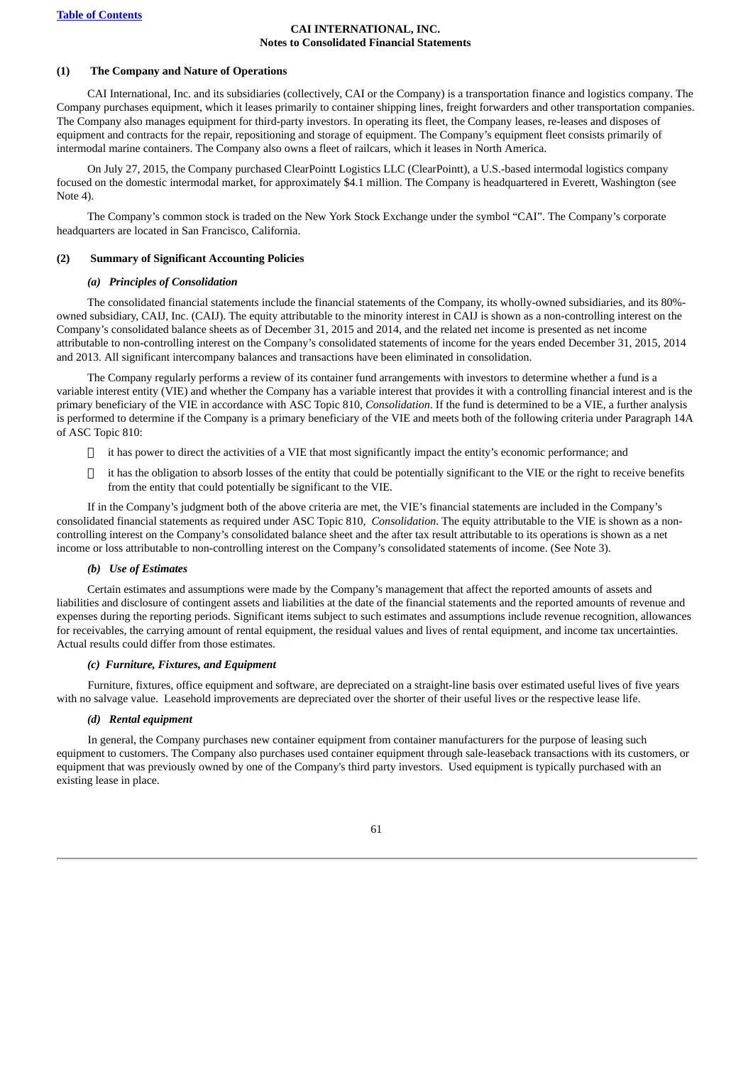# **(1) The Company and Nature of Operations**

CAI International, Inc. and its subsidiaries (collectively, CAI or the Company) is a transportation finance and logistics company. The Company purchases equipment, which it leases primarily to container shipping lines, freight forwarders and other transportation companies. The Company also manages equipment for third-party investors. In operating its fleet, the Company leases, re-leases and disposes of equipment and contracts for the repair, repositioning and storage of equipment. The Company's equipment fleet consists primarily of intermodal marine containers. The Company also owns a fleet of railcars, which it leases in North America.

On July 27, 2015, the Company purchased ClearPointt Logistics LLC (ClearPointt), a U.S.-based intermodal logistics company focused on the domestic intermodal market, for approximately \$4.1 million. The Company is headquartered in Everett, Washington (see Note 4).

The Company's common stock is traded on the New York Stock Exchange under the symbol "CAI". The Company's corporate headquarters are located in San Francisco, California.

# **(2) Summary of Significant Accounting Policies**

# *(a) Principles of Consolidation*

The consolidated financial statements include the financial statements of the Company, its wholly-owned subsidiaries, and its 80% owned subsidiary, CAIJ, Inc. (CAIJ). The equity attributable to the minority interest in CAIJ is shown as a non-controlling interest on the Company's consolidated balance sheets as of December 31, 2015 and 2014, and the related net income is presented as net income attributable to non-controlling interest on the Company's consolidated statements of income for the years ended December 31, 2015, 2014 and 2013. All significant intercompany balances and transactions have been eliminated in consolidation.

The Company regularly performs a review of its container fund arrangements with investors to determine whether a fund is a variable interest entity (VIE) and whether the Company has a variable interest that provides it with a controlling financial interest and is the primary beneficiary of the VIE in accordance with ASC Topic 810, *Consolidation*. If the fund is determined to be a VIE, a further analysis is performed to determine if the Company is a primary beneficiary of the VIE and meets both of the following criteria under Paragraph 14A of ASC Topic 810:

- $\Box$  it has power to direct the activities of a VIE that most significantly impact the entity's economic performance; and
- $\Box$  it has the obligation to absorb losses of the entity that could be potentially significant to the VIE or the right to receive benefits from the entity that could potentially be significant to the VIE.

If in the Company's judgment both of the above criteria are met, the VIE's financial statements are included in the Company's consolidated financial statements as required under ASC Topic 810, *Consolidation*. The equity attributable to the VIE is shown as a noncontrolling interest on the Company's consolidated balance sheet and the after tax result attributable to its operations is shown as a net income or loss attributable to non-controlling interest on the Company's consolidated statements of income. (See Note 3).

# *(b) Use of Estimates*

Certain estimates and assumptions were made by the Company's management that affect the reported amounts of assets and liabilities and disclosure of contingent assets and liabilities at the date of the financial statements and the reported amounts of revenue and expenses during the reporting periods. Significant items subject to such estimates and assumptions include revenue recognition, allowances for receivables, the carrying amount of rental equipment, the residual values and lives of rental equipment, and income tax uncertainties. Actual results could differ from those estimates.

## *(c) Furniture, Fixtures, and Equipment*

Furniture, fixtures, office equipment and software, are depreciated on a straight-line basis over estimated useful lives of five years with no salvage value. Leasehold improvements are depreciated over the shorter of their useful lives or the respective lease life.

# *(d) Rental equipment*

In general, the Company purchases new container equipment from container manufacturers for the purpose of leasing such equipment to customers. The Company also purchases used container equipment through sale-leaseback transactions with its customers, or equipment that was previously owned by one of the Company's third party investors. Used equipment is typically purchased with an existing lease in place.

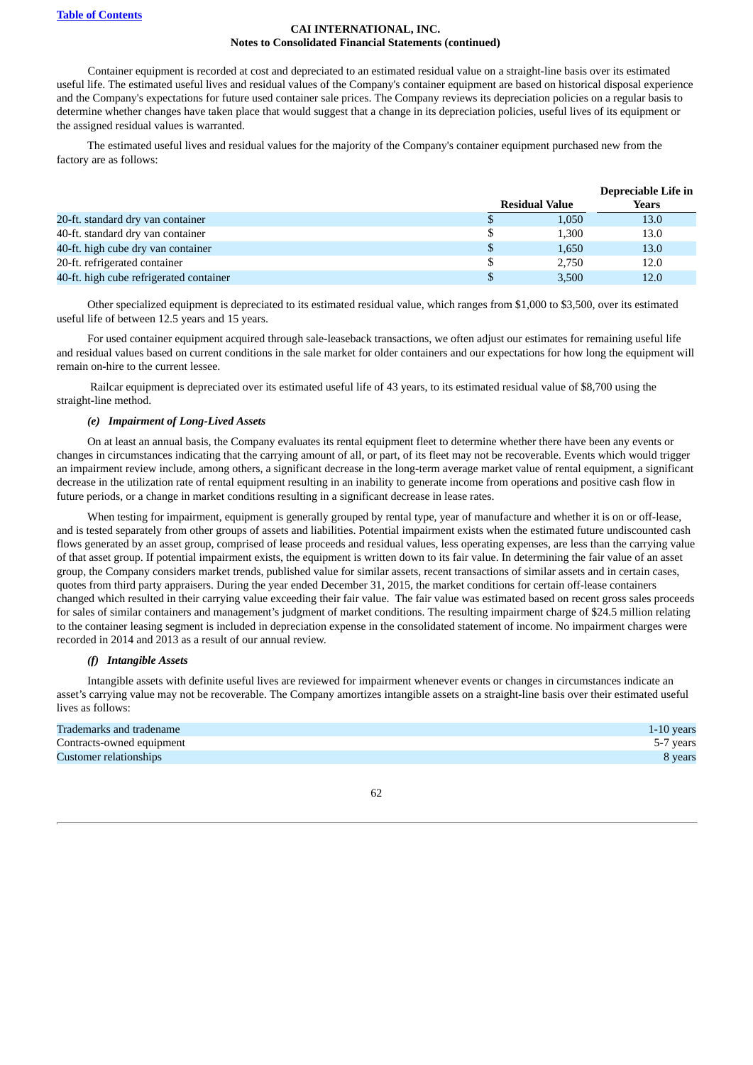# **CAI INTERNATIONAL, INC. Notes to Consolidated Financial Statements (continued)**

Container equipment is recorded at cost and depreciated to an estimated residual value on a straight-line basis over its estimated useful life. The estimated useful lives and residual values of the Company's container equipment are based on historical disposal experience and the Company's expectations for future used container sale prices. The Company reviews its depreciation policies on a regular basis to determine whether changes have taken place that would suggest that a change in its depreciation policies, useful lives of its equipment or the assigned residual values is warranted.

The estimated useful lives and residual values for the majority of the Company's container equipment purchased new from the factory are as follows:

|                                              |                       |       | Depreciable Life in |
|----------------------------------------------|-----------------------|-------|---------------------|
|                                              | <b>Residual Value</b> |       | Years               |
| 20-ft. standard dry van container            |                       | 1.050 | 13.0                |
| 40-ft. standard dry van container            |                       | 1,300 | 13.0                |
| S<br>40-ft. high cube dry van container      |                       | 1,650 | 13.0                |
| 20-ft. refrigerated container                |                       | 2,750 | 12.0                |
| 40-ft. high cube refrigerated container<br>S |                       | 3,500 | 12.0                |

Other specialized equipment is depreciated to its estimated residual value, which ranges from \$1,000 to \$3,500, over its estimated useful life of between 12.5 years and 15 years.

For used container equipment acquired through sale-leaseback transactions, we often adjust our estimates for remaining useful life and residual values based on current conditions in the sale market for older containers and our expectations for how long the equipment will remain on-hire to the current lessee.

Railcar equipment is depreciated over its estimated useful life of 43 years, to its estimated residual value of \$8,700 using the straight-line method.

## *(e) Impairment of Long-Lived Assets*

On at least an annual basis, the Company evaluates its rental equipment fleet to determine whether there have been any events or changes in circumstances indicating that the carrying amount of all, or part, of its fleet may not be recoverable. Events which would trigger an impairment review include, among others, a significant decrease in the long-term average market value of rental equipment, a significant decrease in the utilization rate of rental equipment resulting in an inability to generate income from operations and positive cash flow in future periods, or a change in market conditions resulting in a significant decrease in lease rates.

When testing for impairment, equipment is generally grouped by rental type, year of manufacture and whether it is on or off-lease, and is tested separately from other groups of assets and liabilities. Potential impairment exists when the estimated future undiscounted cash flows generated by an asset group, comprised of lease proceeds and residual values, less operating expenses, are less than the carrying value of that asset group. If potential impairment exists, the equipment is written down to its fair value. In determining the fair value of an asset group, the Company considers market trends, published value for similar assets, recent transactions of similar assets and in certain cases, quotes from third party appraisers. During the year ended December 31, 2015, the market conditions for certain off-lease containers changed which resulted in their carrying value exceeding their fair value. The fair value was estimated based on recent gross sales proceeds for sales of similar containers and management's judgment of market conditions. The resulting impairment charge of \$24.5 million relating to the container leasing segment is included in depreciation expense in the consolidated statement of income. No impairment charges were recorded in 2014 and 2013 as a result of our annual review.

## *(f) Intangible Assets*

Intangible assets with definite useful lives are reviewed for impairment whenever events or changes in circumstances indicate an asset's carrying value may not be recoverable. The Company amortizes intangible assets on a straight-line basis over their estimated useful lives as follows:

| $1-10$ years |
|--------------|
| 5-7 years    |
| 8 years      |
|              |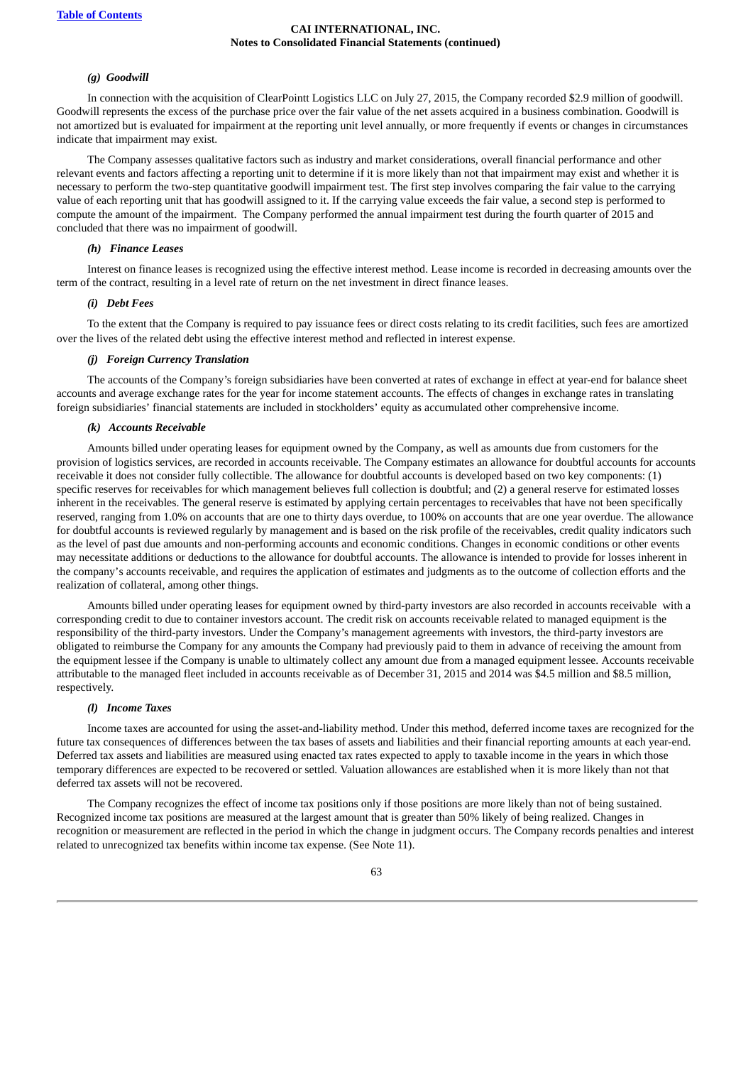### *(g) Goodwill*

In connection with the acquisition of ClearPointt Logistics LLC on July 27, 2015, the Company recorded \$2.9 million of goodwill. Goodwill represents the excess of the purchase price over the fair value of the net assets acquired in a business combination. Goodwill is not amortized but is evaluated for impairment at the reporting unit level annually, or more frequently if events or changes in circumstances indicate that impairment may exist.

The Company assesses qualitative factors such as industry and market considerations, overall financial performance and other relevant events and factors affecting a reporting unit to determine if it is more likely than not that impairment may exist and whether it is necessary to perform the two-step quantitative goodwill impairment test. The first step involves comparing the fair value to the carrying value of each reporting unit that has goodwill assigned to it. If the carrying value exceeds the fair value, a second step is performed to compute the amount of the impairment. The Company performed the annual impairment test during the fourth quarter of 2015 and concluded that there was no impairment of goodwill.

### *(h) Finance Leases*

Interest on finance leases is recognized using the effective interest method. Lease income is recorded in decreasing amounts over the term of the contract, resulting in a level rate of return on the net investment in direct finance leases.

### *(i) Debt Fees*

To the extent that the Company is required to pay issuance fees or direct costs relating to its credit facilities, such fees are amortized over the lives of the related debt using the effective interest method and reflected in interest expense.

### *(j) Foreign Currency Translation*

The accounts of the Company's foreign subsidiaries have been converted at rates of exchange in effect at year-end for balance sheet accounts and average exchange rates for the year for income statement accounts. The effects of changes in exchange rates in translating foreign subsidiaries' financial statements are included in stockholders' equity as accumulated other comprehensive income.

### *(k) Accounts Receivable*

Amounts billed under operating leases for equipment owned by the Company, as well as amounts due from customers for the provision of logistics services, are recorded in accounts receivable. The Company estimates an allowance for doubtful accounts for accounts receivable it does not consider fully collectible. The allowance for doubtful accounts is developed based on two key components: (1) specific reserves for receivables for which management believes full collection is doubtful; and (2) a general reserve for estimated losses inherent in the receivables. The general reserve is estimated by applying certain percentages to receivables that have not been specifically reserved, ranging from 1.0% on accounts that are one to thirty days overdue, to 100% on accounts that are one year overdue. The allowance for doubtful accounts is reviewed regularly by management and is based on the risk profile of the receivables, credit quality indicators such as the level of past due amounts and non-performing accounts and economic conditions. Changes in economic conditions or other events may necessitate additions or deductions to the allowance for doubtful accounts. The allowance is intended to provide for losses inherent in the company's accounts receivable, and requires the application of estimates and judgments as to the outcome of collection efforts and the realization of collateral, among other things.

Amounts billed under operating leases for equipment owned by third-party investors are also recorded in accounts receivable with a corresponding credit to due to container investors account. The credit risk on accounts receivable related to managed equipment is the responsibility of the third-party investors. Under the Company's management agreements with investors, the third-party investors are obligated to reimburse the Company for any amounts the Company had previously paid to them in advance of receiving the amount from the equipment lessee if the Company is unable to ultimately collect any amount due from a managed equipment lessee. Accounts receivable attributable to the managed fleet included in accounts receivable as of December 31, 2015 and 2014 was \$4.5 million and \$8.5 million, respectively.

### *(l) Income Taxes*

Income taxes are accounted for using the asset-and-liability method. Under this method, deferred income taxes are recognized for the future tax consequences of differences between the tax bases of assets and liabilities and their financial reporting amounts at each year-end. Deferred tax assets and liabilities are measured using enacted tax rates expected to apply to taxable income in the years in which those temporary differences are expected to be recovered or settled. Valuation allowances are established when it is more likely than not that deferred tax assets will not be recovered.

The Company recognizes the effect of income tax positions only if those positions are more likely than not of being sustained. Recognized income tax positions are measured at the largest amount that is greater than 50% likely of being realized. Changes in recognition or measurement are reflected in the period in which the change in judgment occurs. The Company records penalties and interest related to unrecognized tax benefits within income tax expense. (See Note 11).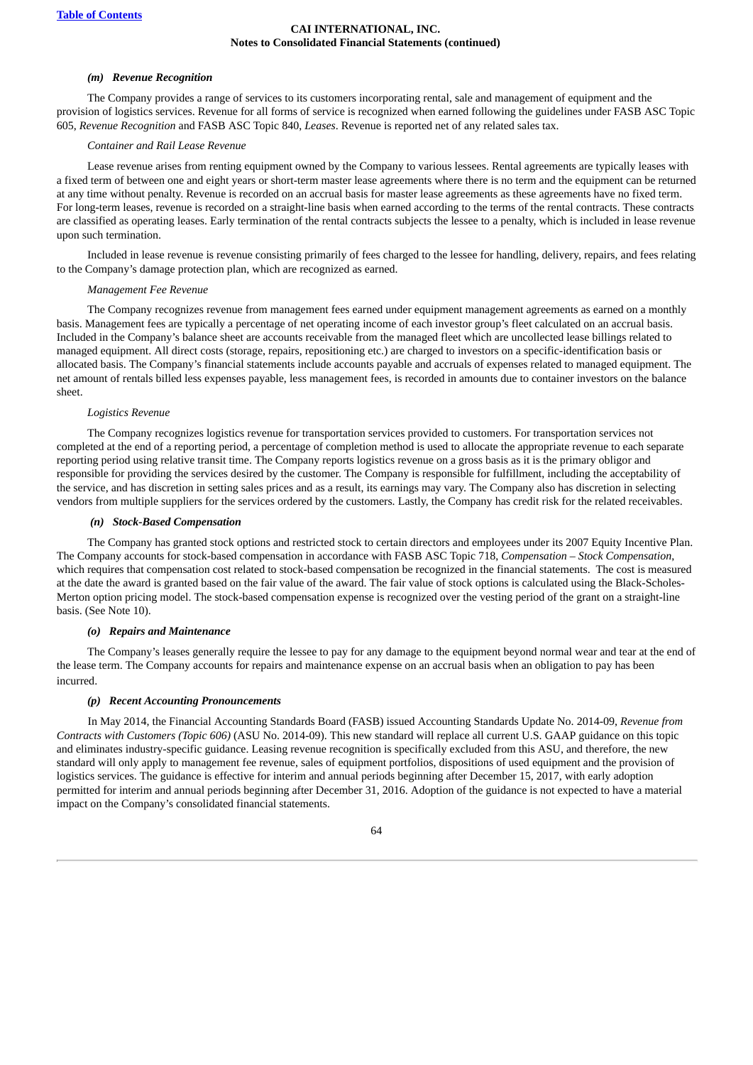### *(m) Revenue Recognition*

The Company provides a range of services to its customers incorporating rental, sale and management of equipment and the provision of logistics services. Revenue for all forms of service is recognized when earned following the guidelines under FASB ASC Topic 605, *Revenue Recognition* and FASB ASC Topic 840, *Leases*. Revenue is reported net of any related sales tax.

## *Container and Rail Lease Revenue*

Lease revenue arises from renting equipment owned by the Company to various lessees. Rental agreements are typically leases with a fixed term of between one and eight years or short-term master lease agreements where there is no term and the equipment can be returned at any time without penalty. Revenue is recorded on an accrual basis for master lease agreements as these agreements have no fixed term. For long-term leases, revenue is recorded on a straight-line basis when earned according to the terms of the rental contracts. These contracts are classified as operating leases. Early termination of the rental contracts subjects the lessee to a penalty, which is included in lease revenue upon such termination.

Included in lease revenue is revenue consisting primarily of fees charged to the lessee for handling, delivery, repairs, and fees relating to the Company's damage protection plan, which are recognized as earned.

### *Management Fee Revenue*

The Company recognizes revenue from management fees earned under equipment management agreements as earned on a monthly basis. Management fees are typically a percentage of net operating income of each investor group's fleet calculated on an accrual basis. Included in the Company's balance sheet are accounts receivable from the managed fleet which are uncollected lease billings related to managed equipment. All direct costs (storage, repairs, repositioning etc.) are charged to investors on a specific-identification basis or allocated basis. The Company's financial statements include accounts payable and accruals of expenses related to managed equipment. The net amount of rentals billed less expenses payable, less management fees, is recorded in amounts due to container investors on the balance sheet.

### *Logistics Revenue*

The Company recognizes logistics revenue for transportation services provided to customers. For transportation services not completed at the end of a reporting period, a percentage of completion method is used to allocate the appropriate revenue to each separate reporting period using relative transit time. The Company reports logistics revenue on a gross basis as it is the primary obligor and responsible for providing the services desired by the customer. The Company is responsible for fulfillment, including the acceptability of the service, and has discretion in setting sales prices and as a result, its earnings may vary. The Company also has discretion in selecting vendors from multiple suppliers for the services ordered by the customers. Lastly, the Company has credit risk for the related receivables.

### *(n) Stock-Based Compensation*

The Company has granted stock options and restricted stock to certain directors and employees under its 2007 Equity Incentive Plan. The Company accounts for stock-based compensation in accordance with FASB ASC Topic 718, *Compensation – Stock Compensation*, which requires that compensation cost related to stock-based compensation be recognized in the financial statements. The cost is measured at the date the award is granted based on the fair value of the award. The fair value of stock options is calculated using the Black-Scholes-Merton option pricing model. The stock-based compensation expense is recognized over the vesting period of the grant on a straight-line basis. (See Note 10).

### *(o) Repairs and Maintenance*

The Company's leases generally require the lessee to pay for any damage to the equipment beyond normal wear and tear at the end of the lease term. The Company accounts for repairs and maintenance expense on an accrual basis when an obligation to pay has been incurred.

### *(p) Recent Accounting Pronouncements*

In May 2014, the Financial Accounting Standards Board (FASB) issued Accounting Standards Update No. 2014-09, *Revenue from Contracts with Customers (Topic 606)* (ASU No. 2014-09). This new standard will replace all current U.S. GAAP guidance on this topic and eliminates industry-specific guidance. Leasing revenue recognition is specifically excluded from this ASU, and therefore, the new standard will only apply to management fee revenue, sales of equipment portfolios, dispositions of used equipment and the provision of logistics services. The guidance is effective for interim and annual periods beginning after December 15, 2017, with early adoption permitted for interim and annual periods beginning after December 31, 2016. Adoption of the guidance is not expected to have a material impact on the Company's consolidated financial statements.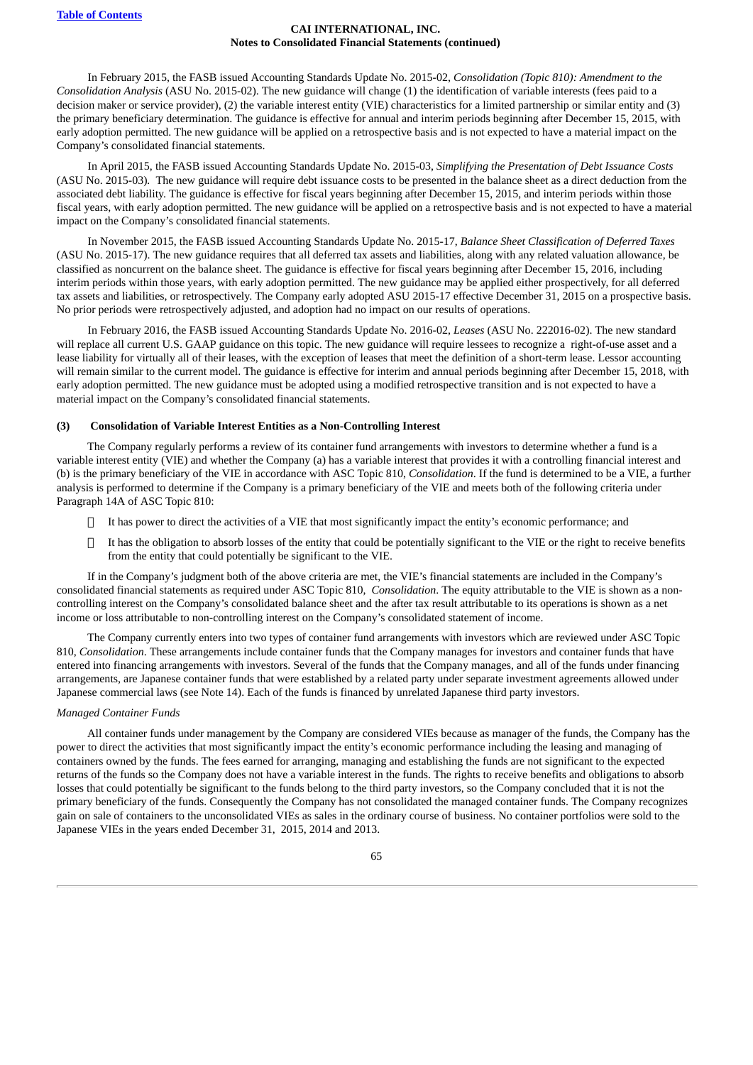In February 2015, the FASB issued Accounting Standards Update No. 2015-02, *Consolidation (Topic 810): Amendment to the Consolidation Analysis* (ASU No. 2015-02). The new guidance will change (1) the identification of variable interests (fees paid to a decision maker or service provider), (2) the variable interest entity (VIE) characteristics for a limited partnership or similar entity and (3) the primary beneficiary determination. The guidance is effective for annual and interim periods beginning after December 15, 2015, with early adoption permitted. The new guidance will be applied on a retrospective basis and is not expected to have a material impact on the Company's consolidated financial statements.

In April 2015, the FASB issued Accounting Standards Update No. 2015-03, *Simplifying the Presentation of Debt Issuance Costs* (ASU No. 2015-03)*.* The new guidance will require debt issuance costs to be presented in the balance sheet as a direct deduction from the associated debt liability. The guidance is effective for fiscal years beginning after December 15, 2015, and interim periods within those fiscal years, with early adoption permitted. The new guidance will be applied on a retrospective basis and is not expected to have a material impact on the Company's consolidated financial statements.

In November 2015, the FASB issued Accounting Standards Update No. 2015-17, *Balance Sheet Classification of Deferred Taxes* (ASU No. 2015-17). The new guidance requires that all deferred tax assets and liabilities, along with any related valuation allowance, be classified as noncurrent on the balance sheet. The guidance is effective for fiscal years beginning after December 15, 2016, including interim periods within those years, with early adoption permitted. The new guidance may be applied either prospectively, for all deferred tax assets and liabilities, or retrospectively. The Company early adopted ASU 2015-17 effective December 31, 2015 on a prospective basis. No prior periods were retrospectively adjusted, and adoption had no impact on our results of operations.

In February 2016, the FASB issued Accounting Standards Update No. 2016-02, *Leases* (ASU No. 222016-02). The new standard will replace all current U.S. GAAP guidance on this topic. The new guidance will require lessees to recognize a right-of-use asset and a lease liability for virtually all of their leases, with the exception of leases that meet the definition of a short-term lease. Lessor accounting will remain similar to the current model. The guidance is effective for interim and annual periods beginning after December 15, 2018, with early adoption permitted. The new guidance must be adopted using a modified retrospective transition and is not expected to have a material impact on the Company's consolidated financial statements.

## **(3) Consolidation of Variable Interest Entities as a Non-Controlling Interest**

The Company regularly performs a review of its container fund arrangements with investors to determine whether a fund is a variable interest entity (VIE) and whether the Company (a) has a variable interest that provides it with a controlling financial interest and (b) is the primary beneficiary of the VIE in accordance with ASC Topic 810, *Consolidation*. If the fund is determined to be a VIE, a further analysis is performed to determine if the Company is a primary beneficiary of the VIE and meets both of the following criteria under Paragraph 14A of ASC Topic 810:

- $\Box$  It has power to direct the activities of a VIE that most significantly impact the entity's economic performance; and
- $\Box$  It has the obligation to absorb losses of the entity that could be potentially significant to the VIE or the right to receive benefits from the entity that could potentially be significant to the VIE.

If in the Company's judgment both of the above criteria are met, the VIE's financial statements are included in the Company's consolidated financial statements as required under ASC Topic 810, *Consolidation*. The equity attributable to the VIE is shown as a noncontrolling interest on the Company's consolidated balance sheet and the after tax result attributable to its operations is shown as a net income or loss attributable to non-controlling interest on the Company's consolidated statement of income.

The Company currently enters into two types of container fund arrangements with investors which are reviewed under ASC Topic 810, *Consolidation*. These arrangements include container funds that the Company manages for investors and container funds that have entered into financing arrangements with investors. Several of the funds that the Company manages, and all of the funds under financing arrangements, are Japanese container funds that were established by a related party under separate investment agreements allowed under Japanese commercial laws (see Note 14). Each of the funds is financed by unrelated Japanese third party investors.

## *Managed Container Funds*

All container funds under management by the Company are considered VIEs because as manager of the funds, the Company has the power to direct the activities that most significantly impact the entity's economic performance including the leasing and managing of containers owned by the funds. The fees earned for arranging, managing and establishing the funds are not significant to the expected returns of the funds so the Company does not have a variable interest in the funds. The rights to receive benefits and obligations to absorb losses that could potentially be significant to the funds belong to the third party investors, so the Company concluded that it is not the primary beneficiary of the funds. Consequently the Company has not consolidated the managed container funds. The Company recognizes gain on sale of containers to the unconsolidated VIEs as sales in the ordinary course of business. No container portfolios were sold to the Japanese VIEs in the years ended December 31, 2015, 2014 and 2013.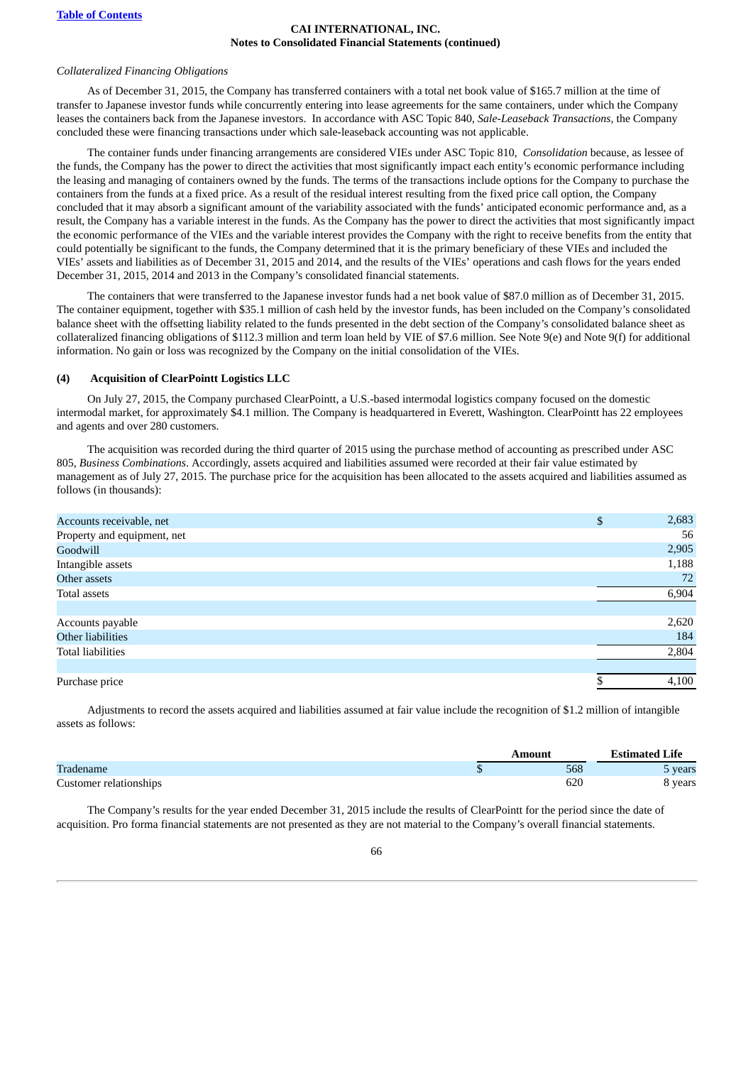### *Collateralized Financing Obligations*

As of December 31, 2015, the Company has transferred containers with a total net book value of \$165.7 million at the time of transfer to Japanese investor funds while concurrently entering into lease agreements for the same containers, under which the Company leases the containers back from the Japanese investors. In accordance with ASC Topic 840, *Sale-Leaseback Transactions,* the Company concluded these were financing transactions under which sale-leaseback accounting was not applicable.

The container funds under financing arrangements are considered VIEs under ASC Topic 810, *Consolidation* because, as lessee of the funds, the Company has the power to direct the activities that most significantly impact each entity's economic performance including the leasing and managing of containers owned by the funds. The terms of the transactions include options for the Company to purchase the containers from the funds at a fixed price. As a result of the residual interest resulting from the fixed price call option, the Company concluded that it may absorb a significant amount of the variability associated with the funds' anticipated economic performance and, as a result, the Company has a variable interest in the funds. As the Company has the power to direct the activities that most significantly impact the economic performance of the VIEs and the variable interest provides the Company with the right to receive benefits from the entity that could potentially be significant to the funds, the Company determined that it is the primary beneficiary of these VIEs and included the VIEs' assets and liabilities as of December 31, 2015 and 2014, and the results of the VIEs' operations and cash flows for the years ended December 31, 2015, 2014 and 2013 in the Company's consolidated financial statements.

The containers that were transferred to the Japanese investor funds had a net book value of \$87.0 million as of December 31, 2015. The container equipment, together with \$35.1 million of cash held by the investor funds, has been included on the Company's consolidated balance sheet with the offsetting liability related to the funds presented in the debt section of the Company's consolidated balance sheet as collateralized financing obligations of \$112.3 million and term loan held by VIE of \$7.6 million. See Note 9(e) and Note 9(f) for additional information. No gain or loss was recognized by the Company on the initial consolidation of the VIEs.

### **(4) Acquisition of ClearPointt Logistics LLC**

On July 27, 2015, the Company purchased ClearPointt, a U.S.-based intermodal logistics company focused on the domestic intermodal market, for approximately \$4.1 million. The Company is headquartered in Everett, Washington. ClearPointt has 22 employees and agents and over 280 customers.

The acquisition was recorded during the third quarter of 2015 using the purchase method of accounting as prescribed under ASC 805, *Business Combinations*. Accordingly, assets acquired and liabilities assumed were recorded at their fair value estimated by management as of July 27, 2015. The purchase price for the acquisition has been allocated to the assets acquired and liabilities assumed as follows (in thousands):

| Accounts receivable, net    | \$<br>2,683 |
|-----------------------------|-------------|
| Property and equipment, net | 56          |
| Goodwill                    | 2,905       |
| Intangible assets           | 1,188       |
| Other assets                | 72          |
| Total assets                | 6,904       |
|                             |             |
| Accounts payable            | 2,620       |
| Other liabilities           | 184         |
| <b>Total liabilities</b>    | 2,804       |
|                             |             |
| Purchase price              | 4,100       |

Adjustments to record the assets acquired and liabilities assumed at fair value include the recognition of \$1.2 million of intangible assets as follows:

|                        | Amount | <b>Estimated Life</b> |
|------------------------|--------|-----------------------|
| Tradename              | 568    | vears                 |
| Customer relationships | 620    | l vears               |

The Company's results for the year ended December 31, 2015 include the results of ClearPointt for the period since the date of acquisition. Pro forma financial statements are not presented as they are not material to the Company's overall financial statements.

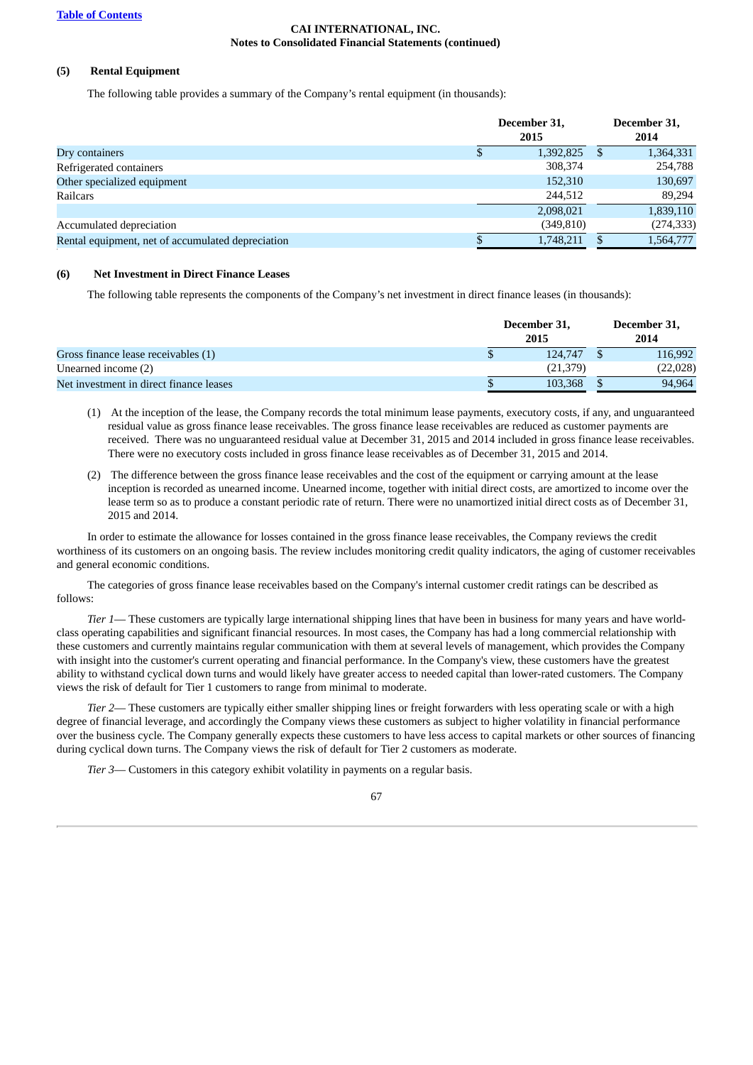# **(5) Rental Equipment**

The following table provides a summary of the Company's rental equipment (in thousands):

|                                                   | December 31,<br>2015 |              | December 31,<br>2014 |
|---------------------------------------------------|----------------------|--------------|----------------------|
| Dry containers                                    | 1,392,825            | <sup>S</sup> | 1,364,331            |
| Refrigerated containers                           | 308,374              |              | 254,788              |
| Other specialized equipment                       | 152,310              |              | 130,697              |
| Railcars                                          | 244.512              |              | 89,294               |
|                                                   | 2,098,021            |              | 1,839,110            |
| Accumulated depreciation                          | (349, 810)           |              | (274, 333)           |
| Rental equipment, net of accumulated depreciation | 1,748,211            |              | 1,564,777            |

# **(6) Net Investment in Direct Finance Leases**

The following table represents the components of the Company's net investment in direct finance leases (in thousands):

|                                         | December 31,<br>2015 | December 31,<br>2014 |
|-----------------------------------------|----------------------|----------------------|
| Gross finance lease receivables (1)     | 124,747              | 116,992              |
| Unearned income (2)                     | (21,379)             | (22,028)             |
| Net investment in direct finance leases | 103,368              | 94,964               |

(1) At the inception of the lease, the Company records the total minimum lease payments, executory costs, if any, and unguaranteed residual value as gross finance lease receivables. The gross finance lease receivables are reduced as customer payments are received. There was no unguaranteed residual value at December 31, 2015 and 2014 included in gross finance lease receivables. There were no executory costs included in gross finance lease receivables as of December 31, 2015 and 2014.

(2) The difference between the gross finance lease receivables and the cost of the equipment or carrying amount at the lease inception is recorded as unearned income. Unearned income, together with initial direct costs, are amortized to income over the lease term so as to produce a constant periodic rate of return. There were no unamortized initial direct costs as of December 31, 2015 and 2014.

In order to estimate the allowance for losses contained in the gross finance lease receivables, the Company reviews the credit worthiness of its customers on an ongoing basis. The review includes monitoring credit quality indicators, the aging of customer receivables and general economic conditions.

The categories of gross finance lease receivables based on the Company's internal customer credit ratings can be described as follows:

*Tier 1*— These customers are typically large international shipping lines that have been in business for many years and have worldclass operating capabilities and significant financial resources. In most cases, the Company has had a long commercial relationship with these customers and currently maintains regular communication with them at several levels of management, which provides the Company with insight into the customer's current operating and financial performance. In the Company's view, these customers have the greatest ability to withstand cyclical down turns and would likely have greater access to needed capital than lower-rated customers. The Company views the risk of default for Tier 1 customers to range from minimal to moderate.

*Tier 2*— These customers are typically either smaller shipping lines or freight forwarders with less operating scale or with a high degree of financial leverage, and accordingly the Company views these customers as subject to higher volatility in financial performance over the business cycle. The Company generally expects these customers to have less access to capital markets or other sources of financing during cyclical down turns. The Company views the risk of default for Tier 2 customers as moderate.

*Tier 3*— Customers in this category exhibit volatility in payments on a regular basis.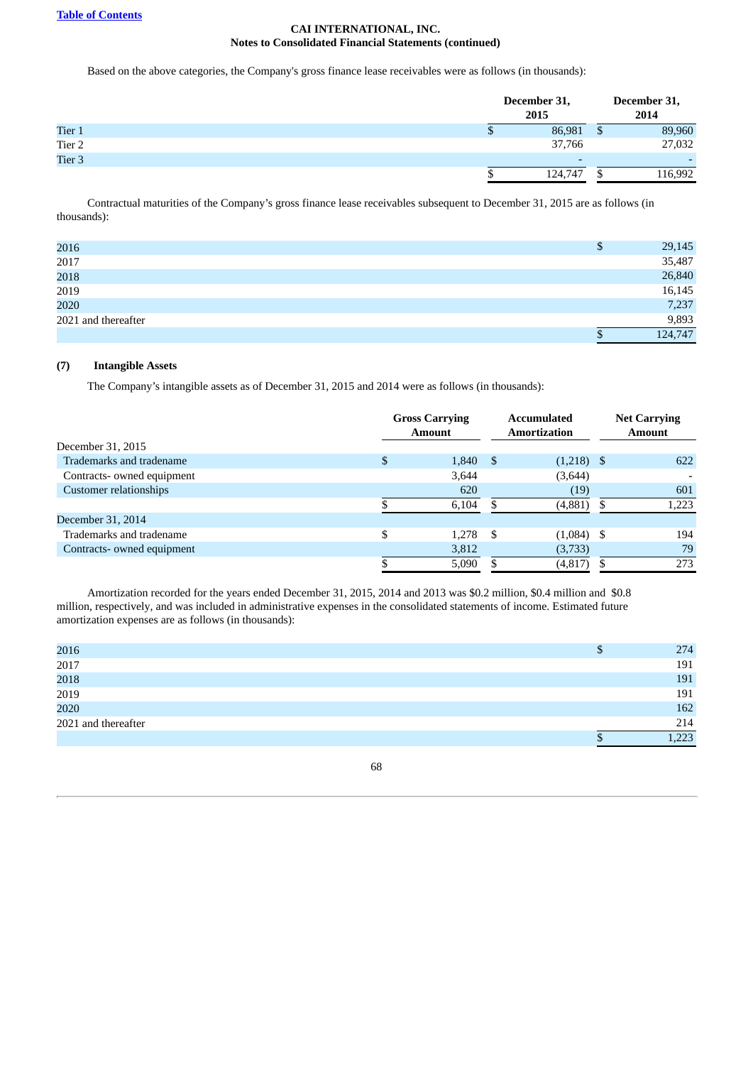Based on the above categories, the Company's gross finance lease receivables were as follows (in thousands):

|                   |    | December 31,             |   | December 31,             |
|-------------------|----|--------------------------|---|--------------------------|
|                   |    | 2015                     |   | 2014                     |
| Tier 1            | ۵D | 86,981                   | Φ | 89,960                   |
| Tier 2            |    | 37,766                   |   | 27,032                   |
| Tier <sub>3</sub> |    | $\overline{\phantom{0}}$ |   | $\overline{\phantom{0}}$ |
|                   |    | 124,747                  |   | 116,992                  |

Contractual maturities of the Company's gross finance lease receivables subsequent to December 31, 2015 are as follows (in thousands):

| 2016                | ۵D | 29,145  |
|---------------------|----|---------|
| 2017                |    | 35,487  |
| 2018                |    | 26,840  |
| 2019                |    | 16,145  |
| 2020                |    | 7,237   |
| 2021 and thereafter |    | 9,893   |
|                     | Ψ  | 124,747 |

# **(7) Intangible Assets**

The Company's intangible assets as of December 31, 2015 and 2014 were as follows (in thousands):

|                           | <b>Gross Carrying</b><br><b>Amount</b> | Accumulated<br><b>Amortization</b> |              |  | <b>Net Carrying</b><br><b>Amount</b> |
|---------------------------|----------------------------------------|------------------------------------|--------------|--|--------------------------------------|
| December 31, 2015         |                                        |                                    |              |  |                                      |
| Trademarks and tradename  | \$<br>1,840                            | -S                                 | $(1,218)$ \$ |  | 622                                  |
| Contracts-owned equipment | 3.644                                  |                                    | (3,644)      |  |                                      |
| Customer relationships    | 620                                    |                                    | (19)         |  | 601                                  |
|                           | 6,104                                  |                                    | (4,881)      |  | 1,223                                |
| December 31, 2014         |                                        |                                    |              |  |                                      |
| Trademarks and tradename  | \$<br>$1,278$ \$                       |                                    | $(1,084)$ \$ |  | 194                                  |
| Contracts-owned equipment | 3,812                                  |                                    | (3,733)      |  | 79                                   |
|                           | 5,090                                  |                                    | (4, 817)     |  | 273                                  |
|                           |                                        |                                    |              |  |                                      |

Amortization recorded for the years ended December 31, 2015, 2014 and 2013 was \$0.2 million, \$0.4 million and \$0.8 million, respectively, and was included in administrative expenses in the consolidated statements of income. Estimated future amortization expenses are as follows (in thousands):

| 2016                | لا | 274 |
|---------------------|----|-----|
| 2017                |    | 191 |
| 2018                |    | 191 |
| 2019                |    | 191 |
| 2020                |    | 162 |
| 2021 and thereafter |    | 214 |
|                     |    | 223 |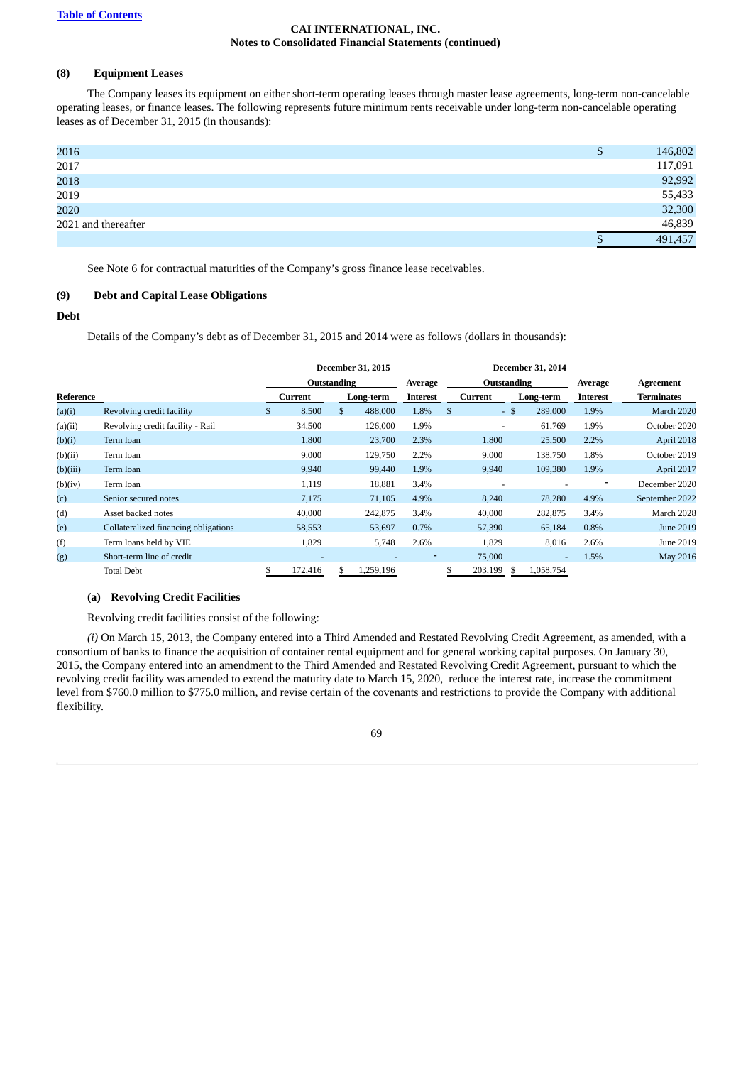## **(8) Equipment Leases**

The Company leases its equipment on either short-term operating leases through master lease agreements, long-term non-cancelable operating leases, or finance leases. The following represents future minimum rents receivable under long-term non-cancelable operating leases as of December 31, 2015 (in thousands):

| 2016                | \$<br>146,802 |
|---------------------|---------------|
| 2017                | 117,091       |
| 2018                | 92,992        |
| 2019                | 55,433        |
| 2020                | 32,300        |
| 2021 and thereafter | 46,839        |
|                     | 491,457       |

See Note 6 for contractual maturities of the Company's gross finance lease receivables.

# **(9) Debt and Capital Lease Obligations**

### **Debt**

Details of the Company's debt as of December 31, 2015 and 2014 were as follows (dollars in thousands):

|           |                                      | <b>December 31, 2015</b> |             |    |           |                 |   | <b>December 31, 2014</b> |        |           |          |                  |
|-----------|--------------------------------------|--------------------------|-------------|----|-----------|-----------------|---|--------------------------|--------|-----------|----------|------------------|
|           |                                      |                          | Outstanding |    |           | Average         |   | Outstanding              |        |           | Average  | <b>Agreement</b> |
| Reference |                                      |                          | Current     |    | Long-term | <b>Interest</b> |   | Current                  |        | Long-term | Interest | Terminates       |
| (a)(i)    | Revolving credit facility            | \$.                      | 8,500       | \$ | 488,000   | 1.8%            | S |                          | $-$ \$ | 289,000   | 1.9%     | March 2020       |
| (a)(ii)   | Revolving credit facility - Rail     |                          | 34,500      |    | 126,000   | 1.9%            |   | ٠                        |        | 61,769    | 1.9%     | October 2020     |
| (b)(i)    | Term loan                            |                          | 1,800       |    | 23,700    | 2.3%            |   | 1,800                    |        | 25,500    | 2.2%     | April 2018       |
| (b)(ii)   | Term loan                            |                          | 9,000       |    | 129,750   | 2.2%            |   | 9,000                    |        | 138,750   | 1.8%     | October 2019     |
| (b)(iii)  | Term loan                            |                          | 9,940       |    | 99,440    | 1.9%            |   | 9,940                    |        | 109,380   | 1.9%     | April 2017       |
| (b)(iv)   | Term loan                            |                          | 1,119       |    | 18,881    | 3.4%            |   |                          |        |           |          | December 2020    |
| (c)       | Senior secured notes                 |                          | 7,175       |    | 71,105    | 4.9%            |   | 8,240                    |        | 78,280    | 4.9%     | September 2022   |
| (d)       | Asset backed notes                   |                          | 40,000      |    | 242,875   | 3.4%            |   | 40,000                   |        | 282,875   | 3.4%     | March 2028       |
| (e)       | Collateralized financing obligations |                          | 58,553      |    | 53,697    | 0.7%            |   | 57,390                   |        | 65,184    | 0.8%     | June 2019        |
| (f)       | Term loans held by VIE               |                          | 1,829       |    | 5,748     | 2.6%            |   | 1,829                    |        | 8,016     | 2.6%     | June 2019        |
| (g)       | Short-term line of credit            |                          |             |    |           |                 |   | 75,000                   |        |           | 1.5%     | <b>May 2016</b>  |
|           | <b>Total Debt</b>                    |                          | 172,416     | S  | 1,259,196 |                 |   | 203,199                  | \$     | 1,058,754 |          |                  |

## **(a) Revolving Credit Facilities**

Revolving credit facilities consist of the following:

*(i)* On March 15, 2013, the Company entered into a Third Amended and Restated Revolving Credit Agreement, as amended, with a consortium of banks to finance the acquisition of container rental equipment and for general working capital purposes. On January 30, 2015, the Company entered into an amendment to the Third Amended and Restated Revolving Credit Agreement, pursuant to which the revolving credit facility was amended to extend the maturity date to March 15, 2020, reduce the interest rate, increase the commitment level from \$760.0 million to \$775.0 million, and revise certain of the covenants and restrictions to provide the Company with additional flexibility.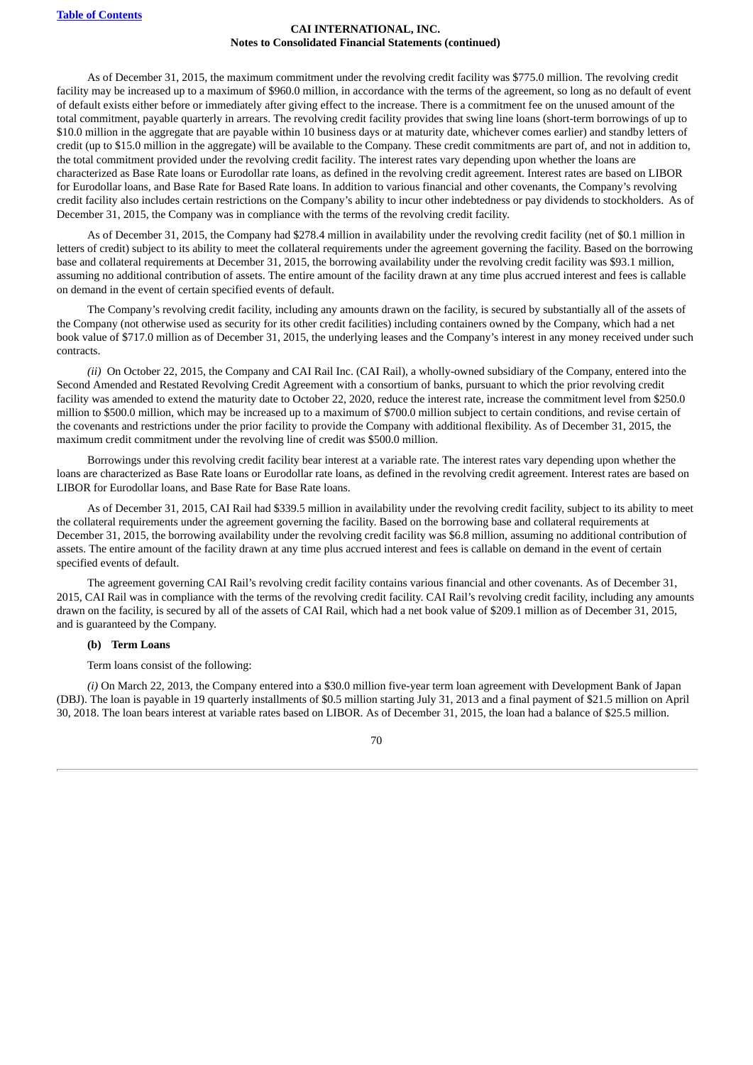As of December 31, 2015, the maximum commitment under the revolving credit facility was \$775.0 million. The revolving credit facility may be increased up to a maximum of \$960.0 million, in accordance with the terms of the agreement, so long as no default of event of default exists either before or immediately after giving effect to the increase. There is a commitment fee on the unused amount of the total commitment, payable quarterly in arrears. The revolving credit facility provides that swing line loans (short-term borrowings of up to \$10.0 million in the aggregate that are payable within 10 business days or at maturity date, whichever comes earlier) and standby letters of credit (up to \$15.0 million in the aggregate) will be available to the Company. These credit commitments are part of, and not in addition to, the total commitment provided under the revolving credit facility. The interest rates vary depending upon whether the loans are characterized as Base Rate loans or Eurodollar rate loans, as defined in the revolving credit agreement. Interest rates are based on LIBOR for Eurodollar loans, and Base Rate for Based Rate loans. In addition to various financial and other covenants, the Company's revolving credit facility also includes certain restrictions on the Company's ability to incur other indebtedness or pay dividends to stockholders. As of December 31, 2015, the Company was in compliance with the terms of the revolving credit facility.

As of December 31, 2015, the Company had \$278.4 million in availability under the revolving credit facility (net of \$0.1 million in letters of credit) subject to its ability to meet the collateral requirements under the agreement governing the facility. Based on the borrowing base and collateral requirements at December 31, 2015, the borrowing availability under the revolving credit facility was \$93.1 million, assuming no additional contribution of assets. The entire amount of the facility drawn at any time plus accrued interest and fees is callable on demand in the event of certain specified events of default.

The Company's revolving credit facility, including any amounts drawn on the facility, is secured by substantially all of the assets of the Company (not otherwise used as security for its other credit facilities) including containers owned by the Company, which had a net book value of \$717.0 million as of December 31, 2015, the underlying leases and the Company's interest in any money received under such contracts.

*(ii)* On October 22, 2015, the Company and CAI Rail Inc. (CAI Rail), a wholly-owned subsidiary of the Company, entered into the Second Amended and Restated Revolving Credit Agreement with a consortium of banks, pursuant to which the prior revolving credit facility was amended to extend the maturity date to October 22, 2020, reduce the interest rate, increase the commitment level from \$250.0 million to \$500.0 million, which may be increased up to a maximum of \$700.0 million subject to certain conditions, and revise certain of the covenants and restrictions under the prior facility to provide the Company with additional flexibility. As of December 31, 2015, the maximum credit commitment under the revolving line of credit was \$500.0 million.

Borrowings under this revolving credit facility bear interest at a variable rate. The interest rates vary depending upon whether the loans are characterized as Base Rate loans or Eurodollar rate loans, as defined in the revolving credit agreement. Interest rates are based on LIBOR for Eurodollar loans, and Base Rate for Base Rate loans.

As of December 31, 2015, CAI Rail had \$339.5 million in availability under the revolving credit facility, subject to its ability to meet the collateral requirements under the agreement governing the facility. Based on the borrowing base and collateral requirements at December 31, 2015, the borrowing availability under the revolving credit facility was \$6.8 million, assuming no additional contribution of assets. The entire amount of the facility drawn at any time plus accrued interest and fees is callable on demand in the event of certain specified events of default.

The agreement governing CAI Rail's revolving credit facility contains various financial and other covenants. As of December 31, 2015, CAI Rail was in compliance with the terms of the revolving credit facility. CAI Rail's revolving credit facility, including any amounts drawn on the facility, is secured by all of the assets of CAI Rail, which had a net book value of \$209.1 million as of December 31, 2015, and is guaranteed by the Company.

### **(b) Term Loans**

Term loans consist of the following:

*(i)* On March 22, 2013, the Company entered into a \$30.0 million five-year term loan agreement with Development Bank of Japan (DBJ). The loan is payable in 19 quarterly installments of \$0.5 million starting July 31, 2013 and a final payment of \$21.5 million on April 30, 2018. The loan bears interest at variable rates based on LIBOR. As of December 31, 2015, the loan had a balance of \$25.5 million.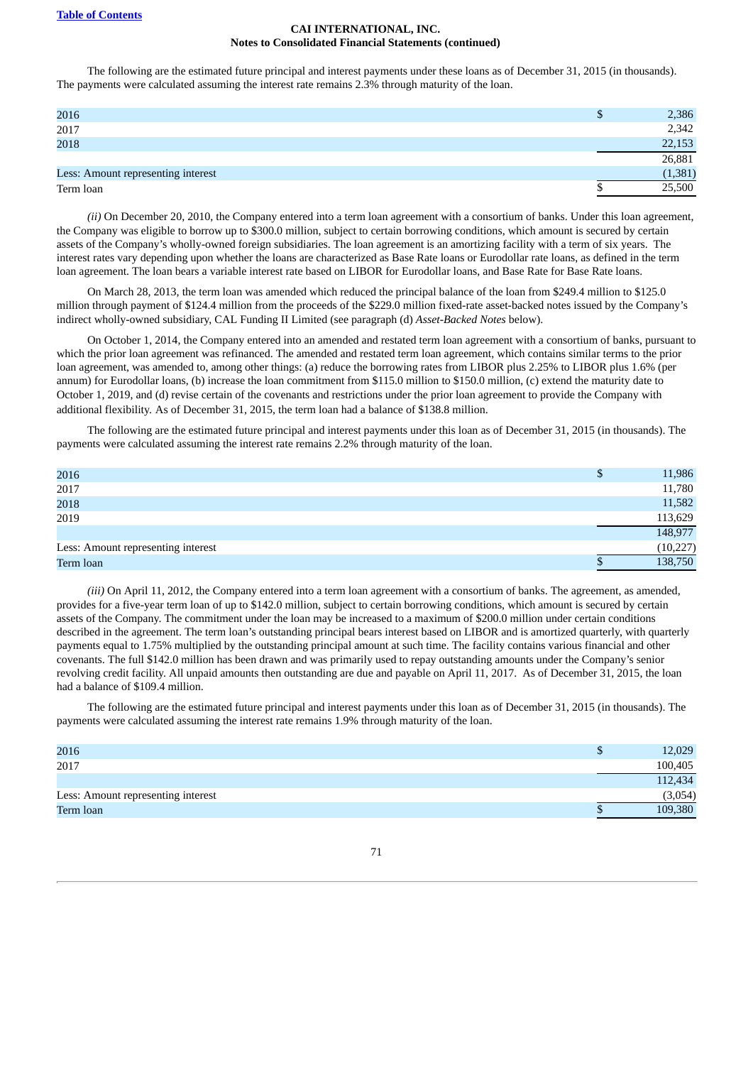The following are the estimated future principal and interest payments under these loans as of December 31, 2015 (in thousands). The payments were calculated assuming the interest rate remains 2.3% through maturity of the loan.

| 2016                               | D | 2,386    |
|------------------------------------|---|----------|
| 2017                               |   | 2,342    |
| 2018                               |   | 22,153   |
|                                    |   | 26,881   |
| Less: Amount representing interest |   | (1, 381) |
| Term loan                          |   | 25,500   |

*(ii)* On December 20, 2010, the Company entered into a term loan agreement with a consortium of banks. Under this loan agreement, the Company was eligible to borrow up to \$300.0 million, subject to certain borrowing conditions, which amount is secured by certain assets of the Company's wholly-owned foreign subsidiaries. The loan agreement is an amortizing facility with a term of six years. The interest rates vary depending upon whether the loans are characterized as Base Rate loans or Eurodollar rate loans, as defined in the term loan agreement. The loan bears a variable interest rate based on LIBOR for Eurodollar loans, and Base Rate for Base Rate loans.

On March 28, 2013, the term loan was amended which reduced the principal balance of the loan from \$249.4 million to \$125.0 million through payment of \$124.4 million from the proceeds of the \$229.0 million fixed-rate asset-backed notes issued by the Company's indirect wholly-owned subsidiary, CAL Funding II Limited (see paragraph (d) *Asset-Backed Notes* below).

On October 1, 2014, the Company entered into an amended and restated term loan agreement with a consortium of banks, pursuant to which the prior loan agreement was refinanced. The amended and restated term loan agreement, which contains similar terms to the prior loan agreement, was amended to, among other things: (a) reduce the borrowing rates from LIBOR plus 2.25% to LIBOR plus 1.6% (per annum) for Eurodollar loans, (b) increase the loan commitment from \$115.0 million to \$150.0 million, (c) extend the maturity date to October 1, 2019, and (d) revise certain of the covenants and restrictions under the prior loan agreement to provide the Company with additional flexibility. As of December 31, 2015, the term loan had a balance of \$138.8 million.

The following are the estimated future principal and interest payments under this loan as of December 31, 2015 (in thousands). The payments were calculated assuming the interest rate remains 2.2% through maturity of the loan.

| 2016                               | S | 11,986    |
|------------------------------------|---|-----------|
| 2017                               |   | 11,780    |
| 2018                               |   | 11,582    |
| 2019                               |   | 113,629   |
|                                    |   | 148,977   |
| Less: Amount representing interest |   | (10, 227) |
| Term loan                          |   | 138,750   |

*(iii)* On April 11, 2012, the Company entered into a term loan agreement with a consortium of banks. The agreement, as amended, provides for a five-year term loan of up to \$142.0 million, subject to certain borrowing conditions, which amount is secured by certain assets of the Company. The commitment under the loan may be increased to a maximum of \$200.0 million under certain conditions described in the agreement. The term loan's outstanding principal bears interest based on LIBOR and is amortized quarterly, with quarterly payments equal to 1.75% multiplied by the outstanding principal amount at such time. The facility contains various financial and other covenants. The full \$142.0 million has been drawn and was primarily used to repay outstanding amounts under the Company's senior revolving credit facility. All unpaid amounts then outstanding are due and payable on April 11, 2017. As of December 31, 2015, the loan had a balance of \$109.4 million.

The following are the estimated future principal and interest payments under this loan as of December 31, 2015 (in thousands). The payments were calculated assuming the interest rate remains 1.9% through maturity of the loan.

| 2016                               | 12,029  |
|------------------------------------|---------|
| 2017                               | 100,405 |
|                                    | 112,434 |
| Less: Amount representing interest | (3,054) |
| Term loan                          | 109,380 |

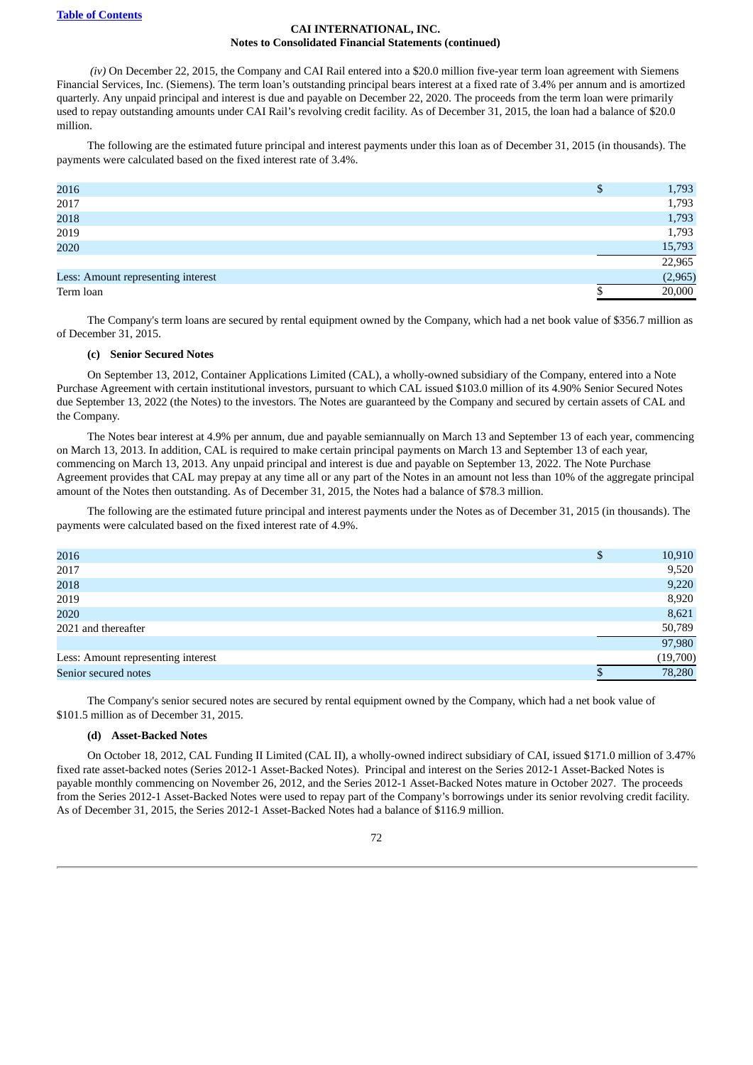# **CAI INTERNATIONAL, INC. Notes to Consolidated Financial Statements (continued)**

*(iv)* On December 22, 2015, the Company and CAI Rail entered into a \$20.0 million five-year term loan agreement with Siemens Financial Services, Inc. (Siemens). The term loan's outstanding principal bears interest at a fixed rate of 3.4% per annum and is amortized quarterly. Any unpaid principal and interest is due and payable on December 22, 2020. The proceeds from the term loan were primarily used to repay outstanding amounts under CAI Rail's revolving credit facility. As of December 31, 2015, the loan had a balance of \$20.0 million.

The following are the estimated future principal and interest payments under this loan as of December 31, 2015 (in thousands). The payments were calculated based on the fixed interest rate of 3.4%.

| 2016                               | D | 1,793   |
|------------------------------------|---|---------|
| 2017                               |   | 1,793   |
| 2018                               |   | 1,793   |
| 2019                               |   | 1,793   |
| 2020                               |   | 15,793  |
|                                    |   | 22,965  |
| Less: Amount representing interest |   | (2,965) |
| Term loan                          |   | 20,000  |

The Company's term loans are secured by rental equipment owned by the Company, which had a net book value of \$356.7 million as of December 31, 2015.

# **(c) Senior Secured Notes**

On September 13, 2012, Container Applications Limited (CAL), a wholly-owned subsidiary of the Company, entered into a Note Purchase Agreement with certain institutional investors, pursuant to which CAL issued \$103.0 million of its 4.90% Senior Secured Notes due September 13, 2022 (the Notes) to the investors. The Notes are guaranteed by the Company and secured by certain assets of CAL and the Company.

The Notes bear interest at 4.9% per annum, due and payable semiannually on March 13 and September 13 of each year, commencing on March 13, 2013. In addition, CAL is required to make certain principal payments on March 13 and September 13 of each year, commencing on March 13, 2013. Any unpaid principal and interest is due and payable on September 13, 2022. The Note Purchase Agreement provides that CAL may prepay at any time all or any part of the Notes in an amount not less than 10% of the aggregate principal amount of the Notes then outstanding. As of December 31, 2015, the Notes had a balance of \$78.3 million.

The following are the estimated future principal and interest payments under the Notes as of December 31, 2015 (in thousands). The payments were calculated based on the fixed interest rate of 4.9%.

| 2016                               | \$<br>10,910 |
|------------------------------------|--------------|
| 2017                               | 9,520        |
| 2018                               | 9,220        |
| 2019                               | 8,920        |
| 2020                               | 8,621        |
| 2021 and thereafter                | 50,789       |
|                                    | 97,980       |
| Less: Amount representing interest | (19,700)     |
| Senior secured notes               | 78,280       |

The Company's senior secured notes are secured by rental equipment owned by the Company, which had a net book value of \$101.5 million as of December 31, 2015.

## **(d) Asset-Backed Notes**

On October 18, 2012, CAL Funding II Limited (CAL II), a wholly-owned indirect subsidiary of CAI, issued \$171.0 million of 3.47% fixed rate asset-backed notes (Series 2012-1 Asset-Backed Notes). Principal and interest on the Series 2012-1 Asset-Backed Notes is payable monthly commencing on November 26, 2012, and the Series 2012-1 Asset-Backed Notes mature in October 2027. The proceeds from the Series 2012-1 Asset-Backed Notes were used to repay part of the Company's borrowings under its senior revolving credit facility. As of December 31, 2015, the Series 2012-1 Asset-Backed Notes had a balance of \$116.9 million.

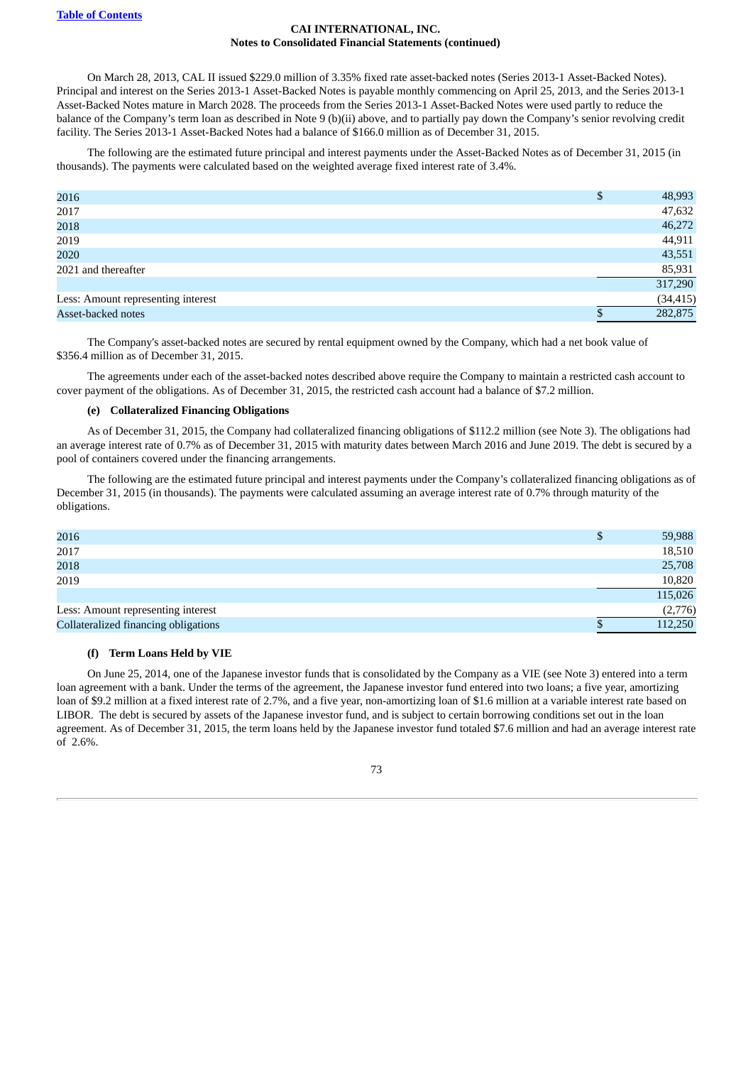On March 28, 2013, CAL II issued \$229.0 million of 3.35% fixed rate asset-backed notes (Series 2013-1 Asset-Backed Notes). Principal and interest on the Series 2013-1 Asset-Backed Notes is payable monthly commencing on April 25, 2013, and the Series 2013-1 Asset-Backed Notes mature in March 2028. The proceeds from the Series 2013-1 Asset-Backed Notes were used partly to reduce the balance of the Company's term loan as described in Note 9 (b)(ii) above, and to partially pay down the Company's senior revolving credit facility. The Series 2013-1 Asset-Backed Notes had a balance of \$166.0 million as of December 31, 2015.

The following are the estimated future principal and interest payments under the Asset-Backed Notes as of December 31, 2015 (in thousands). The payments were calculated based on the weighted average fixed interest rate of 3.4%.

| 2016                               | \$<br>48,993 |
|------------------------------------|--------------|
| 2017                               | 47,632       |
| 2018                               | 46,272       |
| 2019                               | 44,911       |
| 2020                               | 43,551       |
| 2021 and thereafter                | 85,931       |
|                                    | 317,290      |
| Less: Amount representing interest | (34, 415)    |
| Asset-backed notes                 | 282,875      |

The Company's asset-backed notes are secured by rental equipment owned by the Company, which had a net book value of \$356.4 million as of December 31, 2015.

The agreements under each of the asset-backed notes described above require the Company to maintain a restricted cash account to cover payment of the obligations. As of December 31, 2015, the restricted cash account had a balance of \$7.2 million.

### **(e) Collateralized Financing Obligations**

As of December 31, 2015, the Company had collateralized financing obligations of \$112.2 million (see Note 3). The obligations had an average interest rate of 0.7% as of December 31, 2015 with maturity dates between March 2016 and June 2019. The debt is secured by a pool of containers covered under the financing arrangements.

The following are the estimated future principal and interest payments under the Company's collateralized financing obligations as of December 31, 2015 (in thousands). The payments were calculated assuming an average interest rate of 0.7% through maturity of the obligations.

| 2016                                 | \$<br>59,988 |
|--------------------------------------|--------------|
| 2017                                 | 18,510       |
| 2018                                 | 25,708       |
| 2019                                 | 10,820       |
|                                      | 115,026      |
| Less: Amount representing interest   | (2,776)      |
| Collateralized financing obligations | 112,250      |

### **(f) Term Loans Held by VIE**

On June 25, 2014, one of the Japanese investor funds that is consolidated by the Company as a VIE (see Note 3) entered into a term loan agreement with a bank. Under the terms of the agreement, the Japanese investor fund entered into two loans; a five year, amortizing loan of \$9.2 million at a fixed interest rate of 2.7%, and a five year, non-amortizing loan of \$1.6 million at a variable interest rate based on LIBOR. The debt is secured by assets of the Japanese investor fund, and is subject to certain borrowing conditions set out in the loan agreement. As of December 31, 2015, the term loans held by the Japanese investor fund totaled \$7.6 million and had an average interest rate of 2.6%.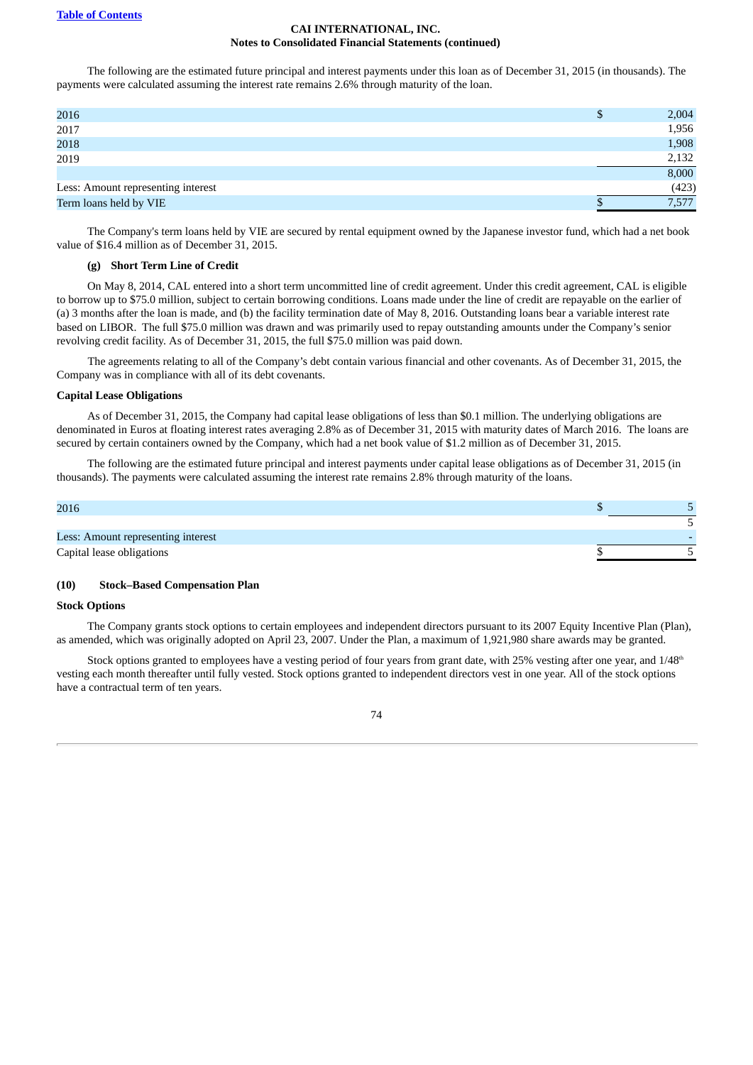The following are the estimated future principal and interest payments under this loan as of December 31, 2015 (in thousands). The payments were calculated assuming the interest rate remains 2.6% through maturity of the loan.

| 2016                               | 2,004 |
|------------------------------------|-------|
| 2017                               | 1,956 |
| 2018                               | 1,908 |
| 2019                               | 2,132 |
|                                    | 8,000 |
| Less: Amount representing interest | (423) |
| Term loans held by VIE             | 7,577 |

The Company's term loans held by VIE are secured by rental equipment owned by the Japanese investor fund, which had a net book value of \$16.4 million as of December 31, 2015.

#### **(g) Short Term Line of Credit**

On May 8, 2014, CAL entered into a short term uncommitted line of credit agreement. Under this credit agreement, CAL is eligible to borrow up to \$75.0 million, subject to certain borrowing conditions. Loans made under the line of credit are repayable on the earlier of (a) 3 months after the loan is made, and (b) the facility termination date of May 8, 2016. Outstanding loans bear a variable interest rate based on LIBOR. The full \$75.0 million was drawn and was primarily used to repay outstanding amounts under the Company's senior revolving credit facility. As of December 31, 2015, the full \$75.0 million was paid down.

The agreements relating to all of the Company's debt contain various financial and other covenants. As of December 31, 2015, the Company was in compliance with all of its debt covenants.

#### **Capital Lease Obligations**

As of December 31, 2015, the Company had capital lease obligations of less than \$0.1 million. The underlying obligations are denominated in Euros at floating interest rates averaging 2.8% as of December 31, 2015 with maturity dates of March 2016. The loans are secured by certain containers owned by the Company, which had a net book value of \$1.2 million as of December 31, 2015.

The following are the estimated future principal and interest payments under capital lease obligations as of December 31, 2015 (in thousands). The payments were calculated assuming the interest rate remains 2.8% through maturity of the loans.

| 2016                               |  |
|------------------------------------|--|
|                                    |  |
| Less: Amount representing interest |  |
| Capital lease obligations          |  |

### **(10) Stock–Based Compensation Plan**

#### **Stock Options**

The Company grants stock options to certain employees and independent directors pursuant to its 2007 Equity Incentive Plan (Plan), as amended, which was originally adopted on April 23, 2007. Under the Plan, a maximum of 1,921,980 share awards may be granted.

Stock options granted to employees have a vesting period of four years from grant date, with 25% vesting after one year, and  $1/48^{\circ}$ vesting each month thereafter until fully vested. Stock options granted to independent directors vest in one year. All of the stock options have a contractual term of ten years.

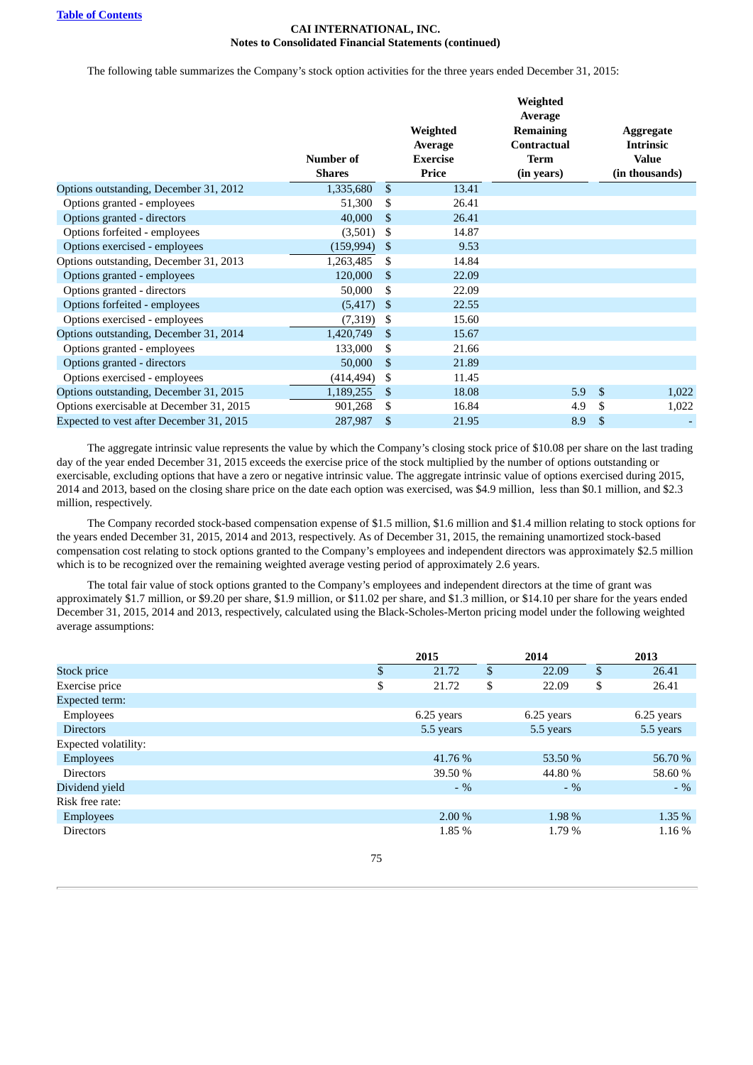The following table summarizes the Company's stock option activities for the three years ended December 31, 2015:

|                                          | Number of     |              | Weighted<br>Average<br><b>Exercise</b> | Weighted<br>Average<br><b>Remaining</b><br><b>Contractual</b><br><b>Term</b> |               | <b>Aggregate</b><br><b>Intrinsic</b><br>Value |
|------------------------------------------|---------------|--------------|----------------------------------------|------------------------------------------------------------------------------|---------------|-----------------------------------------------|
|                                          | <b>Shares</b> |              | Price                                  | (in years)                                                                   |               | (in thousands)                                |
| Options outstanding, December 31, 2012   | 1,335,680     | $\mathbb{S}$ | 13.41                                  |                                                                              |               |                                               |
| Options granted - employees              | 51,300        | \$           | 26.41                                  |                                                                              |               |                                               |
| Options granted - directors              | 40,000        | \$           | 26.41                                  |                                                                              |               |                                               |
| Options forfeited - employees            | (3,501)       | \$           | 14.87                                  |                                                                              |               |                                               |
| Options exercised - employees            | (159, 994)    | \$           | 9.53                                   |                                                                              |               |                                               |
| Options outstanding, December 31, 2013   | 1,263,485     | \$.          | 14.84                                  |                                                                              |               |                                               |
| Options granted - employees              | 120,000       | \$           | 22.09                                  |                                                                              |               |                                               |
| Options granted - directors              | 50,000        | \$           | 22.09                                  |                                                                              |               |                                               |
| Options forfeited - employees            | (5, 417)      | \$           | 22.55                                  |                                                                              |               |                                               |
| Options exercised - employees            | (7, 319)      | \$           | 15.60                                  |                                                                              |               |                                               |
| Options outstanding, December 31, 2014   | 1,420,749     | \$           | 15.67                                  |                                                                              |               |                                               |
| Options granted - employees              | 133,000       | \$           | 21.66                                  |                                                                              |               |                                               |
| Options granted - directors              | 50,000        | \$           | 21.89                                  |                                                                              |               |                                               |
| Options exercised - employees            | (414, 494)    | \$           | 11.45                                  |                                                                              |               |                                               |
| Options outstanding, December 31, 2015   | 1,189,255     | \$           | 18.08                                  | 5.9                                                                          | $\mathbf{\$}$ | 1,022                                         |
| Options exercisable at December 31, 2015 | 901,268       | \$           | 16.84                                  | 4.9                                                                          | \$            | 1,022                                         |
| Expected to vest after December 31, 2015 | 287,987       | \$           | 21.95                                  | 8.9                                                                          | \$            |                                               |

The aggregate intrinsic value represents the value by which the Company's closing stock price of \$10.08 per share on the last trading day of the year ended December 31, 2015 exceeds the exercise price of the stock multiplied by the number of options outstanding or exercisable, excluding options that have a zero or negative intrinsic value. The aggregate intrinsic value of options exercised during 2015, 2014 and 2013, based on the closing share price on the date each option was exercised, was \$4.9 million, less than \$0.1 million, and \$2.3 million, respectively.

The Company recorded stock-based compensation expense of \$1.5 million, \$1.6 million and \$1.4 million relating to stock options for the years ended December 31, 2015, 2014 and 2013, respectively. As of December 31, 2015, the remaining unamortized stock-based compensation cost relating to stock options granted to the Company's employees and independent directors was approximately \$2.5 million which is to be recognized over the remaining weighted average vesting period of approximately 2.6 years.

The total fair value of stock options granted to the Company's employees and independent directors at the time of grant was approximately \$1.7 million, or \$9.20 per share, \$1.9 million, or \$11.02 per share, and \$1.3 million, or \$14.10 per share for the years ended December 31, 2015, 2014 and 2013, respectively, calculated using the Black-Scholes-Merton pricing model under the following weighted average assumptions:

|                      | 2014<br>2015 |    | 2013       |             |
|----------------------|--------------|----|------------|-------------|
| Stock price          | \$<br>21.72  | \$ | 22.09      | \$<br>26.41 |
| Exercise price       | \$<br>21.72  | \$ | 22.09      | \$<br>26.41 |
| Expected term:       |              |    |            |             |
| Employees            | 6.25 years   |    | 6.25 years | 6.25 years  |
| <b>Directors</b>     | 5.5 years    |    | 5.5 years  | 5.5 years   |
| Expected volatility: |              |    |            |             |
| <b>Employees</b>     | 41.76 %      |    | 53.50 %    | 56.70 %     |
| <b>Directors</b>     | 39.50 %      |    | 44.80 %    | 58.60 %     |
| Dividend yield       | $-$ %        |    | $-$ %      | $-$ %       |
| Risk free rate:      |              |    |            |             |
| Employees            | 2.00%        |    | 1.98 %     | 1.35%       |
| <b>Directors</b>     | 1.85 %       |    | 1.79 %     | 1.16 %      |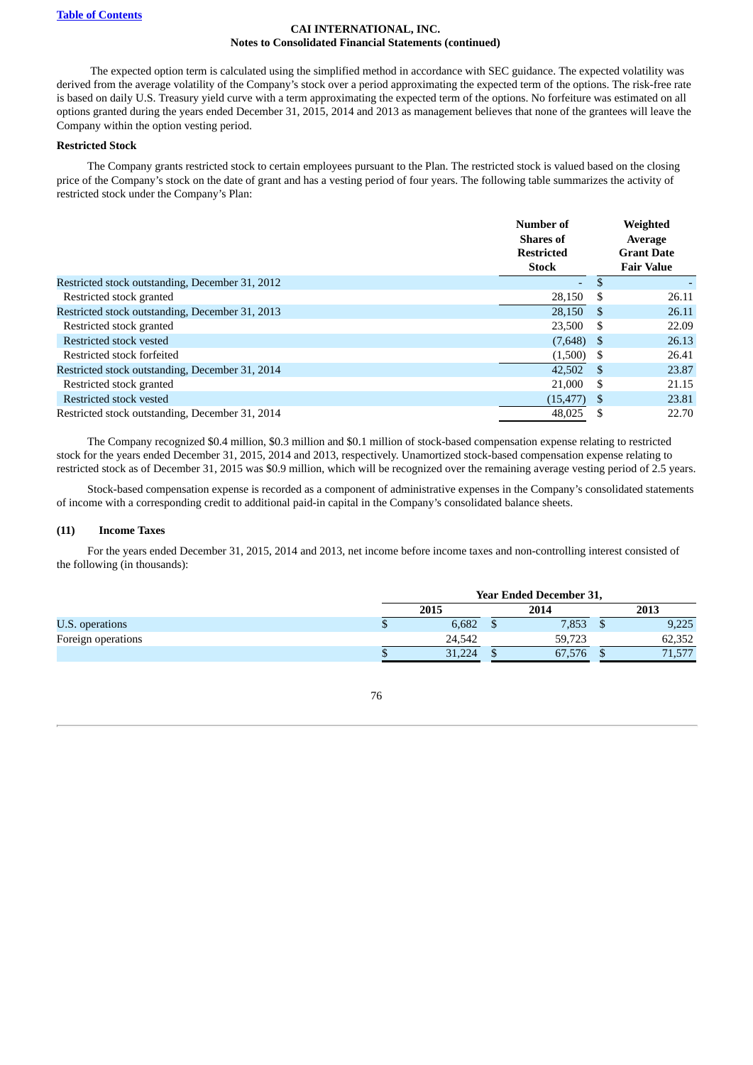### **CAI INTERNATIONAL, INC. Notes to Consolidated Financial Statements (continued)**

The expected option term is calculated using the simplified method in accordance with SEC guidance. The expected volatility was derived from the average volatility of the Company's stock over a period approximating the expected term of the options. The risk-free rate is based on daily U.S. Treasury yield curve with a term approximating the expected term of the options. No forfeiture was estimated on all options granted during the years ended December 31, 2015, 2014 and 2013 as management believes that none of the grantees will leave the Company within the option vesting period.

# **Restricted Stock**

The Company grants restricted stock to certain employees pursuant to the Plan. The restricted stock is valued based on the closing price of the Company's stock on the date of grant and has a vesting period of four years. The following table summarizes the activity of restricted stock under the Company's Plan:

|                                                 | Number of<br><b>Shares of</b><br><b>Restricted</b><br><b>Stock</b> |     | Weighted<br>Average<br><b>Grant Date</b><br><b>Fair Value</b> |
|-------------------------------------------------|--------------------------------------------------------------------|-----|---------------------------------------------------------------|
| Restricted stock outstanding, December 31, 2012 | ٠                                                                  | S   |                                                               |
| Restricted stock granted                        | 28,150                                                             | \$  | 26.11                                                         |
| Restricted stock outstanding, December 31, 2013 | 28,150                                                             | -S  | 26.11                                                         |
| Restricted stock granted                        | 23,500                                                             | \$. | 22.09                                                         |
| Restricted stock vested                         | (7,648)                                                            | -8  | 26.13                                                         |
| Restricted stock forfeited                      | (1,500)                                                            |     | 26.41                                                         |
| Restricted stock outstanding, December 31, 2014 | 42,502                                                             | -S  | 23.87                                                         |
| Restricted stock granted                        | 21,000                                                             | .S  | 21.15                                                         |
| Restricted stock vested                         | (15, 477)                                                          |     | 23.81                                                         |
| Restricted stock outstanding, December 31, 2014 | 48.025                                                             | \$  | 22.70                                                         |

The Company recognized \$0.4 million, \$0.3 million and \$0.1 million of stock-based compensation expense relating to restricted stock for the years ended December 31, 2015, 2014 and 2013, respectively. Unamortized stock-based compensation expense relating to restricted stock as of December 31, 2015 was \$0.9 million, which will be recognized over the remaining average vesting period of 2.5 years.

Stock-based compensation expense is recorded as a component of administrative expenses in the Company's consolidated statements of income with a corresponding credit to additional paid-in capital in the Company's consolidated balance sheets.

### **(11) Income Taxes**

For the years ended December 31, 2015, 2014 and 2013, net income before income taxes and non-controlling interest consisted of the following (in thousands):

|                    |    | <b>Year Ended December 31,</b> |  |        |  |        |  |
|--------------------|----|--------------------------------|--|--------|--|--------|--|
|                    |    | 2015                           |  | 2014   |  | 2013   |  |
| U.S. operations    | ۰υ | 6,682                          |  | 7,853  |  | 9,225  |  |
| Foreign operations |    | 24,542                         |  | 59,723 |  | 62,352 |  |
|                    |    | 31,224                         |  | 67,576 |  | 71,577 |  |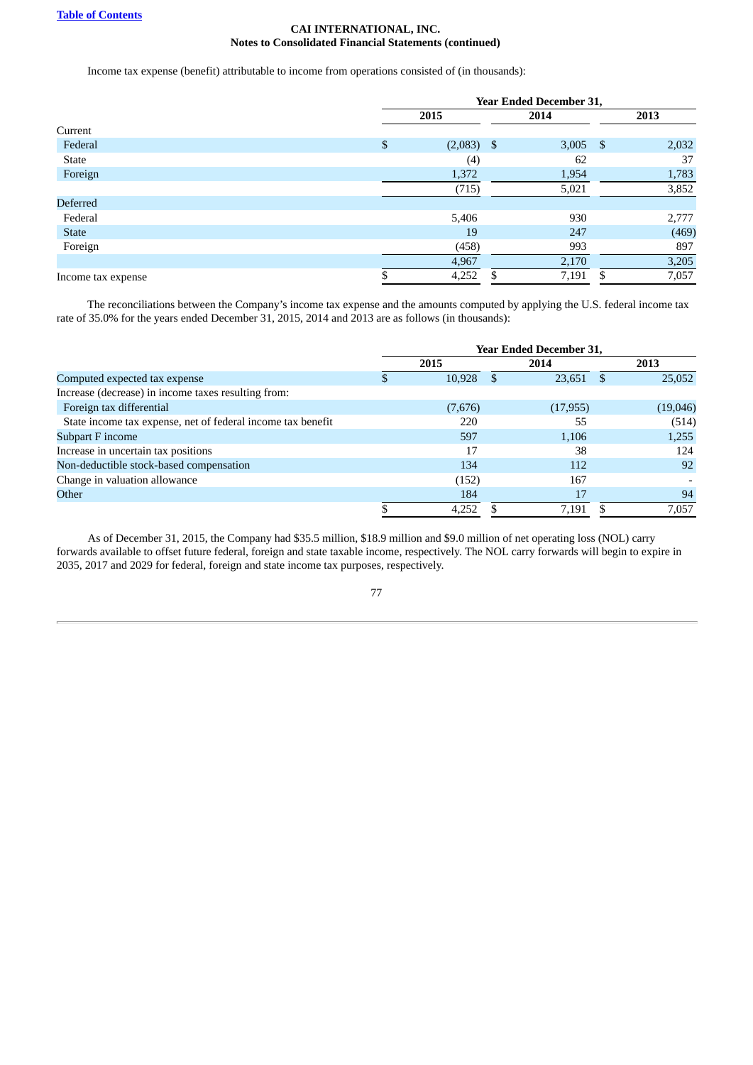Income tax expense (benefit) attributable to income from operations consisted of (in thousands):

|                    | <b>Year Ended December 31,</b> |              |  |       |      |       |  |
|--------------------|--------------------------------|--------------|--|-------|------|-------|--|
|                    |                                | 2015         |  | 2014  |      | 2013  |  |
| Current            |                                |              |  |       |      |       |  |
| Federal            | \$                             | $(2,083)$ \$ |  | 3,005 | - \$ | 2,032 |  |
| <b>State</b>       |                                | (4)          |  | 62    |      | 37    |  |
| Foreign            |                                | 1,372        |  | 1,954 |      | 1,783 |  |
|                    |                                | (715)        |  | 5,021 |      | 3,852 |  |
| <b>Deferred</b>    |                                |              |  |       |      |       |  |
| Federal            |                                | 5,406        |  | 930   |      | 2,777 |  |
| <b>State</b>       |                                | 19           |  | 247   |      | (469) |  |
| Foreign            |                                | (458)        |  | 993   |      | 897   |  |
|                    |                                | 4,967        |  | 2,170 |      | 3,205 |  |
| Income tax expense | \$                             | 4,252        |  | 7,191 | S    | 7,057 |  |

The reconciliations between the Company's income tax expense and the amounts computed by applying the U.S. federal income tax rate of 35.0% for the years ended December 31, 2015, 2014 and 2013 are as follows (in thousands):

|                                                             | <b>Year Ended December 31,</b> |         |  |           |  |           |
|-------------------------------------------------------------|--------------------------------|---------|--|-----------|--|-----------|
|                                                             |                                | 2015    |  | 2014      |  | 2013      |
| Computed expected tax expense                               |                                | 10,928  |  | 23,651    |  | 25,052    |
| Increase (decrease) in income taxes resulting from:         |                                |         |  |           |  |           |
| Foreign tax differential                                    |                                | (7,676) |  | (17, 955) |  | (19, 046) |
| State income tax expense, net of federal income tax benefit |                                | 220     |  | 55        |  | (514)     |
| Subpart F income                                            |                                | 597     |  | 1,106     |  | 1,255     |
| Increase in uncertain tax positions                         |                                | 17      |  | 38        |  | 124       |
| Non-deductible stock-based compensation                     |                                | 134     |  | 112       |  | 92        |
| Change in valuation allowance                               |                                | (152)   |  | 167       |  |           |
| Other                                                       |                                | 184     |  | 17        |  | 94        |
|                                                             |                                | 4.252   |  | 7.191     |  | 7.057     |

As of December 31, 2015, the Company had \$35.5 million, \$18.9 million and \$9.0 million of net operating loss (NOL) carry forwards available to offset future federal, foreign and state taxable income, respectively. The NOL carry forwards will begin to expire in 2035, 2017 and 2029 for federal, foreign and state income tax purposes, respectively.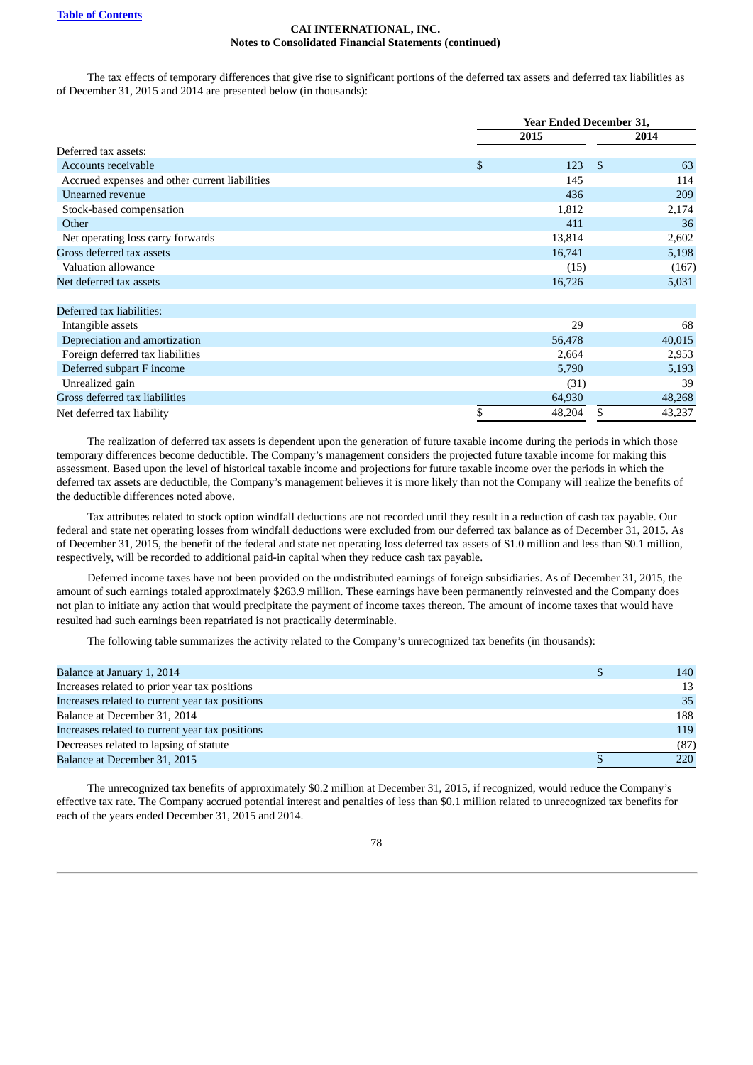# **CAI INTERNATIONAL, INC. Notes to Consolidated Financial Statements (continued)**

The tax effects of temporary differences that give rise to significant portions of the deferred tax assets and deferred tax liabilities as of December 31, 2015 and 2014 are presented below (in thousands):

|                                                | <b>Year Ended December 31,</b> |      |        |
|------------------------------------------------|--------------------------------|------|--------|
|                                                | 2015                           | 2014 |        |
| Deferred tax assets:                           |                                |      |        |
| Accounts receivable                            | \$<br>123                      | -\$  | 63     |
| Accrued expenses and other current liabilities | 145                            |      | 114    |
| Unearned revenue                               | 436                            |      | 209    |
| Stock-based compensation                       | 1,812                          |      | 2,174  |
| Other                                          | 411                            |      | 36     |
| Net operating loss carry forwards              | 13,814                         |      | 2,602  |
| Gross deferred tax assets                      | 16,741                         |      | 5,198  |
| Valuation allowance                            | (15)                           |      | (167)  |
| Net deferred tax assets                        | 16,726                         |      | 5,031  |
|                                                |                                |      |        |
| Deferred tax liabilities:                      |                                |      |        |
| Intangible assets                              | 29                             |      | 68     |
| Depreciation and amortization                  | 56,478                         |      | 40,015 |
| Foreign deferred tax liabilities               | 2,664                          |      | 2,953  |
| Deferred subpart F income                      | 5,790                          |      | 5,193  |
| Unrealized gain                                | (31)                           |      | 39     |

The realization of deferred tax assets is dependent upon the generation of future taxable income during the periods in which those temporary differences become deductible. The Company's management considers the projected future taxable income for making this assessment. Based upon the level of historical taxable income and projections for future taxable income over the periods in which the deferred tax assets are deductible, the Company's management believes it is more likely than not the Company will realize the benefits of the deductible differences noted above.

Gross deferred tax liabilities 64,930 68 and 18,268 and 18,268 and 18,268 and 18,268 and 18,268 and 18,268 and 18,268 and 18,268 and 18,268 and 18,268 and 18,268 and 18,268 and 18,268 and 18,268 and 18,268 and 18,268 and 1 Net deferred tax liability and the set of the set of the set of the set of the set of the set of the set of the set of the set of the set of the set of the set of the set of the set of the set of the set of the set of the

Tax attributes related to stock option windfall deductions are not recorded until they result in a reduction of cash tax payable. Our federal and state net operating losses from windfall deductions were excluded from our deferred tax balance as of December 31, 2015. As of December 31, 2015, the benefit of the federal and state net operating loss deferred tax assets of \$1.0 million and less than \$0.1 million, respectively, will be recorded to additional paid-in capital when they reduce cash tax payable.

Deferred income taxes have not been provided on the undistributed earnings of foreign subsidiaries. As of December 31, 2015, the amount of such earnings totaled approximately \$263.9 million. These earnings have been permanently reinvested and the Company does not plan to initiate any action that would precipitate the payment of income taxes thereon. The amount of income taxes that would have resulted had such earnings been repatriated is not practically determinable.

The following table summarizes the activity related to the Company's unrecognized tax benefits (in thousands):

| Balance at January 1, 2014                      | 140  |
|-------------------------------------------------|------|
| Increases related to prior year tax positions   | 13   |
| Increases related to current year tax positions | 35   |
| Balance at December 31, 2014                    | 188  |
| Increases related to current year tax positions | 119  |
| Decreases related to lapsing of statute         | (87) |
| Balance at December 31, 2015                    | 220  |

The unrecognized tax benefits of approximately \$0.2 million at December 31, 2015, if recognized, would reduce the Company's effective tax rate. The Company accrued potential interest and penalties of less than \$0.1 million related to unrecognized tax benefits for each of the years ended December 31, 2015 and 2014.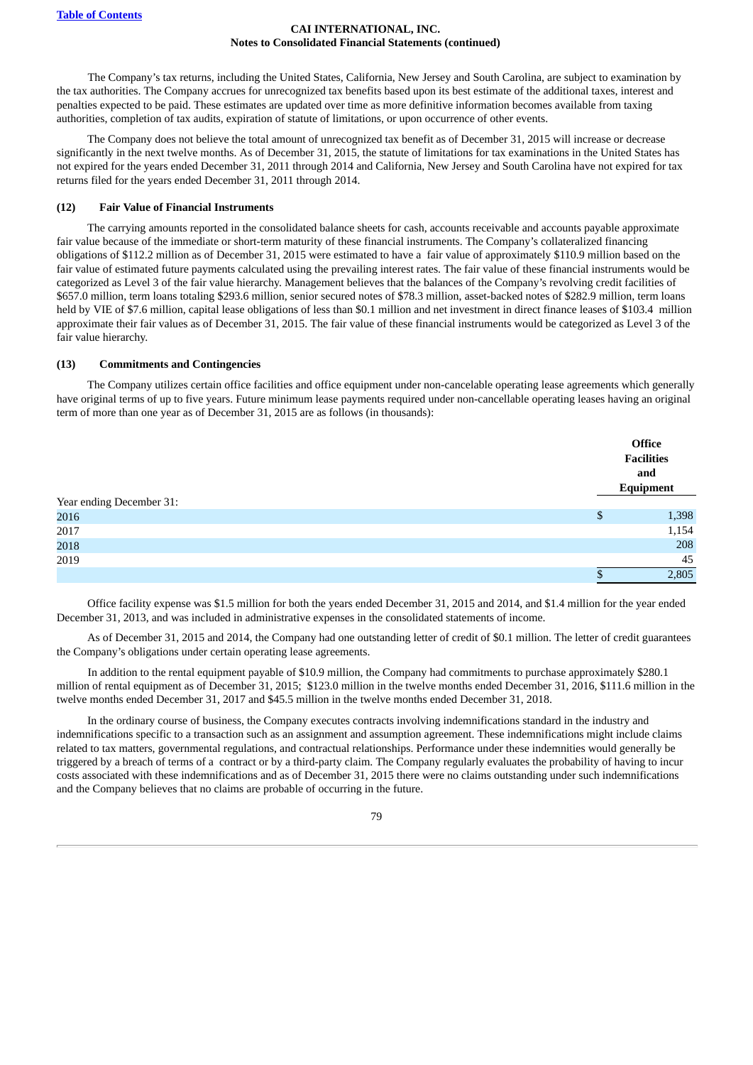The Company's tax returns, including the United States, California, New Jersey and South Carolina, are subject to examination by the tax authorities. The Company accrues for unrecognized tax benefits based upon its best estimate of the additional taxes, interest and penalties expected to be paid. These estimates are updated over time as more definitive information becomes available from taxing authorities, completion of tax audits, expiration of statute of limitations, or upon occurrence of other events.

The Company does not believe the total amount of unrecognized tax benefit as of December 31, 2015 will increase or decrease significantly in the next twelve months. As of December 31, 2015, the statute of limitations for tax examinations in the United States has not expired for the years ended December 31, 2011 through 2014 and California, New Jersey and South Carolina have not expired for tax returns filed for the years ended December 31, 2011 through 2014.

## **(12) Fair Value of Financial Instruments**

The carrying amounts reported in the consolidated balance sheets for cash, accounts receivable and accounts payable approximate fair value because of the immediate or short-term maturity of these financial instruments. The Company's collateralized financing obligations of \$112.2 million as of December 31, 2015 were estimated to have a fair value of approximately \$110.9 million based on the fair value of estimated future payments calculated using the prevailing interest rates. The fair value of these financial instruments would be categorized as Level 3 of the fair value hierarchy. Management believes that the balances of the Company's revolving credit facilities of \$657.0 million, term loans totaling \$293.6 million, senior secured notes of \$78.3 million, asset-backed notes of \$282.9 million, term loans held by VIE of \$7.6 million, capital lease obligations of less than \$0.1 million and net investment in direct finance leases of \$103.4 million approximate their fair values as of December 31, 2015. The fair value of these financial instruments would be categorized as Level 3 of the fair value hierarchy.

#### **(13) Commitments and Contingencies**

The Company utilizes certain office facilities and office equipment under non-cancelable operating lease agreements which generally have original terms of up to five years. Future minimum lease payments required under non-cancellable operating leases having an original term of more than one year as of December 31, 2015 are as follows (in thousands):

|                          | <b>Office</b><br><b>Facilities</b><br>and<br>Equipment |
|--------------------------|--------------------------------------------------------|
| Year ending December 31: |                                                        |
| 2016                     | \$<br>1,398                                            |
| 2017                     | 1,154                                                  |
| 2018                     | 208                                                    |
| 2019                     | 45                                                     |
|                          | 2,805                                                  |

Office facility expense was \$1.5 million for both the years ended December 31, 2015 and 2014, and \$1.4 million for the year ended December 31, 2013, and was included in administrative expenses in the consolidated statements of income.

As of December 31, 2015 and 2014, the Company had one outstanding letter of credit of \$0.1 million. The letter of credit guarantees the Company's obligations under certain operating lease agreements.

In addition to the rental equipment payable of \$10.9 million, the Company had commitments to purchase approximately \$280.1 million of rental equipment as of December 31, 2015; \$123.0 million in the twelve months ended December 31, 2016, \$111.6 million in the twelve months ended December 31, 2017 and \$45.5 million in the twelve months ended December 31, 2018.

In the ordinary course of business, the Company executes contracts involving indemnifications standard in the industry and indemnifications specific to a transaction such as an assignment and assumption agreement. These indemnifications might include claims related to tax matters, governmental regulations, and contractual relationships. Performance under these indemnities would generally be triggered by a breach of terms of a contract or by a third-party claim. The Company regularly evaluates the probability of having to incur costs associated with these indemnifications and as of December 31, 2015 there were no claims outstanding under such indemnifications and the Company believes that no claims are probable of occurring in the future.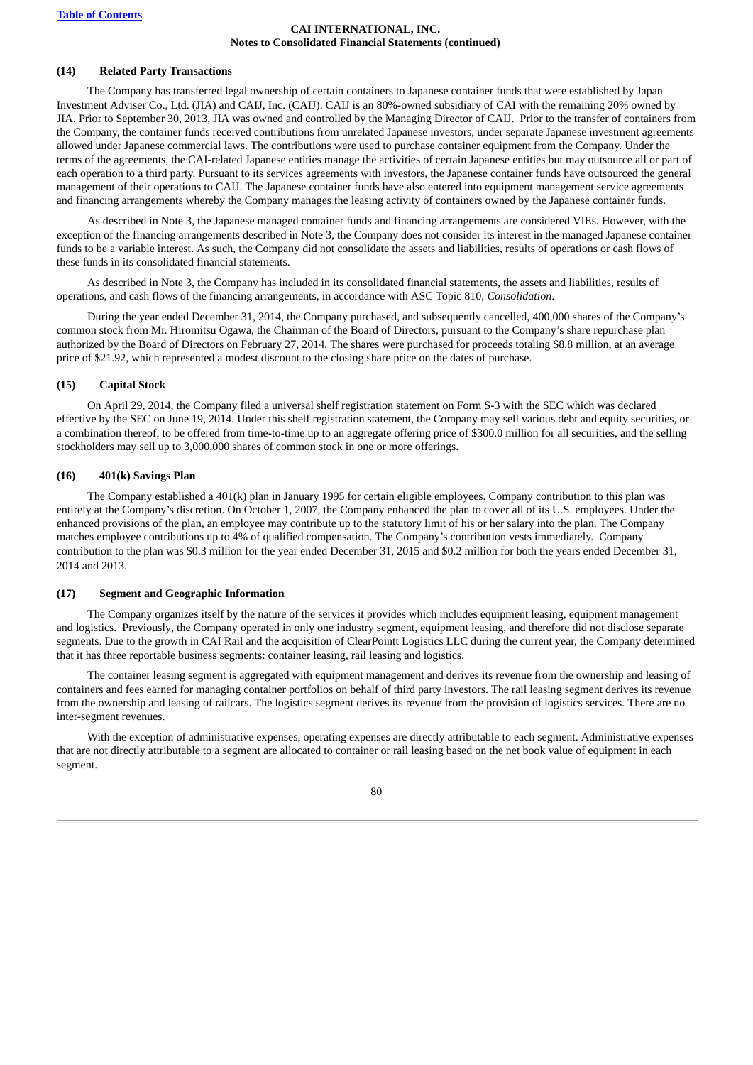#### **(14) Related Party Transactions**

The Company has transferred legal ownership of certain containers to Japanese container funds that were established by Japan Investment Adviser Co., Ltd. (JIA) and CAIJ, Inc. (CAIJ). CAIJ is an 80%-owned subsidiary of CAI with the remaining 20% owned by JIA. Prior to September 30, 2013, JIA was owned and controlled by the Managing Director of CAIJ. Prior to the transfer of containers from the Company, the container funds received contributions from unrelated Japanese investors, under separate Japanese investment agreements allowed under Japanese commercial laws. The contributions were used to purchase container equipment from the Company. Under the terms of the agreements, the CAI-related Japanese entities manage the activities of certain Japanese entities but may outsource all or part of each operation to a third party. Pursuant to its services agreements with investors, the Japanese container funds have outsourced the general management of their operations to CAIJ. The Japanese container funds have also entered into equipment management service agreements and financing arrangements whereby the Company manages the leasing activity of containers owned by the Japanese container funds.

As described in Note 3, the Japanese managed container funds and financing arrangements are considered VIEs. However, with the exception of the financing arrangements described in Note 3, the Company does not consider its interest in the managed Japanese container funds to be a variable interest. As such, the Company did not consolidate the assets and liabilities, results of operations or cash flows of these funds in its consolidated financial statements.

As described in Note 3, the Company has included in its consolidated financial statements, the assets and liabilities, results of operations, and cash flows of the financing arrangements, in accordance with ASC Topic 810, *Consolidation*.

During the year ended December 31, 2014, the Company purchased, and subsequently cancelled, 400,000 shares of the Company's common stock from Mr. Hiromitsu Ogawa, the Chairman of the Board of Directors, pursuant to the Company's share repurchase plan authorized by the Board of Directors on February 27, 2014. The shares were purchased for proceeds totaling \$8.8 million, at an average price of \$21.92, which represented a modest discount to the closing share price on the dates of purchase.

#### **(15) Capital Stock**

On April 29, 2014, the Company filed a universal shelf registration statement on Form S-3 with the SEC which was declared effective by the SEC on June 19, 2014. Under this shelf registration statement, the Company may sell various debt and equity securities, or a combination thereof, to be offered from time-to-time up to an aggregate offering price of \$300.0 million for all securities, and the selling stockholders may sell up to 3,000,000 shares of common stock in one or more offerings.

#### **(16) 401(k) Savings Plan**

The Company established a 401(k) plan in January 1995 for certain eligible employees. Company contribution to this plan was entirely at the Company's discretion. On October 1, 2007, the Company enhanced the plan to cover all of its U.S. employees. Under the enhanced provisions of the plan, an employee may contribute up to the statutory limit of his or her salary into the plan. The Company matches employee contributions up to 4% of qualified compensation. The Company's contribution vests immediately. Company contribution to the plan was \$0.3 million for the year ended December 31, 2015 and \$0.2 million for both the years ended December 31, 2014 and 2013.

#### **(17) Segment and Geographic Information**

The Company organizes itself by the nature of the services it provides which includes equipment leasing, equipment management and logistics. Previously, the Company operated in only one industry segment, equipment leasing, and therefore did not disclose separate segments. Due to the growth in CAI Rail and the acquisition of ClearPointt Logistics LLC during the current year, the Company determined that it has three reportable business segments: container leasing, rail leasing and logistics.

The container leasing segment is aggregated with equipment management and derives its revenue from the ownership and leasing of containers and fees earned for managing container portfolios on behalf of third party investors. The rail leasing segment derives its revenue from the ownership and leasing of railcars. The logistics segment derives its revenue from the provision of logistics services. There are no inter-segment revenues.

With the exception of administrative expenses, operating expenses are directly attributable to each segment. Administrative expenses that are not directly attributable to a segment are allocated to container or rail leasing based on the net book value of equipment in each segment.

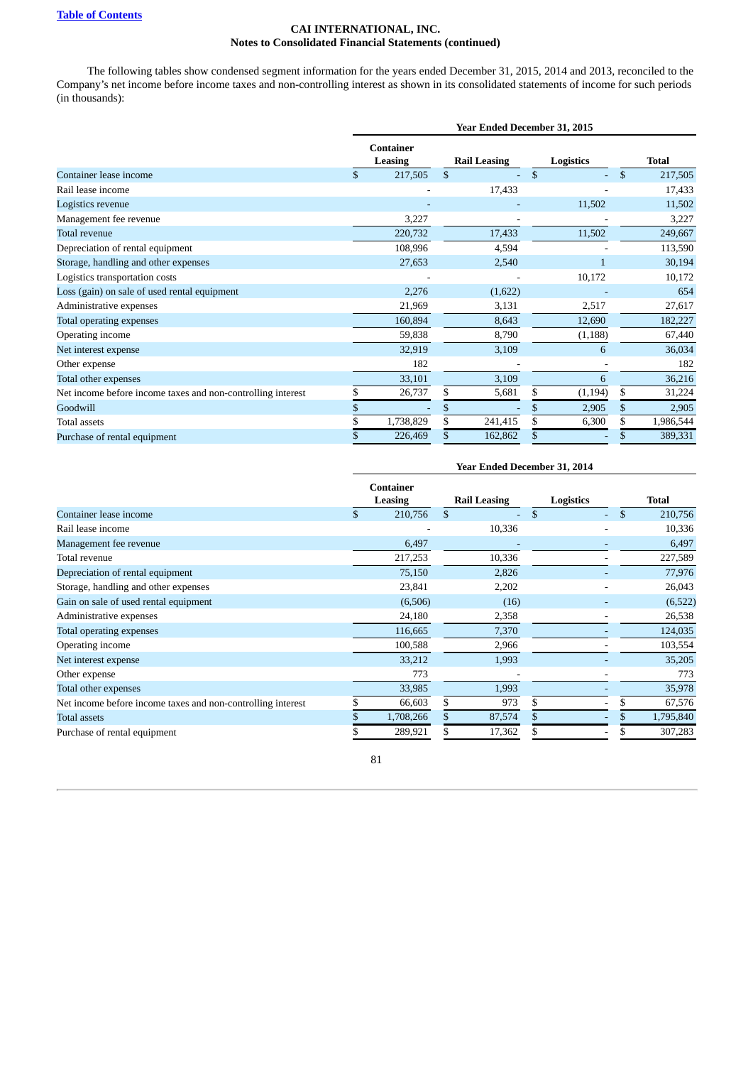# **CAI INTERNATIONAL, INC. Notes to Consolidated Financial Statements (continued)**

The following tables show condensed segment information for the years ended December 31, 2015, 2014 and 2013, reconciled to the Company's net income before income taxes and non-controlling interest as shown in its consolidated statements of income for such periods (in thousands):

|                                                             | Year Ended December 31, 2015       |    |                     |    |           |    |              |  |  |
|-------------------------------------------------------------|------------------------------------|----|---------------------|----|-----------|----|--------------|--|--|
|                                                             | <b>Container</b><br><b>Leasing</b> |    | <b>Rail Leasing</b> |    | Logistics |    | <b>Total</b> |  |  |
| Container lease income                                      | \$<br>217,505                      | \$ | ۰                   | \$ |           | \$ | 217,505      |  |  |
| Rail lease income                                           |                                    |    | 17,433              |    |           |    | 17,433       |  |  |
| Logistics revenue                                           |                                    |    |                     |    | 11,502    |    | 11,502       |  |  |
| Management fee revenue                                      | 3,227                              |    |                     |    |           |    | 3,227        |  |  |
| Total revenue                                               | 220,732                            |    | 17,433              |    | 11,502    |    | 249,667      |  |  |
| Depreciation of rental equipment                            | 108,996                            |    | 4,594               |    |           |    | 113,590      |  |  |
| Storage, handling and other expenses                        | 27,653                             |    | 2,540               |    |           |    | 30,194       |  |  |
| Logistics transportation costs                              |                                    |    |                     |    | 10,172    |    | 10,172       |  |  |
| Loss (gain) on sale of used rental equipment                | 2,276                              |    | (1,622)             |    |           |    | 654          |  |  |
| Administrative expenses                                     | 21,969                             |    | 3,131               |    | 2,517     |    | 27,617       |  |  |
| Total operating expenses                                    | 160,894                            |    | 8,643               |    | 12,690    |    | 182,227      |  |  |
| Operating income                                            | 59,838                             |    | 8,790               |    | (1, 188)  |    | 67,440       |  |  |
| Net interest expense                                        | 32,919                             |    | 3,109               |    | 6         |    | 36,034       |  |  |
| Other expense                                               | 182                                |    |                     |    |           |    | 182          |  |  |
| Total other expenses                                        | 33,101                             |    | 3,109               |    | 6         |    | 36,216       |  |  |
| Net income before income taxes and non-controlling interest | 26,737                             | \$ | 5,681               | \$ | (1, 194)  | \$ | 31,224       |  |  |
| Goodwill                                                    | \$                                 | \$ |                     | \$ | 2,905     | S  | 2,905        |  |  |
| Total assets                                                | 1,738,829                          | \$ | 241,415             | \$ | 6,300     | \$ | 1,986,544    |  |  |
| Purchase of rental equipment                                | 226,469                            |    | 162,862             | S  |           |    | 389,331      |  |  |
|                                                             |                                    |    |                     |    |           |    |              |  |  |

|                                                             | <b>Year Ended December 31, 2014</b> |    |                     |              |           |    |              |  |
|-------------------------------------------------------------|-------------------------------------|----|---------------------|--------------|-----------|----|--------------|--|
|                                                             | Container<br>Leasing                |    | <b>Rail Leasing</b> |              | Logistics |    | <b>Total</b> |  |
| Container lease income                                      | 210,756                             | \$ | ٠                   | $\mathbf{s}$ | ٠         | \$ | 210,756      |  |
| Rail lease income                                           |                                     |    | 10,336              |              |           |    | 10,336       |  |
| Management fee revenue                                      | 6,497                               |    |                     |              |           |    | 6,497        |  |
| Total revenue                                               | 217,253                             |    | 10,336              |              |           |    | 227,589      |  |
| Depreciation of rental equipment                            | 75,150                              |    | 2,826               |              |           |    | 77,976       |  |
| Storage, handling and other expenses                        | 23,841                              |    | 2,202               |              |           |    | 26,043       |  |
| Gain on sale of used rental equipment                       | (6,506)                             |    | (16)                |              |           |    | (6, 522)     |  |
| Administrative expenses                                     | 24,180                              |    | 2,358               |              |           |    | 26,538       |  |
| Total operating expenses                                    | 116,665                             |    | 7,370               |              |           |    | 124,035      |  |
| Operating income                                            | 100,588                             |    | 2,966               |              |           |    | 103,554      |  |
| Net interest expense                                        | 33,212                              |    | 1,993               |              |           |    | 35,205       |  |
| Other expense                                               | 773                                 |    |                     |              |           |    | 773          |  |
| Total other expenses                                        | 33,985                              |    | 1,993               |              |           |    | 35,978       |  |
| Net income before income taxes and non-controlling interest | 66,603                              | \$ | 973                 | \$           |           | S  | 67,576       |  |
| Total assets                                                | 1,708,266                           | \$ | 87,574              | \$           |           |    | 1,795,840    |  |
| Purchase of rental equipment                                | 289,921                             | \$ | 17,362              | S            |           | S  | 307,283      |  |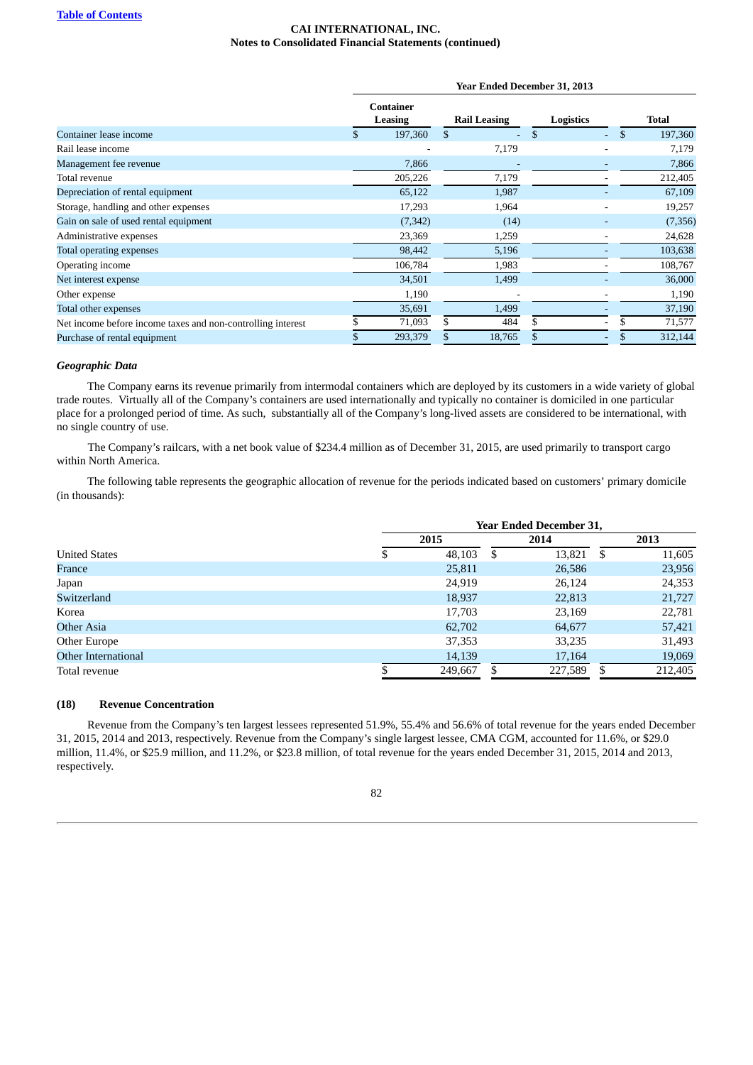|                                                             | <b>Year Ended December 31, 2013</b> |                      |    |                     |    |                          |    |              |  |  |
|-------------------------------------------------------------|-------------------------------------|----------------------|----|---------------------|----|--------------------------|----|--------------|--|--|
|                                                             |                                     | Container<br>Leasing |    | <b>Rail Leasing</b> |    | Logistics                |    | <b>Total</b> |  |  |
| Container lease income                                      |                                     | 197,360              | \$ | ٠                   | \$ | $\overline{\phantom{a}}$ | \$ | 197,360      |  |  |
| Rail lease income                                           |                                     |                      |    | 7,179               |    |                          |    | 7,179        |  |  |
| Management fee revenue                                      |                                     | 7,866                |    |                     |    |                          |    | 7,866        |  |  |
| Total revenue                                               |                                     | 205,226              |    | 7,179               |    |                          |    | 212,405      |  |  |
| Depreciation of rental equipment                            |                                     | 65,122               |    | 1,987               |    |                          |    | 67,109       |  |  |
| Storage, handling and other expenses                        |                                     | 17,293               |    | 1,964               |    |                          |    | 19,257       |  |  |
| Gain on sale of used rental equipment                       |                                     | (7, 342)             |    | (14)                |    |                          |    | (7,356)      |  |  |
| Administrative expenses                                     |                                     | 23,369               |    | 1,259               |    |                          |    | 24,628       |  |  |
| Total operating expenses                                    |                                     | 98,442               |    | 5,196               |    |                          |    | 103,638      |  |  |
| Operating income                                            |                                     | 106,784              |    | 1,983               |    |                          |    | 108,767      |  |  |
| Net interest expense                                        |                                     | 34,501               |    | 1,499               |    |                          |    | 36,000       |  |  |
| Other expense                                               |                                     | 1,190                |    |                     |    |                          |    | 1,190        |  |  |
| Total other expenses                                        |                                     | 35,691               |    | 1,499               |    |                          |    | 37,190       |  |  |
| Net income before income taxes and non-controlling interest |                                     | 71,093               | \$ | 484                 | \$ |                          |    | 71,577       |  |  |
| Purchase of rental equipment                                |                                     | 293,379              |    | 18,765              |    |                          |    | 312,144      |  |  |

### *Geographic Data*

The Company earns its revenue primarily from intermodal containers which are deployed by its customers in a wide variety of global trade routes. Virtually all of the Company's containers are used internationally and typically no container is domiciled in one particular place for a prolonged period of time. As such, substantially all of the Company's long-lived assets are considered to be international, with no single country of use.

The Company's railcars, with a net book value of \$234.4 million as of December 31, 2015, are used primarily to transport cargo within North America.

The following table represents the geographic allocation of revenue for the periods indicated based on customers' primary domicile (in thousands):

|                      |              | <b>Year Ended December 31,</b> |    |         |
|----------------------|--------------|--------------------------------|----|---------|
|                      | 2015         | 2014                           |    | 2013    |
| <b>United States</b> | \$<br>48,103 | \$<br>13,821                   | -S | 11,605  |
| France               | 25,811       | 26,586                         |    | 23,956  |
| Japan                | 24,919       | 26,124                         |    | 24,353  |
| Switzerland          | 18,937       | 22,813                         |    | 21,727  |
| Korea                | 17,703       | 23,169                         |    | 22,781  |
| Other Asia           | 62,702       | 64,677                         |    | 57,421  |
| Other Europe         | 37,353       | 33,235                         |    | 31,493  |
| Other International  | 14,139       | 17,164                         |    | 19,069  |
| Total revenue        | 249,667      | 227,589                        |    | 212,405 |

### **(18) Revenue Concentration**

Revenue from the Company's ten largest lessees represented 51.9%, 55.4% and 56.6% of total revenue for the years ended December 31, 2015, 2014 and 2013, respectively. Revenue from the Company's single largest lessee, CMA CGM, accounted for 11.6%, or \$29.0 million, 11.4%, or \$25.9 million, and 11.2%, or \$23.8 million, of total revenue for the years ended December 31, 2015, 2014 and 2013, respectively.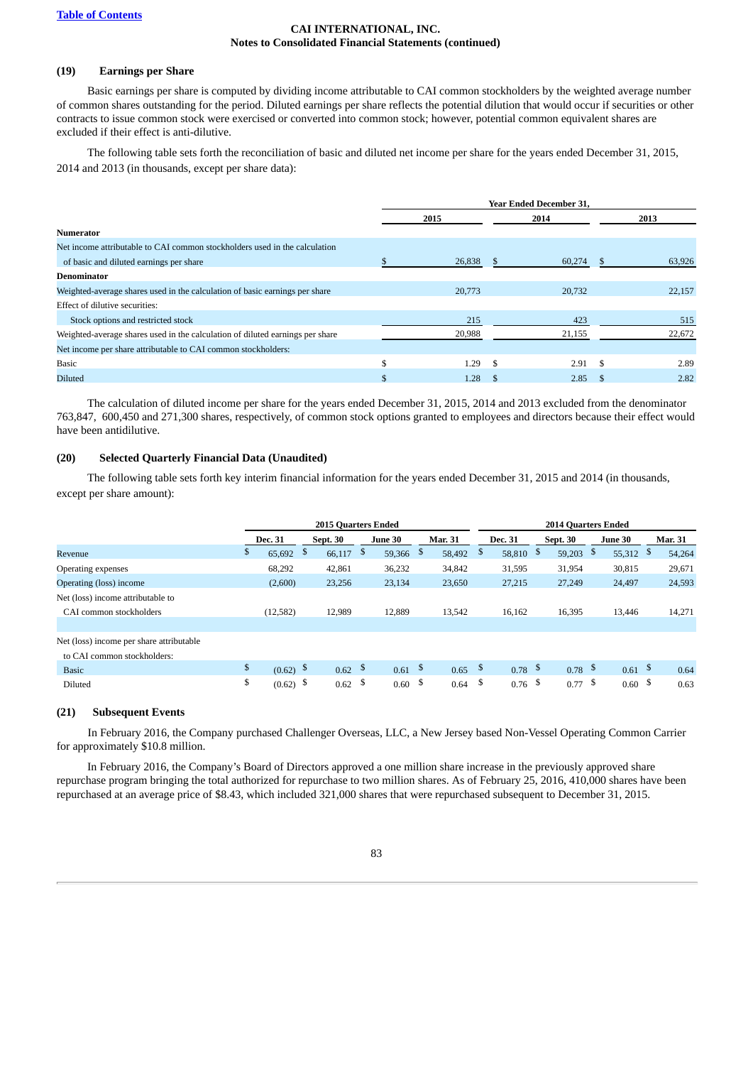### **(19) Earnings per Share**

Basic earnings per share is computed by dividing income attributable to CAI common stockholders by the weighted average number of common shares outstanding for the period. Diluted earnings per share reflects the potential dilution that would occur if securities or other contracts to issue common stock were exercised or converted into common stock; however, potential common equivalent shares are excluded if their effect is anti-dilutive.

The following table sets forth the reconciliation of basic and diluted net income per share for the years ended December 31, 2015, 2014 and 2013 (in thousands, except per share data):

|                                                                               | <b>Year Ended December 31,</b> |    |        |  |        |  |  |  |  |
|-------------------------------------------------------------------------------|--------------------------------|----|--------|--|--------|--|--|--|--|
|                                                                               | 2015                           |    | 2014   |  | 2013   |  |  |  |  |
| Numerator                                                                     |                                |    |        |  |        |  |  |  |  |
| Net income attributable to CAI common stockholders used in the calculation    |                                |    |        |  |        |  |  |  |  |
| of basic and diluted earnings per share                                       | 26,838                         |    | 60,274 |  | 63,926 |  |  |  |  |
| Denominator                                                                   |                                |    |        |  |        |  |  |  |  |
| Weighted-average shares used in the calculation of basic earnings per share   | 20,773                         |    | 20,732 |  | 22,157 |  |  |  |  |
| Effect of dilutive securities:                                                |                                |    |        |  |        |  |  |  |  |
| Stock options and restricted stock                                            | 215                            |    | 423    |  | 515    |  |  |  |  |
| Weighted-average shares used in the calculation of diluted earnings per share | 20,988                         |    | 21,155 |  | 22,672 |  |  |  |  |
| Net income per share attributable to CAI common stockholders:                 |                                |    |        |  |        |  |  |  |  |
| <b>Basic</b>                                                                  | \$<br>1.29                     | .S | 2.91   |  | 2.89   |  |  |  |  |
| <b>Diluted</b>                                                                | \$<br>1.28                     |    | 2.85   |  | 2.82   |  |  |  |  |

The calculation of diluted income per share for the years ended December 31, 2015, 2014 and 2013 excluded from the denominator 763,847, 600,450 and 271,300 shares, respectively, of common stock options granted to employees and directors because their effect would have been antidilutive.

### **(20) Selected Quarterly Financial Data (Unaudited)**

The following table sets forth key interim financial information for the years ended December 31, 2015 and 2014 (in thousands, except per share amount):

|                                          |     | <b>2015 Quarters Ended</b> |    |           |      |                                  |      |        |                | <b>2014 Quarters Ended</b> |      |                 |     |                 |    |                |
|------------------------------------------|-----|----------------------------|----|-----------|------|----------------------------------|------|--------|----------------|----------------------------|------|-----------------|-----|-----------------|----|----------------|
|                                          |     | <b>Dec. 31</b>             |    | Sept. 30  |      | <b>June 30</b><br><b>Mar. 31</b> |      |        | <b>Dec. 31</b> |                            |      | <b>Sept. 30</b> |     | June 30         |    | <b>Mar. 31</b> |
| Revenue                                  | \$. | 65,692                     | Φ  | 66,117    | - \$ | 59,366                           | - \$ | 58,492 | -S             | 58,810                     | \$   | 59,203          | - 5 | 55,312          | \$ | 54,264         |
| Operating expenses                       |     | 68,292                     |    | 42,861    |      | 36,232                           |      | 34,842 |                | 31,595                     |      | 31,954          |     | 30,815          |    | 29,671         |
| Operating (loss) income                  |     | (2,600)                    |    | 23,256    |      | 23,134                           |      | 23,650 |                | 27,215                     |      | 27,249          |     | 24,497          |    | 24,593         |
| Net (loss) income attributable to        |     |                            |    |           |      |                                  |      |        |                |                            |      |                 |     |                 |    |                |
| CAI common stockholders                  |     | (12, 582)                  |    | 12,989    |      | 12,889                           |      | 13,542 |                | 16,162                     |      | 16,395          |     | 13,446          |    | 14,271         |
| Net (loss) income per share attributable |     |                            |    |           |      |                                  |      |        |                |                            |      |                 |     |                 |    |                |
| to CAI common stockholders:              |     |                            |    |           |      |                                  |      |        |                |                            |      |                 |     |                 |    |                |
| <b>Basic</b>                             | \$  | $(0.62)$ \$                |    | $0.62$ \$ |      | $0.61$ \$                        |      | 0.65   | - \$           | 0.78                       | - \$ | $0.78$ \$       |     | $0.61$ \$       |    | 0.64           |
| Diluted                                  | \$  | (0.62)                     | \$ | 0.62      | -S   | 0.60                             | - \$ | 0.64   | - \$           | 0.76                       | - \$ | 0.77S           |     | $0.60 \quad$ \$ |    | 0.63           |

### **(21) Subsequent Events**

In February 2016, the Company purchased Challenger Overseas, LLC, a New Jersey based Non-Vessel Operating Common Carrier for approximately \$10.8 million.

In February 2016, the Company's Board of Directors approved a one million share increase in the previously approved share repurchase program bringing the total authorized for repurchase to two million shares. As of February 25, 2016, 410,000 shares have been repurchased at an average price of \$8.43, which included 321,000 shares that were repurchased subsequent to December 31, 2015.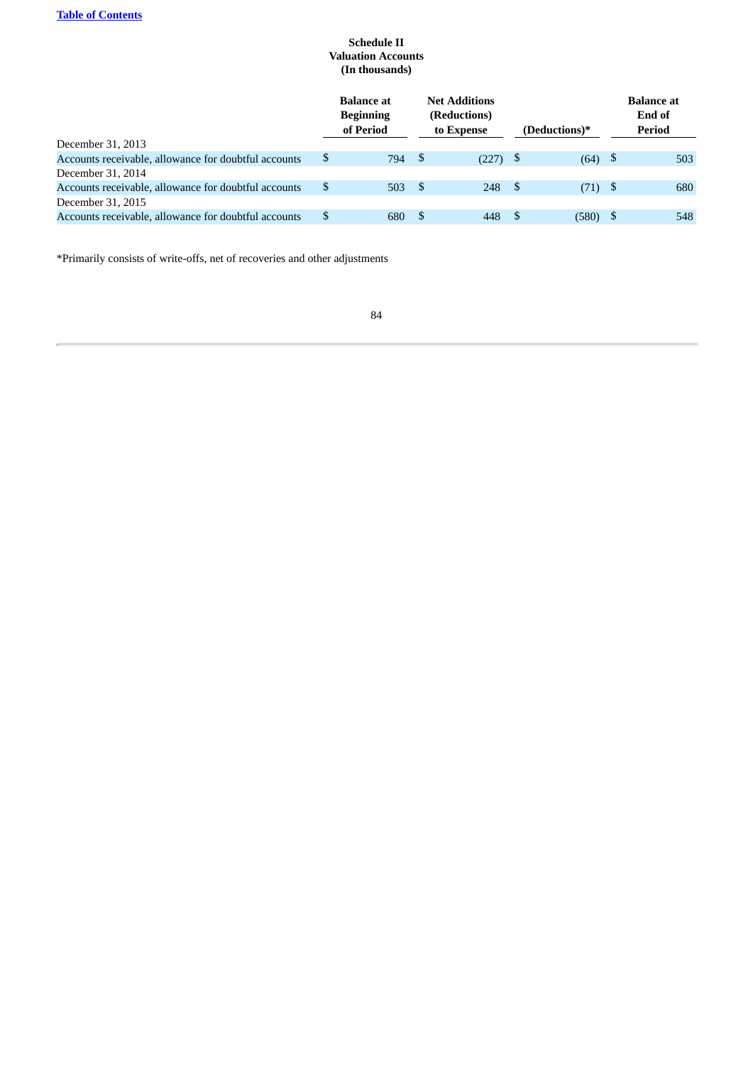## **Schedule II Valuation Accounts (In thousands)**

|                                                             | <b>Balance</b> at<br><b>Beginning</b><br>of Period |      | <b>Net Additions</b><br>(Reductions)<br>to Expense |      | (Deductions)* |     | <b>Balance</b> at<br>End of<br>Period |
|-------------------------------------------------------------|----------------------------------------------------|------|----------------------------------------------------|------|---------------|-----|---------------------------------------|
| December 31, 2013                                           |                                                    |      |                                                    |      |               |     |                                       |
| \$<br>Accounts receivable, allowance for doubtful accounts  | 794                                                | - \$ | $(227)$ \$                                         |      | $(64)$ \$     |     | 503                                   |
| December 31, 2014                                           |                                                    |      |                                                    |      |               |     |                                       |
| S<br>Accounts receivable, allowance for doubtful accounts   | 503                                                | - \$ | 248                                                | - \$ | $(71)$ \$     |     | 680                                   |
| December 31, 2015                                           |                                                    |      |                                                    |      |               |     |                                       |
| \$.<br>Accounts receivable, allowance for doubtful accounts | 680                                                | - S  | 448                                                |      | (580)         | - S | 548                                   |

\*Primarily consists of write-offs, net of recoveries and other adjustments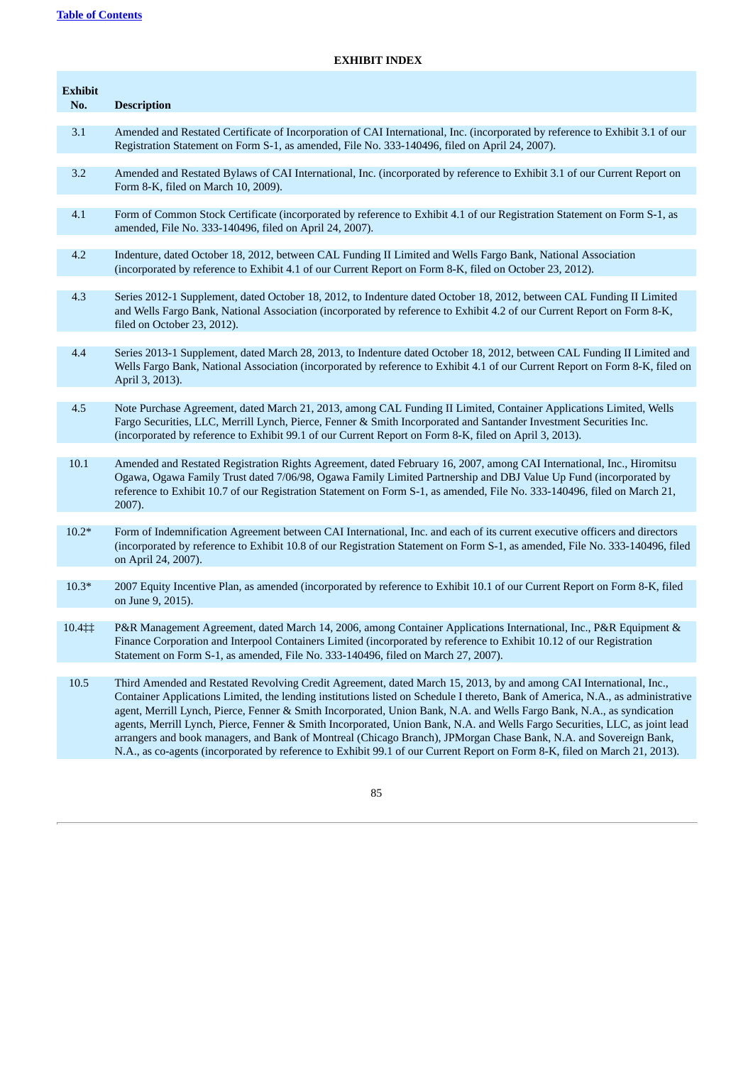# **EXHIBIT INDEX**

| <b>Exhibit</b><br>No. | <b>Description</b>                                                                                                                                                                                                                                                                                                                                                                                                                                                                                             |
|-----------------------|----------------------------------------------------------------------------------------------------------------------------------------------------------------------------------------------------------------------------------------------------------------------------------------------------------------------------------------------------------------------------------------------------------------------------------------------------------------------------------------------------------------|
| 3.1                   | Amended and Restated Certificate of Incorporation of CAI International, Inc. (incorporated by reference to Exhibit 3.1 of our<br>Registration Statement on Form S-1, as amended, File No. 333-140496, filed on April 24, 2007).                                                                                                                                                                                                                                                                                |
| 3.2                   | Amended and Restated Bylaws of CAI International, Inc. (incorporated by reference to Exhibit 3.1 of our Current Report on<br>Form 8-K, filed on March 10, 2009).                                                                                                                                                                                                                                                                                                                                               |
| 4.1                   | Form of Common Stock Certificate (incorporated by reference to Exhibit 4.1 of our Registration Statement on Form S-1, as<br>amended, File No. 333-140496, filed on April 24, 2007).                                                                                                                                                                                                                                                                                                                            |
| 4.2                   | Indenture, dated October 18, 2012, between CAL Funding II Limited and Wells Fargo Bank, National Association<br>(incorporated by reference to Exhibit 4.1 of our Current Report on Form 8-K, filed on October 23, 2012).                                                                                                                                                                                                                                                                                       |
| 4.3                   | Series 2012-1 Supplement, dated October 18, 2012, to Indenture dated October 18, 2012, between CAL Funding II Limited<br>and Wells Fargo Bank, National Association (incorporated by reference to Exhibit 4.2 of our Current Report on Form 8-K,<br>filed on October 23, 2012).                                                                                                                                                                                                                                |
| 4.4                   | Series 2013-1 Supplement, dated March 28, 2013, to Indenture dated October 18, 2012, between CAL Funding II Limited and<br>Wells Fargo Bank, National Association (incorporated by reference to Exhibit 4.1 of our Current Report on Form 8-K, filed on<br>April 3, 2013).                                                                                                                                                                                                                                     |
| 4.5                   | Note Purchase Agreement, dated March 21, 2013, among CAL Funding II Limited, Container Applications Limited, Wells<br>Fargo Securities, LLC, Merrill Lynch, Pierce, Fenner & Smith Incorporated and Santander Investment Securities Inc.<br>(incorporated by reference to Exhibit 99.1 of our Current Report on Form 8-K, filed on April 3, 2013).                                                                                                                                                             |
| 10.1                  | Amended and Restated Registration Rights Agreement, dated February 16, 2007, among CAI International, Inc., Hiromitsu<br>Ogawa, Ogawa Family Trust dated 7/06/98, Ogawa Family Limited Partnership and DBJ Value Up Fund (incorporated by<br>reference to Exhibit 10.7 of our Registration Statement on Form S-1, as amended, File No. 333-140496, filed on March 21,<br>2007).                                                                                                                                |
| $10.2*$               | Form of Indemnification Agreement between CAI International, Inc. and each of its current executive officers and directors<br>(incorporated by reference to Exhibit 10.8 of our Registration Statement on Form S-1, as amended, File No. 333-140496, filed<br>on April 24, 2007).                                                                                                                                                                                                                              |
| $10.3*$               | 2007 Equity Incentive Plan, as amended (incorporated by reference to Exhibit 10.1 of our Current Report on Form 8-K, filed<br>on June 9, 2015).                                                                                                                                                                                                                                                                                                                                                                |
| 10.4‡‡                | P&R Management Agreement, dated March 14, 2006, among Container Applications International, Inc., P&R Equipment &<br>Finance Corporation and Interpool Containers Limited (incorporated by reference to Exhibit 10.12 of our Registration<br>Statement on Form S-1, as amended, File No. 333-140496, filed on March 27, 2007).                                                                                                                                                                                 |
| 10.5                  | Third Amended and Restated Revolving Credit Agreement, dated March 15, 2013, by and among CAI International, Inc.,<br>Container Applications Limited, the lending institutions listed on Schedule I thereto, Bank of America, N.A., as administrative<br>agent, Merrill Lynch, Pierce, Fenner & Smith Incorporated, Union Bank, N.A. and Wells Fargo Bank, N.A., as syndication<br>agents, Merrill Lynch, Pierce, Fenner & Smith Incorporated, Union Bank, N.A. and Wells Fargo Securities, LLC, as joint lead |

85

arrangers and book managers, and Bank of Montreal (Chicago Branch), JPMorgan Chase Bank, N.A. and Sovereign Bank, N.A., as co-agents (incorporated by reference to Exhibit 99.1 of our Current Report on Form 8-K, filed on March 21, 2013).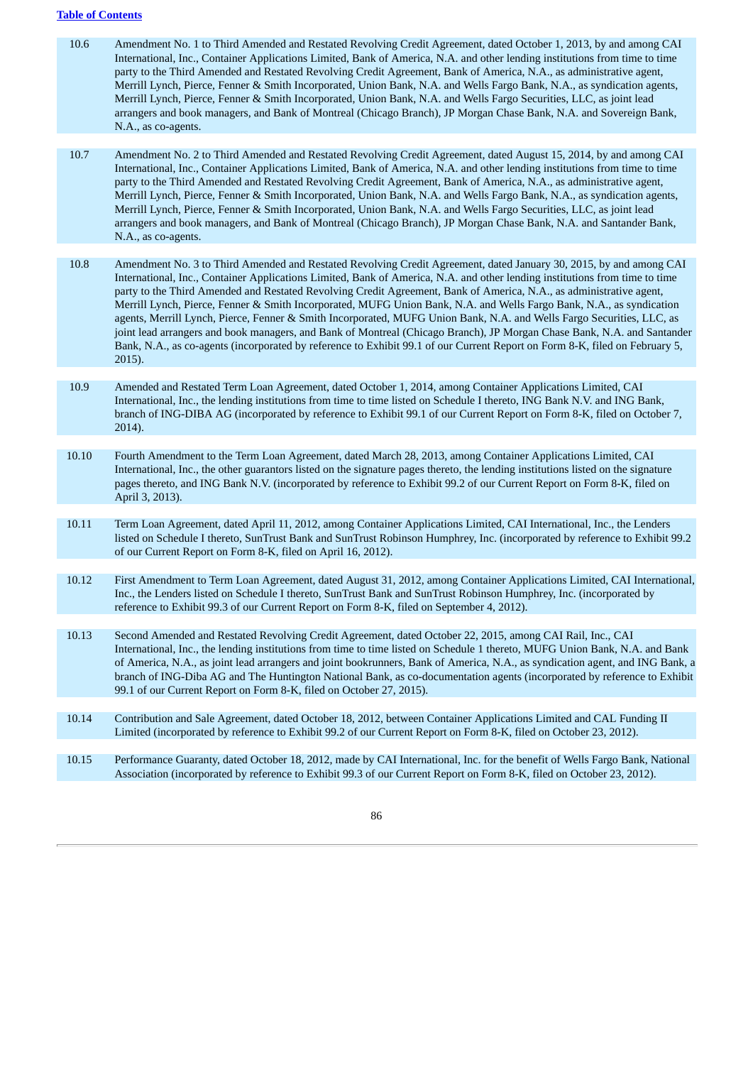- 10.6 Amendment No. 1 to Third Amended and Restated Revolving Credit Agreement, dated October 1, 2013, by and among CAI International, Inc., Container Applications Limited, Bank of America, N.A. and other lending institutions from time to time party to the Third Amended and Restated Revolving Credit Agreement, Bank of America, N.A., as administrative agent, Merrill Lynch, Pierce, Fenner & Smith Incorporated, Union Bank, N.A. and Wells Fargo Bank, N.A., as syndication agents, Merrill Lynch, Pierce, Fenner & Smith Incorporated, Union Bank, N.A. and Wells Fargo Securities, LLC, as joint lead arrangers and book managers, and Bank of Montreal (Chicago Branch), JP Morgan Chase Bank, N.A. and Sovereign Bank, N.A., as co-agents.
- 10.7 Amendment No. 2 to Third Amended and Restated Revolving Credit Agreement, dated August 15, 2014, by and among CAI International, Inc., Container Applications Limited, Bank of America, N.A. and other lending institutions from time to time party to the Third Amended and Restated Revolving Credit Agreement, Bank of America, N.A., as administrative agent, Merrill Lynch, Pierce, Fenner & Smith Incorporated, Union Bank, N.A. and Wells Fargo Bank, N.A., as syndication agents, Merrill Lynch, Pierce, Fenner & Smith Incorporated, Union Bank, N.A. and Wells Fargo Securities, LLC, as joint lead arrangers and book managers, and Bank of Montreal (Chicago Branch), JP Morgan Chase Bank, N.A. and Santander Bank, N.A., as co-agents.
- 10.8 Amendment No. 3 to Third Amended and Restated Revolving Credit Agreement, dated January 30, 2015, by and among CAI International, Inc., Container Applications Limited, Bank of America, N.A. and other lending institutions from time to time party to the Third Amended and Restated Revolving Credit Agreement, Bank of America, N.A., as administrative agent, Merrill Lynch, Pierce, Fenner & Smith Incorporated, MUFG Union Bank, N.A. and Wells Fargo Bank, N.A., as syndication agents, Merrill Lynch, Pierce, Fenner & Smith Incorporated, MUFG Union Bank, N.A. and Wells Fargo Securities, LLC, as joint lead arrangers and book managers, and Bank of Montreal (Chicago Branch), JP Morgan Chase Bank, N.A. and Santander Bank, N.A., as co-agents (incorporated by reference to Exhibit 99.1 of our Current Report on Form 8-K, filed on February 5, 2015).
- 10.9 Amended and Restated Term Loan Agreement, dated October 1, 2014, among Container Applications Limited, CAI International, Inc., the lending institutions from time to time listed on Schedule I thereto, ING Bank N.V. and ING Bank, branch of ING-DIBA AG (incorporated by reference to Exhibit 99.1 of our Current Report on Form 8-K, filed on October 7, 2014).
- 10.10 Fourth Amendment to the Term Loan Agreement, dated March 28, 2013, among Container Applications Limited, CAI International, Inc., the other guarantors listed on the signature pages thereto, the lending institutions listed on the signature pages thereto, and ING Bank N.V. (incorporated by reference to Exhibit 99.2 of our Current Report on Form 8-K, filed on April 3, 2013).
- 10.11 Term Loan Agreement, dated April 11, 2012, among Container Applications Limited, CAI International, Inc., the Lenders listed on Schedule I thereto, SunTrust Bank and SunTrust Robinson Humphrey, Inc. (incorporated by reference to Exhibit 99.2 of our Current Report on Form 8-K, filed on April 16, 2012).
- 10.12 First Amendment to Term Loan Agreement, dated August 31, 2012, among Container Applications Limited, CAI International, Inc., the Lenders listed on Schedule I thereto, SunTrust Bank and SunTrust Robinson Humphrey, Inc. (incorporated by reference to Exhibit 99.3 of our Current Report on Form 8-K, filed on September 4, 2012).
- 10.13 Second Amended and Restated Revolving Credit Agreement, dated October 22, 2015, among CAI Rail, Inc., CAI International, Inc., the lending institutions from time to time listed on Schedule 1 thereto, MUFG Union Bank, N.A. and Bank of America, N.A., as joint lead arrangers and joint bookrunners, Bank of America, N.A., as syndication agent, and ING Bank, a branch of ING-Diba AG and The Huntington National Bank, as co-documentation agents (incorporated by reference to Exhibit 99.1 of our Current Report on Form 8-K, filed on October 27, 2015).
- 10.14 Contribution and Sale Agreement, dated October 18, 2012, between Container Applications Limited and CAL Funding II Limited (incorporated by reference to Exhibit 99.2 of our Current Report on Form 8-K, filed on October 23, 2012).
- 10.15 Performance Guaranty, dated October 18, 2012, made by CAI International, Inc. for the benefit of Wells Fargo Bank, National Association (incorporated by reference to Exhibit 99.3 of our Current Report on Form 8-K, filed on October 23, 2012).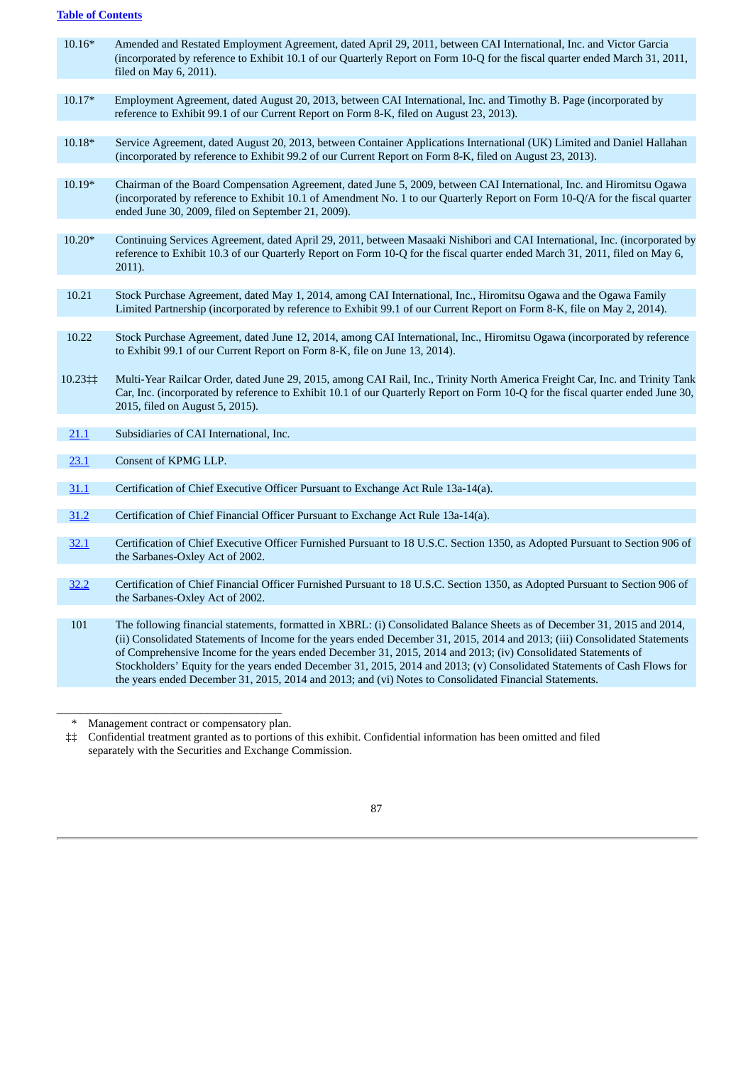| $10.16*$ | Amended and Restated Employment Agreement, dated April 29, 2011, between CAI International, Inc. and Victor Garcia<br>(incorporated by reference to Exhibit 10.1 of our Quarterly Report on Form 10-Q for the fiscal quarter ended March 31, 2011,<br>filed on May 6, 2011).                               |
|----------|------------------------------------------------------------------------------------------------------------------------------------------------------------------------------------------------------------------------------------------------------------------------------------------------------------|
|          |                                                                                                                                                                                                                                                                                                            |
| $10.17*$ | Employment Agreement, dated August 20, 2013, between CAI International, Inc. and Timothy B. Page (incorporated by<br>reference to Exhibit 99.1 of our Current Report on Form 8-K, filed on August 23, 2013).                                                                                               |
| $10.18*$ | Service Agreement, dated August 20, 2013, between Container Applications International (UK) Limited and Daniel Hallahan<br>(incorporated by reference to Exhibit 99.2 of our Current Report on Form 8-K, filed on August 23, 2013).                                                                        |
| $10.19*$ | Chairman of the Board Compensation Agreement, dated June 5, 2009, between CAI International, Inc. and Hiromitsu Ogawa<br>(incorporated by reference to Exhibit 10.1 of Amendment No. 1 to our Quarterly Report on Form 10-Q/A for the fiscal quarter<br>ended June 30, 2009, filed on September 21, 2009). |
| $10.20*$ | Continuing Services Agreement, dated April 29, 2011, between Masaaki Nishibori and CAI International, Inc. (incorporated by<br>reference to Exhibit 10.3 of our Quarterly Report on Form 10-Q for the fiscal quarter ended March 31, 2011, filed on May 6,<br>2011).                                       |
| 10.21    | Stock Purchase Agreement, dated May 1, 2014, among CAI International, Inc., Hiromitsu Ogawa and the Ogawa Family<br>Limited Partnership (incorporated by reference to Exhibit 99.1 of our Current Report on Form 8-K, file on May 2, 2014).                                                                |
| 10.22    | Stock Purchase Agreement, dated June 12, 2014, among CAI International, Inc., Hiromitsu Ogawa (incorporated by reference<br>to Exhibit 99.1 of our Current Report on Form 8-K, file on June 13, 2014).                                                                                                     |
| 10.23#   | Multi-Year Railcar Order, dated June 29, 2015, among CAI Rail, Inc., Trinity North America Freight Car, Inc. and Trinity Tank<br>Car, Inc. (incorporated by reference to Exhibit 10.1 of our Quarterly Report on Form 10-Q for the fiscal quarter ended June 30,<br>2015, filed on August 5, 2015).        |
|          |                                                                                                                                                                                                                                                                                                            |
| 21.1     | Subsidiaries of CAI International, Inc.                                                                                                                                                                                                                                                                    |
|          |                                                                                                                                                                                                                                                                                                            |
| 23.1     | Consent of KPMG LLP.                                                                                                                                                                                                                                                                                       |
| 31.1     | Certification of Chief Executive Officer Pursuant to Exchange Act Rule 13a-14(a).                                                                                                                                                                                                                          |
| 31.2     | Certification of Chief Financial Officer Pursuant to Exchange Act Rule 13a-14(a).                                                                                                                                                                                                                          |
| 32.1     | Certification of Chief Executive Officer Furnished Pursuant to 18 U.S.C. Section 1350, as Adopted Pursuant to Section 906 of<br>the Sarbanes-Oxley Act of 2002.                                                                                                                                            |
| 32.2     | Certification of Chief Financial Officer Furnished Pursuant to 18 U.S.C. Section 1350, as Adopted Pursuant to Section 906 of<br>the Sarbanes-Oxley Act of 2002.                                                                                                                                            |

101 The following financial statements, formatted in XBRL: (i) Consolidated Balance Sheets as of December 31, 2015 and 2014, (ii) Consolidated Statements of Income for the years ended December 31, 2015, 2014 and 2013; (iii) Consolidated Statements of Comprehensive Income for the years ended December 31, 2015, 2014 and 2013; (iv) Consolidated Statements of Stockholders' Equity for the years ended December 31, 2015, 2014 and 2013; (v) Consolidated Statements of Cash Flows for the years ended December 31, 2015, 2014 and 2013; and (vi) Notes to Consolidated Financial Statements.

\_\_\_\_\_\_\_\_\_\_\_\_\_\_\_\_\_\_\_\_\_\_\_\_\_\_\_\_\_\_\_\_\_\_\_\_ \* Management contract or compensatory plan.

<sup>‡‡</sup> Confidential treatment granted as to portions of this exhibit. Confidential information has been omitted and filed separately with the Securities and Exchange Commission.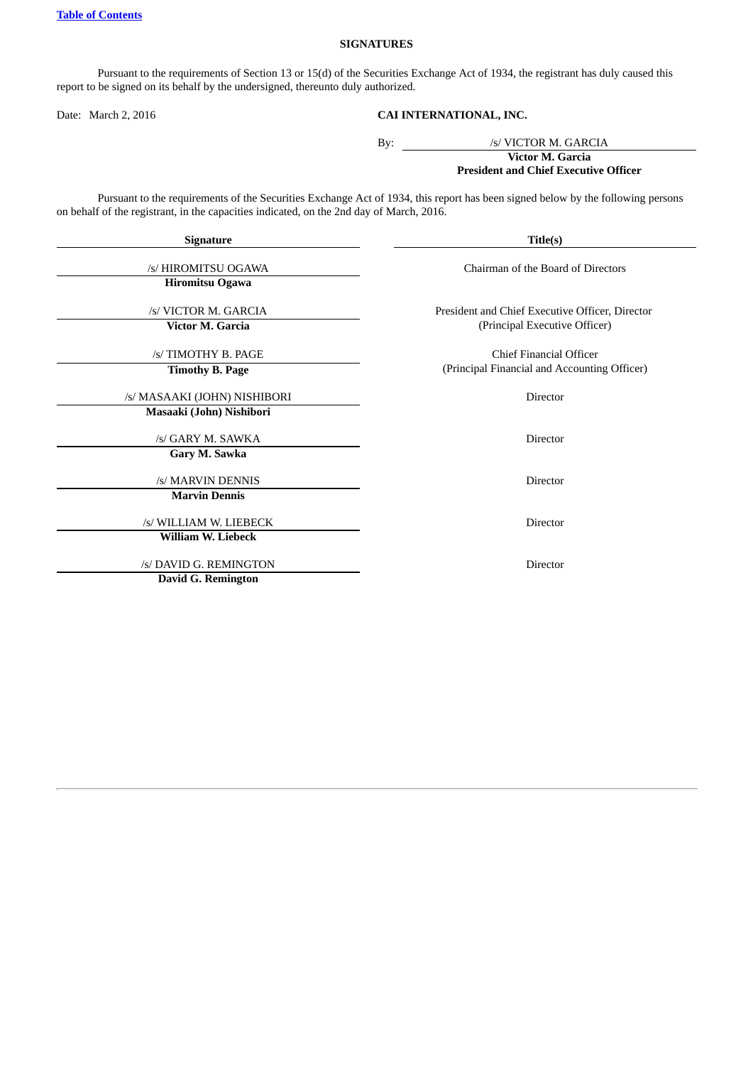#### **SIGNATURES**

Pursuant to the requirements of Section 13 or 15(d) of the Securities Exchange Act of 1934, the registrant has duly caused this report to be signed on its behalf by the undersigned, thereunto duly authorized.

**David G. Remington**

#### Date: March 2, 2016 **CAI INTERNATIONAL, INC.**

By: /s/ VICTOR M. GARCIA

**Victor M. Garcia President and Chief Executive Officer**

Pursuant to the requirements of the Securities Exchange Act of 1934, this report has been signed below by the following persons on behalf of the registrant, in the capacities indicated, on the 2nd day of March, 2016.

**Signature Title(s)** /s/ HIROMITSU OGAWA Chairman of the Board of Directors **Hiromitsu Ogawa** /s/ VICTOR M. GARCIA President and Chief Executive Officer, Director **Victor M. Garcia** (Principal Executive Officer) /s/ TIMOTHY B. PAGE Chief Financial Officer **Timothy B. Page <b>Example 2** (Principal Financial and Accounting Officer) /s/ MASAAKI (JOHN) NISHIBORI Director **Masaaki (John) Nishibori** /s/ GARY M. SAWKA Director **Gary M. Sawka** /s/ MARVIN DENNIS Director **Marvin Dennis** /s/ WILLIAM W. LIEBECK Director **William W. Liebeck** /s/ DAVID G. REMINGTON Director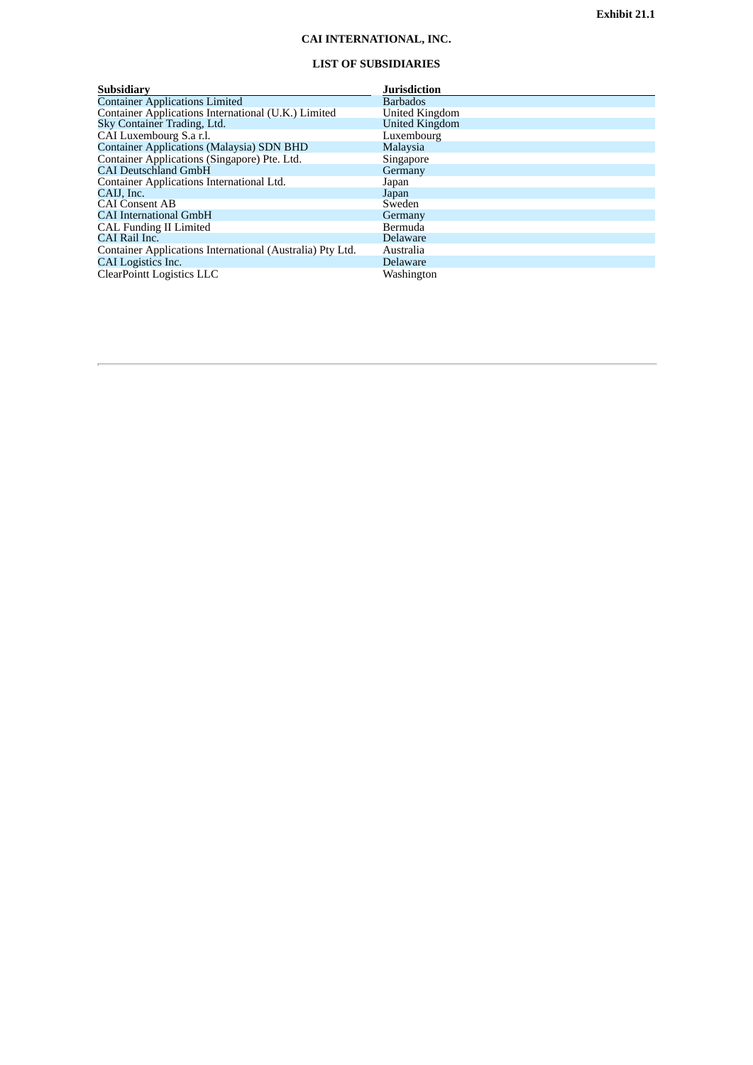# **CAI INTERNATIONAL, INC.**

# **LIST OF SUBSIDIARIES**

| Subsidiary                                                | <b>Jurisdiction</b>   |
|-----------------------------------------------------------|-----------------------|
| <b>Container Applications Limited</b>                     | <b>Barbados</b>       |
| Container Applications International (U.K.) Limited       | United Kingdom        |
| Sky Container Trading, Ltd.                               | <b>United Kingdom</b> |
| CAI Luxembourg S.a r.l.                                   | Luxembourg            |
| <b>Container Applications (Malaysia) SDN BHD</b>          | Malaysia              |
| Container Applications (Singapore) Pte. Ltd.              | Singapore             |
| <b>CAI Deutschland GmbH</b>                               | Germany               |
| Container Applications International Ltd.                 | Japan                 |
| CAIJ, Inc.                                                | Japan                 |
| <b>CAI Consent AB</b>                                     | Sweden                |
| <b>CAI</b> International GmbH                             | Germany               |
| <b>CAL Funding II Limited</b>                             | Bermuda               |
| CAI Rail Inc.                                             | <b>Delaware</b>       |
| Container Applications International (Australia) Pty Ltd. | Australia             |
| CAI Logistics Inc.                                        | <b>Delaware</b>       |
| <b>ClearPointt Logistics LLC</b>                          | Washington            |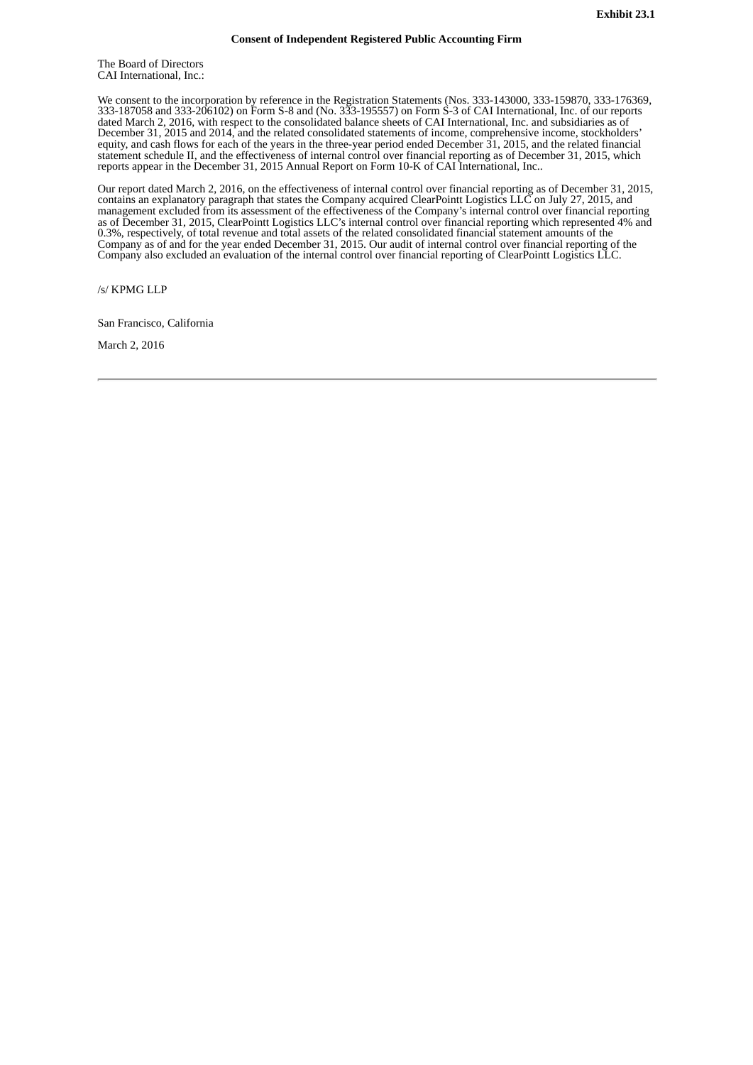## **Consent of Independent Registered Public Accounting Firm**

The Board of Directors CAI International, Inc.:

We consent to the incorporation by reference in the Registration Statements (Nos. 333-143000, 333-159870, 333-176369, 333-187058 and 333-206102) on Form S-8 and (No. 333-195557) on Form S-3 of CAI International, Inc. of our reports dated March 2, 2016, with respect to the consolidated balance sheets of CAI International, Inc. and subsidiaries as of December 31, 2015 and 2014, and the related consolidated statements of income, comprehensive income, stockholders' equity, and cash flows for each of the years in the three-year period ended December 31, 2015, and the related financial statement schedule II, and the effectiveness of internal control over financial reporting as of December 31, 2015, which reports appear in the December 31, 2015 Annual Report on Form 10-K of CAI International, Inc..

Our report dated March 2, 2016, on the effectiveness of internal control over financial reporting as of December 31, 2015, contains an explanatory paragraph that states the Company acquired ClearPointt Logistics LLC on July 27, 2015, and management excluded from its assessment of the effectiveness of the Company's internal control over financial reporting as of December 31, 2015, ClearPointt Logistics LLC's internal control over financial reporting which represented 4% and 0.3%, respectively, of total revenue and total assets of the related consolidated financial statement amounts of the Company as of and for the year ended December 31, 2015. Our audit of internal control over financial reporting of the Company also excluded an evaluation of the internal control over financial reporting of ClearPointt Logistics LLC.

/s/ KPMG LLP

San Francisco, California

March 2, 2016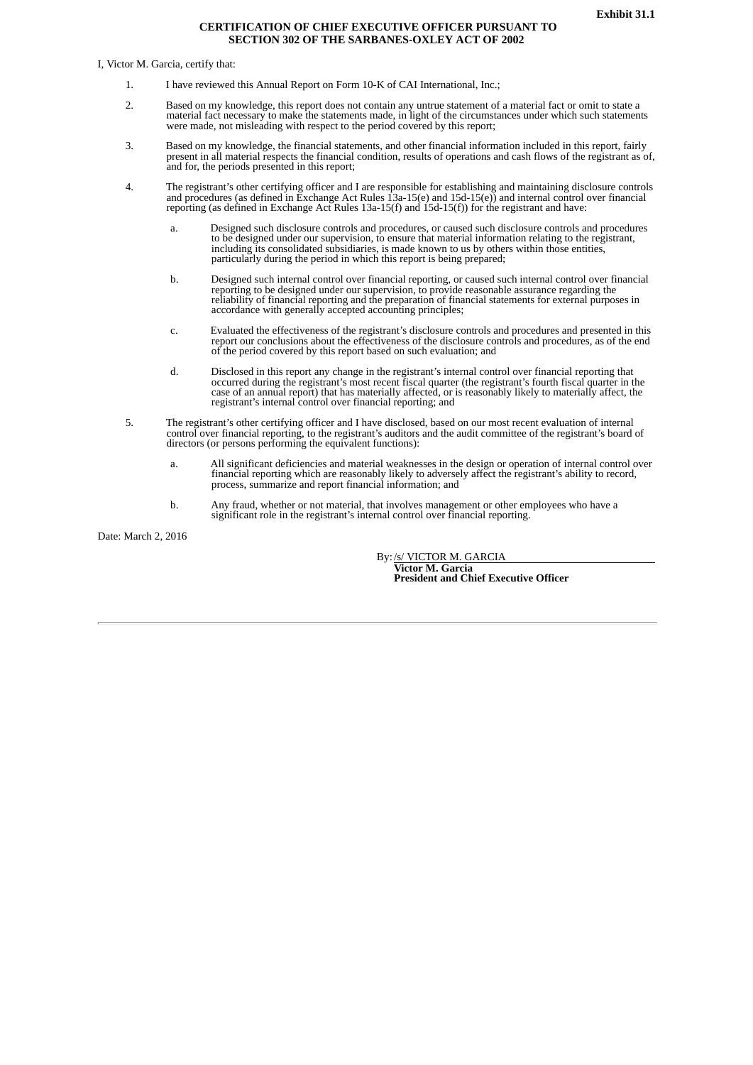#### **CERTIFICATION OF CHIEF EXECUTIVE OFFICER PURSUANT TO SECTION 302 OF THE SARBANES-OXLEY ACT OF 2002**

#### I, Victor M. Garcia, certify that:

- 1. I have reviewed this Annual Report on Form 10-K of CAI International, Inc.;
- 2. Based on my knowledge, this report does not contain any untrue statement of a material fact or omit to state a material fact necessary to make the statements made, in light of the circumstances under which such statements were made, not misleading with respect to the period covered by this report;
- 3. Based on my knowledge, the financial statements, and other financial information included in this report, fairly present in all material respects the financial condition, results of operations and cash flows of the registrant as of, and for, the periods presented in this report;
- 4. The registrant's other certifying officer and I are responsible for establishing and maintaining disclosure controls and procedures (as defined in Exchange Act Rules 13a-15(e) and 15d-15(e)) and internal control over financial reporting (as defined in Exchange Act Rules 13a-15(f) and 15d-15(f)) for the registrant and have:
	- a. Designed such disclosure controls and procedures, or caused such disclosure controls and procedures to be designed under our supervision, to ensure that material information relating to the registrant, including its consolidated subsidiaries, is made known to us by others within those entities, particularly during the period in which this report is being prepared;
	- b. Designed such internal control over financial reporting, or caused such internal control over financial reporting to be designed under our supervision, to provide reasonable assurance regarding the reliability of financial reporting and the preparation of financial statements for external purposes in accordance with generally accepted accounting principles;
	- c. Evaluated the effectiveness of the registrant's disclosure controls and procedures and presented in this report our conclusions about the effectiveness of the disclosure controls and procedures, as of the end of the period covered by this report based on such evaluation; and
	- d. Disclosed in this report any change in the registrant's internal control over financial reporting that occurred during the registrant's most recent fiscal quarter (the registrant's fourth fiscal quarter in the case of an annual report) that has materially affected, or is reasonably likely to materially affect, the registrant's internal control over financial reporting; and
- 5. The registrant's other certifying officer and I have disclosed, based on our most recent evaluation of internal control over financial reporting, to the registrant's auditors and the audit committee of the registrant's board of directors (or persons performing the equivalent functions):
	- a. All significant deficiencies and material weaknesses in the design or operation of internal control over financial reporting which are reasonably likely to adversely affect the registrant's ability to record, process, summarize and report financial information; and
	- b. Any fraud, whether or not material, that involves management or other employees who have a significant role in the registrant's internal control over financial reporting.

Date: March 2, 2016

By:/s/ VICTOR M. GARCIA **Victor M. Garcia President and Chief Executive Officer**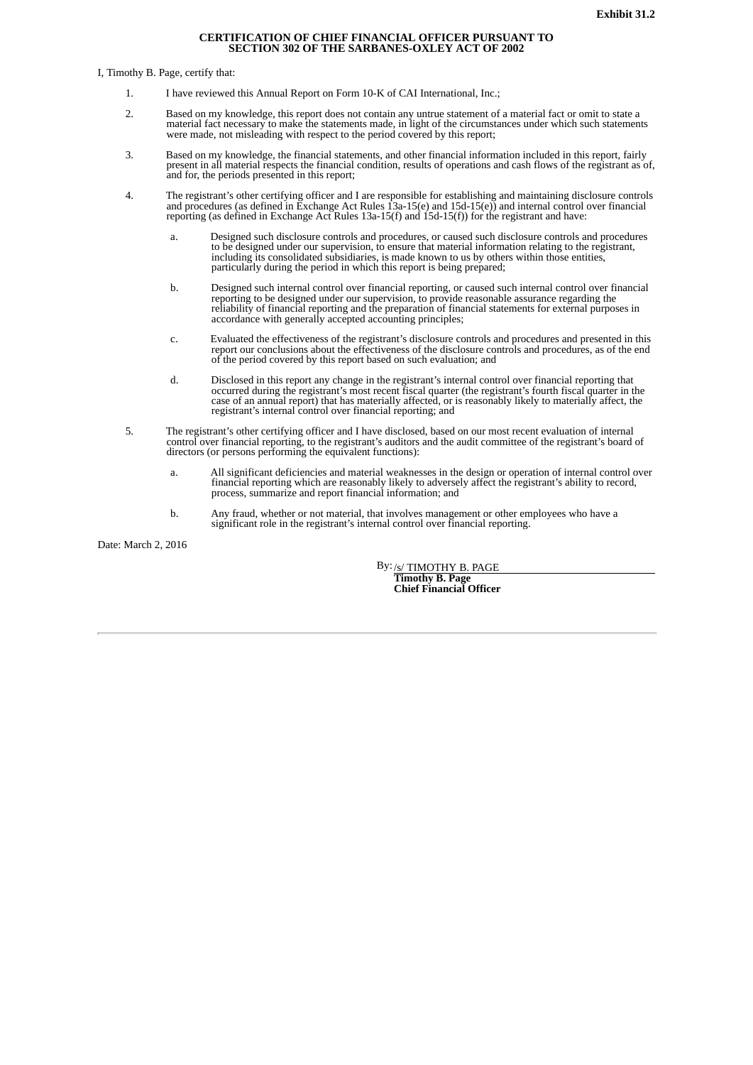#### **CERTIFICATION OF CHIEF FINANCIAL OFFICER PURSUANT TO SECTION 302 OF THE SARBANES-OXLEY ACT OF 2002**

#### I, Timothy B. Page, certify that:

- 1. I have reviewed this Annual Report on Form 10-K of CAI International, Inc.;
- 2. Based on my knowledge, this report does not contain any untrue statement of a material fact or omit to state a material fact necessary to make the statements made, in light of the circumstances under which such statements were made, not misleading with respect to the period covered by this report;
- 3. Based on my knowledge, the financial statements, and other financial information included in this report, fairly present in all material respects the financial condition, results of operations and cash flows of the registrant as of, and for, the periods presented in this report;
- 4. The registrant's other certifying officer and I are responsible for establishing and maintaining disclosure controls and procedures (as defined in Exchange Act Rules 13a-15(e) and 15d-15(e)) and internal control over financial reporting (as defined in Exchange Act Rules 13a-15(f) and 15d-15(f)) for the registrant and have:
	- a. Designed such disclosure controls and procedures, or caused such disclosure controls and procedures to be designed under our supervision, to ensure that material information relating to the registrant, including its consolidated subsidiaries, is made known to us by others within those entities, particularly during the period in which this report is being prepared;
	- b. Designed such internal control over financial reporting, or caused such internal control over financial reporting to be designed under our supervision, to provide reasonable assurance regarding the reliability of financial reporting and the preparation of financial statements for external purposes in accordance with generally accepted accounting principles;
	- c. Evaluated the effectiveness of the registrant's disclosure controls and procedures and presented in this report our conclusions about the effectiveness of the disclosure controls and procedures, as of the end of the period covered by this report based on such evaluation; and
	- d. Disclosed in this report any change in the registrant's internal control over financial reporting that occurred during the registrant's most recent fiscal quarter (the registrant's fourth fiscal quarter in the case of an annual report) that has materially affected, or is reasonably likely to materially affect, the registrant's internal control over financial reporting; and
- 5. The registrant's other certifying officer and I have disclosed, based on our most recent evaluation of internal control over financial reporting, to the registrant's auditors and the audit committee of the registrant's board of directors (or persons performing the equivalent functions):
	- a. All significant deficiencies and material weaknesses in the design or operation of internal control over financial reporting which are reasonably likely to adversely affect the registrant's ability to record, process, summarize and report financial information; and
	- b. Any fraud, whether or not material, that involves management or other employees who have a significant role in the registrant's internal control over financial reporting.

Date: March 2, 2016

By: /s/ TIMOTHY B. PAGE **Timothy B. Page Chief Financial Officer**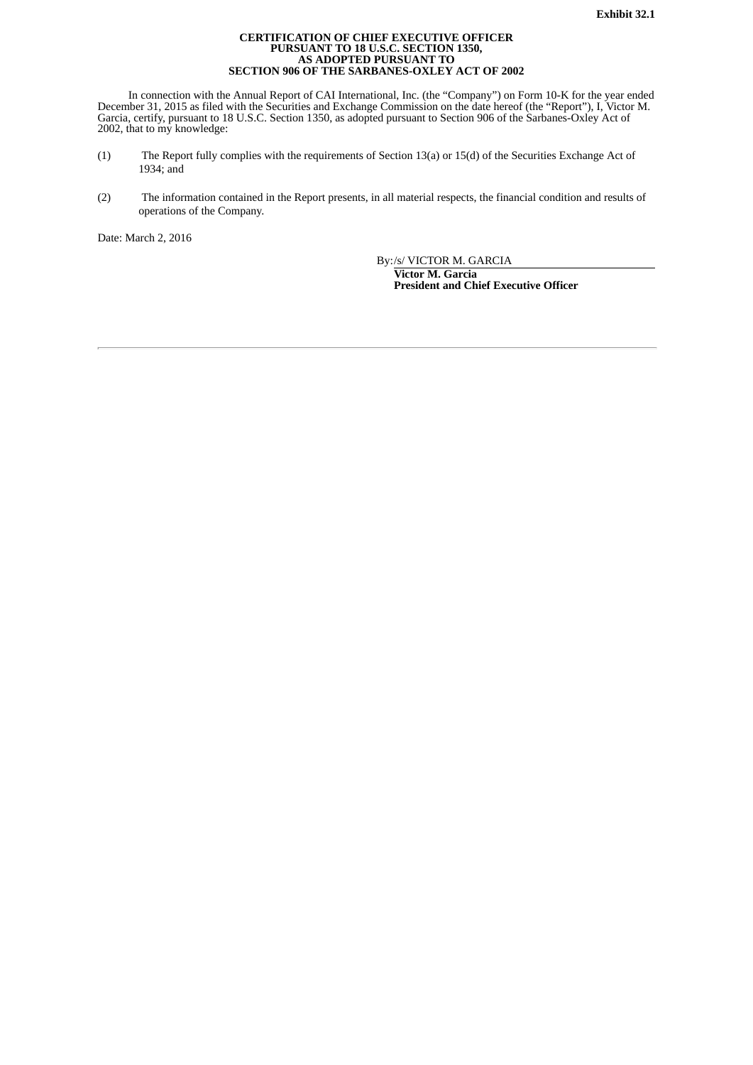#### **CERTIFICATION OF CHIEF EXECUTIVE OFFICER PURSUANT TO 18 U.S.C. SECTION 1350, AS ADOPTED PURSUANT TO SECTION 906 OF THE SARBANES-OXLEY ACT OF 2002**

In connection with the Annual Report of CAI International, Inc. (the "Company") on Form 10-K for the year ended December 31, 2015 as filed with the Securities and Exchange Commission on the date hereof (the "Report"), I, Victor M. Garcia, certify, pursuant to 18 U.S.C. Section 1350, as adopted pursuant to Section 906 of the Sarbanes-Oxley Act of 2002, that to my knowledge:

- (1) The Report fully complies with the requirements of Section 13(a) or 15(d) of the Securities Exchange Act of 1934; and
- (2) The information contained in the Report presents, in all material respects, the financial condition and results of operations of the Company.

Date: March 2, 2016

By:/s/ VICTOR M. GARCIA **Victor M. Garcia President and Chief Executive Officer**